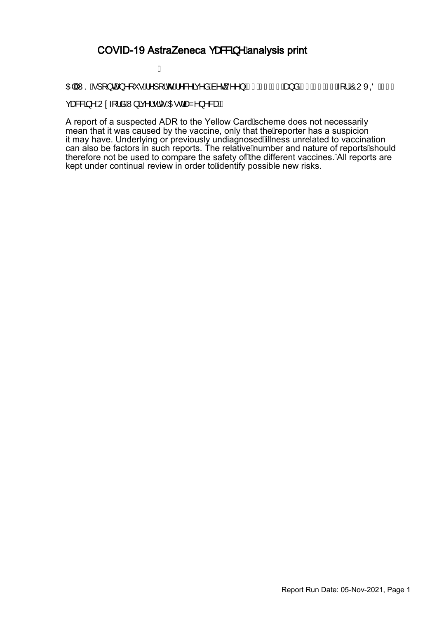### COVID-19 AstraZeneca ças8g ^ Áanalysis print

#### Á

OEIÁNSÁ][}œ}^[`•Á^][¦o•Á^&^ãç^åÁà^ç^^}ÁEI BEFEOFÁa}åÁEI EDFEOFÁ{¦ÁÔUXOÖËFJÁ

çæ&&ã∧ÁU¢-[¦åÁW}ãç^¦•ãĉEDEdæZ^}^&æÐÁ

A report of a suspected ADR to the Yellow Card Scheme does not necessarily mean that it was caused by the vaccine, only that the*l*keporter has a suspicion it may have. Underlying or previously undiagnosed*i*llness unrelated to vaccination can also be factors in such reports. The relative*j*Aumber and nature of reports/should therefore not be used to compare the safety of**A**he different vaccines.ANII reports are kept under continual review in order to Adentify possible new risks.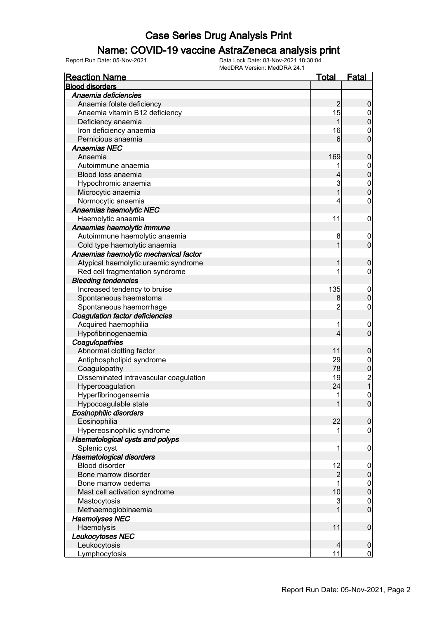### Name: COVID-19 vaccine AstraZeneca analysis print

| <b>Reaction Name</b>                   | <u>Total</u>   | <b>Fatal</b>                          |
|----------------------------------------|----------------|---------------------------------------|
| <b>Blood disorders</b>                 |                |                                       |
| Anaemia deficiencies                   |                |                                       |
| Anaemia folate deficiency              | $\overline{2}$ | 0                                     |
| Anaemia vitamin B12 deficiency         | 15             | $\mathbf 0$                           |
| Deficiency anaemia                     | 1              | $\mathbf{0}$                          |
| Iron deficiency anaemia                | 16             | $\mathbf{0}$                          |
| Pernicious anaemia                     | 6              | $\overline{0}$                        |
| <b>Anaemias NEC</b>                    |                |                                       |
| Anaemia                                | 169            | $\mathbf 0$                           |
| Autoimmune anaemia                     |                | $\mathbf 0$                           |
| Blood loss anaemia                     | 4              | $\overline{0}$                        |
| Hypochromic anaemia                    | 3              | $\mathbf{0}$                          |
| Microcytic anaemia                     | 1              | $\overline{0}$                        |
| Normocytic anaemia                     | 4              | 0                                     |
| Anaemias haemolytic NEC                |                |                                       |
| Haemolytic anaemia                     | 11             | $\mathbf 0$                           |
| Anaemias haemolytic immune             |                |                                       |
| Autoimmune haemolytic anaemia          | 8              | $\mathbf 0$                           |
| Cold type haemolytic anaemia           | 1              | $\mathbf 0$                           |
| Anaemias haemolytic mechanical factor  |                |                                       |
| Atypical haemolytic uraemic syndrome   |                | 0                                     |
| Red cell fragmentation syndrome        | 1              | 0                                     |
| <b>Bleeding tendencies</b>             |                |                                       |
| Increased tendency to bruise           | 135            | $\mathbf 0$                           |
| Spontaneous haematoma                  | 8              | $\overline{0}$                        |
| Spontaneous haemorrhage                | $\overline{c}$ | $\mathbf 0$                           |
| <b>Coagulation factor deficiencies</b> |                |                                       |
| Acquired haemophilia                   | 1              | $\mathbf 0$                           |
| Hypofibrinogenaemia                    | 4              | $\overline{0}$                        |
| Coagulopathies                         |                |                                       |
| Abnormal clotting factor               | 11             | $\mathbf 0$                           |
| Antiphospholipid syndrome              | 29             | $\boldsymbol{0}$                      |
| Coagulopathy                           | 78             | $\overline{0}$                        |
| Disseminated intravascular coagulation | 19             |                                       |
| Hypercoagulation                       | 24             | $\begin{array}{c} 2 \\ 1 \end{array}$ |
| Hyperfibrinogenaemia                   | 1              | $\overline{0}$                        |
| Hypocoagulable state                   | 1              | $\overline{0}$                        |
| Eosinophilic disorders                 |                |                                       |
| Eosinophilia                           | 22             | $\mathbf 0$                           |
| Hypereosinophilic syndrome             | 1              | $\mathbf 0$                           |
| Haematological cysts and polyps        |                |                                       |
| Splenic cyst                           | 1              | $\mathbf 0$                           |
| Haematological disorders               |                |                                       |
| <b>Blood disorder</b>                  | 12             | $\mathbf 0$                           |
| Bone marrow disorder                   | $\overline{c}$ | $\pmb{0}$                             |
| Bone marrow oedema                     | 1              | $\boldsymbol{0}$                      |
| Mast cell activation syndrome          | 10             | $\overline{0}$                        |
| Mastocytosis                           | $\overline{3}$ | $\boldsymbol{0}$                      |
| Methaemoglobinaemia                    | 1              | $\overline{0}$                        |
| <b>Haemolyses NEC</b>                  |                |                                       |
| Haemolysis                             | 11             | $\boldsymbol{0}$                      |
| Leukocytoses NEC                       |                |                                       |
| Leukocytosis                           | 4              | $\mathbf 0$                           |
| Lymphocytosis                          | 11             | $\mathbf 0$                           |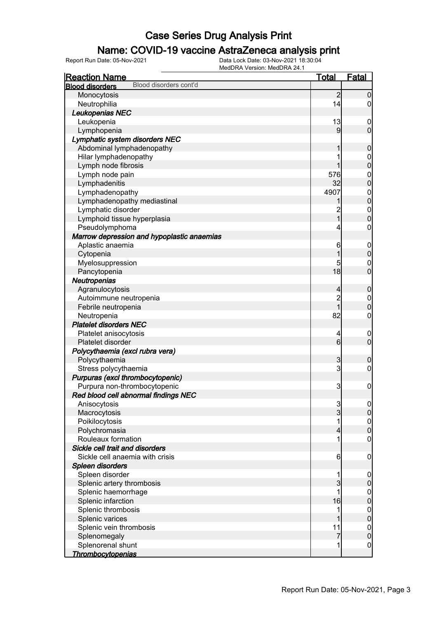### Name: COVID-19 vaccine AstraZeneca analysis print

| <b>Reaction Name</b>                             | <u>Total</u>    | <b>Fatal</b>                     |
|--------------------------------------------------|-----------------|----------------------------------|
| Blood disorders cont'd<br><b>Blood disorders</b> |                 |                                  |
| Monocytosis                                      | $\overline{2}$  | $\overline{0}$                   |
| Neutrophilia                                     | 14              | $\overline{0}$                   |
| Leukopenias NEC                                  |                 |                                  |
| Leukopenia                                       | 13              | $\mathbf 0$                      |
| Lymphopenia                                      | 9               | $\mathbf 0$                      |
| Lymphatic system disorders NEC                   |                 |                                  |
| Abdominal lymphadenopathy                        | 1               | $\boldsymbol{0}$                 |
| Hilar lymphadenopathy                            | 1               |                                  |
| Lymph node fibrosis                              | 1               | $\begin{matrix}0\\0\end{matrix}$ |
| Lymph node pain                                  | 576             |                                  |
| Lymphadenitis                                    | 32              | $\begin{matrix}0\\0\end{matrix}$ |
| Lymphadenopathy                                  | 4907            |                                  |
| Lymphadenopathy mediastinal                      |                 | $0\atop 0$                       |
| Lymphatic disorder                               | $\overline{c}$  |                                  |
| Lymphoid tissue hyperplasia                      | $\overline{1}$  | $\begin{matrix}0\\0\end{matrix}$ |
| Pseudolymphoma                                   | 4               | $\pmb{0}$                        |
| Marrow depression and hypoplastic anaemias       |                 |                                  |
| Aplastic anaemia                                 | 6               | $\boldsymbol{0}$                 |
| Cytopenia                                        | 1               | $\mathbf 0$                      |
| Myelosuppression                                 | 5               | $\mathbf{0}$                     |
| Pancytopenia                                     | 18              | $\overline{0}$                   |
| Neutropenias                                     |                 |                                  |
| Agranulocytosis                                  | $\overline{4}$  | $\pmb{0}$                        |
| Autoimmune neutropenia                           | $\overline{c}$  |                                  |
| Febrile neutropenia                              | $\overline{1}$  | $\begin{matrix}0\\0\end{matrix}$ |
| Neutropenia                                      | 82              | $\boldsymbol{0}$                 |
| <b>Platelet disorders NEC</b>                    |                 |                                  |
| Platelet anisocytosis                            | $\overline{4}$  | $\mathbf 0$                      |
| Platelet disorder                                | $6\overline{6}$ | $\overline{0}$                   |
| Polycythaemia (excl rubra vera)                  |                 |                                  |
| Polycythaemia                                    | 3               | $\mathbf 0$                      |
| Stress polycythaemia                             | $\overline{3}$  | $\pmb{0}$                        |
| Purpuras (excl thrombocytopenic)                 |                 |                                  |
| Purpura non-thrombocytopenic                     | 3               | $\boldsymbol{0}$                 |
| Red blood cell abnormal findings NEC             |                 |                                  |
| Anisocytosis                                     |                 | $\Omega$                         |
| Macrocytosis                                     | $\frac{3}{3}$   | $\overline{0}$                   |
| Poikilocytosis                                   | 1               | $\mathbf 0$                      |
| Polychromasia                                    | $\overline{4}$  | $\pmb{0}$                        |
| Rouleaux formation                               | 1               | $\mathbf 0$                      |
| Sickle cell trait and disorders                  |                 |                                  |
| Sickle cell anaemia with crisis                  | $6 \overline{}$ | $\mathbf 0$                      |
| Spleen disorders                                 |                 |                                  |
| Spleen disorder                                  | 1               | $\mathbf 0$                      |
| Splenic artery thrombosis                        | 3               | $\pmb{0}$                        |
| Splenic haemorrhage                              | 1               | $\boldsymbol{0}$                 |
| Splenic infarction                               | 16              | $\pmb{0}$                        |
| Splenic thrombosis                               | 1               | $\boldsymbol{0}$                 |
| Splenic varices                                  | 1               | $\mathbf 0$                      |
| Splenic vein thrombosis                          | 11              | $\boldsymbol{0}$                 |
| Splenomegaly                                     | 7               | $\mathbf 0$                      |
| Splenorenal shunt                                | 1               | $\mathbf 0$                      |
| <b>Thrombocytopenias</b>                         |                 |                                  |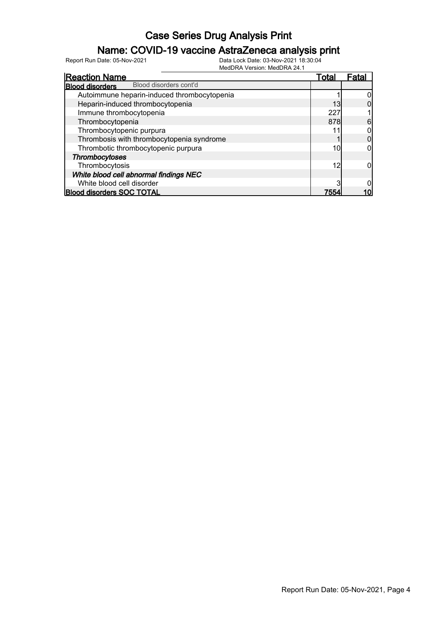### Name: COVID-19 vaccine AstraZeneca analysis print

| <b>Reaction Name</b>                             | Total | Fatal |
|--------------------------------------------------|-------|-------|
| Blood disorders cont'd<br><b>Blood disorders</b> |       |       |
| Autoimmune heparin-induced thrombocytopenia      |       |       |
| Heparin-induced thrombocytopenia                 | 13    |       |
| Immune thrombocytopenia                          | 227   |       |
| Thrombocytopenia                                 | 878   | 6     |
| Thrombocytopenic purpura                         |       |       |
| Thrombosis with thrombocytopenia syndrome        |       |       |
| Thrombotic thrombocytopenic purpura              | 10    |       |
| Thrombocytoses                                   |       |       |
| Thrombocytosis                                   | 12    |       |
| White blood cell abnormal findings NEC           |       |       |
| White blood cell disorder                        |       |       |
| <b>Blood disorders SOC TOTAL</b>                 | 7554  |       |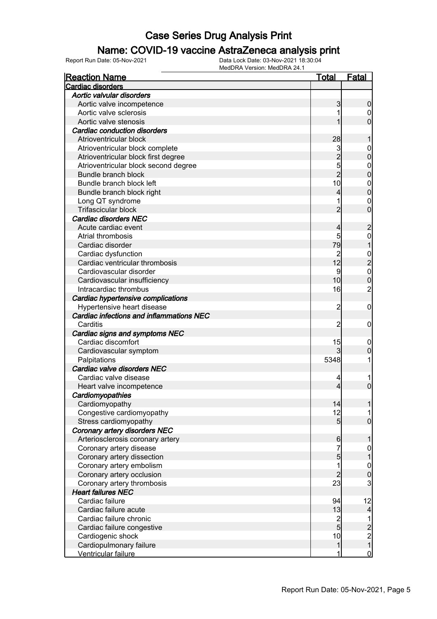### Name: COVID-19 vaccine AstraZeneca analysis print

| <b>Reaction Name</b>                     | Total          | <b>Fatal</b>                               |
|------------------------------------------|----------------|--------------------------------------------|
| <b>Cardiac disorders</b>                 |                |                                            |
| Aortic valvular disorders                |                |                                            |
| Aortic valve incompetence                | 3              | 0                                          |
| Aortic valve sclerosis                   |                | 0                                          |
| Aortic valve stenosis                    |                | 0                                          |
| <b>Cardiac conduction disorders</b>      |                |                                            |
| Atrioventricular block                   | 28             |                                            |
| Atrioventricular block complete          | 3              | $\mathbf 0$                                |
| Atrioventricular block first degree      | $\overline{c}$ | 0                                          |
| Atrioventricular block second degree     | 5              | $\mathbf 0$                                |
| Bundle branch block                      | $\overline{2}$ | 0                                          |
| Bundle branch block left                 | 10             | $\mathbf{0}$                               |
| Bundle branch block right                | 4              | 0                                          |
| Long QT syndrome                         |                | $\mathbf{0}$                               |
| Trifascicular block                      | 2              | 0                                          |
| <b>Cardiac disorders NEC</b>             |                |                                            |
| Acute cardiac event                      | 4              | $\overline{c}$                             |
| Atrial thrombosis                        | 5              | $\mathbf{0}$                               |
| Cardiac disorder                         | 79             |                                            |
| Cardiac dysfunction                      | $\overline{c}$ |                                            |
| Cardiac ventricular thrombosis           | 12             | $\frac{0}{2}$                              |
| Cardiovascular disorder                  | 9              | $\mathbf{0}$                               |
| Cardiovascular insufficiency             | 10             | 0                                          |
| Intracardiac thrombus                    | 16             | $\overline{c}$                             |
| Cardiac hypertensive complications       |                |                                            |
| Hypertensive heart disease               | $\overline{c}$ | $\mathbf 0$                                |
| Cardiac infections and inflammations NEC |                |                                            |
| Carditis                                 | 2              | 0                                          |
| Cardiac signs and symptoms NEC           |                |                                            |
| Cardiac discomfort                       | 15             | 0                                          |
| Cardiovascular symptom                   | 3              | 0                                          |
| Palpitations                             | 5348           |                                            |
| Cardiac valve disorders NEC              |                |                                            |
| Cardiac valve disease                    | 4              |                                            |
| Heart valve incompetence                 | 4              | 0                                          |
| Cardiomyopathies                         |                |                                            |
| Cardiomyopathy                           | 14             |                                            |
| Congestive cardiomyopathy                | 12             |                                            |
| Stress cardiomyopathy                    | 5 <sub>5</sub> | $\overline{0}$                             |
| <b>Coronary artery disorders NEC</b>     |                |                                            |
| Arteriosclerosis coronary artery         | 6              |                                            |
| Coronary artery disease                  | 7              | 0                                          |
| Coronary artery dissection               | $\overline{5}$ |                                            |
| Coronary artery embolism                 | 1              | $\mathbf 0$                                |
| Coronary artery occlusion                | $\overline{2}$ | 0                                          |
| Coronary artery thrombosis               | 23             | 3                                          |
| <b>Heart failures NEC</b>                |                |                                            |
| Cardiac failure                          | 94             | 12                                         |
| Cardiac failure acute                    | 13             | $\overline{\mathbf{r}}$                    |
| Cardiac failure chronic                  |                | 1                                          |
| Cardiac failure congestive               | $\frac{2}{5}$  |                                            |
| Cardiogenic shock                        | 10             | $\begin{array}{c} 2 \\ 2 \\ 1 \end{array}$ |
| Cardiopulmonary failure                  | 1              |                                            |
| Ventricular failure                      | 1              | $\mathbf 0$                                |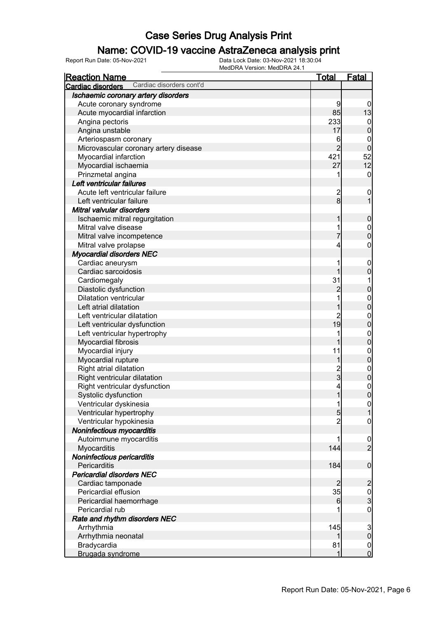### Name: COVID-19 vaccine AstraZeneca analysis print

| <b>Reaction Name</b>                          | <b>Total</b>    | <b>Fatal</b>                       |
|-----------------------------------------------|-----------------|------------------------------------|
| Cardiac disorders cont'd<br>Cardiac disorders |                 |                                    |
| Ischaemic coronary artery disorders           |                 |                                    |
| Acute coronary syndrome                       | 9               | $\boldsymbol{0}$                   |
| Acute myocardial infarction                   | 85              | 13                                 |
| Angina pectoris                               | 233             | $\boldsymbol{0}$                   |
| Angina unstable                               | 17              | $\boldsymbol{0}$                   |
| Arteriospasm coronary                         | 6               | 0                                  |
| Microvascular coronary artery disease         | $\overline{2}$  | $\mathbf 0$                        |
| Myocardial infarction                         | 421             | 52                                 |
| Myocardial ischaemia                          | 27              | 12                                 |
| Prinzmetal angina                             | 1               | $\mathbf 0$                        |
| Left ventricular failures                     |                 |                                    |
| Acute left ventricular failure                |                 | $\mathbf 0$                        |
| Left ventricular failure                      | $\frac{2}{8}$   | 1                                  |
| Mitral valvular disorders                     |                 |                                    |
| Ischaemic mitral regurgitation                | 1               | $\mathbf 0$                        |
| Mitral valve disease                          |                 | $\mathbf 0$                        |
| Mitral valve incompetence                     | 7               | $\mathbf 0$                        |
| Mitral valve prolapse                         | 4               | $\boldsymbol{0}$                   |
| <b>Myocardial disorders NEC</b>               |                 |                                    |
| Cardiac aneurysm                              |                 | $\mathbf 0$                        |
| Cardiac sarcoidosis                           | 1               | $\mathbf 0$                        |
| Cardiomegaly                                  | 31              |                                    |
| Diastolic dysfunction                         | $\overline{c}$  | $\pmb{0}$                          |
| <b>Dilatation ventricular</b>                 |                 | $\boldsymbol{0}$                   |
| Left atrial dilatation                        | 1               | $\mathbf 0$                        |
| Left ventricular dilatation                   | $\overline{c}$  | $\mathbf 0$                        |
| Left ventricular dysfunction                  | $\overline{19}$ | $\mathbf 0$                        |
| Left ventricular hypertrophy                  |                 | $\boldsymbol{0}$                   |
| Myocardial fibrosis                           | 1               | $\mathbf 0$                        |
| Myocardial injury                             | 11              | $\boldsymbol{0}$                   |
| Myocardial rupture                            | 1               | $\mathbf 0$                        |
| Right atrial dilatation                       |                 | $\boldsymbol{0}$                   |
| Right ventricular dilatation                  | $\frac{2}{3}$   | $\pmb{0}$                          |
| Right ventricular dysfunction                 | 4               | $\mathbf{0}$                       |
| Systolic dysfunction                          | $\mathbf{1}$    | $\overline{0}$                     |
| Ventricular dyskinesia                        | 1               |                                    |
| Ventricular hypertrophy                       | $5\overline{)}$ | $\overline{0}$<br>$\mathbf{1}$     |
| Ventricular hypokinesia                       | $\overline{c}$  | $\mathbf 0$                        |
| Noninfectious myocarditis                     |                 |                                    |
| Autoimmune myocarditis                        | 1               |                                    |
| Myocarditis                                   | 144             | $\boldsymbol{0}$<br>$\overline{2}$ |
| Noninfectious pericarditis                    |                 |                                    |
| Pericarditis                                  | 184             | $\boldsymbol{0}$                   |
| <b>Pericardial disorders NEC</b>              |                 |                                    |
|                                               | $\overline{2}$  |                                    |
| Cardiac tamponade                             |                 | $\overline{c}$                     |
| Pericardial effusion                          | 35              | $\frac{0}{3}$                      |
| Pericardial haemorrhage                       | 6               |                                    |
| Pericardial rub                               |                 | $\mathbf 0$                        |
| Rate and rhythm disorders NEC                 |                 |                                    |
| Arrhythmia                                    | 145             | $\frac{3}{0}$                      |
| Arrhythmia neonatal                           |                 |                                    |
| Bradycardia                                   | 81              | $\overline{0}$                     |
| Brugada syndrome                              | 1               | $\overline{0}$                     |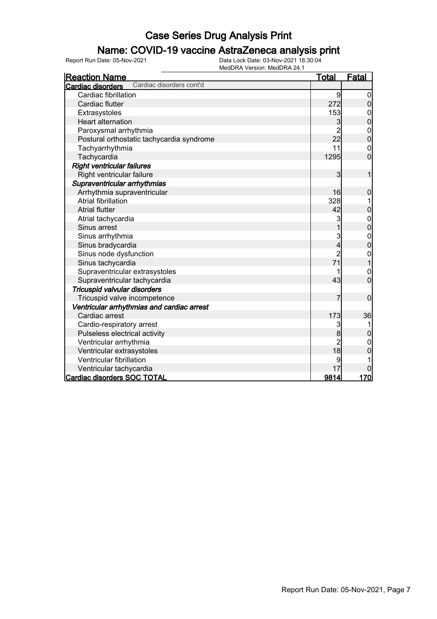### Name: COVID-19 vaccine AstraZeneca analysis print

| <b>Reaction Name</b>                          | <u>Total</u>                           | <b>Fatal</b>                     |
|-----------------------------------------------|----------------------------------------|----------------------------------|
| Cardiac disorders cont'd<br>Cardiac disorders |                                        |                                  |
| Cardiac fibrillation                          | 9                                      | 0                                |
| Cardiac flutter                               | 272                                    | $\overline{0}$                   |
| Extrasystoles                                 | 153                                    | $\mathbf 0$                      |
| <b>Heart alternation</b>                      | 3                                      | $\overline{0}$                   |
| Paroxysmal arrhythmia                         | $\overline{2}$                         | $\mathbf{0}$                     |
| Postural orthostatic tachycardia syndrome     | 22                                     | $\overline{0}$                   |
| Tachyarrhythmia                               | 11                                     | $\mathbf{0}$                     |
| Tachycardia                                   | 1295                                   | $\overline{0}$                   |
| <b>Right ventricular failures</b>             |                                        |                                  |
| Right ventricular failure                     | $\overline{3}$                         | $\overline{1}$                   |
| Supraventricular arrhythmias                  |                                        |                                  |
| Arrhythmia supraventricular                   | 16                                     | 0                                |
| <b>Atrial fibrillation</b>                    | 328                                    |                                  |
| <b>Atrial flutter</b>                         | 42                                     | 0                                |
| Atrial tachycardia                            | 3                                      |                                  |
| Sinus arrest                                  | $\overline{1}$                         | 0<br>0                           |
| Sinus arrhythmia                              | 3                                      |                                  |
| Sinus bradycardia                             | $\overline{\mathbf{4}}$                | $\begin{matrix}0\\0\end{matrix}$ |
| Sinus node dysfunction                        | $\overline{c}$                         | $\mathbf 0$                      |
| Sinus tachycardia                             | 71                                     | $\overline{1}$                   |
| Supraventricular extrasystoles                |                                        | $\mathbf{0}$                     |
| Supraventricular tachycardia                  | 43                                     | $\overline{0}$                   |
| Tricuspid valvular disorders                  |                                        |                                  |
| Tricuspid valve incompetence                  | 7                                      | $\mathbf 0$                      |
| Ventricular arrhythmias and cardiac arrest    |                                        |                                  |
| Cardiac arrest                                | 173                                    | 36                               |
| Cardio-respiratory arrest                     | 3                                      |                                  |
| Pulseless electrical activity                 | 8                                      | $\overline{0}$                   |
| Ventricular arrhythmia                        | $\begin{array}{c} 2 \\ 18 \end{array}$ | 0                                |
| Ventricular extrasystoles                     |                                        | 0                                |
| Ventricular fibrillation                      | 9                                      |                                  |
| Ventricular tachycardia                       | 17                                     |                                  |
| <b>Cardiac disorders SOC TOTAL</b>            | 9814                                   | 170                              |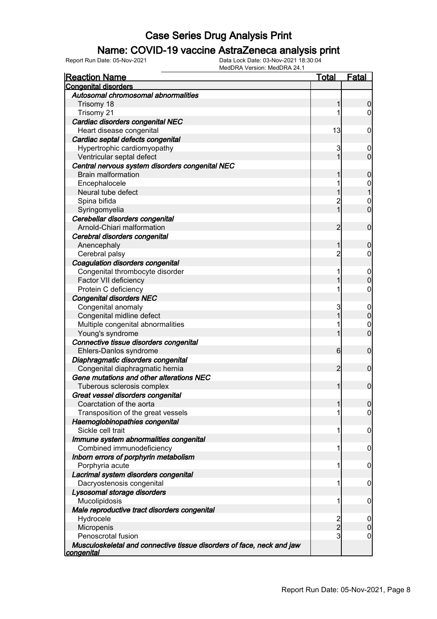#### Name: COVID-19 vaccine AstraZeneca analysis print

| <u>Reaction Name</u>                                                  | <u>Total</u>            | <b>Fatal</b>     |
|-----------------------------------------------------------------------|-------------------------|------------------|
| <b>Congenital disorders</b>                                           |                         |                  |
| Autosomal chromosomal abnormalities                                   |                         |                  |
| Trisomy 18                                                            | 1                       | 0                |
| Trisomy 21                                                            | 1                       | 0                |
| Cardiac disorders congenital NEC                                      |                         |                  |
| Heart disease congenital                                              | 13                      | 0                |
| Cardiac septal defects congenital                                     |                         |                  |
| Hypertrophic cardiomyopathy                                           | 3                       | $\overline{0}$   |
| Ventricular septal defect                                             | 1                       | $\overline{0}$   |
| Central nervous system disorders congenital NEC                       |                         |                  |
| <b>Brain malformation</b>                                             |                         | 0                |
| Encephalocele                                                         | 1                       | $\mathbf 0$      |
| Neural tube defect                                                    |                         |                  |
| Spina bifida                                                          | $\overline{c}$          | $\mathbf 0$      |
| Syringomyelia                                                         | 1                       | $\overline{0}$   |
| Cerebellar disorders congenital                                       |                         |                  |
| Arnold-Chiari malformation                                            | $\overline{2}$          | $\mathbf 0$      |
| Cerebral disorders congenital                                         |                         |                  |
| Anencephaly                                                           | 1                       | 0                |
| Cerebral palsy                                                        | $\overline{c}$          | 0                |
| Coagulation disorders congenital                                      |                         |                  |
| Congenital thrombocyte disorder                                       | 1                       | $\mathbf 0$      |
| Factor VII deficiency                                                 |                         | 0                |
| Protein C deficiency                                                  | 1                       | 0                |
| <b>Congenital disorders NEC</b>                                       |                         |                  |
| Congenital anomaly                                                    | 3                       | $\overline{0}$   |
| Congenital midline defect                                             | 1                       | $\mathbf 0$      |
| Multiple congenital abnormalities                                     | 1                       | $\mathbf 0$      |
| Young's syndrome                                                      | 1                       | $\overline{0}$   |
| Connective tissue disorders congenital                                |                         |                  |
| Ehlers-Danlos syndrome                                                | 6                       | $\mathbf 0$      |
| Diaphragmatic disorders congenital                                    |                         |                  |
| Congenital diaphragmatic hernia                                       | $\overline{2}$          | $\mathbf 0$      |
| Gene mutations and other alterations NEC                              |                         |                  |
| Tuberous sclerosis complex                                            | 1                       | $\mathbf 0$      |
| Great vessel disorders congenital                                     |                         |                  |
| Coarctation of the aorta                                              |                         | $\Omega$         |
| Transposition of the great vessels                                    | 1                       | $\overline{0}$   |
| Haemoglobinopathies congenital                                        |                         |                  |
| Sickle cell trait                                                     | 1                       | 0                |
| Immune system abnormalities congenital                                |                         |                  |
| Combined immunodeficiency                                             | 1                       | 0                |
| Inborn errors of porphyrin metabolism                                 |                         |                  |
| Porphyria acute                                                       | 1                       | 0                |
| Lacrimal system disorders congenital                                  |                         |                  |
| Dacryostenosis congenital                                             | 1                       | 0                |
| Lysosomal storage disorders                                           |                         |                  |
| Mucolipidosis                                                         | 1                       | 0                |
| Male reproductive tract disorders congenital                          |                         |                  |
| Hydrocele                                                             | $\overline{\mathbf{c}}$ | $\boldsymbol{0}$ |
| Micropenis                                                            | $\overline{2}$          | 0                |
| Penoscrotal fusion                                                    | 3                       | 0                |
| Musculoskeletal and connective tissue disorders of face, neck and jaw |                         |                  |
| <u>congenital</u>                                                     |                         |                  |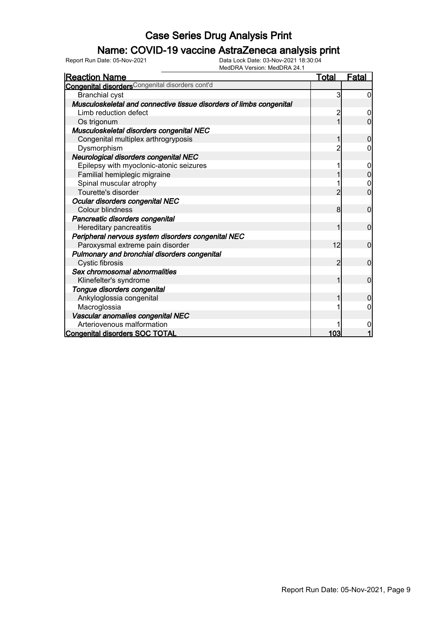### Name: COVID-19 vaccine AstraZeneca analysis print

| <b>Reaction Name</b>                                                | <b>Total</b>   | <u>Fatal</u>   |
|---------------------------------------------------------------------|----------------|----------------|
| <b>Congenital disorders</b> Congenital disorders cont'd             |                |                |
| <b>Branchial cyst</b>                                               | 3              | $\overline{0}$ |
| Musculoskeletal and connective tissue disorders of limbs congenital |                |                |
| Limb reduction defect                                               | 2              | 0              |
| Os trigonum                                                         |                | 0              |
| Musculoskeletal disorders congenital NEC                            |                |                |
| Congenital multiplex arthrogryposis                                 |                | $\Omega$       |
| Dysmorphism                                                         |                | 0              |
| Neurological disorders congenital NEC                               |                |                |
| Epilepsy with myoclonic-atonic seizures                             |                | 0              |
| Familial hemiplegic migraine                                        |                | $\overline{0}$ |
| Spinal muscular atrophy                                             |                | 0              |
| Tourette's disorder                                                 | 2              | $\overline{0}$ |
| Ocular disorders congenital NEC                                     |                |                |
| <b>Colour blindness</b>                                             | 8 <sup>1</sup> | $\overline{0}$ |
| Pancreatic disorders congenital                                     |                |                |
| Hereditary pancreatitis                                             |                | $\mathbf 0$    |
| Peripheral nervous system disorders congenital NEC                  |                |                |
| Paroxysmal extreme pain disorder                                    | 12             | $\mathbf 0$    |
| Pulmonary and bronchial disorders congenital                        |                |                |
| Cystic fibrosis                                                     | 2              | $\mathbf{0}$   |
| Sex chromosomal abnormalities                                       |                |                |
| Klinefelter's syndrome                                              |                | $\overline{0}$ |
| Tongue disorders congenital                                         |                |                |
| Ankyloglossia congenital                                            |                | $\Omega$       |
| Macroglossia                                                        |                | 0              |
| Vascular anomalies congenital NEC                                   |                |                |
| Arteriovenous malformation                                          |                | 0              |
| <b>Congenital disorders SOC TOTAL</b>                               | 103            |                |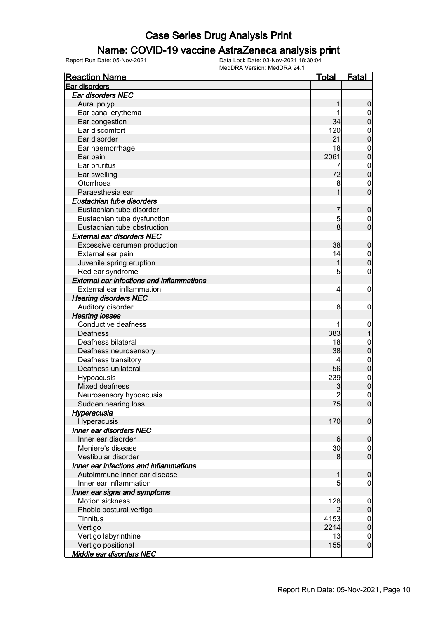#### Name: COVID-19 vaccine AstraZeneca analysis print

| <b>Reaction Name</b>                             | <u>Total</u>   | <u>Fatal</u>     |
|--------------------------------------------------|----------------|------------------|
| Ear disorders                                    |                |                  |
| Ear disorders NEC                                |                |                  |
| Aural polyp                                      | 1              | $\boldsymbol{0}$ |
| Ear canal erythema                               |                | $\overline{0}$   |
| Ear congestion                                   | 34             | $\mathbf 0$      |
| Ear discomfort                                   | 120            | $\mathbf{0}$     |
| Ear disorder                                     | 21             | $\overline{0}$   |
| Ear haemorrhage                                  | 18             | $\mathbf{0}$     |
| Ear pain                                         | 2061           | $\overline{0}$   |
| Ear pruritus                                     | 7              | $\mathbf{0}$     |
| Ear swelling                                     | 72             | $\overline{0}$   |
| Otorrhoea                                        | 8              | $\mathbf{0}$     |
| Paraesthesia ear                                 | 1              | $\overline{0}$   |
| Eustachian tube disorders                        |                |                  |
| Eustachian tube disorder                         | 7              | $\boldsymbol{0}$ |
| Eustachian tube dysfunction                      | 5              | $\boldsymbol{0}$ |
| Eustachian tube obstruction                      | 8              | $\overline{0}$   |
| <b>External ear disorders NEC</b>                |                |                  |
| Excessive cerumen production                     | 38             | $\mathbf 0$      |
| External ear pain                                | 14             | $\mathbf{0}$     |
| Juvenile spring eruption                         | 1              | $\mathbf 0$      |
| Red ear syndrome                                 | 5              | $\boldsymbol{0}$ |
| <b>External ear infections and inflammations</b> |                |                  |
| External ear inflammation                        | $\overline{4}$ | $\boldsymbol{0}$ |
| <b>Hearing disorders NEC</b>                     |                |                  |
| Auditory disorder                                | 8              | $\mathbf 0$      |
| <b>Hearing losses</b>                            |                |                  |
| Conductive deafness                              |                | $\boldsymbol{0}$ |
| Deafness                                         | 383            | 1                |
| Deafness bilateral                               | 18             | $\mathbf{0}$     |
| Deafness neurosensory                            | 38             | $\mathbf 0$      |
| Deafness transitory                              | 4              | $\mathbf{0}$     |
| Deafness unilateral                              | 56             | $\mathbf 0$      |
| Hypoacusis                                       | 239            | $\mathbf{0}$     |
| Mixed deafness                                   | 3              | $\overline{0}$   |
| Neurosensory hypoacusis                          | $\overline{c}$ | $\mathbf 0$      |
| Sudden hearing loss                              | 75             | 0                |
| Hyperacusia                                      |                |                  |
| Hyperacusis                                      | 170            | $\mathbf 0$      |
| Inner ear disorders NEC                          |                |                  |
| Inner ear disorder                               | 6              | $\mathbf 0$      |
| Meniere's disease                                | 30             | $\overline{0}$   |
| Vestibular disorder                              | 8              | $\overline{0}$   |
| Inner ear infections and inflammations           |                |                  |
| Autoimmune inner ear disease                     | 1              | $\mathbf 0$      |
| Inner ear inflammation                           | 5              | $\overline{0}$   |
| Inner ear signs and symptoms                     |                |                  |
| Motion sickness                                  | 128            | $\boldsymbol{0}$ |
| Phobic postural vertigo                          | 2              | $\boldsymbol{0}$ |
| <b>Tinnitus</b>                                  | 4153           | $\boldsymbol{0}$ |
| Vertigo                                          | 2214           | $\pmb{0}$        |
| Vertigo labyrinthine                             | 13             | $\mathbf 0$      |
| Vertigo positional                               | 155            | $\boldsymbol{0}$ |
| <u>Middle ear disorders NEC</u>                  |                |                  |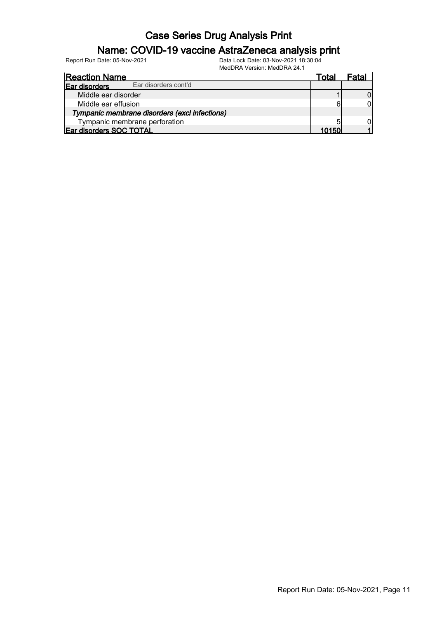### Name: COVID-19 vaccine AstraZeneca analysis print

| <b>Reaction Name</b>                          | ⊺otal | ⊢ata⊑ |
|-----------------------------------------------|-------|-------|
| Ear disorders cont'd<br>Ear disorders         |       |       |
| Middle ear disorder                           |       |       |
| Middle ear effusion                           | 6     |       |
| Tympanic membrane disorders (excl infections) |       |       |
| Tympanic membrane perforation                 |       |       |
| Ear disorders SOC TOTAL                       | 10150 |       |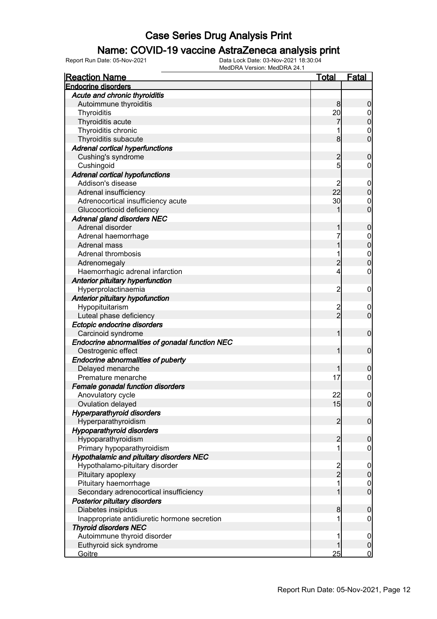### Name: COVID-19 vaccine AstraZeneca analysis print

| <b>Reaction Name</b>                            | <b>Total</b>   | <b>Fatal</b>                     |
|-------------------------------------------------|----------------|----------------------------------|
| <b>Endocrine disorders</b>                      |                |                                  |
| Acute and chronic thyroiditis                   |                |                                  |
| Autoimmune thyroiditis                          | 8              | $\boldsymbol{0}$                 |
| Thyroiditis                                     | 20             | $\overline{0}$                   |
| Thyroiditis acute                               |                | $\mathbf 0$                      |
| Thyroiditis chronic                             |                | $\mathbf 0$                      |
| Thyroiditis subacute                            | 8              | $\overline{0}$                   |
| <b>Adrenal cortical hyperfunctions</b>          |                |                                  |
| Cushing's syndrome                              | $\overline{c}$ | $\mathbf 0$                      |
| Cushingoid                                      | $\mathbf{5}$   | $\overline{0}$                   |
| <b>Adrenal cortical hypofunctions</b>           |                |                                  |
| Addison's disease                               | 2              | $\mathbf 0$                      |
| Adrenal insufficiency                           | 22             | $\pmb{0}$                        |
| Adrenocortical insufficiency acute              | 30             | $\mathbf 0$                      |
| Glucocorticoid deficiency                       | 1              | $\overline{0}$                   |
| <b>Adrenal gland disorders NEC</b>              |                |                                  |
| Adrenal disorder                                | 1              | $\mathbf 0$                      |
| Adrenal haemorrhage                             | 7              | $\boldsymbol{0}$                 |
| Adrenal mass                                    | 1              | $\overline{0}$                   |
| <b>Adrenal thrombosis</b>                       | 1              |                                  |
| Adrenomegaly                                    | $\overline{c}$ | $\begin{matrix}0\\0\end{matrix}$ |
| Haemorrhagic adrenal infarction                 | 4              | $\pmb{0}$                        |
| Anterior pituitary hyperfunction                |                |                                  |
| Hyperprolactinaemia                             | $\overline{2}$ | $\boldsymbol{0}$                 |
| Anterior pituitary hypofunction                 |                |                                  |
| Hypopituitarism                                 |                | $\boldsymbol{0}$                 |
| Luteal phase deficiency                         | 2<br>2         | $\mathbf 0$                      |
| Ectopic endocrine disorders                     |                |                                  |
| Carcinoid syndrome                              | 1              | $\boldsymbol{0}$                 |
| Endocrine abnormalities of gonadal function NEC |                |                                  |
| Oestrogenic effect                              | 1              | $\boldsymbol{0}$                 |
| <b>Endocrine abnormalities of puberty</b>       |                |                                  |
| Delayed menarche                                | 1              | $\mathbf 0$                      |
| Premature menarche                              | 17             | $\mathbf 0$                      |
| Female gonadal function disorders               |                |                                  |
| Anovulatory cycle                               | 22             | $\boldsymbol{0}$                 |
| Ovulation delayed                               | 15             | 0                                |
| <b>Hyperparathyroid disorders</b>               |                |                                  |
| Hyperparathyroidism                             | $\overline{2}$ | $\mathbf 0$                      |
| <b>Hypoparathyroid disorders</b>                |                |                                  |
| Hypoparathyroidism                              | $\overline{c}$ | $\mathbf 0$                      |
| Primary hypoparathyroidism                      | 1              | $\mathbf 0$                      |
| <b>Hypothalamic and pituitary disorders NEC</b> |                |                                  |
| Hypothalamo-pituitary disorder                  |                | $\mathbf 0$                      |
| Pituitary apoplexy                              | $\frac{2}{2}$  | $\pmb{0}$                        |
| Pituitary haemorrhage                           | 1              | $\boldsymbol{0}$                 |
| Secondary adrenocortical insufficiency          | 1              | $\mathbf 0$                      |
| Posterior pituitary disorders                   |                |                                  |
| Diabetes insipidus                              | 8              | $\mathbf 0$                      |
| Inappropriate antidiuretic hormone secretion    | 1              | $\mathbf 0$                      |
| <b>Thyroid disorders NEC</b>                    |                |                                  |
| Autoimmune thyroid disorder                     | 1              | $\mathbf 0$                      |
| Euthyroid sick syndrome                         | 1              | $\pmb{0}$                        |
| Goitre                                          | 25             | $\mathbf 0$                      |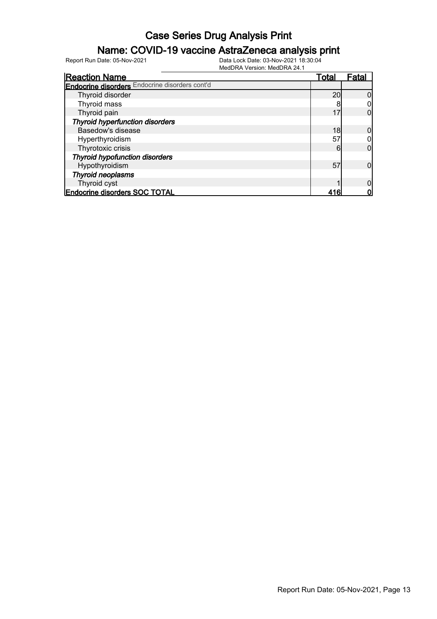### Name: COVID-19 vaccine AstraZeneca analysis print

| <b>Reaction Name</b>                                  | <u>Total</u> | Fatal |
|-------------------------------------------------------|--------------|-------|
| <b>Endocrine disorders</b> Endocrine disorders cont'd |              |       |
| Thyroid disorder                                      | 20           |       |
| Thyroid mass                                          |              |       |
| Thyroid pain                                          | 17           |       |
| <b>Thyroid hyperfunction disorders</b>                |              |       |
| Basedow's disease                                     | 18           |       |
| Hyperthyroidism                                       | 57           |       |
| Thyrotoxic crisis                                     | 6            |       |
| <b>Thyroid hypofunction disorders</b>                 |              |       |
| Hypothyroidism                                        | 57           |       |
| <b>Thyroid neoplasms</b>                              |              |       |
| Thyroid cyst                                          |              |       |
| <b>Endocrine disorders SOC TOTAL</b>                  | 416          |       |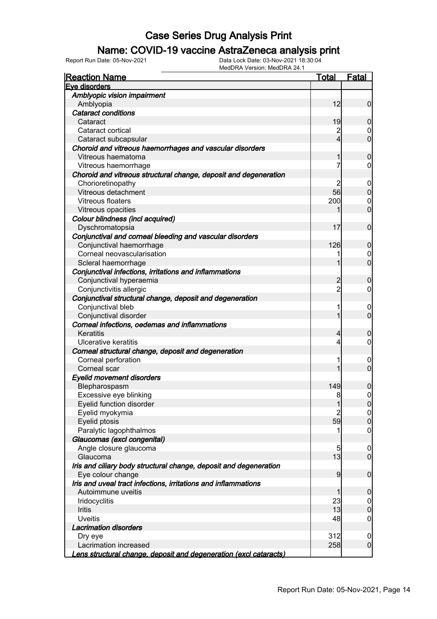### Name: COVID-19 vaccine AstraZeneca analysis print

| <b>Reaction Name</b>                                              | <u>Total</u>   | <b>Fatal</b>                     |
|-------------------------------------------------------------------|----------------|----------------------------------|
| Eve disorders                                                     |                |                                  |
| Amblyopic vision impairment                                       |                |                                  |
| Amblyopia                                                         | 12             | $\overline{0}$                   |
| <b>Cataract conditions</b>                                        |                |                                  |
| Cataract                                                          | 19             | $\mathbf 0$                      |
| Cataract cortical                                                 | $\overline{c}$ | $\boldsymbol{0}$                 |
| Cataract subcapsular                                              | $\overline{4}$ | $\mathbf 0$                      |
| Choroid and vitreous haemorrhages and vascular disorders          |                |                                  |
| Vitreous haematoma                                                | 1              | $\mathbf 0$                      |
| Vitreous haemorrhage                                              | 7              | $\overline{0}$                   |
| Choroid and vitreous structural change, deposit and degeneration  |                |                                  |
| Chorioretinopathy                                                 | 2              | $\mathbf 0$                      |
| Vitreous detachment                                               | 56             | $\mathbf 0$                      |
| Vitreous floaters                                                 | 200            | $\mathbf 0$                      |
| Vitreous opacities                                                | 1              | $\mathbf 0$                      |
| Colour blindness (incl acquired)                                  |                |                                  |
| Dyschromatopsia                                                   | 17             | $\mathbf 0$                      |
| Conjunctival and corneal bleeding and vascular disorders          |                |                                  |
| Conjunctival haemorrhage                                          | 126            | $\mathbf 0$                      |
| Corneal neovascularisation                                        | 1              |                                  |
|                                                                   | 1              | $\overline{0}$<br>$\overline{0}$ |
| Scleral haemorrhage                                               |                |                                  |
| Conjunctival infections, irritations and inflammations            |                |                                  |
| Conjunctival hyperaemia                                           | 2              | $\mathbf 0$                      |
| Conjunctivitis allergic                                           | $\overline{2}$ | $\overline{0}$                   |
| Conjunctival structural change, deposit and degeneration          |                |                                  |
| Conjunctival bleb                                                 | 1              | $\mathbf 0$                      |
| Conjunctival disorder                                             | 1              | $\overline{0}$                   |
| Corneal infections, oedemas and inflammations                     |                |                                  |
| Keratitis                                                         | $\overline{4}$ | $\mathbf 0$                      |
| Ulcerative keratitis                                              | $\overline{4}$ | $\overline{0}$                   |
| Corneal structural change, deposit and degeneration               |                |                                  |
| Corneal perforation                                               | 1              | $\mathbf 0$                      |
| Corneal scar                                                      | 1              | $\overline{0}$                   |
| <b>Eyelid movement disorders</b>                                  |                |                                  |
| Blepharospasm                                                     | 149            | 0                                |
| Excessive eye blinking                                            | 8              | $\mathsf{O}\xspace$              |
| Eyelid function disorder                                          | 1              | 0                                |
| Eyelid myokymia                                                   | $\overline{2}$ | 0                                |
| Eyelid ptosis                                                     | 59             | $\pmb{0}$                        |
| Paralytic lagophthalmos                                           |                | $\overline{0}$                   |
| Glaucomas (excl congenital)                                       |                |                                  |
| Angle closure glaucoma                                            | 5              | $\mathbf 0$                      |
| Glaucoma                                                          | 13             | $\overline{0}$                   |
| Iris and ciliary body structural change, deposit and degeneration |                |                                  |
| Eye colour change                                                 | 9              | $\boldsymbol{0}$                 |
| Iris and uveal tract infections, irritations and inflammations    |                |                                  |
| Autoimmune uveitis                                                | 1              | $\mathbf 0$                      |
| Iridocyclitis                                                     | 23             | $\overline{0}$                   |
| <b>Iritis</b>                                                     | 13             | $\pmb{0}$                        |
| <b>Uveitis</b>                                                    | 48             | $\mathbf 0$                      |
| <b>Lacrimation disorders</b>                                      |                |                                  |
| Dry eye                                                           | 312            | $\mathbf 0$                      |
| Lacrimation increased                                             | 258            | $\overline{0}$                   |
| Lens structural change, deposit and degeneration (excl cataracts) |                |                                  |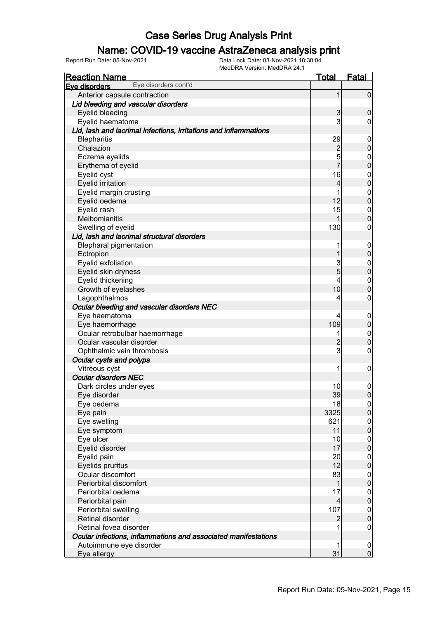### Name: COVID-19 vaccine AstraZeneca analysis print

| <b>Reaction Name</b>                                             | <b>Total</b>            | <b>Fatal</b>     |
|------------------------------------------------------------------|-------------------------|------------------|
| Eye disorders cont'd<br>Eve disorders                            |                         |                  |
| Anterior capsule contraction                                     | 1                       | $\overline{0}$   |
| Lid bleeding and vascular disorders                              |                         |                  |
| Eyelid bleeding                                                  | $\mathbf{3}$            | $\mathbf 0$      |
| Eyelid haematoma                                                 | 3                       | $\overline{0}$   |
| Lid, lash and lacrimal infections, irritations and inflammations |                         |                  |
| <b>Blepharitis</b>                                               | 29                      | $\mathbf 0$      |
| Chalazion                                                        | $\frac{2}{5}$           | $\mathbf 0$      |
| Eczema eyelids                                                   |                         | $\boldsymbol{0}$ |
| Erythema of eyelid                                               | $\overline{7}$          | $\overline{0}$   |
| Eyelid cyst                                                      | 16                      | $\boldsymbol{0}$ |
| <b>Eyelid irritation</b>                                         | $\overline{\mathbf{4}}$ | $\overline{0}$   |
| Eyelid margin crusting                                           | 1                       | $\mathbf{0}$     |
| Eyelid oedema                                                    | 12                      | $\overline{0}$   |
| Eyelid rash                                                      | 15                      | $\boldsymbol{0}$ |
| Meibomianitis                                                    | 1                       | $\mathbf 0$      |
| Swelling of eyelid                                               | 130                     | $\boldsymbol{0}$ |
| Lid, lash and lacrimal structural disorders                      |                         |                  |
| <b>Blepharal pigmentation</b>                                    | 1                       | $\mathbf 0$      |
| Ectropion                                                        | 1                       | $\pmb{0}$        |
| Eyelid exfoliation                                               | $\frac{3}{5}$           | $\boldsymbol{0}$ |
| Eyelid skin dryness                                              |                         | $\mathbf 0$      |
| Eyelid thickening                                                | 4                       | $\boldsymbol{0}$ |
| Growth of eyelashes                                              | 10                      | $\mathbf 0$      |
| Lagophthalmos                                                    | 4                       | $\boldsymbol{0}$ |
| Ocular bleeding and vascular disorders NEC                       |                         |                  |
| Eye haematoma                                                    | 4                       | $\mathbf 0$      |
| Eye haemorrhage                                                  | 109                     | $\mathbf 0$      |
| Ocular retrobulbar haemorrhage                                   | 1                       | $\boldsymbol{0}$ |
| Ocular vascular disorder                                         | $\overline{2}$          | $\mathbf 0$      |
| Ophthalmic vein thrombosis                                       | $\overline{3}$          | $\boldsymbol{0}$ |
| Ocular cysts and polyps                                          |                         |                  |
| Vitreous cyst                                                    | 1                       | $\mathbf 0$      |
| <b>Ocular disorders NEC</b>                                      |                         |                  |
| Dark circles under eyes                                          | 10                      | $\mathbf 0$      |
| Eye disorder                                                     | 39                      | $\boldsymbol{0}$ |
| Eye oedema                                                       | 18                      | 0                |
| Eye pain                                                         | 3325                    | 0                |
| Eye swelling                                                     | 621                     | $\overline{0}$   |
| Eye symptom                                                      | 11                      | $\overline{0}$   |
| Eye ulcer                                                        | 10                      | $\overline{0}$   |
| Eyelid disorder                                                  | 17                      | $\overline{0}$   |
| Eyelid pain                                                      | 20                      | $\boldsymbol{0}$ |
| Eyelids pruritus                                                 | 12                      | $\overline{0}$   |
| Ocular discomfort                                                | 83                      | $\boldsymbol{0}$ |
| Periorbital discomfort                                           | 1                       | $\overline{0}$   |
| Periorbital oedema                                               | 17                      | $\boldsymbol{0}$ |
| Periorbital pain                                                 | $\overline{4}$          | $\overline{0}$   |
| Periorbital swelling                                             | 107                     | $\boldsymbol{0}$ |
| Retinal disorder                                                 | $\overline{2}$          | $\overline{0}$   |
| Retinal fovea disorder                                           |                         | $\overline{0}$   |
| Ocular infections, inflammations and associated manifestations   |                         |                  |
| Autoimmune eye disorder                                          | 1                       | $\mathbf 0$      |
| Eye allergy                                                      | 31                      | 0                |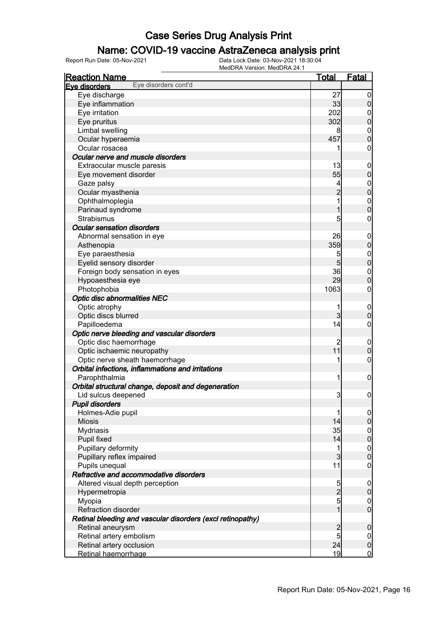### Name: COVID-19 vaccine AstraZeneca analysis print

| <b>Reaction Name</b>                                       | <u>Total</u>   | <b>Fatal</b>                         |
|------------------------------------------------------------|----------------|--------------------------------------|
| Eye disorders cont'd<br>Eve disorders                      |                |                                      |
| Eye discharge                                              | 27             | $\overline{0}$                       |
| Eye inflammation                                           | 33             | $\overline{0}$                       |
| Eye irritation                                             | 202            | $\overline{0}$                       |
| Eye pruritus                                               | 302            | $\mathbf 0$                          |
| Limbal swelling                                            | 8              | $\boldsymbol{0}$                     |
| Ocular hyperaemia                                          | 457            | $\overline{0}$                       |
| Ocular rosacea                                             | 1              | $\mathbf 0$                          |
| Ocular nerve and muscle disorders                          |                |                                      |
| Extraocular muscle paresis                                 | 13             | $\mathbf 0$                          |
| Eye movement disorder                                      | 55             | $\pmb{0}$                            |
| Gaze palsy                                                 | 4              | $\mathbf 0$                          |
| Ocular myasthenia                                          | $\overline{c}$ | $\mathbf{0}$                         |
| Ophthalmoplegia                                            | 1              |                                      |
| Parinaud syndrome                                          | 1              | $0\atop 0$                           |
| <b>Strabismus</b>                                          | 5              | $\boldsymbol{0}$                     |
| <b>Ocular sensation disorders</b>                          |                |                                      |
| Abnormal sensation in eye                                  | 26             | $\mathbf 0$                          |
| Asthenopia                                                 | 359            | $\pmb{0}$                            |
| Eye paraesthesia                                           | 5              | $\overline{0}$                       |
| Eyelid sensory disorder                                    | 5              | $\overline{0}$                       |
| Foreign body sensation in eyes                             | 36             | $\boldsymbol{0}$                     |
| Hypoaesthesia eye                                          | 29             | $\overline{0}$                       |
| Photophobia                                                | 1063           | $\mathbf 0$                          |
| <b>Optic disc abnormalities NEC</b>                        |                |                                      |
| Optic atrophy                                              | 1              |                                      |
| Optic discs blurred                                        | 3              | $\mathbf 0$<br>$\mathbf 0$           |
| Papilloedema                                               | 14             | $\mathbf 0$                          |
|                                                            |                |                                      |
| Optic nerve bleeding and vascular disorders                |                |                                      |
| Optic disc haemorrhage                                     | 2<br>11        | $\mathbf 0$                          |
| Optic ischaemic neuropathy                                 | 1              | $\mathbf 0$                          |
| Optic nerve sheath haemorrhage                             |                | $\boldsymbol{0}$                     |
| Orbital infections, inflammations and irritations          |                |                                      |
| Parophthalmia                                              | 1              | $\mathbf 0$                          |
| Orbital structural change, deposit and degeneration        |                |                                      |
| Lid sulcus deepened                                        | 3              | $\mathbf 0$                          |
| <b>Pupil disorders</b>                                     |                |                                      |
| Holmes-Adie pupil                                          | 1              | $\overline{0}$                       |
| <b>Miosis</b>                                              | 14             | $\pmb{0}$                            |
| <b>Mydriasis</b>                                           | 35             | $\begin{matrix} 0 \\ 0 \end{matrix}$ |
| Pupil fixed                                                | 14             |                                      |
| Pupillary deformity                                        | 1              | $\begin{matrix} 0 \\ 0 \end{matrix}$ |
| Pupillary reflex impaired                                  | $\overline{3}$ |                                      |
| Pupils unequal                                             | 11             | $\mathbf 0$                          |
| Refractive and accommodative disorders                     |                |                                      |
| Altered visual depth perception                            | 5              | $\mathbf 0$                          |
| Hypermetropia                                              | $\overline{2}$ | $\pmb{0}$                            |
| Myopia                                                     | $\overline{5}$ | $\begin{matrix} 0 \\ 0 \end{matrix}$ |
| Refraction disorder                                        | $\overline{1}$ |                                      |
| Retinal bleeding and vascular disorders (excl retinopathy) |                |                                      |
| Retinal aneurysm                                           | $\overline{c}$ | $\mathbf 0$                          |
| Retinal artery embolism                                    | 5              | $\overline{0}$                       |
| Retinal artery occlusion                                   | 24             | $\pmb{0}$                            |
| Retinal haemorrhage                                        | 19             | $\overline{0}$                       |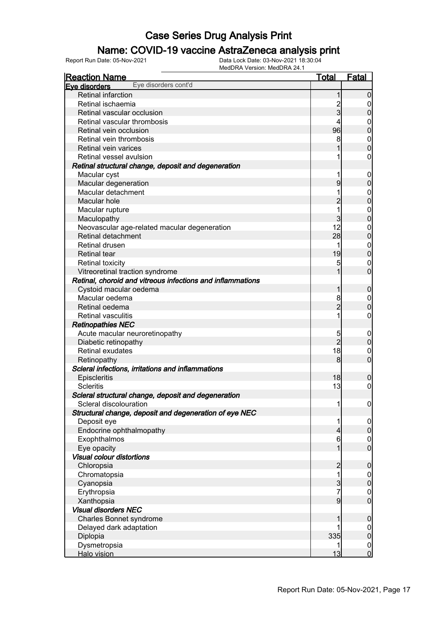### Name: COVID-19 vaccine AstraZeneca analysis print

| <u>Reaction Name</u>                                       | <u>Total</u>   | Fatal            |
|------------------------------------------------------------|----------------|------------------|
| Eye disorders cont'd<br>Eye disorders                      |                |                  |
| <b>Retinal infarction</b>                                  | 1              | $\mathbf 0$      |
| Retinal ischaemia                                          |                | 0                |
| Retinal vascular occlusion                                 | 2<br>3         | $\overline{0}$   |
| Retinal vascular thrombosis                                | 4              | $\boldsymbol{0}$ |
| Retinal vein occlusion                                     | 96             | $\overline{0}$   |
| Retinal vein thrombosis                                    | 8              | $\mathbf{0}$     |
| Retinal vein varices                                       |                | $\overline{0}$   |
| Retinal vessel avulsion                                    |                | $\boldsymbol{0}$ |
| Retinal structural change, deposit and degeneration        |                |                  |
| Macular cyst                                               | 1              | $\mathbf 0$      |
| Macular degeneration                                       | 9              | $\pmb{0}$        |
| Macular detachment                                         |                | $\mathbf{0}$     |
| Macular hole                                               | $\overline{2}$ | $\mathbf 0$      |
| Macular rupture                                            | 1              | $\mathbf{0}$     |
| Maculopathy                                                | $\overline{3}$ | $\mathbf 0$      |
| Neovascular age-related macular degeneration               | 12             | $\mathbf{0}$     |
| Retinal detachment                                         | 28             | $\mathbf 0$      |
| <b>Retinal drusen</b>                                      | 1              | $\mathbf{0}$     |
| <b>Retinal tear</b>                                        | 19             | $\mathbf 0$      |
| <b>Retinal toxicity</b>                                    | 5              | $\mathbf 0$      |
| Vitreoretinal traction syndrome                            |                | $\overline{0}$   |
| Retinal, choroid and vitreous infections and inflammations |                |                  |
| Cystoid macular oedema                                     | 1              | $\boldsymbol{0}$ |
| Macular oedema                                             | 8              | $\boldsymbol{0}$ |
| Retinal oedema                                             | $\overline{2}$ | $\pmb{0}$        |
| <b>Retinal vasculitis</b>                                  | 1              | $\boldsymbol{0}$ |
| <b>Retinopathies NEC</b>                                   |                |                  |
| Acute macular neuroretinopathy                             | 5              | $\mathbf 0$      |
| Diabetic retinopathy                                       | $\overline{2}$ | $\boldsymbol{0}$ |
| Retinal exudates                                           | 18             | $\mathbf 0$      |
| Retinopathy                                                | 8              | $\overline{0}$   |
| Scleral infections, irritations and inflammations          |                |                  |
| Episcleritis                                               | 18             | $\boldsymbol{0}$ |
| <b>Scleritis</b>                                           | 13             | 0                |
| Scleral structural change, deposit and degeneration        |                |                  |
| Scleral discolouration                                     | 1              | $\overline{0}$   |
| Structural change, deposit and degeneration of eye NEC     |                |                  |
| Deposit eye                                                | 1              | $\overline{0}$   |
| Endocrine ophthalmopathy                                   | 4              | $\overline{0}$   |
| Exophthalmos                                               | 6              | $\boldsymbol{0}$ |
| Eye opacity                                                | 1              | $\overline{0}$   |
| <b>Visual colour distortions</b>                           |                |                  |
| Chloropsia                                                 | $\overline{2}$ | $\boldsymbol{0}$ |
| Chromatopsia                                               | 1              | $\mathbf 0$      |
| Cyanopsia                                                  | $\overline{3}$ | $\mathbf 0$      |
| Erythropsia                                                | 7              | $\boldsymbol{0}$ |
| Xanthopsia                                                 | $\overline{9}$ | $\overline{0}$   |
| <b>Visual disorders NEC</b>                                |                |                  |
| Charles Bonnet syndrome                                    | 1              | $\mathbf 0$      |
| Delayed dark adaptation                                    |                | $\overline{0}$   |
| Diplopia                                                   | 335            | $\pmb{0}$        |
| Dysmetropsia                                               |                | $\overline{0}$   |
| Halo vision                                                | 13             | $\overline{0}$   |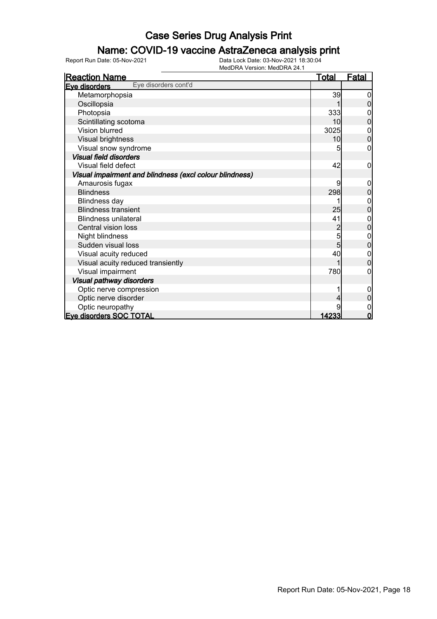### Name: COVID-19 vaccine AstraZeneca analysis print

| <u>Reaction Name</u>                                    | <b>Total</b>   | <b>Fatal</b>   |
|---------------------------------------------------------|----------------|----------------|
| Eye disorders cont'd<br>Eve disorders                   |                |                |
| Metamorphopsia                                          | 39             |                |
| Oscillopsia                                             |                |                |
| Photopsia                                               | 333            | 0              |
| Scintillating scotoma                                   | 10             | 0              |
| Vision blurred                                          | 3025           | 0              |
| Visual brightness                                       | 10             | 0              |
| Visual snow syndrome                                    | 5              | 0              |
| <b>Visual field disorders</b>                           |                |                |
| Visual field defect                                     | 42             | 0              |
| Visual impairment and blindness (excl colour blindness) |                |                |
| Amaurosis fugax                                         | 9              | 0              |
| <b>Blindness</b>                                        | 298            | 0              |
| <b>Blindness day</b>                                    |                | 0              |
| <b>Blindness transient</b>                              | 25             | 0              |
| <b>Blindness unilateral</b>                             | 41             | 0              |
| Central vision loss                                     | $\overline{2}$ | $\mathbf 0$    |
| Night blindness                                         | 5              | 0              |
| Sudden visual loss                                      | 5              | $\overline{0}$ |
| Visual acuity reduced                                   | 40             | 0              |
| Visual acuity reduced transiently                       |                | 0              |
| Visual impairment                                       | 780            | 0              |
| <b>Visual pathway disorders</b>                         |                |                |
| Optic nerve compression                                 |                | 0              |
| Optic nerve disorder                                    |                | 0              |
| Optic neuropathy                                        |                | 0              |
| <b>Eve disorders SOC TOTAL</b>                          | 14233          | $\overline{0}$ |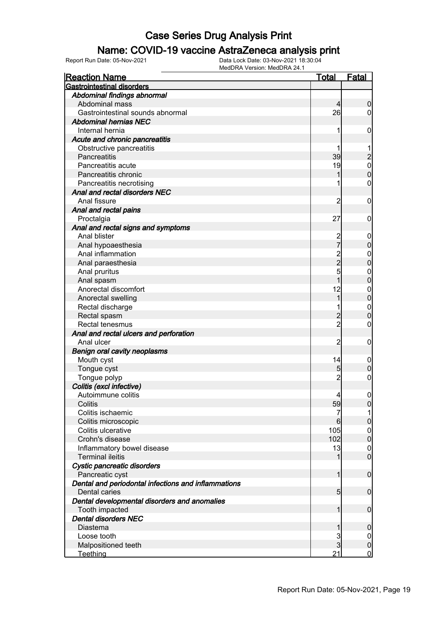#### Name: COVID-19 vaccine AstraZeneca analysis print

| <b>Reaction Name</b>                                                 | <u>Total</u>    | <b>Fatal</b>     |
|----------------------------------------------------------------------|-----------------|------------------|
| <b>Gastrointestinal disorders</b>                                    |                 |                  |
| Abdominal findings abnormal                                          |                 |                  |
| Abdominal mass                                                       | $\overline{4}$  | $\boldsymbol{0}$ |
| Gastrointestinal sounds abnormal                                     | 26              | $\overline{0}$   |
| <b>Abdominal hernias NEC</b>                                         |                 |                  |
| Internal hernia                                                      | 1               | $\mathbf 0$      |
| Acute and chronic pancreatitis                                       |                 |                  |
| Obstructive pancreatitis                                             |                 |                  |
| Pancreatitis                                                         | 39              |                  |
| Pancreatitis acute                                                   | 19              | $\frac{2}{0}$    |
| Pancreatitis chronic                                                 |                 | $\overline{0}$   |
| Pancreatitis necrotising                                             |                 | $\mathbf 0$      |
| Anal and rectal disorders NEC                                        |                 |                  |
| Anal fissure                                                         | $\overline{2}$  | $\mathbf 0$      |
| Anal and rectal pains                                                |                 |                  |
| Proctalgia                                                           | 27              | $\mathbf 0$      |
| Anal and rectal signs and symptoms                                   |                 |                  |
| Anal blister                                                         |                 | $\mathbf 0$      |
| Anal hypoaesthesia                                                   | 2<br>7          | $\mathbf 0$      |
| Anal inflammation                                                    |                 | $\mathbf{0}$     |
| Anal paraesthesia                                                    | 2<br>2<br>5     | $\mathbf 0$      |
| Anal pruritus                                                        |                 | $\mathbf{0}$     |
| Anal spasm                                                           | $\overline{1}$  | $\mathbf 0$      |
| Anorectal discomfort                                                 | 12              | $\mathbf{0}$     |
| Anorectal swelling                                                   | 1               | $\mathbf 0$      |
| Rectal discharge                                                     |                 | $\mathbf{0}$     |
| Rectal spasm                                                         | $\overline{c}$  | $\mathbf 0$      |
| Rectal tenesmus                                                      | $\overline{2}$  | $\mathbf 0$      |
| Anal and rectal ulcers and perforation                               |                 |                  |
| Anal ulcer                                                           | $\overline{2}$  | $\mathbf 0$      |
| <b>Benign oral cavity neoplasms</b>                                  |                 |                  |
| Mouth cyst                                                           | 14              | $\mathbf 0$      |
| Tongue cyst                                                          | 5               | $\mathbf 0$      |
| Tongue polyp                                                         | $\overline{2}$  | $\boldsymbol{0}$ |
| Colitis (excl infective)                                             |                 |                  |
| Autoimmune colitis                                                   | $\frac{4}{3}$   | $\boldsymbol{0}$ |
| Colitis                                                              | 59              | $\overline{0}$   |
| Colitis ischaemic                                                    | 7               | 1                |
| Colitis microscopic                                                  | 6               | $\pmb{0}$        |
| Colitis ulcerative                                                   | 105             | $\boldsymbol{0}$ |
| Crohn's disease                                                      | 102             | $\mathbf 0$      |
| Inflammatory bowel disease                                           | 13              | $\mathbf 0$      |
| <b>Terminal ileitis</b>                                              | 1               | $\boldsymbol{0}$ |
| Cystic pancreatic disorders                                          |                 |                  |
| Pancreatic cyst                                                      | 1               | $\boldsymbol{0}$ |
| Dental and periodontal infections and inflammations<br>Dental caries | $5\overline{)}$ | $\boldsymbol{0}$ |
| Dental developmental disorders and anomalies                         |                 |                  |
| Tooth impacted                                                       | 1               | $\boldsymbol{0}$ |
| <b>Dental disorders NEC</b>                                          |                 |                  |
| <b>Diastema</b>                                                      | 1               | $\boldsymbol{0}$ |
| Loose tooth                                                          | 3               | $\overline{0}$   |
| Malpositioned teeth                                                  | $\overline{3}$  | $\pmb{0}$        |
| <b>Teething</b>                                                      | 21              | $\overline{0}$   |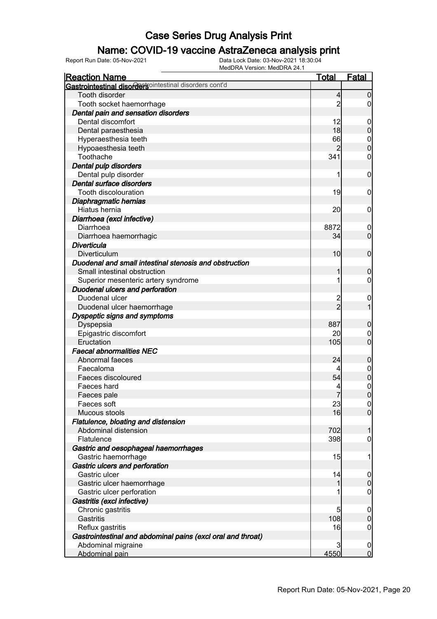### Name: COVID-19 vaccine AstraZeneca analysis print

| <b>Reaction Name</b>                                        | <b>Total</b>   | Fatal                      |
|-------------------------------------------------------------|----------------|----------------------------|
| Gastrointestinal disordersointestinal disorders cont'd      |                |                            |
| Tooth disorder                                              | 4              | $\mathbf 0$                |
| Tooth socket haemorrhage                                    | 2              | 0                          |
| Dental pain and sensation disorders                         |                |                            |
| Dental discomfort                                           | 12             | $\mathbf 0$                |
| Dental paraesthesia                                         | 18             | $\boldsymbol{0}$           |
| Hyperaesthesia teeth                                        | 66             | $\mathbf 0$                |
| Hypoaesthesia teeth                                         | $\overline{2}$ | $\mathbf 0$                |
| Toothache                                                   | 341            | 0                          |
| Dental pulp disorders                                       |                |                            |
| Dental pulp disorder                                        |                | $\mathbf 0$                |
| Dental surface disorders                                    |                |                            |
| Tooth discolouration                                        | 19             | $\mathbf 0$                |
| Diaphragmatic hernias                                       |                |                            |
| Hiatus hernia                                               | 20             | $\mathbf 0$                |
| Diarrhoea (excl infective)                                  |                |                            |
| Diarrhoea                                                   | 8872           | $\mathbf 0$                |
| Diarrhoea haemorrhagic                                      | 34             | $\mathbf 0$                |
| Diverticula                                                 |                |                            |
| Diverticulum                                                | 10             | $\mathbf 0$                |
| Duodenal and small intestinal stenosis and obstruction      |                |                            |
| Small intestinal obstruction                                |                | $\boldsymbol{0}$           |
| Superior mesenteric artery syndrome                         |                | 0                          |
| Duodenal ulcers and perforation                             |                |                            |
| Duodenal ulcer                                              |                | $\mathbf 0$                |
| Duodenal ulcer haemorrhage                                  | $\overline{2}$ |                            |
| Dyspeptic signs and symptoms                                |                |                            |
| Dyspepsia                                                   | 887            | $\mathbf 0$                |
| Epigastric discomfort                                       | 20             | 0                          |
| Eructation                                                  | 105            | $\mathbf 0$                |
| <b>Faecal abnormalities NEC</b>                             |                |                            |
| Abnormal faeces                                             | 24             | $\boldsymbol{0}$           |
| Faecaloma                                                   |                | $\boldsymbol{0}$           |
| Faeces discoloured                                          | 54             | $\mathbf 0$                |
| Faeces hard                                                 |                | $\mathbf 0$                |
| Faeces pale                                                 | 7              | $\overline{0}$             |
| Faeces soft                                                 | 23             | 0                          |
| Mucous stools                                               | 16             | $\overline{0}$             |
| Flatulence, bloating and distension                         |                |                            |
| Abdominal distension                                        | 702            | 1                          |
| Flatulence                                                  | 398            | $\boldsymbol{0}$           |
| Gastric and oesophageal haemorrhages                        |                |                            |
| Gastric haemorrhage                                         | 15             | 1                          |
| Gastric ulcers and perforation                              |                |                            |
| Gastric ulcer                                               | 14             | $\overline{0}$             |
| Gastric ulcer haemorrhage                                   | 1              | $\boldsymbol{0}$           |
| Gastric ulcer perforation                                   |                | $\mathbf 0$                |
| Gastritis (excl infective)                                  |                |                            |
|                                                             |                |                            |
| Chronic gastritis<br>Gastritis                              | 5<br>108       | $\mathbf 0$<br>$\mathbf 0$ |
|                                                             | 16             |                            |
| Reflux gastritis                                            |                | $\mathbf 0$                |
| Gastrointestinal and abdominal pains (excl oral and throat) |                |                            |
| Abdominal migraine                                          | 3              | $\mathbf 0$                |
| Abdominal pain                                              | 4550           | $\overline{0}$             |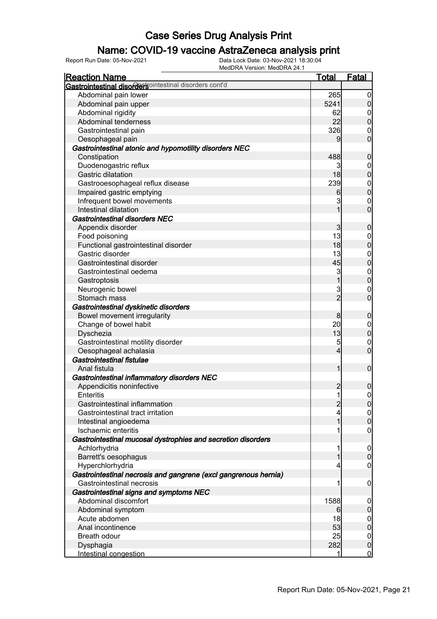#### Name: COVID-19 vaccine AstraZeneca analysis print

| <b>Reaction Name</b>                                            | <u>Total</u>   | Fatal            |
|-----------------------------------------------------------------|----------------|------------------|
| Gastrointestinal disordersointestinal disorders cont'd          |                |                  |
| Abdominal pain lower                                            | 265            | $\overline{0}$   |
| Abdominal pain upper                                            | 5241           | $\overline{0}$   |
| Abdominal rigidity                                              | 62             | $\mathbf 0$      |
| Abdominal tenderness                                            | 22             | $\mathbf 0$      |
| Gastrointestinal pain                                           | 326            | $\mathbf 0$      |
| Oesophageal pain                                                | 9              | $\mathbf 0$      |
| Gastrointestinal atonic and hypomotility disorders NEC          |                |                  |
| Constipation                                                    | 488            | $\boldsymbol{0}$ |
| Duodenogastric reflux                                           | 3              | $\boldsymbol{0}$ |
| Gastric dilatation                                              | 18             | $\overline{0}$   |
| Gastrooesophageal reflux disease                                | 239            |                  |
| Impaired gastric emptying                                       | 6              | $0\atop 0$       |
| Infrequent bowel movements                                      | 3              | $\mathbf 0$      |
| Intestinal dilatation                                           | 1              | $\overline{0}$   |
| Gastrointestinal disorders NEC                                  |                |                  |
| Appendix disorder                                               | 3              | $\boldsymbol{0}$ |
| Food poisoning                                                  | 13             | $\boldsymbol{0}$ |
| Functional gastrointestinal disorder                            | 18             | $\overline{0}$   |
| Gastric disorder                                                | 13             | $\boldsymbol{0}$ |
| Gastrointestinal disorder                                       | 45             | $\overline{0}$   |
| Gastrointestinal oedema                                         | 3              |                  |
| Gastroptosis                                                    | $\overline{1}$ | $0$<br>0         |
| Neurogenic bowel                                                | 3              | $\mathbf 0$      |
| Stomach mass                                                    | $\overline{2}$ | $\overline{0}$   |
| Gastrointestinal dyskinetic disorders                           |                |                  |
| Bowel movement irregularity                                     | 8              | $\boldsymbol{0}$ |
| Change of bowel habit                                           | 20             | $\boldsymbol{0}$ |
| Dyschezia                                                       | 13             | $\mathbf 0$      |
| Gastrointestinal motility disorder                              | 5              | $\mathbf 0$      |
| Oesophageal achalasia                                           | 4              | $\overline{0}$   |
| Gastrointestinal fistulae                                       |                |                  |
| Anal fistula                                                    | 1              | $\mathbf 0$      |
| Gastrointestinal inflammatory disorders NEC                     |                |                  |
| Appendicitis noninfective                                       | $\overline{c}$ | $\boldsymbol{0}$ |
| Enteritis                                                       | $\mathbf{1}$   | $\overline{0}$   |
| Gastrointestinal inflammation                                   | $\overline{2}$ | 0                |
| Gastrointestinal tract irritation                               | 4              | 0                |
| Intestinal angioedema                                           | 1              | $\mathbf 0$      |
| Ischaemic enteritis                                             |                | $\mathbf 0$      |
| Gastrointestinal mucosal dystrophies and secretion disorders    |                |                  |
| Achlorhydria                                                    | 1              | $\overline{0}$   |
| Barrett's oesophagus                                            |                | $\mathbf 0$      |
| Hyperchlorhydria                                                | 4              | $\mathbf 0$      |
| Gastrointestinal necrosis and gangrene (excl gangrenous hernia) |                |                  |
| Gastrointestinal necrosis                                       | 1              | $\mathbf 0$      |
| Gastrointestinal signs and symptoms NEC                         |                |                  |
| Abdominal discomfort                                            | 1588           | $\boldsymbol{0}$ |
| Abdominal symptom                                               | 6              | $\pmb{0}$        |
| Acute abdomen                                                   | 18             | $\mathbf 0$      |
| Anal incontinence                                               | 53             | $\overline{0}$   |
| Breath odour                                                    | 25             | $\mathbf 0$      |
| Dysphagia                                                       | 282            | $\boldsymbol{0}$ |
| Intestinal congestion                                           | 1              | $\overline{0}$   |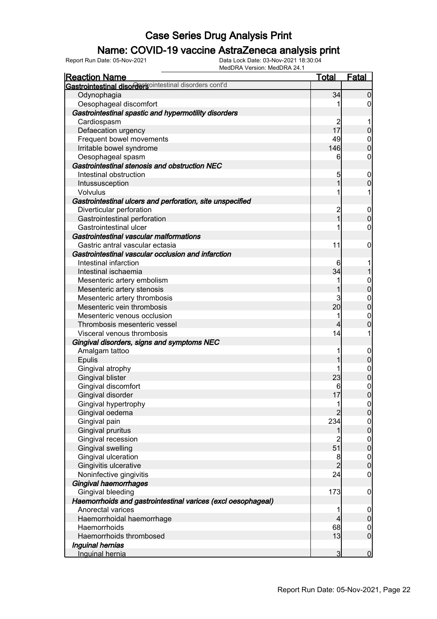### Name: COVID-19 vaccine AstraZeneca analysis print

| <b>IVICULAR VEISIOII. IVICULAX 24.</b><br><b>Reaction Name</b> | <u>Total</u>   | Fatal                                |
|----------------------------------------------------------------|----------------|--------------------------------------|
| <b>Gastrointestinal disorders</b> ointestinal disorders cont'd |                |                                      |
| Odynophagia                                                    | 34             | $\overline{0}$                       |
| Oesophageal discomfort                                         |                | 0                                    |
| Gastrointestinal spastic and hypermotility disorders           |                |                                      |
| Cardiospasm                                                    | 2              |                                      |
| Defaecation urgency                                            | 17             | $\mathbf 0$                          |
| Frequent bowel movements                                       | 49             | $\mathbf 0$                          |
| Irritable bowel syndrome                                       | 146            | $\overline{0}$                       |
| Oesophageal spasm                                              | 6              | 0                                    |
| Gastrointestinal stenosis and obstruction NEC                  |                |                                      |
| Intestinal obstruction                                         | 5              | $\mathbf 0$                          |
| Intussusception                                                | 1              | $\overline{0}$                       |
| Volvulus                                                       |                |                                      |
| Gastrointestinal ulcers and perforation, site unspecified      |                |                                      |
| Diverticular perforation                                       |                | $\mathbf 0$                          |
| Gastrointestinal perforation                                   | $\frac{2}{1}$  | $\mathbf 0$                          |
| Gastrointestinal ulcer                                         |                | 0                                    |
| Gastrointestinal vascular malformations                        |                |                                      |
| Gastric antral vascular ectasia                                | 11             | 0                                    |
| Gastrointestinal vascular occlusion and infarction             |                |                                      |
| Intestinal infarction                                          | 6              |                                      |
| Intestinal ischaemia                                           | 34             |                                      |
| Mesenteric artery embolism                                     | 1              | $\mathbf 0$                          |
| Mesenteric artery stenosis                                     | 1              | $\overline{0}$                       |
| Mesenteric artery thrombosis                                   | 3              | $\mathbf 0$                          |
| Mesenteric vein thrombosis                                     | 20             | $\overline{0}$                       |
| Mesenteric venous occlusion                                    | 1              | $\mathbf{0}$                         |
| Thrombosis mesenteric vessel                                   | 4              | $\overline{0}$                       |
| Visceral venous thrombosis                                     | 14             |                                      |
| Gingival disorders, signs and symptoms NEC                     |                |                                      |
| Amalgam tattoo                                                 |                | $\mathbf 0$                          |
| Epulis                                                         |                | $\mathbf 0$                          |
| Gingival atrophy                                               |                | $\mathbf{0}$                         |
| <b>Gingival blister</b>                                        | 23             | $\overline{0}$                       |
| Gingival discomfort                                            | 6              | $\mathbf{0}$                         |
| Gingival disorder                                              | 17             | $\overline{0}$                       |
| Gingival hypertrophy                                           |                | $\overline{0}$                       |
| Gingival oedema                                                | $\overline{2}$ | $\overline{0}$                       |
| Gingival pain                                                  | 234            |                                      |
| Gingival pruritus                                              | 1              | $\begin{matrix} 0 \\ 0 \end{matrix}$ |
| Gingival recession                                             | $\overline{2}$ | $\begin{matrix} 0 \\ 0 \end{matrix}$ |
| Gingival swelling                                              | 51             |                                      |
| Gingival ulceration                                            | 8              | $\begin{matrix}0\\0\end{matrix}$     |
| Gingivitis ulcerative                                          | $\overline{2}$ |                                      |
| Noninfective gingivitis                                        | 24             | $\mathbf 0$                          |
| Gingival haemorrhages                                          |                |                                      |
| Gingival bleeding                                              | 173            | $\boldsymbol{0}$                     |
| Haemorrhoids and gastrointestinal varices (excl oesophageal)   |                |                                      |
| Anorectal varices                                              |                | $\mathbf 0$                          |
| Haemorrhoidal haemorrhage                                      | 4              | $\overline{0}$                       |
| Haemorrhoids                                                   | 68             | $\boldsymbol{0}$                     |
| Haemorrhoids thrombosed                                        | 13             | $\overline{0}$                       |
| Inguinal hernias                                               |                |                                      |
| Inguinal hernia                                                | 3              | $\mathbf 0$                          |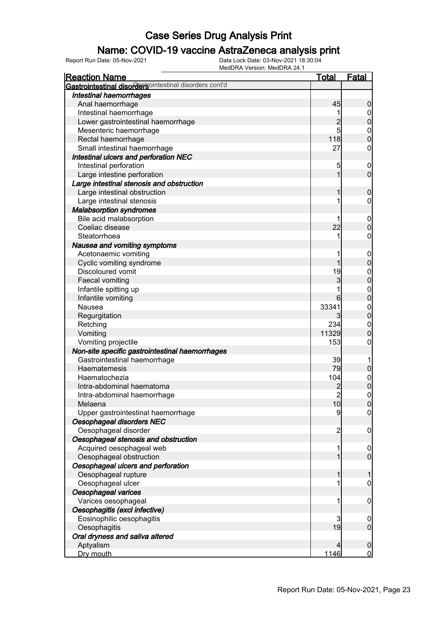### Name: COVID-19 vaccine AstraZeneca analysis print

| <b>Reaction Name</b>                                   | <b>Total</b>   | <b>Fatal</b>                     |
|--------------------------------------------------------|----------------|----------------------------------|
| Gastrointestinal disordersointestinal disorders cont'd |                |                                  |
| <b>Intestinal haemorrhages</b>                         |                |                                  |
| Anal haemorrhage                                       | 45             | $\boldsymbol{0}$                 |
| Intestinal haemorrhage                                 |                | $\mathbf 0$                      |
| Lower gastrointestinal haemorrhage                     | $\overline{c}$ | $\overline{0}$                   |
| Mesenteric haemorrhage                                 | 5              |                                  |
| Rectal haemorrhage                                     | 118            | $0\atop 0$                       |
| Small intestinal haemorrhage                           | 27             | $\boldsymbol{0}$                 |
| Intestinal ulcers and perforation NEC                  |                |                                  |
| Intestinal perforation                                 | 5              | $\mathbf 0$                      |
| Large intestine perforation                            | 1              | $\mathbf 0$                      |
| Large intestinal stenosis and obstruction              |                |                                  |
| Large intestinal obstruction                           | 1              | $\mathbf 0$                      |
| Large intestinal stenosis                              | 1              | $\boldsymbol{0}$                 |
| <b>Malabsorption syndromes</b>                         |                |                                  |
| Bile acid malabsorption                                |                | $\boldsymbol{0}$                 |
| Coeliac disease                                        | 22             | $\mathbf 0$                      |
| Steatorrhoea                                           | 1              | $\boldsymbol{0}$                 |
| Nausea and vomiting symptoms                           |                |                                  |
|                                                        |                |                                  |
| Acetonaemic vomiting<br>Cyclic vomiting syndrome       | 1              | $\boldsymbol{0}$                 |
| Discoloured vomit                                      | 19             | $\mathbf 0$                      |
|                                                        |                | $\mathbf{0}$                     |
| Faecal vomiting                                        | 3              | $\overline{0}$                   |
| Infantile spitting up                                  |                | $\begin{matrix}0\\0\end{matrix}$ |
| Infantile vomiting                                     | 6              |                                  |
| Nausea                                                 | 33341          | $\begin{matrix}0\\0\end{matrix}$ |
| Regurgitation                                          | 3              |                                  |
| Retching                                               | 234            | $\boldsymbol{0}$                 |
| Vomiting                                               | 11329          | $\mathbf 0$                      |
| Vomiting projectile                                    | 153            | $\boldsymbol{0}$                 |
| Non-site specific gastrointestinal haemorrhages        |                |                                  |
| Gastrointestinal haemorrhage                           | 39             | 1                                |
| Haematemesis                                           | 79             | $\pmb{0}$                        |
| Haematochezia                                          | 104            | $0\atop 0$                       |
| Intra-abdominal haematoma                              |                |                                  |
| Intra-abdominal haemorrhage                            | $\overline{2}$ | $\mathbf 0$                      |
| Melaena                                                | 10             | $\overline{0}$                   |
| Upper gastrointestinal haemorrhage                     | 9              | $\overline{0}$                   |
| Oesophageal disorders NEC                              |                |                                  |
| Oesophageal disorder                                   | $\overline{c}$ | $\mathbf 0$                      |
| Oesophageal stenosis and obstruction                   |                |                                  |
| Acquired oesophageal web                               | 1              | $\mathbf 0$                      |
| Oesophageal obstruction                                | 1              | $\overline{0}$                   |
| Oesophageal ulcers and perforation                     |                |                                  |
| Oesophageal rupture                                    | 1              | 1                                |
| Oesophageal ulcer                                      | 1              | $\boldsymbol{0}$                 |
| Oesophageal varices                                    |                |                                  |
| Varices oesophageal                                    | 1              | $\mathbf 0$                      |
| Oesophagitis (excl infective)                          |                |                                  |
| Eosinophilic oesophagitis                              | 3              | $\mathbf 0$                      |
| Oesophagitis                                           | 19             | $\mathbf 0$                      |
| Oral dryness and saliva altered                        |                |                                  |
| Aptyalism                                              | 4              | $\mathbf 0$                      |
| Dry mouth                                              | 1146           | $\overline{0}$                   |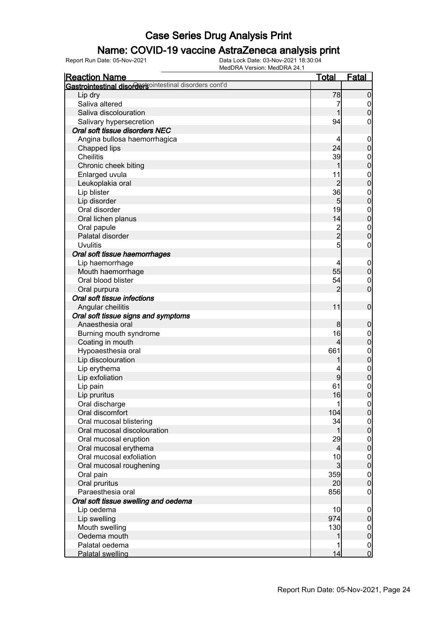### Name: COVID-19 vaccine AstraZeneca analysis print

| <b>Reaction Name</b>                                   | <b>Total</b>   | <b>Fatal</b>                   |
|--------------------------------------------------------|----------------|--------------------------------|
| Gastrointestinal disordersointestinal disorders cont'd |                |                                |
| Lip dry                                                | 78             | $\boldsymbol{0}$               |
| Saliva altered                                         | 7              | $\overline{0}$                 |
| Saliva discolouration                                  |                | $\boldsymbol{0}$               |
| Salivary hypersecretion                                | 94             | 0                              |
| Oral soft tissue disorders NEC                         |                |                                |
| Angina bullosa haemorrhagica                           | 4              | $\mathbf 0$                    |
| Chapped lips                                           | 24             | $\mathbf 0$                    |
| <b>Cheilitis</b>                                       | 39             | $\boldsymbol{0}$               |
| Chronic cheek biting                                   | 1              | $\mathbf 0$                    |
| Enlarged uvula                                         | 11             | $\boldsymbol{0}$               |
| Leukoplakia oral                                       | $\overline{2}$ | $\mathbf 0$                    |
| Lip blister                                            | 36             | $\boldsymbol{0}$               |
| Lip disorder                                           | 5 <sub>5</sub> | $\mathbf 0$                    |
| Oral disorder                                          | 19             | $\boldsymbol{0}$               |
| Oral lichen planus                                     | 14             | $\mathbf 0$                    |
| Oral papule                                            |                | $\boldsymbol{0}$               |
| Palatal disorder                                       | $\frac{2}{2}$  | $\mathbf 0$                    |
| <b>Uvulitis</b>                                        | 5              | $\boldsymbol{0}$               |
| Oral soft tissue haemorrhages                          |                |                                |
| Lip haemorrhage                                        | 4              | $\mathbf 0$                    |
| Mouth haemorrhage                                      | 55             | $\mathbf 0$                    |
| Oral blood blister                                     | 54             | $\mathbf 0$                    |
| Oral purpura                                           | $\overline{2}$ | $\mathbf 0$                    |
| Oral soft tissue infections                            |                |                                |
| Angular cheilitis                                      | 11             | $\boldsymbol{0}$               |
| Oral soft tissue signs and symptoms                    |                |                                |
| Anaesthesia oral                                       | 8              | $\mathbf 0$                    |
| Burning mouth syndrome                                 | 16             | $\mathbf 0$                    |
| Coating in mouth                                       | $\overline{4}$ | $\mathbf 0$                    |
| Hypoaesthesia oral                                     | 661            |                                |
| Lip discolouration                                     |                | $\boldsymbol{0}$<br>$\pmb{0}$  |
| Lip erythema                                           |                |                                |
| Lip exfoliation                                        | 9              | $\boldsymbol{0}$<br>$\pmb{0}$  |
|                                                        | 61             |                                |
| Lip pain                                               | 16             | $\mathbf{0}$<br>$\overline{0}$ |
| Lip pruritus                                           |                |                                |
| Oral discharge<br>Oral discomfort                      | 1<br>104       | 0 <br>$\mathbf 0$              |
|                                                        |                |                                |
| Oral mucosal blistering                                | 34             | $\boldsymbol{0}$               |
| Oral mucosal discolouration                            | 1              | $\mathbf 0$                    |
| Oral mucosal eruption                                  | 29             | $\boldsymbol{0}$               |
| Oral mucosal erythema<br>Oral mucosal exfoliation      | $\overline{4}$ | $\mathbf 0$                    |
|                                                        | 10             | $\boldsymbol{0}$               |
| Oral mucosal roughening                                | $\overline{3}$ | $\mathbf 0$                    |
| Oral pain                                              | 359            | $\boldsymbol{0}$               |
| Oral pruritus                                          | 20             | $\mathbf 0$                    |
| Paraesthesia oral                                      | 856            | $\overline{0}$                 |
| Oral soft tissue swelling and oedema                   |                |                                |
| Lip oedema                                             | 10             | $\mathbf 0$                    |
| Lip swelling                                           | 974            | $\pmb{0}$                      |
| Mouth swelling                                         | 130            | $\overline{0}$                 |
| Oedema mouth                                           |                | $\pmb{0}$                      |
| Palatal oedema                                         |                | $\overline{0}$                 |
| <b>Palatal swelling</b>                                | 14             | $\mathbf 0$                    |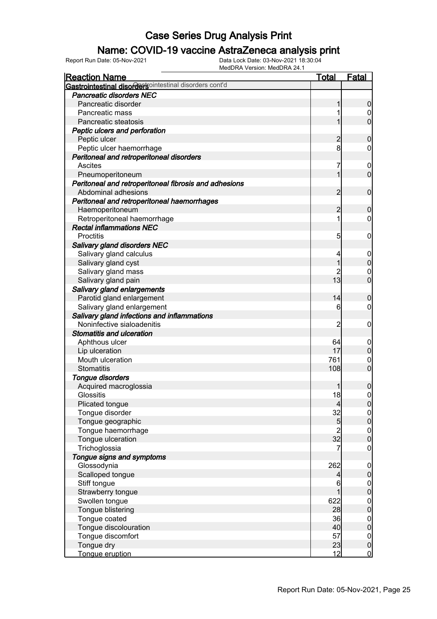### Name: COVID-19 vaccine AstraZeneca analysis print

| <b>Reaction Name</b>                                   | <b>Total</b>                           | <b>Fatal</b>                         |
|--------------------------------------------------------|----------------------------------------|--------------------------------------|
| Gastrointestinal disordersointestinal disorders cont'd |                                        |                                      |
| <b>Pancreatic disorders NEC</b>                        |                                        |                                      |
| Pancreatic disorder                                    |                                        | $\boldsymbol{0}$                     |
| Pancreatic mass                                        |                                        | 0                                    |
| Pancreatic steatosis                                   |                                        | $\mathbf 0$                          |
| Peptic ulcers and perforation                          |                                        |                                      |
| Peptic ulcer                                           | 2                                      | $\boldsymbol{0}$                     |
| Peptic ulcer haemorrhage                               | 8                                      | 0                                    |
| Peritoneal and retroperitoneal disorders               |                                        |                                      |
| Ascites                                                | 7                                      | $\mathbf 0$                          |
| Pneumoperitoneum                                       |                                        | $\mathbf 0$                          |
| Peritoneal and retroperitoneal fibrosis and adhesions  |                                        |                                      |
| Abdominal adhesions                                    | $\overline{2}$                         | $\mathbf 0$                          |
| Peritoneal and retroperitoneal haemorrhages            |                                        |                                      |
| Haemoperitoneum                                        | $\overline{2}$                         | $\boldsymbol{0}$                     |
| Retroperitoneal haemorrhage                            | 1                                      | 0                                    |
| <b>Rectal inflammations NEC</b>                        |                                        |                                      |
| Proctitis                                              |                                        |                                      |
|                                                        | 5                                      | $\mathbf 0$                          |
| Salivary gland disorders NEC                           |                                        |                                      |
| Salivary gland calculus                                | 4                                      | $\mathbf 0$                          |
| Salivary gland cyst                                    |                                        | $\mathbf 0$                          |
| Salivary gland mass                                    |                                        | $\mathbf 0$                          |
| Salivary gland pain                                    | 13                                     | $\mathbf 0$                          |
| Salivary gland enlargements                            |                                        |                                      |
| Parotid gland enlargement                              | 14                                     | $\boldsymbol{0}$                     |
| Salivary gland enlargement                             | 6                                      | 0                                    |
| Salivary gland infections and inflammations            |                                        |                                      |
| Noninfective sialoadenitis                             | 2                                      | $\mathbf 0$                          |
| <b>Stomatitis and ulceration</b>                       |                                        |                                      |
| Aphthous ulcer                                         | 64                                     | $\mathbf 0$                          |
| Lip ulceration                                         | 17                                     | $\boldsymbol{0}$                     |
| Mouth ulceration                                       | 761                                    | $\mathbf 0$                          |
| Stomatitis                                             | 108                                    | $\overline{0}$                       |
| Tongue disorders                                       |                                        |                                      |
| Acquired macroglossia                                  |                                        | $\boldsymbol{0}$                     |
| Glossitis                                              | 18                                     | $\mathbf 0$                          |
| Plicated tongue                                        | 4                                      | 0                                    |
| Tongue disorder                                        | 32                                     | $\Omega$                             |
| Tongue geographic                                      | 5                                      | $\mathbf 0$                          |
| Tongue haemorrhage                                     | $\begin{array}{c} 2 \\ 32 \end{array}$ | $\begin{matrix} 0 \\ 0 \end{matrix}$ |
| Tongue ulceration                                      |                                        |                                      |
| Trichoglossia                                          | 7                                      | $\mathbf 0$                          |
| Tongue signs and symptoms                              |                                        |                                      |
| Glossodynia                                            | 262                                    | $\boldsymbol{0}$                     |
| Scalloped tongue                                       | 4                                      | $\mathbf 0$                          |
| Stiff tongue                                           | 6                                      |                                      |
| Strawberry tongue                                      |                                        | $0\atop 0$                           |
| Swollen tongue                                         | 622                                    |                                      |
| Tongue blistering                                      | 28                                     | $0$<br>0                             |
| Tongue coated                                          | 36                                     |                                      |
| Tongue discolouration                                  | 40                                     | $\begin{matrix} 0 \\ 0 \end{matrix}$ |
| Tongue discomfort                                      | 57                                     | $\boldsymbol{0}$                     |
| Tongue dry                                             | 23                                     | $\mathbf 0$                          |
| Tongue eruption                                        | 12                                     | $\overline{0}$                       |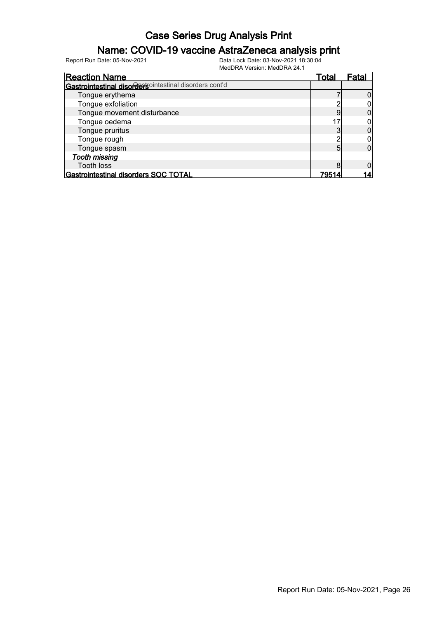### Name: COVID-19 vaccine AstraZeneca analysis print

| <b>Reaction Name</b>                                   | Total | Fatal |
|--------------------------------------------------------|-------|-------|
| Gastrointestinal disordersointestinal disorders cont'd |       |       |
| Tongue erythema                                        |       |       |
| Tongue exfoliation                                     |       |       |
| Tongue movement disturbance                            |       |       |
| Tongue oedema                                          |       |       |
| Tongue pruritus                                        |       |       |
| Tongue rough                                           |       |       |
| Tongue spasm                                           |       |       |
| <b>Tooth missing</b>                                   |       |       |
| <b>Tooth loss</b>                                      |       |       |
| Gastrointestinal disorders SOC TOTAL                   | 7951  |       |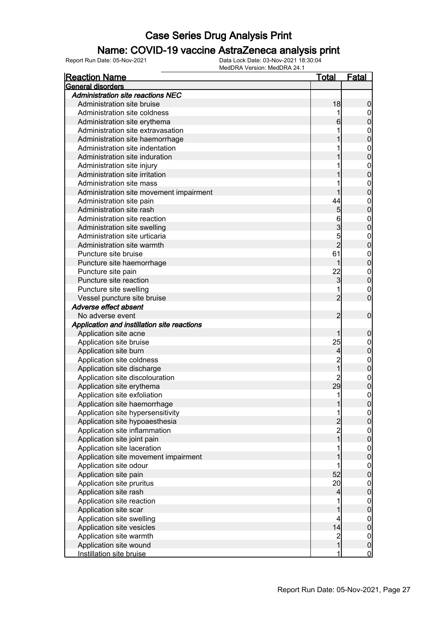### Name: COVID-19 vaccine AstraZeneca analysis print

| <b>Reaction Name</b>                        | <u>Total</u>                               | <u>Fatal</u>                |
|---------------------------------------------|--------------------------------------------|-----------------------------|
| General disorders                           |                                            |                             |
| <b>Administration site reactions NEC</b>    |                                            |                             |
| Administration site bruise                  | 18                                         | $\boldsymbol{0}$            |
| Administration site coldness                |                                            | $\overline{0}$              |
| Administration site erythema                | 6                                          | $\mathbf 0$                 |
| Administration site extravasation           |                                            | $\mathbf{0}$                |
| Administration site haemorrhage             |                                            | $\overline{0}$              |
| Administration site indentation             |                                            | $\mathbf{0}$                |
| Administration site induration              |                                            | $\overline{0}$              |
| Administration site injury                  |                                            | $\mathbf{0}$                |
| Administration site irritation              |                                            | $\overline{0}$              |
| Administration site mass                    |                                            | $\mathbf{0}$                |
| Administration site movement impairment     |                                            | $\mathbf 0$                 |
| Administration site pain                    | 44                                         | $\mathbf{0}$                |
| Administration site rash                    | $\overline{5}$                             | $\mathbf 0$                 |
| Administration site reaction                | 6                                          | $\mathbf{0}$                |
| Administration site swelling                | 3                                          | $\mathbf 0$                 |
| Administration site urticaria               | 5                                          |                             |
| Administration site warmth                  | $\overline{2}$                             | $\mathbf{0}$<br>$\mathbf 0$ |
| Puncture site bruise                        | 61                                         |                             |
|                                             | 1                                          | $\mathbf{0}$<br>$\mathbf 0$ |
| Puncture site haemorrhage                   | 22                                         |                             |
| Puncture site pain                          |                                            | $\mathbf{0}$                |
| Puncture site reaction                      | 3                                          | $\overline{0}$              |
| Puncture site swelling                      |                                            | $\mathbf 0$                 |
| Vessel puncture site bruise                 | $\overline{2}$                             | $\overline{0}$              |
| Adverse effect absent                       |                                            |                             |
| No adverse event                            | 2                                          | $\mathbf 0$                 |
| Application and instillation site reactions |                                            |                             |
| Application site acne                       | 1                                          | $\mathbf 0$                 |
| Application site bruise                     | 25                                         | $\mathbf 0$                 |
| Application site burn                       | $\vert 4 \vert$                            | $\mathbf 0$                 |
| Application site coldness                   | $\overline{c}$                             | $\mathbf{0}$                |
| Application site discharge                  | $\overline{1}$                             | $\mathbf 0$                 |
| Application site discolouration             | $\overline{c}$                             | $\mathbf{0}$                |
| Application site erythema                   | 29                                         | $\mathbf 0$                 |
| Application site exfoliation                | 1                                          | $\boldsymbol{0}$            |
| Application site haemorrhage                | 1                                          | 0                           |
| Application site hypersensitivity           | 1                                          | $\overline{0}$              |
| Application site hypoaesthesia              | $\begin{array}{c} 2 \\ 2 \\ 1 \end{array}$ | $\overline{0}$              |
| Application site inflammation               |                                            | $\boldsymbol{0}$            |
| Application site joint pain                 |                                            | $\mathbf 0$                 |
| Application site laceration                 | 1                                          | $\boldsymbol{0}$            |
| Application site movement impairment        |                                            | $\mathbf 0$                 |
| Application site odour                      | 1                                          | $\boldsymbol{0}$            |
| Application site pain                       | 52                                         | $\mathbf 0$                 |
| Application site pruritus                   | 20 <sup>°</sup>                            | $\boldsymbol{0}$            |
| Application site rash                       | $\overline{\mathcal{L}}$                   | $\mathbf 0$                 |
| Application site reaction                   |                                            | $\boldsymbol{0}$            |
| Application site scar                       | 1                                          | $\mathbf 0$                 |
| Application site swelling                   | 4                                          | $\boldsymbol{0}$            |
| Application site vesicles                   | 14                                         | $\mathbf 0$                 |
| Application site warmth                     |                                            | $\boldsymbol{0}$            |
| Application site wound                      | $\frac{2}{1}$                              | $\mathbf 0$                 |
| Instillation site bruise                    | 1                                          | $\overline{0}$              |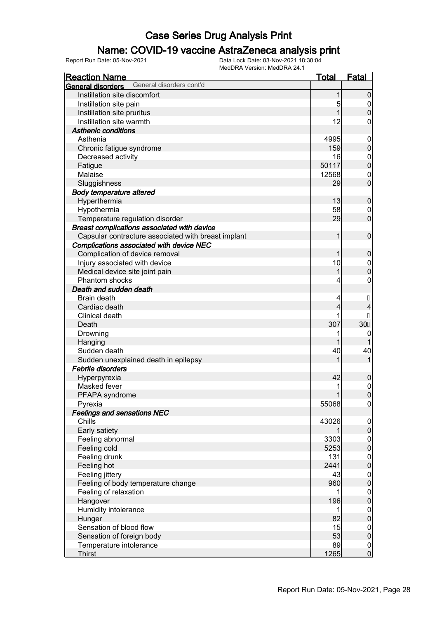### Name: COVID-19 vaccine AstraZeneca analysis print

| <b>Reaction Name</b>                                 | <b>Total</b> | <b>Fatal</b>                    |
|------------------------------------------------------|--------------|---------------------------------|
| General disorders cont'd<br><b>General disorders</b> |              |                                 |
| Instillation site discomfort                         | 1            | $\boldsymbol{0}$                |
| Instillation site pain                               | 5            | $\boldsymbol{0}$                |
| Instillation site pruritus                           | 1            | $\boldsymbol{0}$                |
| Instillation site warmth                             | 12           | 0                               |
| <b>Asthenic conditions</b>                           |              |                                 |
| Asthenia                                             | 4995         | $\mathbf 0$                     |
| Chronic fatigue syndrome                             | 159          | $\pmb{0}$                       |
| Decreased activity                                   | 16           | $\mathbf 0$                     |
| Fatigue                                              | 50117        | $\mathbf 0$                     |
| Malaise                                              | 12568        | $\mathbf 0$                     |
| Sluggishness                                         | 29           | $\mathbf 0$                     |
| <b>Body temperature altered</b>                      |              |                                 |
| Hyperthermia                                         | 13           | $\mathbf 0$                     |
| Hypothermia                                          | 58           | 0                               |
| Temperature regulation disorder                      | 29           | $\mathbf 0$                     |
| Breast complications associated with device          |              |                                 |
| Capsular contracture associated with breast implant  | 1            | $\mathbf 0$                     |
| Complications associated with device NEC             |              |                                 |
| Complication of device removal                       | 1            | $\mathbf 0$                     |
| Injury associated with device                        | 10           | $\mathbf 0$                     |
| Medical device site joint pain                       | 1            | $\mathbf 0$                     |
| <b>Phantom shocks</b>                                | 4            | 0                               |
| Death and sudden death                               |              |                                 |
| Brain death                                          | 4            |                                 |
| Cardiac death                                        | 4            |                                 |
| Clinical death                                       |              |                                 |
| Death                                                | 307          | 30i                             |
| Drowning                                             | 1            | 0                               |
| Hanging                                              | 1            |                                 |
| Sudden death                                         | 40           | 40                              |
| Sudden unexplained death in epilepsy                 | 1            | 1                               |
| <b>Febrile disorders</b>                             |              |                                 |
| Hyperpyrexia                                         | 42           |                                 |
| Masked fever                                         |              | $\mathbf 0$                     |
|                                                      | 1            | $\mathbf{0}$<br>$\overline{0}$  |
| PFAPA syndrome<br>Pyrexia                            | 55068        |                                 |
| <b>Feelings and sensations NEC</b>                   |              | 0                               |
| Chills                                               |              |                                 |
|                                                      | 43026        | $\overline{0}$<br>$\mathbf 0$   |
| Early satiety                                        | 3303         |                                 |
| Feeling abnormal<br>Feeling cold                     |              | $\boldsymbol{0}$<br>$\mathbf 0$ |
| Feeling drunk                                        | 5253         |                                 |
|                                                      | 131<br>2441  | $\overline{0}$                  |
| Feeling hot                                          |              | $\mathbf 0$                     |
| Feeling jittery                                      | 43           | $\overline{0}$                  |
| Feeling of body temperature change                   | 960          | $\pmb{0}$                       |
| Feeling of relaxation                                |              | $\overline{0}$                  |
| Hangover                                             | 196          | $\mathbf 0$                     |
| Humidity intolerance                                 | 1            | $\overline{0}$                  |
| Hunger                                               | 82           | $\mathbf 0$                     |
| Sensation of blood flow                              | 15           | $\overline{0}$                  |
| Sensation of foreign body                            | 53           | $\pmb{0}$                       |
| Temperature intolerance                              | 89           | $\overline{0}$                  |
| <b>Thirst</b>                                        | 1265         | $\overline{0}$                  |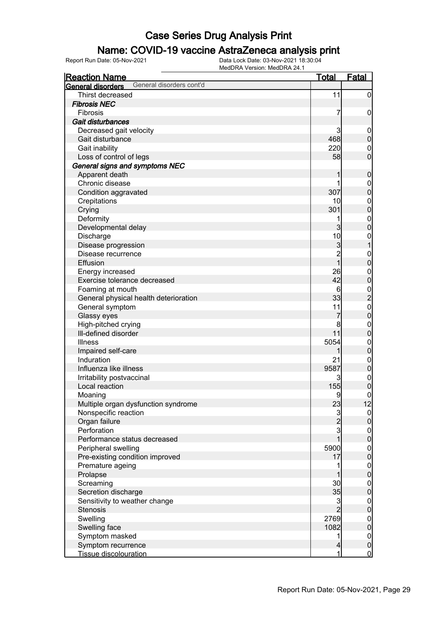### Name: COVID-19 vaccine AstraZeneca analysis print

| <u>Reaction Name</u>                          | <u>Total</u>   | <b>Fatal</b>                                    |
|-----------------------------------------------|----------------|-------------------------------------------------|
| General disorders cont'd<br>General disorders |                |                                                 |
| Thirst decreased                              | 11             | $\overline{0}$                                  |
| <b>Fibrosis NEC</b>                           |                |                                                 |
| Fibrosis                                      | 7              | 0                                               |
| Gait disturbances                             |                |                                                 |
| Decreased gait velocity                       | 3              | $\mathbf 0$                                     |
| Gait disturbance                              | 468            | $\pmb{0}$                                       |
| Gait inability                                | 220            | $\mathbf{0}$                                    |
| Loss of control of legs                       | 58             | $\overline{0}$                                  |
| General signs and symptoms NEC                |                |                                                 |
| Apparent death                                |                | $\mathbf 0$                                     |
| Chronic disease                               |                | $\mathbf 0$                                     |
| Condition aggravated                          | 307            | $\mathbf 0$                                     |
| Crepitations                                  | 10             | $\mathbf{0}$                                    |
| Crying                                        | 301            | $\mathbf 0$                                     |
| Deformity                                     | 1              | $\mathbf{0}$                                    |
| Developmental delay                           | 3              | $\overline{0}$                                  |
| Discharge                                     | 10             | $\mathbf{0}$                                    |
| Disease progression                           | 3              | 1                                               |
| Disease recurrence                            | $\overline{2}$ | $\mathbf{0}$                                    |
| Effusion                                      | 1              | $\overline{0}$                                  |
| Energy increased                              | 26             | $\mathbf{0}$                                    |
| Exercise tolerance decreased                  | 42             | $\overline{0}$                                  |
| Foaming at mouth                              | 6              |                                                 |
| General physical health deterioration         | 33             | $\begin{array}{c} 0 \\ 2 \\ 0 \\ 0 \end{array}$ |
| General symptom                               | 11             |                                                 |
| Glassy eyes                                   | 7              |                                                 |
| High-pitched crying                           | 8              | $\mathbf{0}$                                    |
| III-defined disorder                          | 11             | $\overline{0}$                                  |
| <b>Illness</b>                                | 5054           | $\mathbf{0}$                                    |
| Impaired self-care                            |                | $\overline{0}$                                  |
| Induration                                    | 21             | $\mathbf{0}$                                    |
| Influenza like illness                        | 9587           | $\overline{0}$                                  |
| Irritability postvaccinal                     | 3              | $\boldsymbol{0}$                                |
| Local reaction                                | 155            | $\overline{0}$                                  |
| Moaning                                       | 9              | $\mathbf 0$                                     |
| Multiple organ dysfunction syndrome           | 23             | 12                                              |
| Nonspecific reaction                          | $\mathbf{3}$   | 0                                               |
| Organ failure                                 | $\overline{2}$ | $\mathbf 0$                                     |
| Perforation                                   | $\mathbf{3}$   | $\overline{0}$                                  |
| Performance status decreased                  |                | $\overline{0}$                                  |
| Peripheral swelling                           | 5900           | $\mathbf{0}$                                    |
| Pre-existing condition improved               | 17             | $\mathbf 0$                                     |
| Premature ageing                              |                | $\mathbf 0$                                     |
| Prolapse                                      |                | $\mathbf 0$                                     |
| Screaming                                     | 30             | $\mathbf{0}$                                    |
| Secretion discharge                           | 35             | $\mathbf 0$                                     |
| Sensitivity to weather change                 | 3              | $\mathbf 0$                                     |
| <b>Stenosis</b>                               | $\overline{2}$ | $\mathbf 0$                                     |
| Swelling                                      | 2769           | $\mathbf{0}$                                    |
| Swelling face                                 | 1082           | $\overline{0}$                                  |
| Symptom masked                                | 1              | $\overline{0}$                                  |
| Symptom recurrence                            | 4              | $\pmb{0}$                                       |
| <b>Tissue discolouration</b>                  | 1              | $\overline{0}$                                  |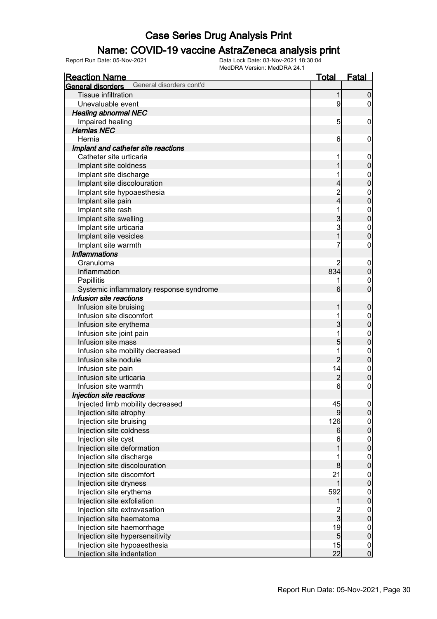### Name: COVID-19 vaccine AstraZeneca analysis print

| <u>Reaction Name</u>                                                                                                                                                                                                                                                                                                                                                                                                                                                                                                                                                      | <u>Total</u>                                                                                                                | <u>Fatal</u>                                                                                                                                                                                                                                                                      |
|---------------------------------------------------------------------------------------------------------------------------------------------------------------------------------------------------------------------------------------------------------------------------------------------------------------------------------------------------------------------------------------------------------------------------------------------------------------------------------------------------------------------------------------------------------------------------|-----------------------------------------------------------------------------------------------------------------------------|-----------------------------------------------------------------------------------------------------------------------------------------------------------------------------------------------------------------------------------------------------------------------------------|
| General disorders cont'd<br>General disorders                                                                                                                                                                                                                                                                                                                                                                                                                                                                                                                             |                                                                                                                             |                                                                                                                                                                                                                                                                                   |
| <b>Tissue infiltration</b>                                                                                                                                                                                                                                                                                                                                                                                                                                                                                                                                                | 1                                                                                                                           | $\overline{0}$                                                                                                                                                                                                                                                                    |
| Unevaluable event                                                                                                                                                                                                                                                                                                                                                                                                                                                                                                                                                         | 9                                                                                                                           | 0                                                                                                                                                                                                                                                                                 |
| <b>Healing abnormal NEC</b>                                                                                                                                                                                                                                                                                                                                                                                                                                                                                                                                               |                                                                                                                             |                                                                                                                                                                                                                                                                                   |
| Impaired healing                                                                                                                                                                                                                                                                                                                                                                                                                                                                                                                                                          | $\overline{5}$                                                                                                              | $\mathbf 0$                                                                                                                                                                                                                                                                       |
| <b>Hernias NEC</b>                                                                                                                                                                                                                                                                                                                                                                                                                                                                                                                                                        |                                                                                                                             |                                                                                                                                                                                                                                                                                   |
| Hernia                                                                                                                                                                                                                                                                                                                                                                                                                                                                                                                                                                    | 6                                                                                                                           | 0                                                                                                                                                                                                                                                                                 |
| Implant and catheter site reactions                                                                                                                                                                                                                                                                                                                                                                                                                                                                                                                                       |                                                                                                                             |                                                                                                                                                                                                                                                                                   |
| Catheter site urticaria                                                                                                                                                                                                                                                                                                                                                                                                                                                                                                                                                   | 1                                                                                                                           | $\mathbf 0$                                                                                                                                                                                                                                                                       |
| Implant site coldness                                                                                                                                                                                                                                                                                                                                                                                                                                                                                                                                                     |                                                                                                                             | $\mathbf 0$                                                                                                                                                                                                                                                                       |
| Implant site discharge                                                                                                                                                                                                                                                                                                                                                                                                                                                                                                                                                    | 1                                                                                                                           | $\mathbf{0}$                                                                                                                                                                                                                                                                      |
| Implant site discolouration                                                                                                                                                                                                                                                                                                                                                                                                                                                                                                                                               | 4                                                                                                                           | $\overline{0}$                                                                                                                                                                                                                                                                    |
| Implant site hypoaesthesia                                                                                                                                                                                                                                                                                                                                                                                                                                                                                                                                                | $\overline{c}$                                                                                                              | $\mathbf{0}$                                                                                                                                                                                                                                                                      |
| Implant site pain                                                                                                                                                                                                                                                                                                                                                                                                                                                                                                                                                         | 4                                                                                                                           | $\overline{0}$                                                                                                                                                                                                                                                                    |
| Implant site rash                                                                                                                                                                                                                                                                                                                                                                                                                                                                                                                                                         | 1                                                                                                                           | $\mathbf{0}$                                                                                                                                                                                                                                                                      |
| Implant site swelling                                                                                                                                                                                                                                                                                                                                                                                                                                                                                                                                                     | 3                                                                                                                           | $\overline{0}$                                                                                                                                                                                                                                                                    |
| Implant site urticaria                                                                                                                                                                                                                                                                                                                                                                                                                                                                                                                                                    | 3                                                                                                                           | $\mathbf{0}$                                                                                                                                                                                                                                                                      |
| Implant site vesicles                                                                                                                                                                                                                                                                                                                                                                                                                                                                                                                                                     | $\overline{1}$                                                                                                              | $\overline{0}$                                                                                                                                                                                                                                                                    |
| Implant site warmth                                                                                                                                                                                                                                                                                                                                                                                                                                                                                                                                                       | 7                                                                                                                           | $\mathbf 0$                                                                                                                                                                                                                                                                       |
| <b>Inflammations</b>                                                                                                                                                                                                                                                                                                                                                                                                                                                                                                                                                      |                                                                                                                             |                                                                                                                                                                                                                                                                                   |
| Granuloma                                                                                                                                                                                                                                                                                                                                                                                                                                                                                                                                                                 | 2                                                                                                                           | $\mathbf 0$                                                                                                                                                                                                                                                                       |
| Inflammation                                                                                                                                                                                                                                                                                                                                                                                                                                                                                                                                                              | 834                                                                                                                         | $\boldsymbol{0}$                                                                                                                                                                                                                                                                  |
| Papillitis                                                                                                                                                                                                                                                                                                                                                                                                                                                                                                                                                                | 1                                                                                                                           | $\mathbf{0}$                                                                                                                                                                                                                                                                      |
| Systemic inflammatory response syndrome                                                                                                                                                                                                                                                                                                                                                                                                                                                                                                                                   | 6                                                                                                                           | $\overline{0}$                                                                                                                                                                                                                                                                    |
| Infusion site reactions                                                                                                                                                                                                                                                                                                                                                                                                                                                                                                                                                   |                                                                                                                             |                                                                                                                                                                                                                                                                                   |
| Infusion site bruising                                                                                                                                                                                                                                                                                                                                                                                                                                                                                                                                                    | 1                                                                                                                           | $\mathbf 0$                                                                                                                                                                                                                                                                       |
| Infusion site discomfort                                                                                                                                                                                                                                                                                                                                                                                                                                                                                                                                                  | 1                                                                                                                           |                                                                                                                                                                                                                                                                                   |
| Infusion site erythema                                                                                                                                                                                                                                                                                                                                                                                                                                                                                                                                                    | 3                                                                                                                           | $\boldsymbol{0}$<br>$\mathbf 0$                                                                                                                                                                                                                                                   |
| Infusion site joint pain                                                                                                                                                                                                                                                                                                                                                                                                                                                                                                                                                  | 1                                                                                                                           |                                                                                                                                                                                                                                                                                   |
| Infusion site mass                                                                                                                                                                                                                                                                                                                                                                                                                                                                                                                                                        | 5                                                                                                                           | $\mathbf{0}$<br>$\overline{0}$                                                                                                                                                                                                                                                    |
| Infusion site mobility decreased                                                                                                                                                                                                                                                                                                                                                                                                                                                                                                                                          | 1                                                                                                                           |                                                                                                                                                                                                                                                                                   |
| Infusion site nodule                                                                                                                                                                                                                                                                                                                                                                                                                                                                                                                                                      | $\overline{2}$                                                                                                              | $\mathbf{0}$<br>$\overline{0}$                                                                                                                                                                                                                                                    |
| Infusion site pain                                                                                                                                                                                                                                                                                                                                                                                                                                                                                                                                                        | 14                                                                                                                          |                                                                                                                                                                                                                                                                                   |
| Infusion site urticaria                                                                                                                                                                                                                                                                                                                                                                                                                                                                                                                                                   | $\overline{c}$                                                                                                              | $\mathbf{0}$<br>$\overline{0}$                                                                                                                                                                                                                                                    |
| Infusion site warmth                                                                                                                                                                                                                                                                                                                                                                                                                                                                                                                                                      | 6                                                                                                                           | 0                                                                                                                                                                                                                                                                                 |
|                                                                                                                                                                                                                                                                                                                                                                                                                                                                                                                                                                           |                                                                                                                             |                                                                                                                                                                                                                                                                                   |
|                                                                                                                                                                                                                                                                                                                                                                                                                                                                                                                                                                           |                                                                                                                             |                                                                                                                                                                                                                                                                                   |
|                                                                                                                                                                                                                                                                                                                                                                                                                                                                                                                                                                           |                                                                                                                             |                                                                                                                                                                                                                                                                                   |
|                                                                                                                                                                                                                                                                                                                                                                                                                                                                                                                                                                           |                                                                                                                             |                                                                                                                                                                                                                                                                                   |
|                                                                                                                                                                                                                                                                                                                                                                                                                                                                                                                                                                           |                                                                                                                             |                                                                                                                                                                                                                                                                                   |
|                                                                                                                                                                                                                                                                                                                                                                                                                                                                                                                                                                           |                                                                                                                             |                                                                                                                                                                                                                                                                                   |
|                                                                                                                                                                                                                                                                                                                                                                                                                                                                                                                                                                           |                                                                                                                             |                                                                                                                                                                                                                                                                                   |
|                                                                                                                                                                                                                                                                                                                                                                                                                                                                                                                                                                           |                                                                                                                             |                                                                                                                                                                                                                                                                                   |
|                                                                                                                                                                                                                                                                                                                                                                                                                                                                                                                                                                           |                                                                                                                             |                                                                                                                                                                                                                                                                                   |
|                                                                                                                                                                                                                                                                                                                                                                                                                                                                                                                                                                           |                                                                                                                             |                                                                                                                                                                                                                                                                                   |
|                                                                                                                                                                                                                                                                                                                                                                                                                                                                                                                                                                           |                                                                                                                             |                                                                                                                                                                                                                                                                                   |
|                                                                                                                                                                                                                                                                                                                                                                                                                                                                                                                                                                           |                                                                                                                             |                                                                                                                                                                                                                                                                                   |
|                                                                                                                                                                                                                                                                                                                                                                                                                                                                                                                                                                           |                                                                                                                             |                                                                                                                                                                                                                                                                                   |
|                                                                                                                                                                                                                                                                                                                                                                                                                                                                                                                                                                           |                                                                                                                             |                                                                                                                                                                                                                                                                                   |
|                                                                                                                                                                                                                                                                                                                                                                                                                                                                                                                                                                           |                                                                                                                             |                                                                                                                                                                                                                                                                                   |
|                                                                                                                                                                                                                                                                                                                                                                                                                                                                                                                                                                           |                                                                                                                             |                                                                                                                                                                                                                                                                                   |
|                                                                                                                                                                                                                                                                                                                                                                                                                                                                                                                                                                           |                                                                                                                             |                                                                                                                                                                                                                                                                                   |
|                                                                                                                                                                                                                                                                                                                                                                                                                                                                                                                                                                           |                                                                                                                             |                                                                                                                                                                                                                                                                                   |
|                                                                                                                                                                                                                                                                                                                                                                                                                                                                                                                                                                           |                                                                                                                             |                                                                                                                                                                                                                                                                                   |
| Injection site reactions<br>Injected limb mobility decreased<br>Injection site atrophy<br>Injection site bruising<br>Injection site coldness<br>Injection site cyst<br>Injection site deformation<br>Injection site discharge<br>Injection site discolouration<br>Injection site discomfort<br>Injection site dryness<br>Injection site erythema<br>Injection site exfoliation<br>Injection site extravasation<br>Injection site haematoma<br>Injection site haemorrhage<br>Injection site hypersensitivity<br>Injection site hypoaesthesia<br>Injection site indentation | 45<br>$\overline{9}$<br>126<br>6<br>6<br>1<br>8<br>21<br>1<br>592<br>1<br>$\frac{2}{3}$<br>19<br>5 <sub>5</sub><br>15<br>22 | $\Omega$<br>$\overline{0}$<br>$0$<br>0<br>$\begin{matrix} 0 \\ 0 \end{matrix}$<br>$\boldsymbol{0}$<br>$\overline{0}$<br>$\mathbf{0}$<br>$\overline{0}$<br>$\mathbf{0}$<br>$\overline{0}$<br>$\mathbf{0}$<br>$\overline{0}$<br>$\boldsymbol{0}$<br>$\overline{0}$<br>$\frac{0}{0}$ |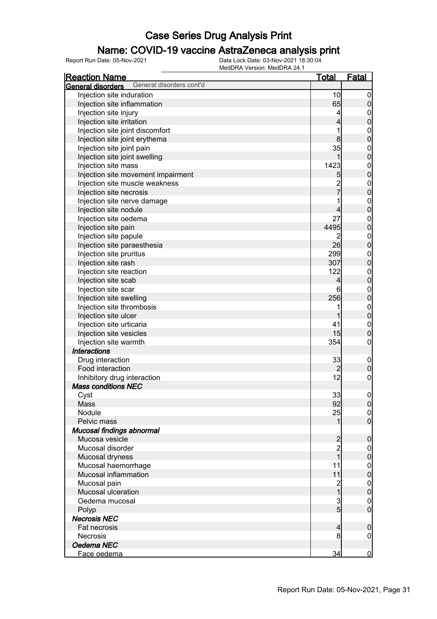### Name: COVID-19 vaccine AstraZeneca analysis print

| <b>Reaction Name</b>                                 | <u>Total</u>             | <b>Fatal</b>                       |
|------------------------------------------------------|--------------------------|------------------------------------|
| General disorders cont'd<br><b>General disorders</b> |                          |                                    |
| Injection site induration                            | 10                       | $\overline{0}$                     |
| Injection site inflammation                          | 65                       | $\pmb{0}$                          |
| Injection site injury                                | $\vert 4 \vert$          | $\boldsymbol{0}$                   |
| Injection site irritation                            | $\overline{\mathbf{4}}$  | $\mathbf 0$                        |
| Injection site joint discomfort                      | 1                        |                                    |
| Injection site joint erythema                        | 8                        | $0$<br>0                           |
| Injection site joint pain                            | 35                       |                                    |
| Injection site joint swelling                        | 1                        | $0$<br>0                           |
| Injection site mass                                  | 1423                     |                                    |
| Injection site movement impairment                   | 5                        | $0$<br>0                           |
| Injection site muscle weakness                       |                          |                                    |
| Injection site necrosis                              | 2<br>7                   | $0$<br>0                           |
| Injection site nerve damage                          | 1                        |                                    |
| Injection site nodule                                | $\overline{\mathcal{L}}$ | $0$<br>0                           |
| Injection site oedema                                | 27                       |                                    |
| Injection site pain                                  | 4495                     | $0$<br>0                           |
| Injection site papule                                | 2                        |                                    |
| Injection site paraesthesia                          | 26                       | $0$<br>0                           |
| Injection site pruritus                              | 299                      |                                    |
| Injection site rash                                  | 307                      | $0$<br>0                           |
| Injection site reaction                              | 122                      |                                    |
| Injection site scab                                  | $\overline{4}$           | $0$<br>0                           |
| Injection site scar                                  | 6                        |                                    |
| Injection site swelling                              | 256                      | $0$<br>0                           |
| Injection site thrombosis                            | 1                        |                                    |
| Injection site ulcer                                 | 1                        | $0$<br>0                           |
| Injection site urticaria                             | 41                       |                                    |
|                                                      | 15                       | $\boldsymbol{0}$<br>$\overline{0}$ |
| Injection site vesicles                              | 354                      |                                    |
| Injection site warmth<br><b>Interactions</b>         |                          | $\mathbf 0$                        |
|                                                      |                          |                                    |
| Drug interaction<br>Food interaction                 | 33                       | $\mathbf 0$                        |
|                                                      | $\overline{2}$<br>12     | $\pmb{0}$                          |
| Inhibitory drug interaction                          |                          | $\mathbf 0$                        |
| <b>Mass conditions NEC</b>                           |                          |                                    |
| Cyst                                                 | 33                       | $\boldsymbol{0}$                   |
| Mass                                                 | 92                       | 0                                  |
| Nodule                                               | 25                       | $\overline{0}$                     |
| Pelvic mass                                          | 1                        | $\overline{0}$                     |
| Mucosal findings abnormal                            |                          |                                    |
| Mucosa vesicle                                       | $\frac{2}{2}$            | $\pmb{0}$                          |
| Mucosal disorder                                     | $\overline{1}$           | $\mathbf 0$                        |
| Mucosal dryness                                      |                          | $\mathbf 0$                        |
| Mucosal haemorrhage                                  | 11                       | $\boldsymbol{0}$                   |
| Mucosal inflammation                                 | 11                       | $\overline{0}$                     |
| Mucosal pain                                         | 2<br>1                   | $\boldsymbol{0}$                   |
| Mucosal ulceration                                   |                          | $\overline{0}$                     |
| Oedema mucosal                                       | $\mathbf{3}$             | $\mathbf 0$                        |
| Polyp                                                | $\overline{5}$           | $\overline{0}$                     |
| <b>Necrosis NEC</b>                                  |                          |                                    |
| Fat necrosis                                         | $\overline{4}$           | $\pmb{0}$                          |
| Necrosis                                             | 8                        | 0                                  |
| Oedema NEC                                           |                          |                                    |
| Face oedema                                          | 34                       | $\overline{0}$                     |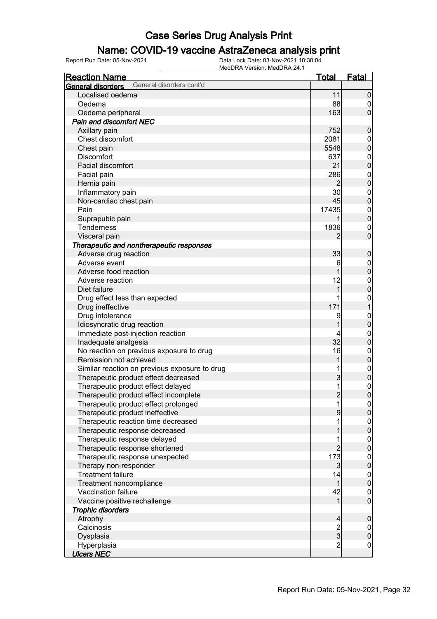### Name: COVID-19 vaccine AstraZeneca analysis print

| <b>Reaction Name</b>                                 | <u>Total</u>   | <b>Fatal</b>                         |
|------------------------------------------------------|----------------|--------------------------------------|
| General disorders cont'd<br><b>General disorders</b> |                |                                      |
| Localised oedema                                     | 11             | $\mathbf 0$                          |
| Oedema                                               | 88             | $\overline{0}$                       |
| Oedema peripheral                                    | 163            | $\overline{0}$                       |
| Pain and discomfort NEC                              |                |                                      |
| Axillary pain                                        | 752            | $\mathbf 0$                          |
| Chest discomfort                                     | 2081           |                                      |
| Chest pain                                           | 5548           | $0\atop 0$                           |
| <b>Discomfort</b>                                    | 637            |                                      |
| Facial discomfort                                    | 21             | $0\atop 0$                           |
| Facial pain                                          | 286            |                                      |
| Hernia pain                                          | $\overline{2}$ | $\begin{matrix} 0 \\ 0 \end{matrix}$ |
| Inflammatory pain                                    | 30             |                                      |
| Non-cardiac chest pain                               | 45             | $0\atop 0$                           |
| Pain                                                 | 17435          |                                      |
| Suprapubic pain                                      |                | $0\atop 0$                           |
| Tenderness                                           | 1836           |                                      |
| Visceral pain                                        | 2              | $\begin{matrix} 0 \\ 0 \end{matrix}$ |
| Therapeutic and nontherapeutic responses             |                |                                      |
| Adverse drug reaction                                | 33             | $\mathbf 0$                          |
| Adverse event                                        | 6              |                                      |
| Adverse food reaction                                | 1              | $0\atop 0$                           |
| Adverse reaction                                     | 12             |                                      |
| Diet failure                                         | 1              | $\begin{matrix}0\\0\end{matrix}$     |
|                                                      | 1              |                                      |
| Drug effect less than expected                       | 171            | $\mathbf{0}$<br>$\mathbf{1}$         |
| Drug ineffective                                     |                |                                      |
| Drug intolerance                                     | 9              | $0$<br>0                             |
| Idiosyncratic drug reaction                          | 1              |                                      |
| Immediate post-injection reaction                    | 4              | $\begin{matrix}0\\0\end{matrix}$     |
| Inadequate analgesia                                 | 32             |                                      |
| No reaction on previous exposure to drug             | 16             | $0\atop 0$                           |
| Remission not achieved                               | 1              |                                      |
| Similar reaction on previous exposure to drug        | 1              | $0$<br>0                             |
| Therapeutic product effect decreased                 | 3              |                                      |
| Therapeutic product effect delayed                   | 1              | $\begin{matrix}0\\0\end{matrix}$     |
| Therapeutic product effect incomplete                | $\overline{2}$ |                                      |
| Therapeutic product effect prolonged                 | 11             | $\frac{0}{0}$                        |
| Therapeutic product ineffective                      | 9              |                                      |
| Therapeutic reaction time decreased                  | 1              | $0\atop 0$                           |
| Therapeutic response decreased                       | 1              |                                      |
| Therapeutic response delayed                         | 1              | $\begin{matrix} 0 \\ 0 \end{matrix}$ |
| Therapeutic response shortened                       | $\overline{2}$ |                                      |
| Therapeutic response unexpected                      | 173            | $0\atop 0$                           |
| Therapy non-responder                                | $\overline{3}$ |                                      |
| <b>Treatment failure</b>                             | 14             | $0\atop 0$                           |
| Treatment noncompliance                              | 1              |                                      |
| Vaccination failure                                  | 42             | $\begin{matrix} 0 \\ 0 \end{matrix}$ |
| Vaccine positive rechallenge                         | $\mathbf{1}$   |                                      |
| <b>Trophic disorders</b>                             |                |                                      |
| Atrophy                                              | 4              | $\boldsymbol{0}$                     |
| Calcinosis                                           |                | $\boldsymbol{0}$                     |
| Dysplasia                                            | $\frac{2}{3}$  | $\overline{0}$                       |
| Hyperplasia                                          | $\overline{2}$ | $\boldsymbol{0}$                     |
| <b>Ulcers NEC</b>                                    |                |                                      |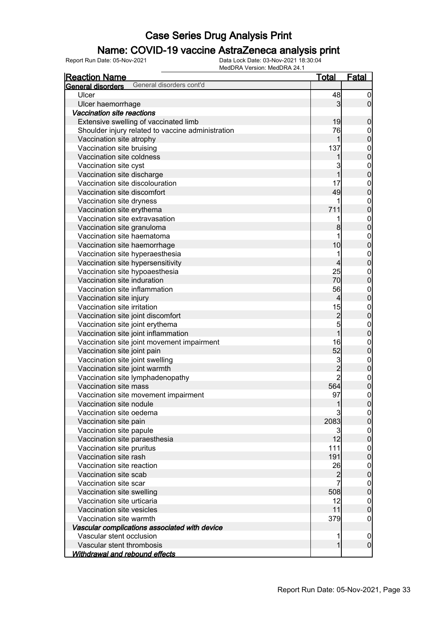### Name: COVID-19 vaccine AstraZeneca analysis print

| <u>Reaction Name</u>                                 | <u>Total</u>   | <b>Fatal</b>     |
|------------------------------------------------------|----------------|------------------|
| General disorders cont'd<br><b>General disorders</b> |                |                  |
| Ulcer                                                | 48             | $\boldsymbol{0}$ |
| Ulcer haemorrhage                                    | 3              | $\mathbf 0$      |
| Vaccination site reactions                           |                |                  |
| Extensive swelling of vaccinated limb                | 19             | $\mathbf 0$      |
| Shoulder injury related to vaccine administration    | 76             | $\boldsymbol{0}$ |
| Vaccination site atrophy                             | 1              | 0                |
| Vaccination site bruising                            | 137            | $\mathbf{0}$     |
| Vaccination site coldness                            |                | 0                |
| Vaccination site cyst                                | 3              | $\mathbf{0}$     |
| Vaccination site discharge                           | 1              | 0                |
| Vaccination site discolouration                      | 17             | $\mathbf{0}$     |
| Vaccination site discomfort                          | 49             | 0                |
| Vaccination site dryness                             | 1              | $\mathbf{0}$     |
| Vaccination site erythema                            | 711            | 0                |
| Vaccination site extravasation                       | 1              | $\mathbf{0}$     |
| Vaccination site granuloma                           | 8              | 0                |
| Vaccination site haematoma                           | 1              | $\mathbf{0}$     |
| Vaccination site haemorrhage                         | 10             | 0                |
| Vaccination site hyperaesthesia                      | 1              | $\mathbf{0}$     |
| Vaccination site hypersensitivity                    | 4              | 0                |
| Vaccination site hypoaesthesia                       | 25             | $\mathbf{0}$     |
| Vaccination site induration                          | 70             | 0                |
| Vaccination site inflammation                        | 56             | $\mathbf{0}$     |
| Vaccination site injury                              | 4              | $\overline{0}$   |
| Vaccination site irritation                          | 15             | $\mathbf{0}$     |
| Vaccination site joint discomfort                    | $\overline{c}$ | $\overline{0}$   |
| Vaccination site joint erythema                      | 5              | $\mathbf{0}$     |
| Vaccination site joint inflammation                  | 1              | 0                |
| Vaccination site joint movement impairment           | 16             | $\mathbf{0}$     |
| Vaccination site joint pain                          | 52             | 0                |
| Vaccination site joint swelling                      | 3              | $\mathbf{0}$     |
| Vaccination site joint warmth                        | $\overline{2}$ | $\overline{0}$   |
| Vaccination site lymphadenopathy                     | $\overline{c}$ | $\mathbf{0}$     |
| Vaccination site mass                                | 564            | $\overline{0}$   |
| Vaccination site movement impairment                 | 97             | $\overline{0}$   |
| Vaccination site nodule                              |                | U                |
| Vaccination site oedema                              |                | 0                |
| Vaccination site pain                                | 2083           | 0                |
| Vaccination site papule                              | 3              | $\boldsymbol{0}$ |
| Vaccination site paraesthesia                        | 12             | $\overline{0}$   |
| Vaccination site pruritus                            | 111            | $\boldsymbol{0}$ |
| Vaccination site rash                                | 191            | $\overline{0}$   |
| Vaccination site reaction                            | 26             | $\boldsymbol{0}$ |
| Vaccination site scab                                | $\overline{c}$ | 0                |
| Vaccination site scar                                | 7              | $\boldsymbol{0}$ |
| Vaccination site swelling                            | 508            | $\overline{0}$   |
| Vaccination site urticaria                           | 12             | $\boldsymbol{0}$ |
| Vaccination site vesicles                            | 11             | $\overline{0}$   |
| Vaccination site warmth                              | 379            | 0                |
| Vascular complications associated with device        |                |                  |
| Vascular stent occlusion                             | 1              | 0                |
| Vascular stent thrombosis                            | 1              | $\mathbf 0$      |
| Withdrawal and rebound effects                       |                |                  |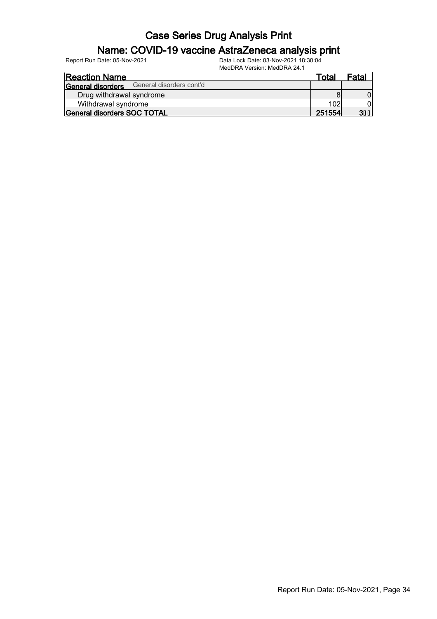#### Name: COVID-19 vaccine AstraZeneca analysis print

| <b>Reaction Name</b>                          | Total  | Fatal |
|-----------------------------------------------|--------|-------|
| General disorders cont'd<br>General disorders |        |       |
| Drug withdrawal syndrome                      |        |       |
| Withdrawal syndrome                           | 102    |       |
| General disorders SOC TOTAL                   | 251554 | 31 G  |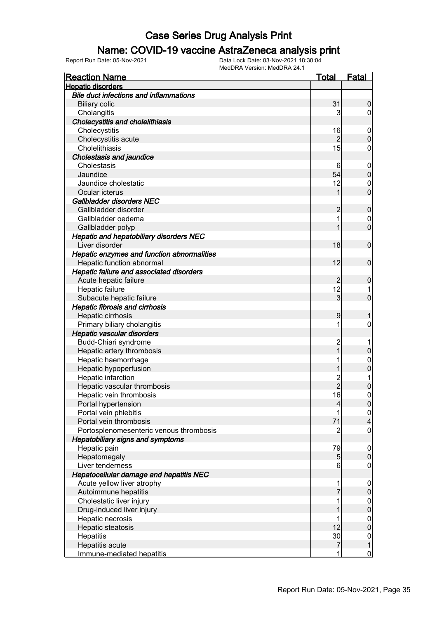#### Name: COVID-19 vaccine AstraZeneca analysis print

| <b>Reaction Name</b>                            | <u>Total</u>    | <b>Fatal</b>     |
|-------------------------------------------------|-----------------|------------------|
| <b>Hepatic disorders</b>                        |                 |                  |
| <b>Bile duct infections and inflammations</b>   |                 |                  |
| <b>Biliary colic</b>                            | 31              | 0                |
| Cholangitis                                     | 3               | 0                |
| <b>Cholecystitis and cholelithiasis</b>         |                 |                  |
| Cholecystitis                                   | 16              | $\overline{0}$   |
| Cholecystitis acute                             | 2               | 0                |
| Cholelithiasis                                  | 15              | 0                |
| <b>Cholestasis and jaundice</b>                 |                 |                  |
| Cholestasis                                     | 6               | $\overline{0}$   |
| Jaundice                                        | 54              | $\mathbf 0$      |
| Jaundice cholestatic                            | 12              | $\mathbf{0}$     |
| Ocular icterus                                  |                 | $\overline{0}$   |
| Gallbladder disorders NEC                       |                 |                  |
| Gallbladder disorder                            | 2               | $\mathbf 0$      |
| Gallbladder oedema                              | 1               | $\mathbf 0$      |
| Gallbladder polyp                               |                 | $\overline{0}$   |
| Hepatic and hepatobiliary disorders NEC         |                 |                  |
| Liver disorder                                  | 18              | $\mathbf 0$      |
| Hepatic enzymes and function abnormalities      |                 |                  |
| Hepatic function abnormal                       | 12              | $\mathbf 0$      |
| <b>Hepatic failure and associated disorders</b> |                 |                  |
| Acute hepatic failure                           | 2               | 0                |
| Hepatic failure                                 | 12              |                  |
| Subacute hepatic failure                        | 3               | 0                |
| <b>Hepatic fibrosis and cirrhosis</b>           |                 |                  |
| Hepatic cirrhosis                               | 9               |                  |
| Primary biliary cholangitis                     | 1               | 0                |
| <b>Hepatic vascular disorders</b>               |                 |                  |
| Budd-Chiari syndrome                            | $\overline{c}$  |                  |
| Hepatic artery thrombosis                       |                 | 0                |
| Hepatic haemorrhage                             |                 | 0                |
| Hepatic hypoperfusion                           |                 | 0                |
| Hepatic infarction                              | $\overline{c}$  |                  |
| Hepatic vascular thrombosis                     | $\overline{2}$  | 0                |
| Hepatic vein thrombosis                         | 16              | 0                |
| Portal hypertension                             | $\overline{4}$  | U                |
| Portal vein phlebitis                           | 1               | $\overline{0}$   |
| Portal vein thrombosis                          | 71              | 4                |
| Portosplenomesenteric venous thrombosis         | $\overline{c}$  | $\boldsymbol{0}$ |
| <b>Hepatobiliary signs and symptoms</b>         |                 |                  |
| Hepatic pain                                    | 79              | $\mathbf 0$      |
| Hepatomegaly                                    | 5               | $\mathbf 0$      |
| Liver tenderness                                | $6 \overline{}$ | $\mathbf 0$      |
| <b>Hepatocellular damage and hepatitis NEC</b>  |                 |                  |
| Acute yellow liver atrophy                      | 1               | $\mathbf 0$      |
| Autoimmune hepatitis                            |                 | 0                |
| Cholestatic liver injury                        |                 | $\mathbf 0$      |
| Drug-induced liver injury                       |                 | 0                |
| Hepatic necrosis                                |                 | $\boldsymbol{0}$ |
| Hepatic steatosis                               | 12              | $\overline{0}$   |
| Hepatitis                                       | 30              | $\boldsymbol{0}$ |
| Hepatitis acute                                 | 7               |                  |
| Immune-mediated hepatitis                       | 1               | $\overline{0}$   |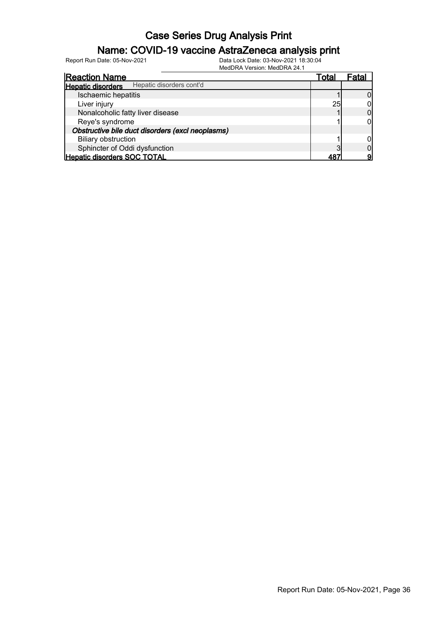### Name: COVID-19 vaccine AstraZeneca analysis print

| <b>Reaction Name</b>                                 | Total | ⊦atal |
|------------------------------------------------------|-------|-------|
| Hepatic disorders cont'd<br><b>Hepatic disorders</b> |       |       |
| Ischaemic hepatitis                                  |       |       |
| Liver injury                                         | 25    |       |
| Nonalcoholic fatty liver disease                     |       |       |
| Reye's syndrome                                      |       |       |
| Obstructive bile duct disorders (excl neoplasms)     |       |       |
| <b>Biliary obstruction</b>                           |       |       |
| Sphincter of Oddi dysfunction                        |       |       |
| Hepatic disorders SOC TOTAL                          | 4R    |       |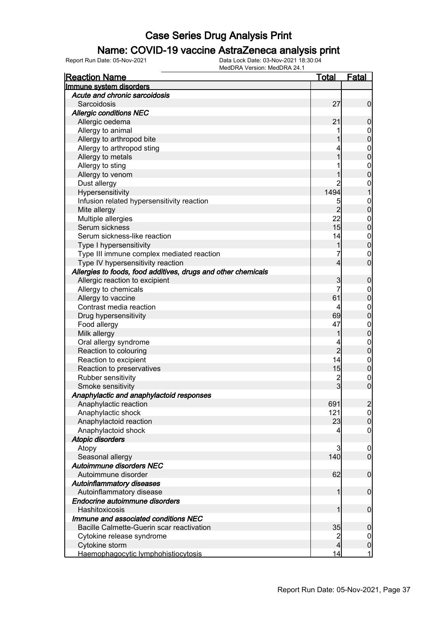#### Name: COVID-19 vaccine AstraZeneca analysis print

| <b>Reaction Name</b>                                          | Total          | Fatal                      |
|---------------------------------------------------------------|----------------|----------------------------|
| Immune system disorders                                       |                |                            |
| Acute and chronic sarcoidosis                                 |                |                            |
| Sarcoidosis                                                   | 27             | $\mathbf 0$                |
| <b>Allergic conditions NEC</b>                                |                |                            |
| Allergic oedema                                               | 21             | $\mathbf 0$                |
| Allergy to animal                                             |                | $\boldsymbol{0}$           |
| Allergy to arthropod bite                                     |                | $\mathbf 0$                |
| Allergy to arthropod sting                                    |                | $\boldsymbol{0}$           |
| Allergy to metals                                             |                | $\mathbf 0$                |
| Allergy to sting                                              |                | $\boldsymbol{0}$           |
| Allergy to venom                                              |                | $\mathbf 0$                |
| Dust allergy                                                  |                | $\mathbf 0$                |
| Hypersensitivity                                              | 1494           | $\mathbf{1}$               |
| Infusion related hypersensitivity reaction                    | 5              | $\boldsymbol{0}$           |
| Mite allergy                                                  | $\overline{2}$ | $\mathbf 0$                |
| Multiple allergies                                            | 22             | $\mathbf 0$                |
| Serum sickness                                                | 15             | $\mathbf 0$                |
| Serum sickness-like reaction                                  | 14             | $\boldsymbol{0}$           |
| Type I hypersensitivity                                       |                | $\mathbf 0$                |
| Type III immune complex mediated reaction                     |                | $\mathbf 0$                |
| Type IV hypersensitivity reaction                             | 4              | $\overline{0}$             |
| Allergies to foods, food additives, drugs and other chemicals |                |                            |
| Allergic reaction to excipient                                | 3              | $\boldsymbol{0}$           |
|                                                               | 7              |                            |
| Allergy to chemicals                                          |                | $\mathbf 0$<br>$\mathbf 0$ |
| Allergy to vaccine                                            | 61             |                            |
| Contrast media reaction                                       | 4              | $\mathbf 0$                |
| Drug hypersensitivity                                         | 69             | $\mathbf 0$                |
| Food allergy                                                  | 47             | $\boldsymbol{0}$           |
| Milk allergy                                                  |                | $\mathbf 0$                |
| Oral allergy syndrome                                         |                | $\mathbf 0$                |
| Reaction to colouring                                         | $\overline{2}$ | $\boldsymbol{0}$           |
| Reaction to excipient                                         | 14             | $\mathbf 0$                |
| Reaction to preservatives                                     | 15             | $\boldsymbol{0}$           |
| Rubber sensitivity                                            | $\frac{2}{3}$  | $\boldsymbol{0}$           |
| Smoke sensitivity                                             |                | $\overline{0}$             |
| Anaphylactic and anaphylactoid responses                      |                |                            |
| Anaphylactic reaction                                         | 691            | $\overline{2}$             |
| Anaphylactic shock                                            | 121            | 0                          |
| Anaphylactoid reaction                                        | 23             | $\overline{0}$             |
| Anaphylactoid shock                                           | 4              | $\mathbf 0$                |
| <b>Atopic disorders</b>                                       |                |                            |
| Atopy                                                         | 3              | $\overline{0}$             |
| Seasonal allergy                                              | 140            | $\overline{0}$             |
| <b>Autoimmune disorders NEC</b>                               |                |                            |
| Autoimmune disorder                                           | 62             | $\boldsymbol{0}$           |
| <b>Autoinflammatory diseases</b>                              |                |                            |
| Autoinflammatory disease                                      | 1              | $\boldsymbol{0}$           |
| Endocrine autoimmune disorders                                |                |                            |
| Hashitoxicosis                                                | 1              | $\boldsymbol{0}$           |
| Immune and associated conditions NEC                          |                |                            |
| Bacille Calmette-Guerin scar reactivation                     | 35             | $\mathbf 0$                |
| Cytokine release syndrome                                     | $\overline{c}$ | $\overline{0}$             |
| Cytokine storm                                                | 4              | $\pmb{0}$                  |
| Haemophagocytic lymphohistiocytosis                           | 14             | $\mathbf{1}$               |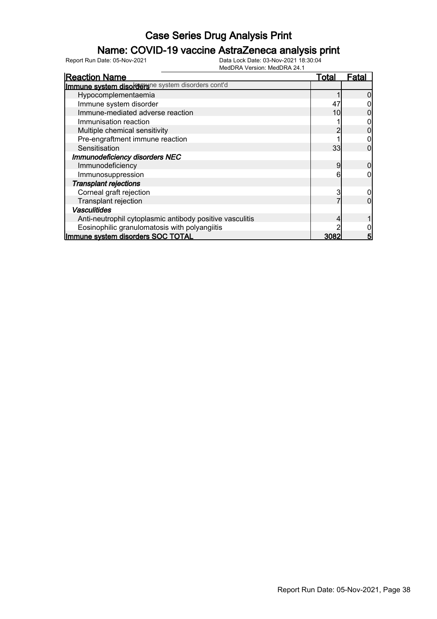### Name: COVID-19 vaccine AstraZeneca analysis print

| <b>Reaction Name</b>                                      | Total | Fatal |
|-----------------------------------------------------------|-------|-------|
| <b>Immune system disorders</b> ne system disorders cont'd |       |       |
| Hypocomplementaemia                                       |       |       |
| Immune system disorder                                    | 47    |       |
| Immune-mediated adverse reaction                          | 10    |       |
| Immunisation reaction                                     |       |       |
| Multiple chemical sensitivity                             |       |       |
| Pre-engraftment immune reaction                           |       |       |
| Sensitisation                                             | 33    |       |
| <b>Immunodeficiency disorders NEC</b>                     |       |       |
| Immunodeficiency                                          | 9     |       |
| Immunosuppression                                         | 6     |       |
| <b>Transplant rejections</b>                              |       |       |
| Corneal graft rejection                                   | 3     |       |
| Transplant rejection                                      |       |       |
| <b>Vasculitides</b>                                       |       |       |
| Anti-neutrophil cytoplasmic antibody positive vasculitis  |       |       |
| Eosinophilic granulomatosis with polyangiitis             |       |       |
| Immune system disorders SOC TOTAL                         | 3082  | 5     |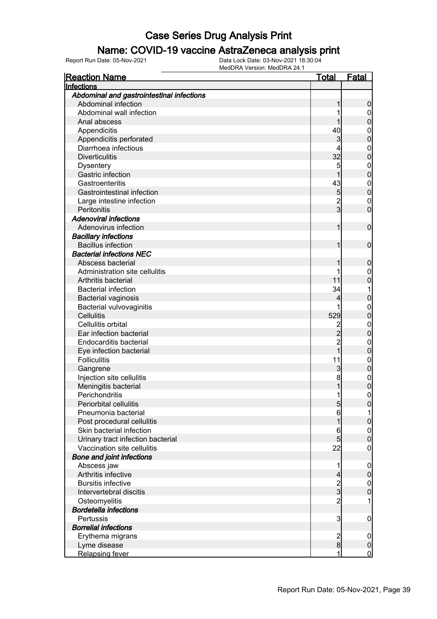#### Name: COVID-19 vaccine AstraZeneca analysis print

| <b>Reaction Name</b>                      | <u>Total</u>   | <b>Fatal</b>     |
|-------------------------------------------|----------------|------------------|
| Infections                                |                |                  |
| Abdominal and gastrointestinal infections |                |                  |
| Abdominal infection                       |                | 0                |
| Abdominal wall infection                  |                | 0                |
| Anal abscess                              |                | 0                |
| Appendicitis                              | 40             | $\boldsymbol{0}$ |
| Appendicitis perforated                   | 3              | 0                |
| Diarrhoea infectious                      |                | $\mathbf{0}$     |
| <b>Diverticulitis</b>                     | 32             | $\mathbf{0}$     |
| <b>Dysentery</b>                          | 5              | $\mathbf{0}$     |
| Gastric infection                         | 1              | $\mathbf 0$      |
| Gastroenteritis                           | 43             | $\mathbf{0}$     |
| <b>Gastrointestinal infection</b>         | 5              | $\mathbf 0$      |
| Large intestine infection                 | $\overline{2}$ | $\mathbf{0}$     |
| Peritonitis                               | $\overline{3}$ | $\overline{0}$   |
| <b>Adenoviral infections</b>              |                |                  |
| Adenovirus infection                      | 1              | $\boldsymbol{0}$ |
| <b>Bacillary infections</b>               |                |                  |
| <b>Bacillus infection</b>                 |                | $\mathbf 0$      |
| <b>Bacterial infections NEC</b>           |                |                  |
| Abscess bacterial                         |                |                  |
| Administration site cellulitis            |                | 0                |
|                                           | 11             | $\boldsymbol{0}$ |
| Arthritis bacterial                       |                | 0                |
| <b>Bacterial infection</b>                | 34             | 1                |
| <b>Bacterial vaginosis</b>                | 4              | 0                |
| Bacterial vulvovaginitis                  |                | $\mathbf{0}$     |
| <b>Cellulitis</b>                         | 529            | $\overline{0}$   |
| Cellulitis orbital                        | $\overline{c}$ | $\mathbf{0}$     |
| Ear infection bacterial                   | $\overline{2}$ | $\boldsymbol{0}$ |
| <b>Endocarditis bacterial</b>             | $\overline{c}$ | $\mathbf{0}$     |
| Eye infection bacterial                   | 1              | $\mathbf{0}$     |
| <b>Folliculitis</b>                       | 11             | $\mathbf{0}$     |
| Gangrene                                  | 3              | $\mathbf 0$      |
| Injection site cellulitis                 | 8              | $\boldsymbol{0}$ |
| Meningitis bacterial                      |                | $\mathbf 0$      |
| Perichondritis                            | 1              | $\overline{0}$   |
| Periorbital cellulitis                    | 5              | 0                |
| Pneumonia bacterial                       | $6 \mid$       |                  |
| Post procedural cellulitis                |                | 0                |
| Skin bacterial infection                  | 6              | $\mathbf 0$      |
| Urinary tract infection bacterial         | 5 <sup>1</sup> | $\mathbf 0$      |
| Vaccination site cellulitis               | 22             | $\boldsymbol{0}$ |
| <b>Bone and joint infections</b>          |                |                  |
| Abscess jaw                               | 1              | $\mathbf 0$      |
| Arthritis infective                       | 4              | $\mathbf 0$      |
| <b>Bursitis infective</b>                 |                | $\boldsymbol{0}$ |
| Intervertebral discitis                   | $\frac{2}{3}$  | $\overline{0}$   |
| Osteomyelitis                             | $\overline{2}$ | 1                |
| <b>Bordetella infections</b>              |                |                  |
| Pertussis                                 | 3              | $\mathbf 0$      |
| <b>Borrelial infections</b>               |                |                  |
| Erythema migrans                          | $\overline{c}$ | $\mathbf 0$      |
| Lyme disease                              | 8              | $\pmb{0}$        |
| <b>Relapsing fever</b>                    | 1              | $\overline{0}$   |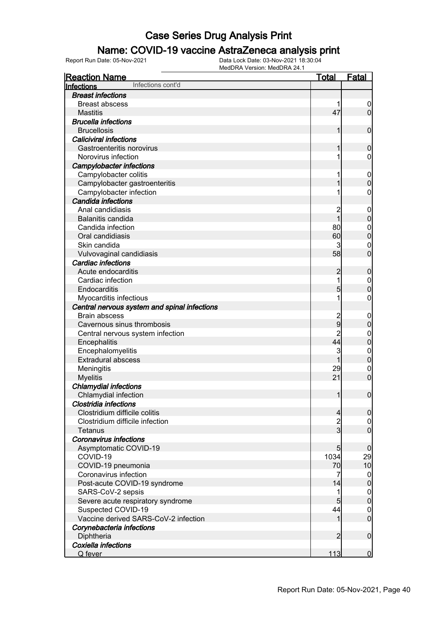### Name: COVID-19 vaccine AstraZeneca analysis print

| <b>Reaction Name</b>                         | <b>Total</b>   | <b>Fatal</b>     |
|----------------------------------------------|----------------|------------------|
| Infections cont'd<br>Infections              |                |                  |
| <b>Breast infections</b>                     |                |                  |
| <b>Breast abscess</b>                        |                | $\mathbf 0$      |
| <b>Mastitis</b>                              | 47             | $\overline{0}$   |
| <b>Brucella infections</b>                   |                |                  |
| <b>Brucellosis</b>                           | 1              | $\boldsymbol{0}$ |
| <b>Caliciviral infections</b>                |                |                  |
| Gastroenteritis norovirus                    | 1              | $\boldsymbol{0}$ |
| Norovirus infection                          | 1              | 0                |
| <b>Campylobacter infections</b>              |                |                  |
| Campylobacter colitis                        |                | $\mathbf 0$      |
| Campylobacter gastroenteritis                |                | $\mathbf 0$      |
| Campylobacter infection                      |                | 0                |
| Candida infections                           |                |                  |
| Anal candidiasis                             | $\overline{c}$ | $\mathbf 0$      |
| Balanitis candida                            | $\mathbf{1}$   | $\pmb{0}$        |
| Candida infection                            | 80             | $\mathbf 0$      |
| Oral candidiasis                             | 60             | $\mathbf 0$      |
| Skin candida                                 | 3              | $\mathbf 0$      |
| Vulvovaginal candidiasis                     | 58             | $\overline{0}$   |
| Cardiac infections                           |                |                  |
| Acute endocarditis                           | $\overline{c}$ | $\boldsymbol{0}$ |
| Cardiac infection                            | 1              | $\mathbf 0$      |
| Endocarditis                                 | 5              | $\mathbf 0$      |
| Myocarditis infectious                       |                | $\boldsymbol{0}$ |
| Central nervous system and spinal infections |                |                  |
| <b>Brain abscess</b>                         | $\overline{c}$ | $\mathbf 0$      |
| Cavernous sinus thrombosis                   | $\overline{9}$ | $\pmb{0}$        |
| Central nervous system infection             | $\overline{2}$ | $\mathbf 0$      |
| Encephalitis                                 | 44             | $\mathbf 0$      |
| Encephalomyelitis                            | 3              | $\mathbf{0}$     |
| <b>Extradural abscess</b>                    | 1              | $\mathbf 0$      |
| Meningitis                                   | 29             | $\mathbf 0$      |
| <b>Myelitis</b>                              | 21             | $\boldsymbol{0}$ |
| <b>Chlamydial infections</b>                 |                |                  |
| Chlamydial infection                         | 1              | $\boldsymbol{0}$ |
| Clostridia infections                        |                |                  |
| Clostridium difficile colitis                | $\overline{4}$ | $\overline{0}$   |
| Clostridium difficile infection              | $\overline{c}$ | $\overline{0}$   |
| <b>Tetanus</b>                               | $\overline{3}$ | $\overline{0}$   |
| <b>Coronavirus infections</b>                |                |                  |
| Asymptomatic COVID-19                        | 5              | $\boldsymbol{0}$ |
| COVID-19                                     | 1034           | 29               |
| COVID-19 pneumonia                           | 70             | 10               |
| Coronavirus infection                        | 7              | $\overline{0}$   |
| Post-acute COVID-19 syndrome                 | 14             | $\pmb{0}$        |
| SARS-CoV-2 sepsis                            | 1              | $\boldsymbol{0}$ |
| Severe acute respiratory syndrome            | 5              | $\mathbf 0$      |
| Suspected COVID-19                           | 44             | $\mathbf 0$      |
| Vaccine derived SARS-CoV-2 infection         | 1              | $\mathbf 0$      |
| Corynebacteria infections                    |                |                  |
| Diphtheria                                   | $\overline{2}$ | $\boldsymbol{0}$ |
| Coxiella infections                          |                |                  |
| Q fever                                      | 113            | $\overline{0}$   |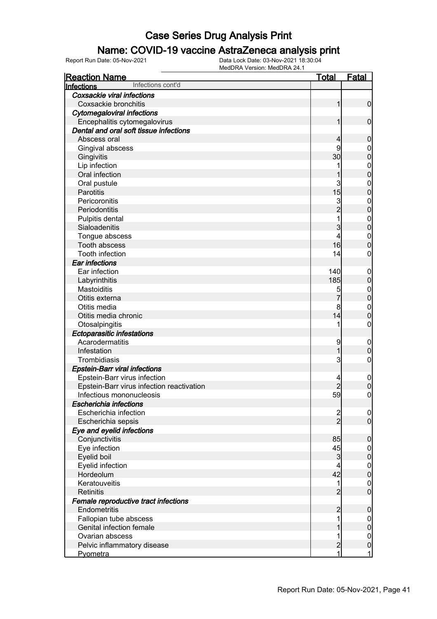### Name: COVID-19 vaccine AstraZeneca analysis print

| <b>Reaction Name</b>                      | <b>Total</b>   | <b>Fatal</b>     |
|-------------------------------------------|----------------|------------------|
| Infections cont'd<br>Infections           |                |                  |
| Coxsackie viral infections                |                |                  |
| Coxsackie bronchitis                      | 1              | $\mathbf 0$      |
| <b>Cytomegaloviral infections</b>         |                |                  |
| Encephalitis cytomegalovirus              | 1              | $\mathbf 0$      |
| Dental and oral soft tissue infections    |                |                  |
| Abscess oral                              | 4              | $\mathbf 0$      |
| Gingival abscess                          | 9              | 0                |
| Gingivitis                                | 30             | $\mathbf 0$      |
| Lip infection                             |                | $\mathbf 0$      |
| Oral infection                            |                | $\mathbf 0$      |
| Oral pustule                              | 3              | $\mathbf 0$      |
| Parotitis                                 | 15             | $\mathbf 0$      |
| Pericoronitis                             |                | $\mathbf 0$      |
| Periodontitis                             | 3<br>2         | $\mathbf 0$      |
| Pulpitis dental                           |                | $\mathbf 0$      |
| Sialoadenitis                             | 3              | $\mathbf 0$      |
| Tongue abscess                            | 4              | $\mathbf 0$      |
| Tooth abscess                             | 16             | $\boldsymbol{0}$ |
| Tooth infection                           | 14             | 0                |
| Ear infections                            |                |                  |
| Ear infection                             | 140            | $\mathbf 0$      |
| Labyrinthitis                             | 185            | $\pmb{0}$        |
| Mastoiditis                               | 5              | $\boldsymbol{0}$ |
| Otitis externa                            | 7              | $\mathbf 0$      |
| Otitis media                              | 8              | $\mathbf 0$      |
| Otitis media chronic                      | 14             | $\mathbf 0$      |
| Otosalpingitis                            | 1              | $\boldsymbol{0}$ |
| <b>Ectoparasitic infestations</b>         |                |                  |
| Acarodermatitis                           | 9              | $\mathbf 0$      |
| Infestation                               |                | $\pmb{0}$        |
| Trombidiasis                              | 3              | $\mathbf 0$      |
| <b>Epstein-Barr viral infections</b>      |                |                  |
| Epstein-Barr virus infection              | 4              | $\mathbf 0$      |
| Epstein-Barr virus infection reactivation | $\overline{c}$ | $\pmb{0}$        |
| Infectious mononucleosis                  | 59             | $\boldsymbol{0}$ |
| <b>Escherichia infections</b>             |                |                  |
| Escherichia infection                     |                | $\overline{0}$   |
| Escherichia sepsis                        | $\frac{2}{2}$  | $\overline{0}$   |
| Eye and eyelid infections                 |                |                  |
| Conjunctivitis                            | 85             | $\boldsymbol{0}$ |
| Eye infection                             | 45             | $\overline{0}$   |
| Eyelid boil                               | 3              | $\pmb{0}$        |
| Eyelid infection                          | 4              | $\overline{0}$   |
| Hordeolum                                 | 42             | $\pmb{0}$        |
| Keratouveitis                             | 1              | $\mathbf 0$      |
| <b>Retinitis</b>                          | $\overline{2}$ | $\overline{0}$   |
| Female reproductive tract infections      |                |                  |
| Endometritis                              | $\overline{c}$ | $\boldsymbol{0}$ |
| Fallopian tube abscess                    |                | $\overline{0}$   |
| Genital infection female                  |                | $\pmb{0}$        |
| Ovarian abscess                           |                | $\mathbf 0$      |
| Pelvic inflammatory disease               | $\overline{c}$ | $\pmb{0}$        |
| Pyometra                                  | 1              | 1                |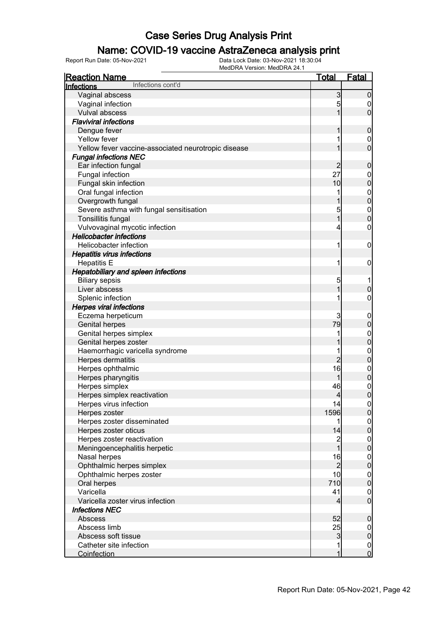### Name: COVID-19 vaccine AstraZeneca analysis print

| <u>Reaction Name</u>                                | <b>Total</b>                          | <b>Fatal</b>     |
|-----------------------------------------------------|---------------------------------------|------------------|
| Infections cont'd<br><b>Infections</b>              |                                       |                  |
| Vaginal abscess                                     | $\mathbf{3}$                          | $\boldsymbol{0}$ |
| Vaginal infection                                   | 5                                     | 0                |
| Vulval abscess                                      | 1                                     | $\mathbf 0$      |
| <b>Flaviviral infections</b>                        |                                       |                  |
| Dengue fever                                        | 1                                     | $\mathbf 0$      |
| Yellow fever                                        | 1                                     | 0                |
| Yellow fever vaccine-associated neurotropic disease | 1                                     | $\mathbf 0$      |
| <b>Fungal infections NEC</b>                        |                                       |                  |
| Ear infection fungal                                | $\overline{2}$                        | $\mathbf 0$      |
| Fungal infection                                    | 27                                    | $\mathbf 0$      |
| Fungal skin infection                               | 10                                    | $\mathbf 0$      |
| Oral fungal infection                               | 1                                     | $\boldsymbol{0}$ |
| Overgrowth fungal                                   | 1                                     | $\overline{0}$   |
| Severe asthma with fungal sensitisation             | 5                                     | $\boldsymbol{0}$ |
| Tonsillitis fungal                                  | $\overline{1}$                        | $\overline{0}$   |
| Vulvovaginal mycotic infection                      | 4                                     | $\boldsymbol{0}$ |
| <b>Helicobacter infections</b>                      |                                       |                  |
| Helicobacter infection                              | 1                                     | $\mathbf 0$      |
| <b>Hepatitis virus infections</b>                   |                                       |                  |
| <b>Hepatitis E</b>                                  | 1                                     | $\mathbf 0$      |
| <b>Hepatobiliary and spleen infections</b>          |                                       |                  |
| <b>Biliary sepsis</b>                               | 5                                     |                  |
| Liver abscess                                       | 1                                     | $\pmb{0}$        |
| Splenic infection                                   | 1                                     | $\boldsymbol{0}$ |
| <b>Herpes viral infections</b>                      |                                       |                  |
| Eczema herpeticum                                   | 3                                     | $\mathbf 0$      |
| <b>Genital herpes</b>                               | 79                                    | $\pmb{0}$        |
| Genital herpes simplex                              | 1                                     | $\boldsymbol{0}$ |
| Genital herpes zoster                               |                                       | $\overline{0}$   |
| Haemorrhagic varicella syndrome                     | 1                                     | $\mathbf{0}$     |
| Herpes dermatitis                                   | $\overline{2}$                        | $\mathbf 0$      |
| Herpes ophthalmic                                   | 16                                    | $\mathbf{0}$     |
| Herpes pharyngitis                                  | 1                                     | $\mathbf 0$      |
| Herpes simplex                                      | 46                                    | $\mathbf{0}$     |
| Herpes simplex reactivation                         | $\overline{4}$                        | $\overline{0}$   |
| Herpes virus infection                              | 4                                     | 0                |
| Herpes zoster                                       | 1596                                  | $\overline{0}$   |
| Herpes zoster disseminated                          | 1                                     | $\overline{0}$   |
| Herpes zoster oticus                                | 14                                    | $\overline{0}$   |
| Herpes zoster reactivation                          | $\begin{array}{c} 2 \\ 1 \end{array}$ | $\mathbf 0$      |
| Meningoencephalitis herpetic                        |                                       | $\overline{0}$   |
| Nasal herpes                                        | 16                                    | $\boldsymbol{0}$ |
| Ophthalmic herpes simplex                           | $\overline{2}$                        | $\mathbf 0$      |
| Ophthalmic herpes zoster                            | 10                                    | $\boldsymbol{0}$ |
| Oral herpes                                         | 710                                   | $\mathbf 0$      |
| Varicella                                           | 41                                    | $\overline{0}$   |
| Varicella zoster virus infection                    | $\overline{4}$                        | $\overline{0}$   |
| <b>Infections NEC</b>                               |                                       |                  |
| Abscess                                             | 52                                    | $\boldsymbol{0}$ |
| Abscess limb                                        | 25                                    | $\overline{0}$   |
| Abscess soft tissue                                 | $\mathbf{3}$                          | $\mathbf 0$      |
| Catheter site infection                             | 1                                     | $\boldsymbol{0}$ |
| <b>Coinfection</b>                                  | 1                                     | $\mathbf 0$      |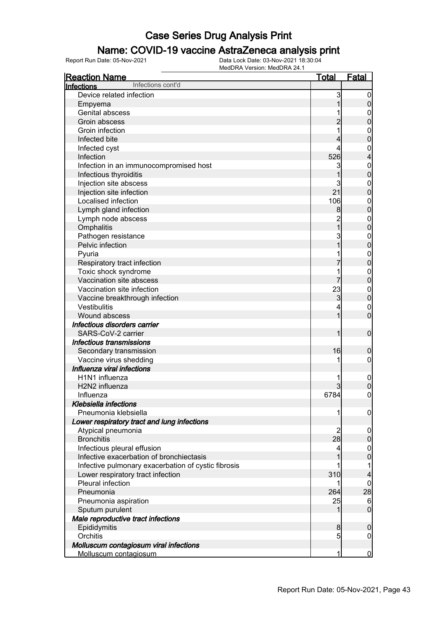### Name: COVID-19 vaccine AstraZeneca analysis print

| <b>Reaction Name</b>                                | <u>Total</u>   | <b>Fatal</b>     |
|-----------------------------------------------------|----------------|------------------|
| Infections cont'd<br>Infections                     |                |                  |
| Device related infection                            | 3              | $\boldsymbol{0}$ |
| Empyema                                             |                | 0                |
| <b>Genital abscess</b>                              |                | $\boldsymbol{0}$ |
| Groin abscess                                       |                | 0                |
| Groin infection                                     |                | $\mathbf{0}$     |
| Infected bite                                       |                | 0                |
| Infected cyst                                       | 4              | $\mathbf{0}$     |
| Infection                                           | 526            | 4                |
| Infection in an immunocompromised host              | 3              | $\mathbf{0}$     |
| Infectious thyroiditis                              |                | $\mathbf 0$      |
| Injection site abscess                              | 3              | $\mathbf{0}$     |
| Injection site infection                            | 21             | $\overline{0}$   |
| Localised infection                                 | 106            | $\mathbf{0}$     |
| Lymph gland infection                               | 8              | $\mathbf 0$      |
| Lymph node abscess                                  | $\overline{c}$ | $\mathbf{0}$     |
| Omphalitis                                          | $\overline{1}$ | $\mathbf 0$      |
| Pathogen resistance                                 | 3              | $\mathbf{0}$     |
| Pelvic infection                                    |                | $\mathbf 0$      |
| Pyuria                                              |                | $\mathbf{0}$     |
| Respiratory tract infection                         |                | $\mathbf 0$      |
| Toxic shock syndrome                                |                | $\mathbf{0}$     |
| Vaccination site abscess                            |                | $\mathbf 0$      |
| Vaccination site infection                          | 23             | $\mathbf{0}$     |
| Vaccine breakthrough infection                      | 3              | $\mathbf 0$      |
| <b>Vestibulitis</b>                                 | 4              | $\mathbf{0}$     |
| Wound abscess                                       | 1              | $\overline{0}$   |
| Infectious disorders carrier                        |                |                  |
| SARS-CoV-2 carrier                                  |                | $\boldsymbol{0}$ |
| Infectious transmissions                            |                |                  |
| Secondary transmission                              | 16             | 0                |
| Vaccine virus shedding                              | 1              | 0                |
| Influenza viral infections                          |                |                  |
| H1N1 influenza                                      | 1              | $\mathbf 0$      |
| H2N2 influenza                                      | 3              | 0                |
| Influenza                                           | 6784           | $\overline{0}$   |
| <b>Klebsiella infections</b>                        |                |                  |
| Pneumonia klebsiella                                | 1              | $\boldsymbol{0}$ |
| Lower respiratory tract and lung infections         |                |                  |
| Atypical pneumonia                                  | 2              | $\boldsymbol{0}$ |
| <b>Bronchitis</b>                                   | 28             | 0                |
| Infectious pleural effusion                         | 4              | 0                |
| Infective exacerbation of bronchiectasis            |                | 0                |
| Infective pulmonary exacerbation of cystic fibrosis |                |                  |
| Lower respiratory tract infection                   | 310            | 4                |
| Pleural infection                                   |                | 0                |
| Pneumonia                                           | 264            | 28               |
| Pneumonia aspiration                                | 25             | $6\phantom{.}6$  |
| Sputum purulent                                     |                | $\mathbf 0$      |
| Male reproductive tract infections                  |                |                  |
| Epididymitis                                        | 8              | 0                |
| Orchitis                                            | 5 <sub>l</sub> | $\mathbf 0$      |
| Molluscum contagiosum viral infections              |                |                  |
| Molluscum contagiosum                               | 1              | $\bf{0}$         |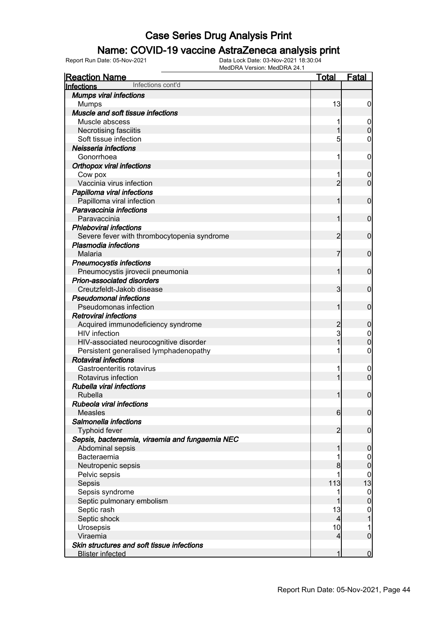### Name: COVID-19 vaccine AstraZeneca analysis print

| <b>Reaction Name</b>                                     | <u>Total</u>   | <b>Fatal</b>                  |
|----------------------------------------------------------|----------------|-------------------------------|
| Infections cont'd<br>Infections                          |                |                               |
| <b>Mumps viral infections</b>                            |                |                               |
| <b>Mumps</b>                                             | 13             | $\boldsymbol{0}$              |
| Muscle and soft tissue infections                        |                |                               |
| Muscle abscess                                           |                | $\boldsymbol{0}$              |
| Necrotising fasciitis                                    | 1              | $\mathbf 0$                   |
| Soft tissue infection                                    | 5              | $\mathbf 0$                   |
| Neisseria infections                                     |                |                               |
| Gonorrhoea                                               | 1              | $\mathbf 0$                   |
| <b>Orthopox viral infections</b>                         |                |                               |
| Cow pox                                                  |                | $\boldsymbol{0}$              |
| Vaccinia virus infection                                 | $\overline{2}$ | $\mathbf 0$                   |
| Papilloma viral infections                               |                |                               |
| Papilloma viral infection                                | 1              | $\mathbf 0$                   |
| Paravaccinia infections                                  |                |                               |
| Paravaccinia                                             | 1              | $\mathbf 0$                   |
| <b>Phleboviral infections</b>                            |                |                               |
| Severe fever with thrombocytopenia syndrome              | 2              | $\mathbf 0$                   |
| <b>Plasmodia infections</b>                              |                |                               |
| Malaria                                                  | 7              | $\mathbf 0$                   |
| <b>Pneumocystis infections</b>                           |                |                               |
| Pneumocystis jirovecii pneumonia                         | 1              | $\mathbf 0$                   |
| Prion-associated disorders                               |                |                               |
| Creutzfeldt-Jakob disease                                | 3              | $\mathbf 0$                   |
| <b>Pseudomonal infections</b>                            |                |                               |
| Pseudomonas infection                                    | 1              | $\mathbf 0$                   |
| <b>Retroviral infections</b>                             |                |                               |
| Acquired immunodeficiency syndrome                       | $\overline{c}$ | $\boldsymbol{0}$              |
| <b>HIV</b> infection                                     | 3              | $\mathbf 0$                   |
| HIV-associated neurocognitive disorder                   | 1              | $\mathbf 0$                   |
| Persistent generalised lymphadenopathy                   | 1              | $\mathbf 0$                   |
| <b>Rotaviral infections</b><br>Gastroenteritis rotavirus | 1              |                               |
| Rotavirus infection                                      | 1              | $\mathbf 0$<br>$\overline{0}$ |
| Rubella viral infections                                 |                |                               |
| Rubella                                                  | 1              | $\boldsymbol{0}$              |
| Rubeola viral infections                                 |                |                               |
| <b>Measles</b>                                           | 6              | $\mathbf 0$                   |
| Salmonella infections                                    |                |                               |
| <b>Typhoid fever</b>                                     | $\overline{2}$ | $\mathbf 0$                   |
| Sepsis, bacteraemia, viraemia and fungaemia NEC          |                |                               |
| Abdominal sepsis                                         | 1              | $\mathbf 0$                   |
| Bacteraemia                                              |                | 0                             |
| Neutropenic sepsis                                       | 8              | $\boldsymbol{0}$              |
| Pelvic sepsis                                            |                | 0                             |
| Sepsis                                                   | 113            | 13                            |
| Sepsis syndrome                                          | 1              | $\boldsymbol{0}$              |
| Septic pulmonary embolism                                | 1              | $\boldsymbol{0}$              |
| Septic rash                                              | 13             | $\mathbf{0}$                  |
| Septic shock                                             | 4              | 1                             |
| Urosepsis                                                | 10             | 1                             |
| Viraemia                                                 | $\overline{4}$ | $\overline{0}$                |
| Skin structures and soft tissue infections               |                |                               |
| <b>Blister infected</b>                                  | 1              | $\overline{0}$                |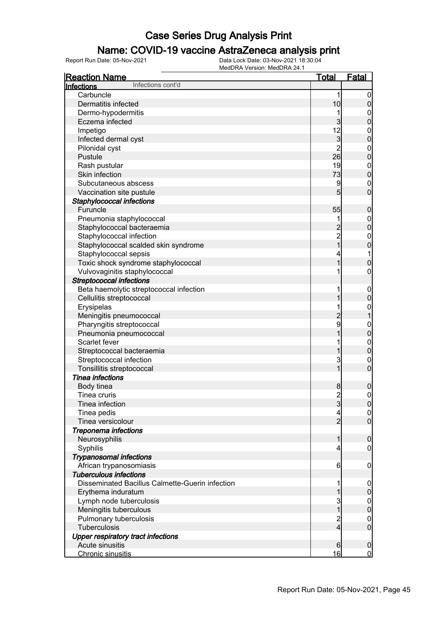### Name: COVID-19 vaccine AstraZeneca analysis print

| <b>Reaction Name</b>                            | <u>Total</u>                               | <b>Fatal</b>                     |
|-------------------------------------------------|--------------------------------------------|----------------------------------|
| Infections cont'd<br>Infections                 |                                            |                                  |
| Carbuncle                                       | 1                                          | $\overline{0}$                   |
| Dermatitis infected                             | 10                                         | $\pmb{0}$                        |
| Dermo-hypodermitis                              | 1                                          | $\mathbf{0}$                     |
| Eczema infected                                 | 3                                          | $\overline{0}$                   |
| Impetigo                                        | 12                                         |                                  |
| Infected dermal cyst                            | $\overline{3}$                             | $0\atop 0$                       |
| Pilonidal cyst                                  | $\overline{2}$                             |                                  |
| Pustule                                         | 26                                         | $\begin{matrix}0\\0\end{matrix}$ |
| Rash pustular                                   | 19                                         | $\boldsymbol{0}$                 |
| Skin infection                                  | 73                                         | $\mathbf 0$                      |
| Subcutaneous abscess                            | 9                                          | $\mathbf{0}$                     |
| Vaccination site pustule                        | 5                                          | $\overline{0}$                   |
| Staphylococcal infections                       |                                            |                                  |
| Furuncle                                        | 55                                         | $\pmb{0}$                        |
| Pneumonia staphylococcal                        | 1                                          | $\boldsymbol{0}$                 |
| Staphylococcal bacteraemia                      |                                            | $\overline{0}$                   |
| Staphylococcal infection                        |                                            | $\mathbf{0}$                     |
| Staphylococcal scalded skin syndrome            | $\begin{array}{c} 2 \\ 2 \\ 1 \end{array}$ | $\overline{0}$                   |
| Staphylococcal sepsis                           | 4                                          | $\mathbf 1$                      |
| Toxic shock syndrome staphylococcal             | 1                                          | $\overline{0}$                   |
| Vulvovaginitis staphylococcal                   | 1                                          | $\pmb{0}$                        |
| <b>Streptococcal infections</b>                 |                                            |                                  |
|                                                 |                                            |                                  |
| Beta haemolytic streptococcal infection         | 1                                          | $\boldsymbol{0}$                 |
| Cellulitis streptococcal                        | 1                                          | $\mathbf 0$                      |
| Erysipelas                                      | 1                                          | $\mathbf{0}$<br>$\overline{1}$   |
| Meningitis pneumococcal                         | $\overline{c}$                             |                                  |
| Pharyngitis streptococcal                       | 9                                          | $0\atop 0$                       |
| Pneumonia pneumococcal                          | $\overline{1}$                             |                                  |
| Scarlet fever                                   | 1                                          | $\begin{matrix}0\\0\end{matrix}$ |
| Streptococcal bacteraemia                       | 1                                          |                                  |
| Streptococcal infection                         | $\mathbf{3}$                               | $\mathbf{0}$                     |
| Tonsillitis streptococcal                       | $\overline{1}$                             | $\overline{0}$                   |
| <b>Tinea infections</b>                         |                                            |                                  |
| Body tinea                                      | 8                                          | $\boldsymbol{0}$                 |
| Tinea cruris                                    | $\overline{2}$                             | $\mathsf{O}\xspace$              |
| Tinea infection                                 | $\mathbf{3}$                               | 0                                |
| Tinea pedis                                     | $\vert 4 \vert$                            | 0                                |
| Tinea versicolour                               | $\overline{2}$                             | $\overline{0}$                   |
| <b>Treponema infections</b>                     |                                            |                                  |
| Neurosyphilis                                   | $\mathbf{1}$                               | $\boldsymbol{0}$                 |
| Syphilis                                        | $\overline{4}$                             | $\overline{0}$                   |
| <b>Trypanosomal infections</b>                  |                                            |                                  |
| African trypanosomiasis                         | 6                                          | $\mathbf 0$                      |
| <b>Tuberculous infections</b>                   |                                            |                                  |
| Disseminated Bacillus Calmette-Guerin infection | 1                                          | $\mathbf 0$                      |
| Erythema induratum                              | 1                                          | $\pmb{0}$                        |
| Lymph node tuberculosis                         | $\mathbf{3}$                               | $\boldsymbol{0}$                 |
| Meningitis tuberculous                          | $\overline{1}$                             | $\mathbf 0$                      |
| Pulmonary tuberculosis                          | $\overline{c}$                             | $\boldsymbol{0}$                 |
| Tuberculosis                                    | $\overline{4}$                             | $\mathbf 0$                      |
| <b>Upper respiratory tract infections</b>       |                                            |                                  |
| Acute sinusitis                                 | $6 \,$                                     | $\mathbf 0$                      |
| Chronic sinusitis                               | 16                                         | $\overline{0}$                   |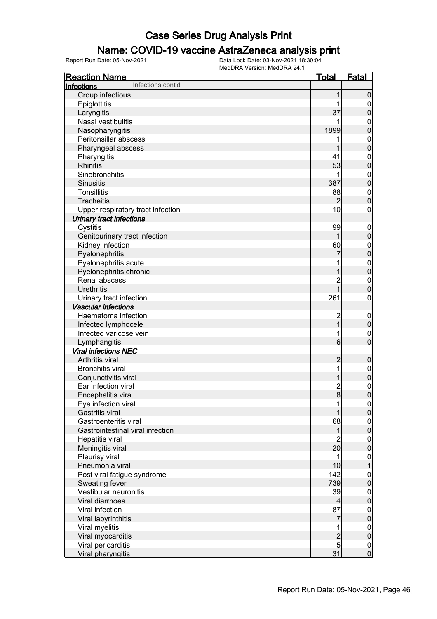#### Name: COVID-19 vaccine AstraZeneca analysis print

| <b>Reaction Name</b>              | <u>Total</u>                     | <b>Fatal</b>                         |
|-----------------------------------|----------------------------------|--------------------------------------|
| Infections cont'd<br>Infections   |                                  |                                      |
| Croup infectious                  | 1                                | $\boldsymbol{0}$                     |
| Epiglottitis                      | 1                                | $\overline{0}$                       |
| Laryngitis                        | 37                               | $\pmb{0}$                            |
| Nasal vestibulitis                |                                  | $\boldsymbol{0}$                     |
| Nasopharyngitis                   | 1899                             | $\overline{0}$                       |
| Peritonsillar abscess             | 1                                |                                      |
| Pharyngeal abscess                | 1                                | $0\atop 0$                           |
| Pharyngitis                       | 41                               |                                      |
| <b>Rhinitis</b>                   | 53                               | $\begin{matrix}0\\0\end{matrix}$     |
| Sinobronchitis                    | 1                                |                                      |
| <b>Sinusitis</b>                  | 387                              | $\begin{matrix} 0 \\ 0 \end{matrix}$ |
| Tonsillitis                       | 88                               | $\boldsymbol{0}$                     |
| <b>Tracheitis</b>                 | $\overline{2}$                   | $\overline{0}$                       |
| Upper respiratory tract infection | 10                               | $\boldsymbol{0}$                     |
| <b>Urinary tract infections</b>   |                                  |                                      |
|                                   | 99                               |                                      |
| Cystitis                          |                                  | $\boldsymbol{0}$                     |
| Genitourinary tract infection     | 1                                | $\mathbf 0$                          |
| Kidney infection                  | 60                               | $0\atop 0$                           |
| Pyelonephritis                    | 7                                |                                      |
| Pyelonephritis acute              | 1                                | $\begin{matrix} 0 \\ 0 \end{matrix}$ |
| Pyelonephritis chronic            | 1                                |                                      |
| Renal abscess                     | $\overline{c}$<br>$\overline{1}$ | $\mathbf{0}$                         |
| <b>Urethritis</b>                 |                                  | $\overline{0}$                       |
| Urinary tract infection           | 261                              | $\mathbf 0$                          |
| <b>Vascular infections</b>        |                                  |                                      |
| Haematoma infection               | $\overline{\mathbf{c}}$          | $\boldsymbol{0}$                     |
| Infected lymphocele               | $\overline{1}$                   | $\mathbf 0$                          |
| Infected varicose vein            | 1                                | $\boldsymbol{0}$                     |
| Lymphangitis                      | $6 \overline{6}$                 | $\overline{0}$                       |
| <b>Viral infections NEC</b>       |                                  |                                      |
| Arthritis viral                   | $\overline{c}$                   | $\boldsymbol{0}$                     |
| <b>Bronchitis viral</b>           | 1                                | $\boldsymbol{0}$                     |
| Conjunctivitis viral              | 1                                | $\mathbf 0$                          |
| Ear infection viral               | $\frac{2}{8}$                    | $\begin{matrix} 0 \\ 0 \end{matrix}$ |
| Encephalitis viral                |                                  |                                      |
| Eye infection viral               | 1                                | 0                                    |
| <b>Gastritis viral</b>            | 1                                | 0                                    |
| Gastroenteritis viral             | 68                               | $\overline{0}$                       |
| Gastrointestinal viral infection  | 1                                | $\mathbf 0$                          |
| Hepatitis viral                   | $\overline{c}$                   | $\boldsymbol{0}$                     |
| Meningitis viral                  | 20                               | $\mathbf 0$                          |
| Pleurisy viral                    | 1                                |                                      |
| Pneumonia viral                   | 10                               | $\begin{matrix} 0 \\ 1 \end{matrix}$ |
| Post viral fatigue syndrome       | 142                              |                                      |
| Sweating fever                    | 739                              | $0\atop 0$                           |
| Vestibular neuronitis             | 39                               | $\boldsymbol{0}$                     |
| Viral diarrhoea                   | $\overline{4}$                   | $\mathbf 0$                          |
| Viral infection                   | 87                               | $\boldsymbol{0}$                     |
| Viral labyrinthitis               | 7                                | $\mathbf 0$                          |
| Viral myelitis                    | 1                                | $\boldsymbol{0}$                     |
| Viral myocarditis                 |                                  | $\mathbf 0$                          |
| Viral pericarditis                | $\frac{2}{5}$                    |                                      |
| Viral pharyngitis                 | 31                               | $\begin{matrix} 0 \\ 0 \end{matrix}$ |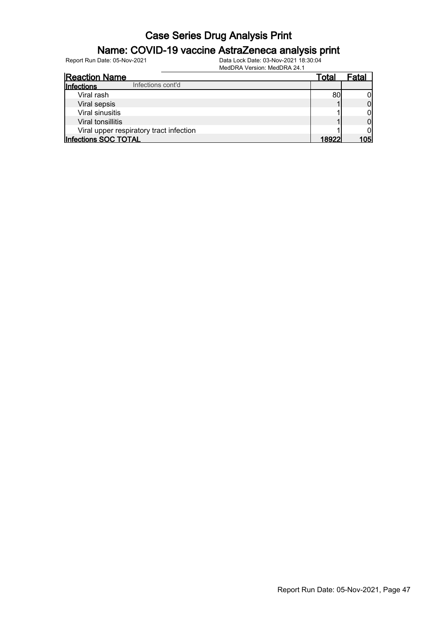### Name: COVID-19 vaccine AstraZeneca analysis print

| <b>Reaction Name</b>                    | Total  | Fatal |
|-----------------------------------------|--------|-------|
| Infections cont'd<br><b>Infections</b>  |        |       |
| Viral rash                              | 80     |       |
| Viral sepsis                            |        |       |
| Viral sinusitis                         |        |       |
| Viral tonsillitis                       |        |       |
| Viral upper respiratory tract infection |        |       |
| Infections SOC TOTAL                    | 18922. | 1051  |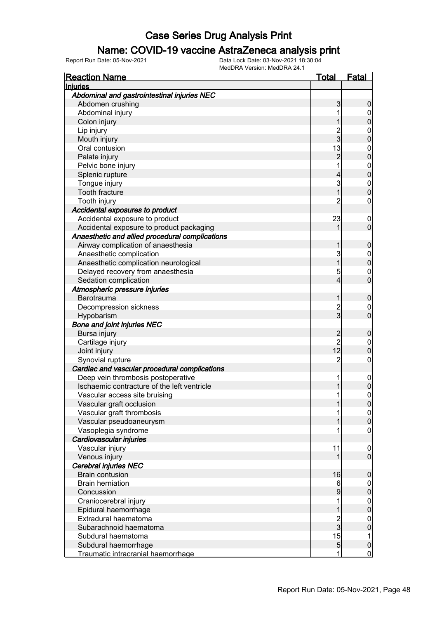#### Name: COVID-19 vaccine AstraZeneca analysis print

| <b>Reaction Name</b>                            | <u>Total</u>   | <b>Fatal</b>     |
|-------------------------------------------------|----------------|------------------|
| Injuries                                        |                |                  |
| Abdominal and gastrointestinal injuries NEC     |                |                  |
| Abdomen crushing                                | 3              | 0                |
| Abdominal injury                                |                | 0                |
| Colon injury                                    |                | 0                |
| Lip injury                                      |                | 0                |
| Mouth injury                                    | 2<br>3         | 0                |
| Oral contusion                                  | 13             | $\mathbf{0}$     |
| Palate injury                                   | 2              | 0                |
| Pelvic bone injury                              | 1              | $\mathbf{0}$     |
| Splenic rupture                                 | 4              | 0                |
| Tongue injury                                   | 3              | $\mathbf{0}$     |
| <b>Tooth fracture</b>                           | 1              | O                |
| Tooth injury                                    | 2              | 0                |
| Accidental exposures to product                 |                |                  |
| Accidental exposure to product                  | 23             | $\boldsymbol{0}$ |
| Accidental exposure to product packaging        |                | 0                |
|                                                 |                |                  |
| Anaesthetic and allied procedural complications |                |                  |
| Airway complication of anaesthesia              |                | 0                |
| Anaesthetic complication                        | 3              | $\mathbf{0}$     |
| Anaesthetic complication neurological           |                | 0                |
| Delayed recovery from anaesthesia               | 5              | $\mathbf 0$      |
| Sedation complication                           | 4              | 0                |
| Atmospheric pressure injuries                   |                |                  |
| <b>Barotrauma</b>                               |                | 0                |
| Decompression sickness                          | $\frac{2}{3}$  | 0                |
| Hypobarism                                      |                | 0                |
| <b>Bone and joint injuries NEC</b>              |                |                  |
| Bursa injury                                    | $\overline{c}$ | 0                |
| Cartilage injury                                | $\overline{c}$ | $\mathbf{0}$     |
| Joint injury                                    | 12             | $\Omega$         |
| Synovial rupture                                | $\overline{c}$ | 0                |
| Cardiac and vascular procedural complications   |                |                  |
| Deep vein thrombosis postoperative              | 1              | $\mathbf 0$      |
| Ischaemic contracture of the left ventricle     |                | 0                |
| Vascular access site bruising                   | 1              | 0                |
| Vascular graft occlusion                        |                | $\overline{0}$   |
| Vascular graft thrombosis                       | 1              | $\overline{0}$   |
| Vascular pseudoaneurysm                         |                | 0                |
| Vasoplegia syndrome                             |                | 0                |
| Cardiovascular injuries                         |                |                  |
| Vascular injury                                 | 11             | $\mathbf 0$      |
| Venous injury                                   |                | $\overline{0}$   |
| Cerebral injuries NEC                           |                |                  |
| <b>Brain contusion</b>                          | 16             | 0                |
| <b>Brain herniation</b>                         | 6              | 0                |
| Concussion                                      | 9              | 0                |
| Craniocerebral injury                           | 1              | $\boldsymbol{0}$ |
| Epidural haemorrhage                            |                | 0                |
| Extradural haematoma                            |                | $\boldsymbol{0}$ |
| Subarachnoid haematoma                          | 2<br>3         | 0                |
| Subdural haematoma                              | 15             | 1                |
| Subdural haemorrhage                            | $\overline{5}$ | 0                |
| Traumatic intracranial haemorrhage              | 1              | $\mathbf 0$      |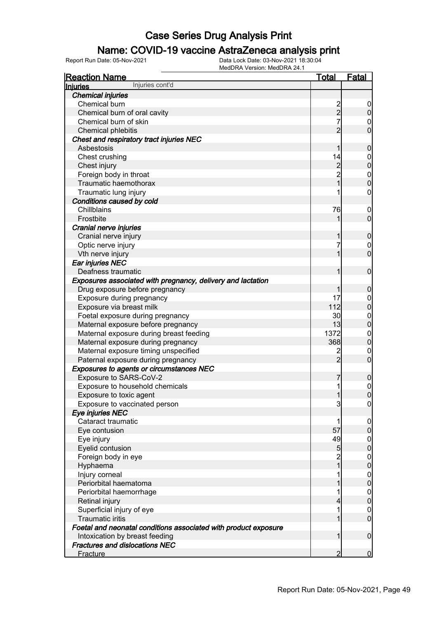### Name: COVID-19 vaccine AstraZeneca analysis print

| <b>Reaction Name</b>                                            | <b>Total</b>                               | <b>Fatal</b>                         |
|-----------------------------------------------------------------|--------------------------------------------|--------------------------------------|
| Injuries cont'd<br><b>Injuries</b>                              |                                            |                                      |
| <b>Chemical injuries</b>                                        |                                            |                                      |
| Chemical burn                                                   | $\frac{2}{2}$                              | $\overline{0}$                       |
| Chemical burn of oral cavity                                    |                                            | $\mathbf 0$                          |
| Chemical burn of skin                                           | $\overline{7}$                             | $\boldsymbol{0}$                     |
| Chemical phlebitis                                              | $\overline{2}$                             | $\overline{0}$                       |
| Chest and respiratory tract injuries NEC                        |                                            |                                      |
| Asbestosis                                                      | 1                                          | $\boldsymbol{0}$                     |
| Chest crushing                                                  | 14                                         | $0$<br>0                             |
| Chest injury                                                    | $\begin{array}{c} 2 \\ 2 \\ 1 \end{array}$ |                                      |
| Foreign body in throat                                          |                                            | $0\atop 0$                           |
| Traumatic haemothorax                                           |                                            |                                      |
| Traumatic lung injury                                           | 1                                          | $\pmb{0}$                            |
| Conditions caused by cold                                       |                                            |                                      |
| Chillblains                                                     | 76                                         | $\boldsymbol{0}$                     |
| Frostbite                                                       | 1                                          | $\overline{0}$                       |
| Cranial nerve injuries                                          |                                            |                                      |
| Cranial nerve injury                                            | 1                                          | $\pmb{0}$                            |
| Optic nerve injury                                              | 7                                          | $0$<br>0                             |
| Vth nerve injury                                                | 1                                          |                                      |
| Ear injuries NEC                                                |                                            |                                      |
| Deafness traumatic                                              | 1                                          | $\mathbf 0$                          |
| Exposures associated with pregnancy, delivery and lactation     |                                            |                                      |
| Drug exposure before pregnancy                                  | 1                                          | $\mathbf 0$                          |
| Exposure during pregnancy                                       | 17                                         | $0$<br>0                             |
| Exposure via breast milk                                        | 112                                        |                                      |
| Foetal exposure during pregnancy                                | 30                                         | $0\atop 0$                           |
| Maternal exposure before pregnancy                              | 13                                         |                                      |
| Maternal exposure during breast feeding                         | 1372                                       | $0\atop 0$                           |
| Maternal exposure during pregnancy                              | 368                                        |                                      |
| Maternal exposure timing unspecified                            | $\overline{\mathbf{c}}$<br>$\overline{2}$  | $\begin{matrix} 0 \\ 0 \end{matrix}$ |
| Paternal exposure during pregnancy                              |                                            |                                      |
| <b>Exposures to agents or circumstances NEC</b>                 |                                            |                                      |
| Exposure to SARS-CoV-2                                          | 7<br>1                                     | $\mathbf 0$                          |
| Exposure to household chemicals<br>Exposure to toxic agent      | 1                                          | $\begin{matrix} 0 \\ 0 \end{matrix}$ |
| Exposure to vaccinated person                                   | 3                                          |                                      |
| Eye injuries NEC                                                |                                            | 0                                    |
| Cataract traumatic                                              | 1                                          | $\overline{0}$                       |
| Eye contusion                                                   | 57                                         | $\pmb{0}$                            |
| Eye injury                                                      | 49                                         | $\overline{0}$                       |
| Eyelid contusion                                                | 5                                          | $\pmb{0}$                            |
| Foreign body in eye                                             |                                            | $\boldsymbol{0}$                     |
| Hyphaema                                                        | $\frac{2}{1}$                              | $\mathbf 0$                          |
| Injury corneal                                                  | 1                                          | $\boldsymbol{0}$                     |
| Periorbital haematoma                                           | 1                                          | $\mathbf 0$                          |
| Periorbital haemorrhage                                         | 1                                          | $\boldsymbol{0}$                     |
| Retinal injury                                                  | 4                                          | $\mathbf 0$                          |
| Superficial injury of eye                                       | 1                                          | $\boldsymbol{0}$                     |
| <b>Traumatic iritis</b>                                         | 1                                          | $\mathbf 0$                          |
| Foetal and neonatal conditions associated with product exposure |                                            |                                      |
| Intoxication by breast feeding                                  | 1                                          | $\mathbf 0$                          |
| <b>Fractures and dislocations NEC</b>                           |                                            |                                      |
| Fracture                                                        | $\overline{2}$                             | $\overline{0}$                       |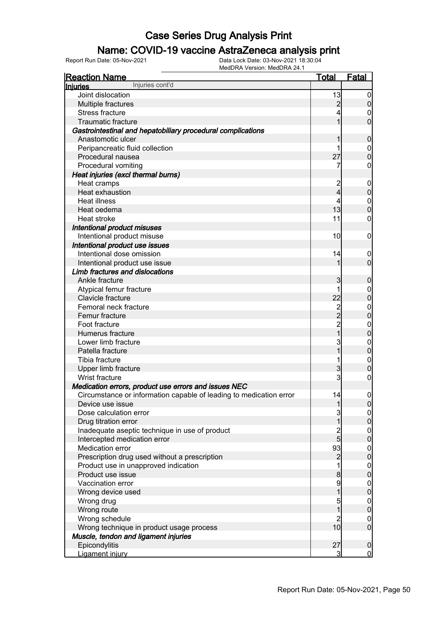### Name: COVID-19 vaccine AstraZeneca analysis print

| <b>Reaction Name</b>                                               | <u>Total</u>     | <b>Fatal</b>                         |
|--------------------------------------------------------------------|------------------|--------------------------------------|
| Injuries cont'd<br><b>Injuries</b>                                 |                  |                                      |
| Joint dislocation                                                  | 13               | $\boldsymbol{0}$                     |
| Multiple fractures                                                 | $\overline{2}$   | $\overline{0}$                       |
| <b>Stress fracture</b>                                             | 4                | $\overline{0}$                       |
| Traumatic fracture                                                 | 1                | $\mathbf 0$                          |
| Gastrointestinal and hepatobiliary procedural complications        |                  |                                      |
| Anastomotic ulcer                                                  | 1                | $\boldsymbol{0}$                     |
| Peripancreatic fluid collection                                    | 1                | $\overline{0}$                       |
| Procedural nausea                                                  | 27               | $\mathbf 0$                          |
| Procedural vomiting                                                | 7                | 0                                    |
| Heat injuries (excl thermal burns)                                 |                  |                                      |
| Heat cramps                                                        | $\overline{c}$   | $\mathbf 0$                          |
| Heat exhaustion                                                    | $\overline{4}$   | $\pmb{0}$                            |
| <b>Heat illness</b>                                                | 4                | $\mathbf 0$                          |
| Heat oedema                                                        | 13               | $\mathbf 0$                          |
| Heat stroke                                                        | 11               | 0                                    |
| Intentional product misuses                                        |                  |                                      |
| Intentional product misuse                                         | 10               | $\mathbf 0$                          |
| Intentional product use issues                                     |                  |                                      |
| Intentional dose omission                                          | 14               | $\mathbf 0$                          |
| Intentional product use issue                                      | 1                | $\mathbf 0$                          |
| Limb fractures and dislocations                                    |                  |                                      |
| Ankle fracture                                                     | 3                | $\boldsymbol{0}$                     |
| Atypical femur fracture                                            | 1                | $\boldsymbol{0}$                     |
| Clavicle fracture                                                  | 22               | $\mathbf 0$                          |
| Femoral neck fracture                                              |                  | $\mathbf{0}$                         |
| Femur fracture                                                     |                  | $\bf{0}$                             |
| Foot fracture                                                      | 2<br>2<br>2<br>1 | $\mathbf{0}$                         |
| Humerus fracture                                                   |                  | $\mathbf 0$                          |
| Lower limb fracture                                                | 3                | $\mathbf{0}$                         |
| Patella fracture                                                   | 1                | $\mathbf 0$                          |
| Tibia fracture                                                     | 1                | $\mathbf{0}$                         |
| Upper limb fracture                                                | 3                | $\mathbf 0$                          |
| Wrist fracture                                                     | 3                | $\boldsymbol{0}$                     |
| Medication errors, product use errors and issues NEC               |                  |                                      |
| Circumstance or information capable of leading to medication error | 14               | $\mathbf 0$                          |
| Device use issue                                                   | 1                | $\overline{0}$                       |
| Dose calculation error                                             | $\overline{3}$   | 이                                    |
| Drug titration error                                               | $\overline{1}$   | $\overline{0}$                       |
| Inadequate aseptic technique in use of product                     | $\frac{2}{5}$    |                                      |
| Intercepted medication error                                       |                  | $\begin{matrix} 0 \\ 0 \end{matrix}$ |
| Medication error                                                   | 93               |                                      |
| Prescription drug used without a prescription                      | $\overline{c}$   | $\begin{matrix} 0 \\ 0 \end{matrix}$ |
| Product use in unapproved indication                               | 1                | $\begin{matrix} 0 \\ 0 \end{matrix}$ |
| Product use issue                                                  | $\bf{8}$         |                                      |
| Vaccination error                                                  | 9                | $\begin{matrix} 0 \\ 0 \end{matrix}$ |
| Wrong device used                                                  | $\overline{1}$   |                                      |
| Wrong drug                                                         | 5                |                                      |
| Wrong route                                                        | $\mathbf 1$      | $\begin{matrix} 0 \\ 0 \end{matrix}$ |
| Wrong schedule                                                     | $\overline{2}$   | $0\atop 0$                           |
| Wrong technique in product usage process                           | 10               |                                      |
| Muscle, tendon and ligament injuries                               |                  |                                      |
| Epicondylitis                                                      | 27               | $\mathbf 0$                          |
| Ligament injury                                                    | $\overline{3}$   | $\overline{0}$                       |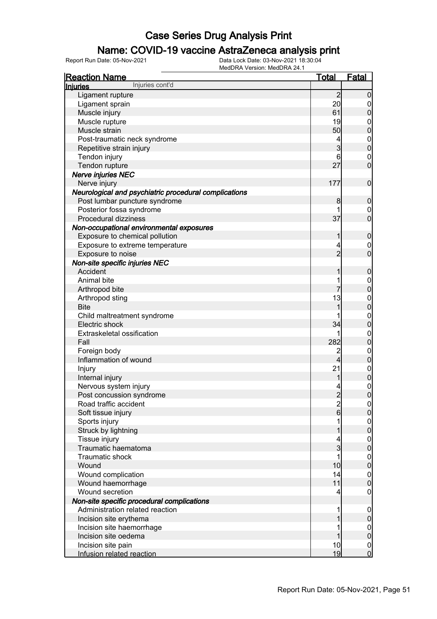### Name: COVID-19 vaccine AstraZeneca analysis print

| <b>Reaction Name</b>                                  | <u>Total</u>   | <b>Fatal</b>                         |
|-------------------------------------------------------|----------------|--------------------------------------|
| Injuries cont'd<br><b>Injuries</b>                    |                |                                      |
| Ligament rupture                                      | $\overline{2}$ | $\mathbf 0$                          |
| Ligament sprain                                       | 20             | $\boldsymbol{0}$                     |
| Muscle injury                                         | 61             | $\mathbf 0$                          |
| Muscle rupture                                        | 19             |                                      |
| Muscle strain                                         | 50             | $0\atop 0$                           |
| Post-traumatic neck syndrome                          | 4              |                                      |
| Repetitive strain injury                              | 3              | $0\atop 0$                           |
| Tendon injury                                         | 6              |                                      |
| Tendon rupture                                        | 27             | $\begin{matrix}0\\0\end{matrix}$     |
| Nerve injuries NEC                                    |                |                                      |
| Nerve injury                                          | 177            | $\boldsymbol{0}$                     |
| Neurological and psychiatric procedural complications |                |                                      |
| Post lumbar puncture syndrome                         | 8              | $\boldsymbol{0}$                     |
| Posterior fossa syndrome                              | 1              | $\mathbf{0}$                         |
| Procedural dizziness                                  | 37             | $\overline{0}$                       |
| Non-occupational environmental exposures              |                |                                      |
| Exposure to chemical pollution                        | 1              | $\boldsymbol{0}$                     |
| Exposure to extreme temperature                       | 4              |                                      |
| Exposure to noise                                     | $\overline{2}$ | $\begin{matrix} 0 \\ 0 \end{matrix}$ |
| Non-site specific injuries NEC                        |                |                                      |
| Accident                                              | 1              | $\boldsymbol{0}$                     |
| Animal bite                                           | 1              |                                      |
| Arthropod bite                                        |                | $\begin{matrix}0\\0\end{matrix}$     |
| Arthropod sting                                       | 13             |                                      |
| <b>Bite</b>                                           | 1              | $\begin{matrix}0\\0\end{matrix}$     |
| Child maltreatment syndrome                           |                |                                      |
| Electric shock                                        | 34             | $\begin{matrix}0\\0\end{matrix}$     |
| Extraskeletal ossification                            | 1              |                                      |
| Fall                                                  | 282            | $\begin{matrix}0\\0\end{matrix}$     |
| Foreign body                                          | $\overline{c}$ |                                      |
| Inflammation of wound                                 | 4              | $0\atop 0$                           |
| Injury                                                | 21             |                                      |
| Internal injury                                       | 1              | $\begin{matrix}0\\0\end{matrix}$     |
| Nervous system injury                                 | 4              |                                      |
| Post concussion syndrome                              | $\overline{2}$ | $\begin{matrix} 0 \\ 0 \end{matrix}$ |
| Road traffic accident                                 |                |                                      |
| Soft tissue injury                                    | $\frac{2}{6}$  | 이<br>$\overline{0}$                  |
| Sports injury                                         | 1              |                                      |
| Struck by lightning                                   | 1              | $0\atop 0$                           |
| Tissue injury                                         | 4              |                                      |
| Traumatic haematoma                                   | $\overline{3}$ | $0\atop 0$                           |
| Traumatic shock                                       | 1              |                                      |
| Wound                                                 | 10             | $0\atop 0$                           |
| Wound complication                                    | 14             |                                      |
| Wound haemorrhage                                     | 11             | $\begin{matrix} 0 \\ 0 \end{matrix}$ |
| Wound secretion                                       | 4              | $\boldsymbol{0}$                     |
| Non-site specific procedural complications            |                |                                      |
| Administration related reaction                       | 1              |                                      |
| Incision site erythema                                | 1              | $\boldsymbol{0}$<br>$\pmb{0}$        |
| Incision site haemorrhage                             | 1              |                                      |
| Incision site oedema                                  | 1              | $\boldsymbol{0}$<br>$\mathbf 0$      |
| Incision site pain                                    | 10             |                                      |
| Infusion related reaction                             | 19             | $\begin{matrix}0\\0\end{matrix}$     |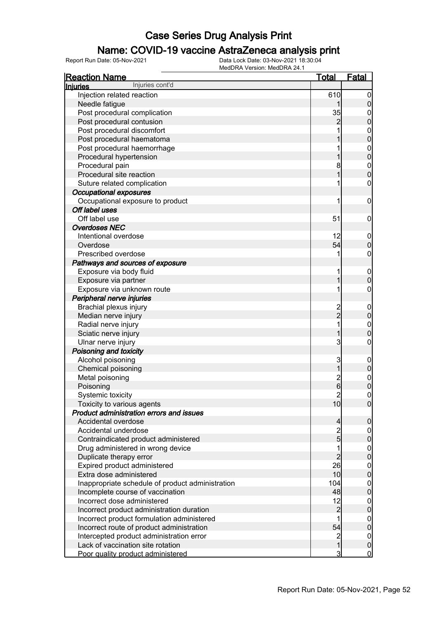### Name: COVID-19 vaccine AstraZeneca analysis print

| Injuries cont'd<br>Injuries<br>Injection related reaction<br>610<br>Needle fatigue<br>Post procedural complication<br>35<br>Post procedural contusion<br>2<br>Post procedural discomfort<br>Post procedural haematoma<br>Post procedural haemorrhage<br>Procedural hypertension<br>Procedural pain<br>8<br>Procedural site reaction<br>Suture related complication<br>1<br><b>Occupational exposures</b><br>Occupational exposure to product<br>1<br>Off label uses<br>Off label use<br>51<br><b>Overdoses NEC</b><br>Intentional overdose<br>12<br>54<br>Overdose<br>Prescribed overdose<br>1<br>Pathways and sources of exposure<br>Exposure via body fluid<br>1<br>Exposure via partner<br>Exposure via unknown route<br>1<br>Peripheral nerve injuries<br>Brachial plexus injury<br>2<br>–<br>2<br>Median nerve injury<br>Radial nerve injury<br>1<br>Sciatic nerve injury<br>3<br>Ulnar nerve injury<br>Poisoning and toxicity<br>Alcohol poisoning<br>3 | 0<br>0<br>0<br>0<br>$\mathbf{0}$<br>0<br>$\mathbf{0}$<br>0<br>$\mathbf{0}$<br>O<br>0<br>0<br>0<br>0<br>0<br>0 |
|---------------------------------------------------------------------------------------------------------------------------------------------------------------------------------------------------------------------------------------------------------------------------------------------------------------------------------------------------------------------------------------------------------------------------------------------------------------------------------------------------------------------------------------------------------------------------------------------------------------------------------------------------------------------------------------------------------------------------------------------------------------------------------------------------------------------------------------------------------------------------------------------------------------------------------------------------------------|---------------------------------------------------------------------------------------------------------------|
|                                                                                                                                                                                                                                                                                                                                                                                                                                                                                                                                                                                                                                                                                                                                                                                                                                                                                                                                                               |                                                                                                               |
|                                                                                                                                                                                                                                                                                                                                                                                                                                                                                                                                                                                                                                                                                                                                                                                                                                                                                                                                                               |                                                                                                               |
|                                                                                                                                                                                                                                                                                                                                                                                                                                                                                                                                                                                                                                                                                                                                                                                                                                                                                                                                                               |                                                                                                               |
|                                                                                                                                                                                                                                                                                                                                                                                                                                                                                                                                                                                                                                                                                                                                                                                                                                                                                                                                                               |                                                                                                               |
|                                                                                                                                                                                                                                                                                                                                                                                                                                                                                                                                                                                                                                                                                                                                                                                                                                                                                                                                                               |                                                                                                               |
|                                                                                                                                                                                                                                                                                                                                                                                                                                                                                                                                                                                                                                                                                                                                                                                                                                                                                                                                                               |                                                                                                               |
|                                                                                                                                                                                                                                                                                                                                                                                                                                                                                                                                                                                                                                                                                                                                                                                                                                                                                                                                                               |                                                                                                               |
|                                                                                                                                                                                                                                                                                                                                                                                                                                                                                                                                                                                                                                                                                                                                                                                                                                                                                                                                                               |                                                                                                               |
|                                                                                                                                                                                                                                                                                                                                                                                                                                                                                                                                                                                                                                                                                                                                                                                                                                                                                                                                                               |                                                                                                               |
|                                                                                                                                                                                                                                                                                                                                                                                                                                                                                                                                                                                                                                                                                                                                                                                                                                                                                                                                                               |                                                                                                               |
|                                                                                                                                                                                                                                                                                                                                                                                                                                                                                                                                                                                                                                                                                                                                                                                                                                                                                                                                                               |                                                                                                               |
|                                                                                                                                                                                                                                                                                                                                                                                                                                                                                                                                                                                                                                                                                                                                                                                                                                                                                                                                                               |                                                                                                               |
|                                                                                                                                                                                                                                                                                                                                                                                                                                                                                                                                                                                                                                                                                                                                                                                                                                                                                                                                                               |                                                                                                               |
|                                                                                                                                                                                                                                                                                                                                                                                                                                                                                                                                                                                                                                                                                                                                                                                                                                                                                                                                                               |                                                                                                               |
|                                                                                                                                                                                                                                                                                                                                                                                                                                                                                                                                                                                                                                                                                                                                                                                                                                                                                                                                                               |                                                                                                               |
|                                                                                                                                                                                                                                                                                                                                                                                                                                                                                                                                                                                                                                                                                                                                                                                                                                                                                                                                                               |                                                                                                               |
|                                                                                                                                                                                                                                                                                                                                                                                                                                                                                                                                                                                                                                                                                                                                                                                                                                                                                                                                                               |                                                                                                               |
|                                                                                                                                                                                                                                                                                                                                                                                                                                                                                                                                                                                                                                                                                                                                                                                                                                                                                                                                                               |                                                                                                               |
|                                                                                                                                                                                                                                                                                                                                                                                                                                                                                                                                                                                                                                                                                                                                                                                                                                                                                                                                                               |                                                                                                               |
|                                                                                                                                                                                                                                                                                                                                                                                                                                                                                                                                                                                                                                                                                                                                                                                                                                                                                                                                                               |                                                                                                               |
|                                                                                                                                                                                                                                                                                                                                                                                                                                                                                                                                                                                                                                                                                                                                                                                                                                                                                                                                                               |                                                                                                               |
|                                                                                                                                                                                                                                                                                                                                                                                                                                                                                                                                                                                                                                                                                                                                                                                                                                                                                                                                                               | $\mathbf 0$                                                                                                   |
|                                                                                                                                                                                                                                                                                                                                                                                                                                                                                                                                                                                                                                                                                                                                                                                                                                                                                                                                                               | 0                                                                                                             |
|                                                                                                                                                                                                                                                                                                                                                                                                                                                                                                                                                                                                                                                                                                                                                                                                                                                                                                                                                               | 0                                                                                                             |
|                                                                                                                                                                                                                                                                                                                                                                                                                                                                                                                                                                                                                                                                                                                                                                                                                                                                                                                                                               |                                                                                                               |
|                                                                                                                                                                                                                                                                                                                                                                                                                                                                                                                                                                                                                                                                                                                                                                                                                                                                                                                                                               | 0                                                                                                             |
|                                                                                                                                                                                                                                                                                                                                                                                                                                                                                                                                                                                                                                                                                                                                                                                                                                                                                                                                                               | 0                                                                                                             |
|                                                                                                                                                                                                                                                                                                                                                                                                                                                                                                                                                                                                                                                                                                                                                                                                                                                                                                                                                               | $\mathbf{0}$                                                                                                  |
|                                                                                                                                                                                                                                                                                                                                                                                                                                                                                                                                                                                                                                                                                                                                                                                                                                                                                                                                                               | 0                                                                                                             |
|                                                                                                                                                                                                                                                                                                                                                                                                                                                                                                                                                                                                                                                                                                                                                                                                                                                                                                                                                               | 0                                                                                                             |
|                                                                                                                                                                                                                                                                                                                                                                                                                                                                                                                                                                                                                                                                                                                                                                                                                                                                                                                                                               |                                                                                                               |
|                                                                                                                                                                                                                                                                                                                                                                                                                                                                                                                                                                                                                                                                                                                                                                                                                                                                                                                                                               | 0                                                                                                             |
| Chemical poisoning                                                                                                                                                                                                                                                                                                                                                                                                                                                                                                                                                                                                                                                                                                                                                                                                                                                                                                                                            | 0                                                                                                             |
| Metal poisoning<br>$\overline{\mathbf{c}}$                                                                                                                                                                                                                                                                                                                                                                                                                                                                                                                                                                                                                                                                                                                                                                                                                                                                                                                    | $\mathbf{0}$                                                                                                  |
| 6<br>Poisoning                                                                                                                                                                                                                                                                                                                                                                                                                                                                                                                                                                                                                                                                                                                                                                                                                                                                                                                                                | 0                                                                                                             |
| $\overline{c}$<br>Systemic toxicity                                                                                                                                                                                                                                                                                                                                                                                                                                                                                                                                                                                                                                                                                                                                                                                                                                                                                                                           | 0                                                                                                             |
| Toxicity to various agents<br>10 <sup>1</sup>                                                                                                                                                                                                                                                                                                                                                                                                                                                                                                                                                                                                                                                                                                                                                                                                                                                                                                                 | $\Omega$                                                                                                      |
| Product administration errors and issues                                                                                                                                                                                                                                                                                                                                                                                                                                                                                                                                                                                                                                                                                                                                                                                                                                                                                                                      |                                                                                                               |
| Accidental overdose<br>4                                                                                                                                                                                                                                                                                                                                                                                                                                                                                                                                                                                                                                                                                                                                                                                                                                                                                                                                      | 0                                                                                                             |
| $\overline{2}$<br>Accidental underdose                                                                                                                                                                                                                                                                                                                                                                                                                                                                                                                                                                                                                                                                                                                                                                                                                                                                                                                        | 0                                                                                                             |
| $\overline{5}$<br>Contraindicated product administered                                                                                                                                                                                                                                                                                                                                                                                                                                                                                                                                                                                                                                                                                                                                                                                                                                                                                                        | 0                                                                                                             |
| Drug administered in wrong device                                                                                                                                                                                                                                                                                                                                                                                                                                                                                                                                                                                                                                                                                                                                                                                                                                                                                                                             | 0                                                                                                             |
| 2<br>Duplicate therapy error                                                                                                                                                                                                                                                                                                                                                                                                                                                                                                                                                                                                                                                                                                                                                                                                                                                                                                                                  | 0                                                                                                             |
| 26<br>Expired product administered                                                                                                                                                                                                                                                                                                                                                                                                                                                                                                                                                                                                                                                                                                                                                                                                                                                                                                                            | 0                                                                                                             |
| Extra dose administered<br>10                                                                                                                                                                                                                                                                                                                                                                                                                                                                                                                                                                                                                                                                                                                                                                                                                                                                                                                                 | $\overline{0}$                                                                                                |
| Inappropriate schedule of product administration<br>104                                                                                                                                                                                                                                                                                                                                                                                                                                                                                                                                                                                                                                                                                                                                                                                                                                                                                                       | 0                                                                                                             |
| Incomplete course of vaccination<br>48                                                                                                                                                                                                                                                                                                                                                                                                                                                                                                                                                                                                                                                                                                                                                                                                                                                                                                                        | 0                                                                                                             |
| Incorrect dose administered<br>12                                                                                                                                                                                                                                                                                                                                                                                                                                                                                                                                                                                                                                                                                                                                                                                                                                                                                                                             | 0                                                                                                             |
| $\overline{2}$<br>Incorrect product administration duration                                                                                                                                                                                                                                                                                                                                                                                                                                                                                                                                                                                                                                                                                                                                                                                                                                                                                                   | 0                                                                                                             |
| Incorrect product formulation administered                                                                                                                                                                                                                                                                                                                                                                                                                                                                                                                                                                                                                                                                                                                                                                                                                                                                                                                    | 0                                                                                                             |
| 54<br>Incorrect route of product administration                                                                                                                                                                                                                                                                                                                                                                                                                                                                                                                                                                                                                                                                                                                                                                                                                                                                                                               | 0                                                                                                             |
| $\overline{c}$                                                                                                                                                                                                                                                                                                                                                                                                                                                                                                                                                                                                                                                                                                                                                                                                                                                                                                                                                |                                                                                                               |
| Intercepted product administration error<br>Lack of vaccination site rotation<br>1                                                                                                                                                                                                                                                                                                                                                                                                                                                                                                                                                                                                                                                                                                                                                                                                                                                                            |                                                                                                               |
| 3<br>Poor quality product administered                                                                                                                                                                                                                                                                                                                                                                                                                                                                                                                                                                                                                                                                                                                                                                                                                                                                                                                        | $\mathbf 0$<br>$\boldsymbol{0}$                                                                               |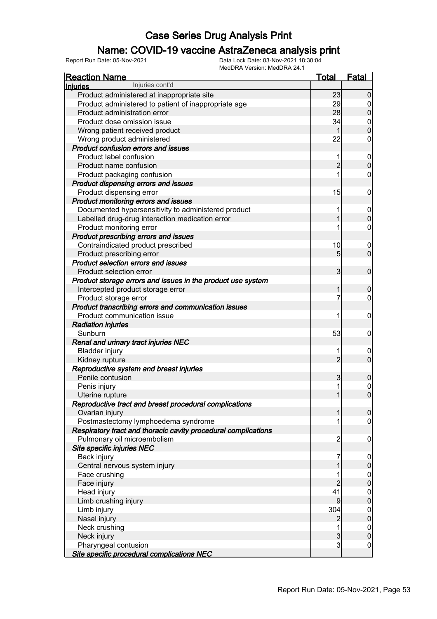### Name: COVID-19 vaccine AstraZeneca analysis print

| <b>Fatal</b><br>Injuries cont'd<br>Injuries<br>Product administered at inappropriate site<br>23<br>$\Omega$<br>Product administered to patient of inappropriate age<br>29<br>0<br>Product administration error<br>28<br>0<br>Product dose omission issue<br>34<br>$\mathbf 0$<br>0<br>Wrong patient received product<br>22<br>Wrong product administered<br>0<br>Product confusion errors and issues<br>Product label confusion<br>1<br>$\mathbf 0$<br>$\overline{2}$<br>Product name confusion<br>$\overline{0}$<br>1<br>Product packaging confusion<br>0<br>Product dispensing errors and issues<br>Product dispensing error<br>15<br>0<br>Product monitoring errors and issues<br>Documented hypersensitivity to administered product<br>1<br>$\mathbf 0$<br>Labelled drug-drug interaction medication error<br>$\overline{0}$<br>Product monitoring error<br>0<br>Product prescribing errors and issues<br>Contraindicated product prescribed<br>10<br>$\overline{0}$<br>$\overline{0}$<br>Product prescribing error<br>5<br>Product selection errors and issues<br>Product selection error<br>3<br>$\mathbf 0$<br>Product storage errors and issues in the product use system<br>Intercepted product storage error<br>0<br>7<br>Product storage error<br>0<br>Product transcribing errors and communication issues<br>Product communication issue<br>1<br>0<br><b>Radiation injuries</b><br>53<br>Sunburn<br>0<br>Renal and urinary tract injuries NEC<br><b>Bladder injury</b><br>1<br>$\overline{0}$<br>$\overline{2}$<br>$\overline{0}$<br>Kidney rupture<br>Reproductive system and breast injuries<br>Penile contusion<br>3<br>$\boldsymbol{0}$<br>1<br>Penis injury<br>$\boldsymbol{0}$<br>$\overline{0}$<br>Uterine rupture<br>Reproductive tract and breast procedural complications<br>Ovarian injury<br>$\overline{0}$<br>1<br>Postmastectomy lymphoedema syndrome<br>1<br>$\overline{0}$ |
|----------------------------------------------------------------------------------------------------------------------------------------------------------------------------------------------------------------------------------------------------------------------------------------------------------------------------------------------------------------------------------------------------------------------------------------------------------------------------------------------------------------------------------------------------------------------------------------------------------------------------------------------------------------------------------------------------------------------------------------------------------------------------------------------------------------------------------------------------------------------------------------------------------------------------------------------------------------------------------------------------------------------------------------------------------------------------------------------------------------------------------------------------------------------------------------------------------------------------------------------------------------------------------------------------------------------------------------------------------------------------------------------------------------------------------------------------------------------------------------------------------------------------------------------------------------------------------------------------------------------------------------------------------------------------------------------------------------------------------------------------------------------------------------------------------------------------------------------------------------------------------------------------------|
|                                                                                                                                                                                                                                                                                                                                                                                                                                                                                                                                                                                                                                                                                                                                                                                                                                                                                                                                                                                                                                                                                                                                                                                                                                                                                                                                                                                                                                                                                                                                                                                                                                                                                                                                                                                                                                                                                                          |
|                                                                                                                                                                                                                                                                                                                                                                                                                                                                                                                                                                                                                                                                                                                                                                                                                                                                                                                                                                                                                                                                                                                                                                                                                                                                                                                                                                                                                                                                                                                                                                                                                                                                                                                                                                                                                                                                                                          |
|                                                                                                                                                                                                                                                                                                                                                                                                                                                                                                                                                                                                                                                                                                                                                                                                                                                                                                                                                                                                                                                                                                                                                                                                                                                                                                                                                                                                                                                                                                                                                                                                                                                                                                                                                                                                                                                                                                          |
|                                                                                                                                                                                                                                                                                                                                                                                                                                                                                                                                                                                                                                                                                                                                                                                                                                                                                                                                                                                                                                                                                                                                                                                                                                                                                                                                                                                                                                                                                                                                                                                                                                                                                                                                                                                                                                                                                                          |
|                                                                                                                                                                                                                                                                                                                                                                                                                                                                                                                                                                                                                                                                                                                                                                                                                                                                                                                                                                                                                                                                                                                                                                                                                                                                                                                                                                                                                                                                                                                                                                                                                                                                                                                                                                                                                                                                                                          |
|                                                                                                                                                                                                                                                                                                                                                                                                                                                                                                                                                                                                                                                                                                                                                                                                                                                                                                                                                                                                                                                                                                                                                                                                                                                                                                                                                                                                                                                                                                                                                                                                                                                                                                                                                                                                                                                                                                          |
|                                                                                                                                                                                                                                                                                                                                                                                                                                                                                                                                                                                                                                                                                                                                                                                                                                                                                                                                                                                                                                                                                                                                                                                                                                                                                                                                                                                                                                                                                                                                                                                                                                                                                                                                                                                                                                                                                                          |
|                                                                                                                                                                                                                                                                                                                                                                                                                                                                                                                                                                                                                                                                                                                                                                                                                                                                                                                                                                                                                                                                                                                                                                                                                                                                                                                                                                                                                                                                                                                                                                                                                                                                                                                                                                                                                                                                                                          |
|                                                                                                                                                                                                                                                                                                                                                                                                                                                                                                                                                                                                                                                                                                                                                                                                                                                                                                                                                                                                                                                                                                                                                                                                                                                                                                                                                                                                                                                                                                                                                                                                                                                                                                                                                                                                                                                                                                          |
|                                                                                                                                                                                                                                                                                                                                                                                                                                                                                                                                                                                                                                                                                                                                                                                                                                                                                                                                                                                                                                                                                                                                                                                                                                                                                                                                                                                                                                                                                                                                                                                                                                                                                                                                                                                                                                                                                                          |
|                                                                                                                                                                                                                                                                                                                                                                                                                                                                                                                                                                                                                                                                                                                                                                                                                                                                                                                                                                                                                                                                                                                                                                                                                                                                                                                                                                                                                                                                                                                                                                                                                                                                                                                                                                                                                                                                                                          |
|                                                                                                                                                                                                                                                                                                                                                                                                                                                                                                                                                                                                                                                                                                                                                                                                                                                                                                                                                                                                                                                                                                                                                                                                                                                                                                                                                                                                                                                                                                                                                                                                                                                                                                                                                                                                                                                                                                          |
|                                                                                                                                                                                                                                                                                                                                                                                                                                                                                                                                                                                                                                                                                                                                                                                                                                                                                                                                                                                                                                                                                                                                                                                                                                                                                                                                                                                                                                                                                                                                                                                                                                                                                                                                                                                                                                                                                                          |
|                                                                                                                                                                                                                                                                                                                                                                                                                                                                                                                                                                                                                                                                                                                                                                                                                                                                                                                                                                                                                                                                                                                                                                                                                                                                                                                                                                                                                                                                                                                                                                                                                                                                                                                                                                                                                                                                                                          |
|                                                                                                                                                                                                                                                                                                                                                                                                                                                                                                                                                                                                                                                                                                                                                                                                                                                                                                                                                                                                                                                                                                                                                                                                                                                                                                                                                                                                                                                                                                                                                                                                                                                                                                                                                                                                                                                                                                          |
|                                                                                                                                                                                                                                                                                                                                                                                                                                                                                                                                                                                                                                                                                                                                                                                                                                                                                                                                                                                                                                                                                                                                                                                                                                                                                                                                                                                                                                                                                                                                                                                                                                                                                                                                                                                                                                                                                                          |
|                                                                                                                                                                                                                                                                                                                                                                                                                                                                                                                                                                                                                                                                                                                                                                                                                                                                                                                                                                                                                                                                                                                                                                                                                                                                                                                                                                                                                                                                                                                                                                                                                                                                                                                                                                                                                                                                                                          |
|                                                                                                                                                                                                                                                                                                                                                                                                                                                                                                                                                                                                                                                                                                                                                                                                                                                                                                                                                                                                                                                                                                                                                                                                                                                                                                                                                                                                                                                                                                                                                                                                                                                                                                                                                                                                                                                                                                          |
|                                                                                                                                                                                                                                                                                                                                                                                                                                                                                                                                                                                                                                                                                                                                                                                                                                                                                                                                                                                                                                                                                                                                                                                                                                                                                                                                                                                                                                                                                                                                                                                                                                                                                                                                                                                                                                                                                                          |
|                                                                                                                                                                                                                                                                                                                                                                                                                                                                                                                                                                                                                                                                                                                                                                                                                                                                                                                                                                                                                                                                                                                                                                                                                                                                                                                                                                                                                                                                                                                                                                                                                                                                                                                                                                                                                                                                                                          |
|                                                                                                                                                                                                                                                                                                                                                                                                                                                                                                                                                                                                                                                                                                                                                                                                                                                                                                                                                                                                                                                                                                                                                                                                                                                                                                                                                                                                                                                                                                                                                                                                                                                                                                                                                                                                                                                                                                          |
|                                                                                                                                                                                                                                                                                                                                                                                                                                                                                                                                                                                                                                                                                                                                                                                                                                                                                                                                                                                                                                                                                                                                                                                                                                                                                                                                                                                                                                                                                                                                                                                                                                                                                                                                                                                                                                                                                                          |
|                                                                                                                                                                                                                                                                                                                                                                                                                                                                                                                                                                                                                                                                                                                                                                                                                                                                                                                                                                                                                                                                                                                                                                                                                                                                                                                                                                                                                                                                                                                                                                                                                                                                                                                                                                                                                                                                                                          |
|                                                                                                                                                                                                                                                                                                                                                                                                                                                                                                                                                                                                                                                                                                                                                                                                                                                                                                                                                                                                                                                                                                                                                                                                                                                                                                                                                                                                                                                                                                                                                                                                                                                                                                                                                                                                                                                                                                          |
|                                                                                                                                                                                                                                                                                                                                                                                                                                                                                                                                                                                                                                                                                                                                                                                                                                                                                                                                                                                                                                                                                                                                                                                                                                                                                                                                                                                                                                                                                                                                                                                                                                                                                                                                                                                                                                                                                                          |
|                                                                                                                                                                                                                                                                                                                                                                                                                                                                                                                                                                                                                                                                                                                                                                                                                                                                                                                                                                                                                                                                                                                                                                                                                                                                                                                                                                                                                                                                                                                                                                                                                                                                                                                                                                                                                                                                                                          |
|                                                                                                                                                                                                                                                                                                                                                                                                                                                                                                                                                                                                                                                                                                                                                                                                                                                                                                                                                                                                                                                                                                                                                                                                                                                                                                                                                                                                                                                                                                                                                                                                                                                                                                                                                                                                                                                                                                          |
|                                                                                                                                                                                                                                                                                                                                                                                                                                                                                                                                                                                                                                                                                                                                                                                                                                                                                                                                                                                                                                                                                                                                                                                                                                                                                                                                                                                                                                                                                                                                                                                                                                                                                                                                                                                                                                                                                                          |
|                                                                                                                                                                                                                                                                                                                                                                                                                                                                                                                                                                                                                                                                                                                                                                                                                                                                                                                                                                                                                                                                                                                                                                                                                                                                                                                                                                                                                                                                                                                                                                                                                                                                                                                                                                                                                                                                                                          |
|                                                                                                                                                                                                                                                                                                                                                                                                                                                                                                                                                                                                                                                                                                                                                                                                                                                                                                                                                                                                                                                                                                                                                                                                                                                                                                                                                                                                                                                                                                                                                                                                                                                                                                                                                                                                                                                                                                          |
|                                                                                                                                                                                                                                                                                                                                                                                                                                                                                                                                                                                                                                                                                                                                                                                                                                                                                                                                                                                                                                                                                                                                                                                                                                                                                                                                                                                                                                                                                                                                                                                                                                                                                                                                                                                                                                                                                                          |
|                                                                                                                                                                                                                                                                                                                                                                                                                                                                                                                                                                                                                                                                                                                                                                                                                                                                                                                                                                                                                                                                                                                                                                                                                                                                                                                                                                                                                                                                                                                                                                                                                                                                                                                                                                                                                                                                                                          |
|                                                                                                                                                                                                                                                                                                                                                                                                                                                                                                                                                                                                                                                                                                                                                                                                                                                                                                                                                                                                                                                                                                                                                                                                                                                                                                                                                                                                                                                                                                                                                                                                                                                                                                                                                                                                                                                                                                          |
|                                                                                                                                                                                                                                                                                                                                                                                                                                                                                                                                                                                                                                                                                                                                                                                                                                                                                                                                                                                                                                                                                                                                                                                                                                                                                                                                                                                                                                                                                                                                                                                                                                                                                                                                                                                                                                                                                                          |
|                                                                                                                                                                                                                                                                                                                                                                                                                                                                                                                                                                                                                                                                                                                                                                                                                                                                                                                                                                                                                                                                                                                                                                                                                                                                                                                                                                                                                                                                                                                                                                                                                                                                                                                                                                                                                                                                                                          |
|                                                                                                                                                                                                                                                                                                                                                                                                                                                                                                                                                                                                                                                                                                                                                                                                                                                                                                                                                                                                                                                                                                                                                                                                                                                                                                                                                                                                                                                                                                                                                                                                                                                                                                                                                                                                                                                                                                          |
|                                                                                                                                                                                                                                                                                                                                                                                                                                                                                                                                                                                                                                                                                                                                                                                                                                                                                                                                                                                                                                                                                                                                                                                                                                                                                                                                                                                                                                                                                                                                                                                                                                                                                                                                                                                                                                                                                                          |
|                                                                                                                                                                                                                                                                                                                                                                                                                                                                                                                                                                                                                                                                                                                                                                                                                                                                                                                                                                                                                                                                                                                                                                                                                                                                                                                                                                                                                                                                                                                                                                                                                                                                                                                                                                                                                                                                                                          |
|                                                                                                                                                                                                                                                                                                                                                                                                                                                                                                                                                                                                                                                                                                                                                                                                                                                                                                                                                                                                                                                                                                                                                                                                                                                                                                                                                                                                                                                                                                                                                                                                                                                                                                                                                                                                                                                                                                          |
| Respiratory tract and thoracic cavity procedural complications                                                                                                                                                                                                                                                                                                                                                                                                                                                                                                                                                                                                                                                                                                                                                                                                                                                                                                                                                                                                                                                                                                                                                                                                                                                                                                                                                                                                                                                                                                                                                                                                                                                                                                                                                                                                                                           |
| Pulmonary oil microembolism<br>$\overline{2}$<br>$\mathbf 0$                                                                                                                                                                                                                                                                                                                                                                                                                                                                                                                                                                                                                                                                                                                                                                                                                                                                                                                                                                                                                                                                                                                                                                                                                                                                                                                                                                                                                                                                                                                                                                                                                                                                                                                                                                                                                                             |
| Site specific injuries NEC                                                                                                                                                                                                                                                                                                                                                                                                                                                                                                                                                                                                                                                                                                                                                                                                                                                                                                                                                                                                                                                                                                                                                                                                                                                                                                                                                                                                                                                                                                                                                                                                                                                                                                                                                                                                                                                                               |
| Back injury<br>7                                                                                                                                                                                                                                                                                                                                                                                                                                                                                                                                                                                                                                                                                                                                                                                                                                                                                                                                                                                                                                                                                                                                                                                                                                                                                                                                                                                                                                                                                                                                                                                                                                                                                                                                                                                                                                                                                         |
| $\mathbf 0$<br>Central nervous system injury<br>$\mathbf 0$                                                                                                                                                                                                                                                                                                                                                                                                                                                                                                                                                                                                                                                                                                                                                                                                                                                                                                                                                                                                                                                                                                                                                                                                                                                                                                                                                                                                                                                                                                                                                                                                                                                                                                                                                                                                                                              |
| Face crushing                                                                                                                                                                                                                                                                                                                                                                                                                                                                                                                                                                                                                                                                                                                                                                                                                                                                                                                                                                                                                                                                                                                                                                                                                                                                                                                                                                                                                                                                                                                                                                                                                                                                                                                                                                                                                                                                                            |
| $\boldsymbol{0}$<br>$\overline{0}$<br>2<br>Face injury                                                                                                                                                                                                                                                                                                                                                                                                                                                                                                                                                                                                                                                                                                                                                                                                                                                                                                                                                                                                                                                                                                                                                                                                                                                                                                                                                                                                                                                                                                                                                                                                                                                                                                                                                                                                                                                   |
| 41<br>Head injury                                                                                                                                                                                                                                                                                                                                                                                                                                                                                                                                                                                                                                                                                                                                                                                                                                                                                                                                                                                                                                                                                                                                                                                                                                                                                                                                                                                                                                                                                                                                                                                                                                                                                                                                                                                                                                                                                        |
| $\mathbf{0}$<br>$\overline{0}$<br>9                                                                                                                                                                                                                                                                                                                                                                                                                                                                                                                                                                                                                                                                                                                                                                                                                                                                                                                                                                                                                                                                                                                                                                                                                                                                                                                                                                                                                                                                                                                                                                                                                                                                                                                                                                                                                                                                      |
| Limb crushing injury<br>304                                                                                                                                                                                                                                                                                                                                                                                                                                                                                                                                                                                                                                                                                                                                                                                                                                                                                                                                                                                                                                                                                                                                                                                                                                                                                                                                                                                                                                                                                                                                                                                                                                                                                                                                                                                                                                                                              |
| Limb injury<br>$\mathbf{0}$<br>$\overline{0}$                                                                                                                                                                                                                                                                                                                                                                                                                                                                                                                                                                                                                                                                                                                                                                                                                                                                                                                                                                                                                                                                                                                                                                                                                                                                                                                                                                                                                                                                                                                                                                                                                                                                                                                                                                                                                                                            |
| Nasal injury<br>$\overline{c}$<br>1                                                                                                                                                                                                                                                                                                                                                                                                                                                                                                                                                                                                                                                                                                                                                                                                                                                                                                                                                                                                                                                                                                                                                                                                                                                                                                                                                                                                                                                                                                                                                                                                                                                                                                                                                                                                                                                                      |
| Neck crushing<br>$\mathbf{0}$                                                                                                                                                                                                                                                                                                                                                                                                                                                                                                                                                                                                                                                                                                                                                                                                                                                                                                                                                                                                                                                                                                                                                                                                                                                                                                                                                                                                                                                                                                                                                                                                                                                                                                                                                                                                                                                                            |
| $\overline{0}$<br>$\overline{3}$<br>Neck injury<br>$\overline{3}$                                                                                                                                                                                                                                                                                                                                                                                                                                                                                                                                                                                                                                                                                                                                                                                                                                                                                                                                                                                                                                                                                                                                                                                                                                                                                                                                                                                                                                                                                                                                                                                                                                                                                                                                                                                                                                        |
| Pharyngeal contusion<br>$\boldsymbol{0}$<br>Site specific procedural complications NEC                                                                                                                                                                                                                                                                                                                                                                                                                                                                                                                                                                                                                                                                                                                                                                                                                                                                                                                                                                                                                                                                                                                                                                                                                                                                                                                                                                                                                                                                                                                                                                                                                                                                                                                                                                                                                   |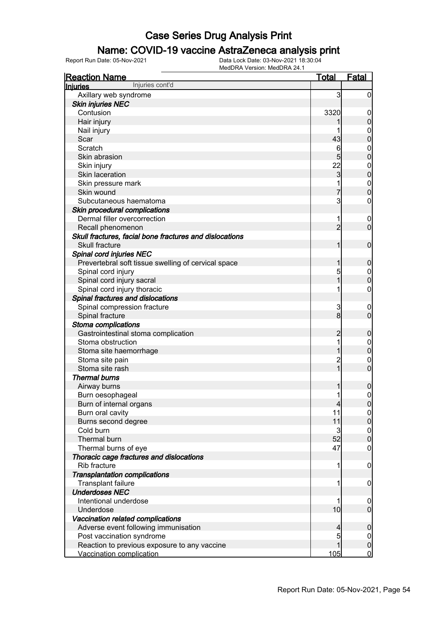### Name: COVID-19 vaccine AstraZeneca analysis print

| <b>Reaction Name</b>                                    | <u>Total</u>   | <b>Fatal</b>                     |
|---------------------------------------------------------|----------------|----------------------------------|
| Injuries cont'd<br><b>Injuries</b>                      |                |                                  |
| Axillary web syndrome                                   | 3              | 0                                |
| <b>Skin injuries NEC</b>                                |                |                                  |
| Contusion                                               | 3320           | $\mathbf 0$                      |
| Hair injury                                             |                | 0                                |
| Nail injury                                             |                | $\mathbf 0$                      |
| Scar                                                    | 43             | 0                                |
| Scratch                                                 | 6              | $\mathbf{0}$                     |
| Skin abrasion                                           | 5              | $\mathbf 0$                      |
| Skin injury                                             | 22             | $\mathbf{0}$                     |
| Skin laceration                                         | 3              | $\mathbf{0}$                     |
| Skin pressure mark                                      |                | $\mathbf 0$                      |
| Skin wound                                              |                | $\overline{0}$                   |
| Subcutaneous haematoma                                  | 3              | 0                                |
| Skin procedural complications                           |                |                                  |
| Dermal filler overcorrection                            | 1              | $\overline{0}$                   |
| Recall phenomenon                                       | $\overline{2}$ | $\overline{0}$                   |
| Skull fractures, facial bone fractures and dislocations |                |                                  |
| <b>Skull fracture</b>                                   |                | $\mathbf 0$                      |
| Spinal cord injuries NEC                                |                |                                  |
| Prevertebral soft tissue swelling of cervical space     |                | 0                                |
| Spinal cord injury                                      | 5              | $\mathbf 0$                      |
| Spinal cord injury sacral                               |                | $\overline{0}$                   |
| Spinal cord injury thoracic                             |                | 0                                |
| Spinal fractures and dislocations                       |                |                                  |
|                                                         |                |                                  |
| Spinal compression fracture                             | 3<br>8         | $\overline{0}$<br>$\overline{0}$ |
| Spinal fracture                                         |                |                                  |
| Stoma complications                                     |                |                                  |
| Gastrointestinal stoma complication                     |                | 0                                |
| Stoma obstruction                                       | 1              | $\mathbf 0$                      |
| Stoma site haemorrhage                                  |                | $\mathbf 0$                      |
| Stoma site pain                                         | $\overline{c}$ | $\mathbf 0$                      |
| Stoma site rash                                         | 1              | $\overline{0}$                   |
| <b>Thermal burns</b>                                    |                |                                  |
| Airway burns                                            |                | 0                                |
| Burn oesophageal                                        | 1              | $\boldsymbol{0}$                 |
| Burn of internal organs                                 | $\overline{4}$ | 0                                |
| Burn oral cavity                                        | 11             | $\overline{0}$                   |
| Burns second degree                                     | 11             | $\pmb{0}$                        |
| Cold burn                                               | 3              | $\boldsymbol{0}$                 |
| Thermal burn                                            | 52             | $\overline{0}$                   |
| Thermal burns of eye                                    | 47             | $\boldsymbol{0}$                 |
| Thoracic cage fractures and dislocations                |                |                                  |
| <b>Rib fracture</b>                                     | 1              | $\mathbf 0$                      |
| <b>Transplantation complications</b>                    |                |                                  |
| Transplant failure                                      | 1              | $\overline{0}$                   |
| <b>Underdoses NEC</b>                                   |                |                                  |
| Intentional underdose                                   | 1              | $\overline{0}$                   |
| Underdose                                               | 10             | $\mathbf 0$                      |
| Vaccination related complications                       |                |                                  |
| Adverse event following immunisation                    | 4              | $\boldsymbol{0}$                 |
| Post vaccination syndrome                               | 5              | $\overline{0}$                   |
| Reaction to previous exposure to any vaccine            | 1              | $\mathbf 0$                      |
| Vaccination complication                                | 105            | $\mathbf 0$                      |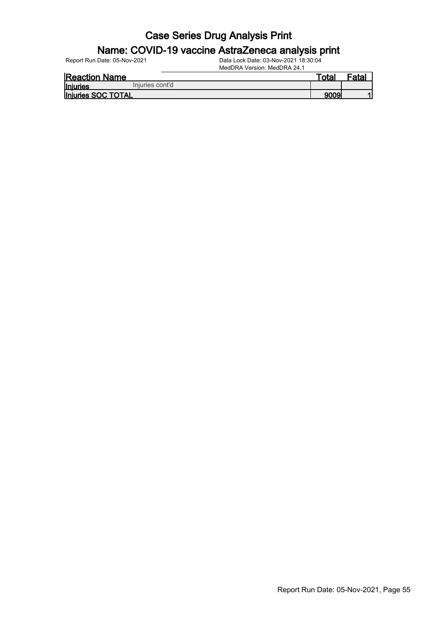# **Name: COVID-19 vaccine AstraZeneca analysis print**<br>Report Run Date: 05-Nov-2021<br>Data Lock Date: 03-Nov-2021 18:30:04

Data Lock Date: 03-Nov-2021 18:30:04

MedDRA Version: MedDRA 24.1 Reaction Name Total Fatal

<u>Injuries</u> Injuries SOC TOTAL 9009 1 Injuries cont'd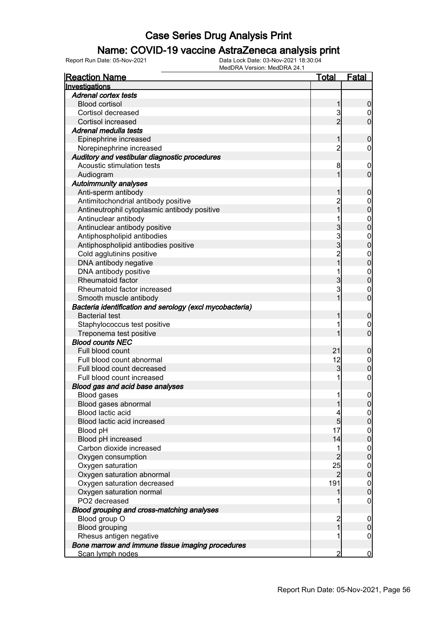#### Name: COVID-19 vaccine AstraZeneca analysis print

| <b>Reaction Name</b>                                     | Total                                   | <u>Fatal</u>                     |
|----------------------------------------------------------|-----------------------------------------|----------------------------------|
| Investigations                                           |                                         |                                  |
| <b>Adrenal cortex tests</b>                              |                                         |                                  |
| <b>Blood cortisol</b>                                    | 1                                       | 0                                |
| Cortisol decreased                                       | 3                                       | 0                                |
| <b>Cortisol increased</b>                                | $\overline{2}$                          | $\overline{0}$                   |
| Adrenal medulla tests                                    |                                         |                                  |
| Epinephrine increased                                    | 1                                       | 0                                |
| Norepinephrine increased                                 | $\overline{2}$                          | 0                                |
| Auditory and vestibular diagnostic procedures            |                                         |                                  |
| Acoustic stimulation tests                               | 8                                       | $\overline{0}$                   |
| Audiogram                                                | 1                                       | $\mathbf 0$                      |
| <b>Autoimmunity analyses</b>                             |                                         |                                  |
| Anti-sperm antibody                                      |                                         | 0                                |
| Antimitochondrial antibody positive                      | $\overline{c}$                          | 0                                |
| Antineutrophil cytoplasmic antibody positive             | 1                                       | $\overline{0}$                   |
| Antinuclear antibody                                     |                                         | $\mathbf{0}$                     |
| Antinuclear antibody positive                            | 3                                       | $\overline{0}$                   |
| Antiphospholipid antibodies                              | 3                                       | $\mathbf{0}$                     |
| Antiphospholipid antibodies positive                     | 3                                       | $\overline{0}$                   |
| Cold agglutinins positive                                | $\overline{c}$                          | $\mathbf{0}$                     |
| DNA antibody negative                                    | $\overline{1}$                          | $\overline{0}$                   |
| DNA antibody positive                                    | 1                                       | $\mathbf{0}$                     |
| Rheumatoid factor                                        | 3                                       | $\overline{0}$                   |
| Rheumatoid factor increased                              | 3                                       | $\mathbf{0}$                     |
| Smooth muscle antibody                                   |                                         | $\overline{0}$                   |
| Bacteria identification and serology (excl mycobacteria) |                                         |                                  |
| <b>Bacterial test</b>                                    |                                         | $\mathbf 0$                      |
| Staphylococcus test positive                             | 1                                       | $\mathbf 0$                      |
| Treponema test positive                                  |                                         | $\overline{0}$                   |
| <b>Blood counts NEC</b>                                  |                                         |                                  |
| Full blood count                                         | 21                                      | $\boldsymbol{0}$                 |
| Full blood count abnormal                                | 12                                      | $\mathbf 0$                      |
| Full blood count decreased                               | 3                                       | $\overline{0}$                   |
| Full blood count increased                               | 1                                       | $\mathbf 0$                      |
| Blood gas and acid base analyses                         |                                         |                                  |
| Blood gases                                              | 1                                       | $\mathbf 0$                      |
| Blood gases abnormal                                     | 1                                       |                                  |
| Blood lactic acid                                        | 4                                       | 0 <br>$\overline{0}$             |
| Blood lactic acid increased                              | $\overline{5}$                          | $\overline{0}$                   |
| Blood pH                                                 | 17                                      | $\mathbf 0$                      |
| Blood pH increased                                       | 14                                      | $\overline{0}$                   |
| Carbon dioxide increased                                 | 1                                       | $\mathbf 0$                      |
| Oxygen consumption                                       | $\overline{2}$                          | $\mathbf 0$                      |
| Oxygen saturation                                        | 25                                      |                                  |
| Oxygen saturation abnormal                               | $\overline{2}$                          | $\overline{0}$<br>$\overline{0}$ |
|                                                          | 191                                     |                                  |
| Oxygen saturation decreased<br>Oxygen saturation normal  |                                         | $\mathbf{0}$<br>$\overline{0}$   |
| PO2 decreased                                            |                                         |                                  |
|                                                          |                                         | $\boldsymbol{0}$                 |
| Blood grouping and cross-matching analyses               |                                         |                                  |
| Blood group O                                            | $\overline{\mathbf{c}}$<br>$\mathbf{1}$ | $\boldsymbol{0}$                 |
| <b>Blood grouping</b>                                    |                                         | $\mathbf 0$                      |
| Rhesus antigen negative                                  | 1                                       | $\mathbf 0$                      |
| Bone marrow and immune tissue imaging procedures         |                                         |                                  |
| Scan lymph nodes                                         | $\overline{2}$                          | $\overline{0}$                   |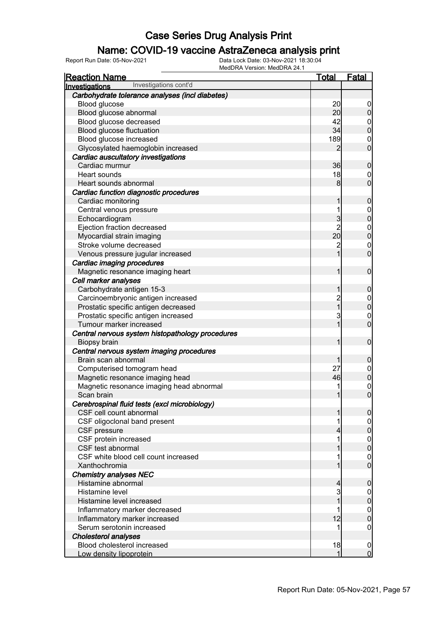### Name: COVID-19 vaccine AstraZeneca analysis print

| <b>Reaction Name</b>                             | Total           | <b>Fatal</b>                     |
|--------------------------------------------------|-----------------|----------------------------------|
| Investigations cont'd<br>Investigations          |                 |                                  |
| Carbohydrate tolerance analyses (incl diabetes)  |                 |                                  |
| Blood glucose                                    | 20              | $\overline{0}$                   |
| Blood glucose abnormal                           | 20              | $\mathbf 0$                      |
| Blood glucose decreased                          | 42              |                                  |
| Blood glucose fluctuation                        | 34              | $0\atop 0$                       |
| Blood glucose increased                          | 189             | $\mathbf 0$                      |
| Glycosylated haemoglobin increased               | 2               | $\overline{0}$                   |
| Cardiac auscultatory investigations              |                 |                                  |
| Cardiac murmur                                   | 36              | $\boldsymbol{0}$                 |
| Heart sounds                                     | 18              | $\mathbf 0$                      |
| Heart sounds abnormal                            | 8 <sup>1</sup>  | $\overline{0}$                   |
| Cardiac function diagnostic procedures           |                 |                                  |
| Cardiac monitoring                               | 1               | $\boldsymbol{0}$                 |
| Central venous pressure                          | 1               | $0\atop 0$                       |
| Echocardiogram                                   | $\mathbf{3}$    |                                  |
| Ejection fraction decreased                      | $\overline{2}$  | $0$<br>0                         |
| Myocardial strain imaging                        | 20 <sup>°</sup> |                                  |
| Stroke volume decreased                          | $\overline{c}$  | $\mathbf{0}$                     |
| Venous pressure jugular increased                | $\overline{1}$  | $\overline{0}$                   |
| Cardiac imaging procedures                       |                 |                                  |
| Magnetic resonance imaging heart                 | 1               | $\boldsymbol{0}$                 |
| Cell marker analyses                             |                 |                                  |
| Carbohydrate antigen 15-3                        | 1               | $\boldsymbol{0}$                 |
| Carcinoembryonic antigen increased               | 2<br>1          | $0\atop 0$                       |
| Prostatic specific antigen decreased             |                 |                                  |
| Prostatic specific antigen increased             | 3               | $\begin{matrix}0\\0\end{matrix}$ |
| Tumour marker increased                          | 1               |                                  |
| Central nervous system histopathology procedures |                 |                                  |
| Biopsy brain                                     | 1               | $\boldsymbol{0}$                 |
| Central nervous system imaging procedures        |                 |                                  |
| Brain scan abnormal                              |                 | $\boldsymbol{0}$                 |
| Computerised tomogram head                       | 27              | $0\atop 0$                       |
| Magnetic resonance imaging head                  | 46              |                                  |
| Magnetic resonance imaging head abnormal         |                 | $\begin{matrix}0\\0\end{matrix}$ |
| Scan brain                                       | 1               |                                  |
| Cerebrospinal fluid tests (excl microbiology)    |                 |                                  |
| CSF cell count abnormal                          | 1               | $\boldsymbol{0}$                 |
| CSF oligoclonal band present                     |                 | $\overline{0}$                   |
| CSF pressure                                     |                 | $\pmb{0}$                        |
| CSF protein increased<br>CSF test abnormal       |                 | $\boldsymbol{0}$<br>$\mathbf 0$  |
| CSF white blood cell count increased             |                 |                                  |
| Xanthochromia                                    |                 | $\mathbf 0$<br>$\overline{0}$    |
| <b>Chemistry analyses NEC</b>                    |                 |                                  |
| Histamine abnormal                               | 4               | $\boldsymbol{0}$                 |
| Histamine level                                  | 3               | $\overline{0}$                   |
| Histamine level increased                        |                 | $\pmb{0}$                        |
| Inflammatory marker decreased                    |                 | $\mathbf 0$                      |
| Inflammatory marker increased                    | 12              | $\mathbf 0$                      |
| Serum serotonin increased                        |                 | 0                                |
| <b>Cholesterol analyses</b>                      |                 |                                  |
| Blood cholesterol increased                      | 18              | $\mathbf 0$                      |
| Low density lipoprotein                          | 1               | $\overline{0}$                   |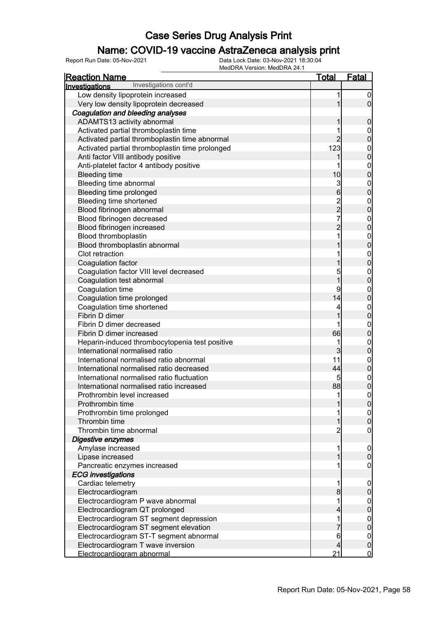### Name: COVID-19 vaccine AstraZeneca analysis print

| <b>Reaction Name</b>                            | <u>Total</u>                               | <b>Fatal</b>                     |
|-------------------------------------------------|--------------------------------------------|----------------------------------|
| Investigations cont'd<br>Investigations         |                                            |                                  |
| Low density lipoprotein increased               | 1                                          | $\overline{0}$                   |
| Very low density lipoprotein decreased          | 1                                          | $\overline{0}$                   |
| Coagulation and bleeding analyses               |                                            |                                  |
| ADAMTS13 activity abnormal                      | 1                                          | $\boldsymbol{0}$                 |
| Activated partial thromboplastin time           | 1                                          |                                  |
| Activated partial thromboplastin time abnormal  | $\overline{2}$                             | $0$ 0                            |
| Activated partial thromboplastin time prolonged | 123                                        |                                  |
| Anti factor VIII antibody positive              | 1                                          | $0\atop 0$                       |
| Anti-platelet factor 4 antibody positive        | 1                                          |                                  |
| <b>Bleeding time</b>                            | 10                                         | $0\atop 0$                       |
| Bleeding time abnormal                          |                                            |                                  |
| Bleeding time prolonged                         | $\frac{3}{6}$                              | $0$ 0                            |
| Bleeding time shortened                         |                                            |                                  |
| Blood fibrinogen abnormal                       | $\begin{array}{c} 2 \\ 2 \\ 7 \end{array}$ | $0$<br>0                         |
| Blood fibrinogen decreased                      |                                            |                                  |
| Blood fibrinogen increased                      | $\overline{2}$                             | $0$ 0                            |
| Blood thromboplastin                            | 1                                          |                                  |
| Blood thromboplastin abnormal                   | 1                                          | $\begin{matrix}0\\0\end{matrix}$ |
| Clot retraction                                 | 1                                          |                                  |
| Coagulation factor                              | 1                                          | $\begin{matrix}0\\0\end{matrix}$ |
| Coagulation factor VIII level decreased         | 5                                          |                                  |
| Coagulation test abnormal                       | $\overline{1}$                             | $\begin{matrix}0\\0\end{matrix}$ |
| Coagulation time                                | 9                                          |                                  |
| Coagulation time prolonged                      | 14                                         | $0\atop 0$                       |
| Coagulation time shortened                      | 4                                          |                                  |
| Fibrin D dimer                                  | 1                                          | $0\atop 0$                       |
| Fibrin D dimer decreased                        | 1                                          |                                  |
| Fibrin D dimer increased                        | 66                                         | $\begin{matrix}0\\0\end{matrix}$ |
| Heparin-induced thrombocytopenia test positive  | 1                                          | $\mathbf{0}$                     |
| International normalised ratio                  | 3                                          | $\overline{0}$                   |
| International normalised ratio abnormal         | 11                                         |                                  |
| International normalised ratio decreased        | 44                                         | $0$<br>0                         |
| International normalised ratio fluctuation      | 5                                          |                                  |
| International normalised ratio increased        | 88                                         | $0\atop 0$                       |
| Prothrombin level increased                     | 1                                          | $\mathbf 0$                      |
| Prothrombin time                                | 1                                          | 0                                |
| Prothrombin time prolonged                      | 1                                          | 이                                |
| Thrombin time                                   | 1                                          | $\mathsf{O}\xspace$              |
| Thrombin time abnormal                          | $\overline{c}$                             | $\mathbf 0$                      |
| Digestive enzymes                               |                                            |                                  |
| Amylase increased                               | 1                                          | $\boldsymbol{0}$                 |
| Lipase increased                                | 1                                          | $\boldsymbol{0}$                 |
| Pancreatic enzymes increased                    | 1                                          | $\mathbf 0$                      |
| <b>ECG</b> investigations                       |                                            |                                  |
| Cardiac telemetry                               | 1                                          | $\boldsymbol{0}$                 |
| Electrocardiogram                               | 8                                          | $\pmb{0}$                        |
| Electrocardiogram P wave abnormal               | 1                                          | $\boldsymbol{0}$                 |
| Electrocardiogram QT prolonged                  | 4                                          | $\overline{0}$                   |
| Electrocardiogram ST segment depression         | 1                                          | $\boldsymbol{0}$                 |
| Electrocardiogram ST segment elevation          |                                            | $\mathbf 0$                      |
| Electrocardiogram ST-T segment abnormal         | 6                                          | $\boldsymbol{0}$                 |
| Electrocardiogram T wave inversion              | 4                                          | $\pmb{0}$                        |
| Electrocardiogram abnormal                      | 21                                         | $\overline{0}$                   |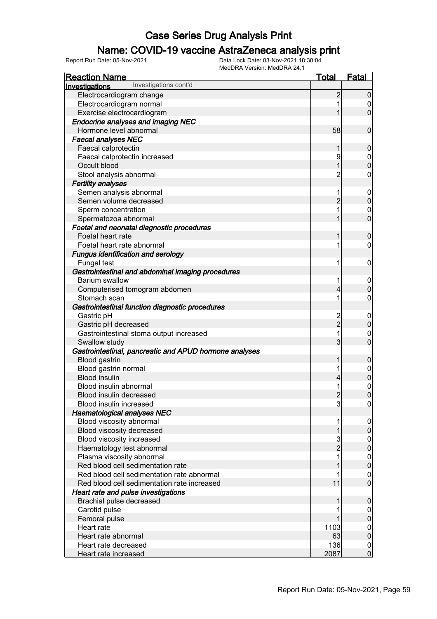### Name: COVID-19 vaccine AstraZeneca analysis print

| <b>Reaction Name</b>                                   | <u>Total</u>   | <b>Fatal</b>     |
|--------------------------------------------------------|----------------|------------------|
| Investigations cont'd<br>Investigations                |                |                  |
| Electrocardiogram change                               | $\overline{c}$ | $\mathbf 0$      |
| Electrocardiogram normal                               | 1              | $\mathbf 0$      |
| Exercise electrocardiogram                             | 1              | $\overline{0}$   |
| <b>Endocrine analyses and imaging NEC</b>              |                |                  |
| Hormone level abnormal                                 | 58             | $\boldsymbol{0}$ |
| <b>Faecal analyses NEC</b>                             |                |                  |
| Faecal calprotectin                                    | 1              | $\mathbf 0$      |
| Faecal calprotectin increased                          | 9              | $\mathbf 0$      |
| Occult blood                                           | 1              | $\overline{0}$   |
| Stool analysis abnormal                                | $\overline{c}$ | $\boldsymbol{0}$ |
| <b>Fertility analyses</b>                              |                |                  |
| Semen analysis abnormal                                | 1              | $\mathbf{0}$     |
| Semen volume decreased                                 | $\overline{2}$ | $\mathbf 0$      |
| Sperm concentration                                    | 1              | $\mathbf 0$      |
| Spermatozoa abnormal                                   | 1              | $\overline{0}$   |
| Foetal and neonatal diagnostic procedures              |                |                  |
| Foetal heart rate                                      | 1              | $\mathbf 0$      |
| Foetal heart rate abnormal                             | 1              | $\mathbf 0$      |
| <b>Fungus identification and serology</b>              |                |                  |
| Fungal test                                            | 1              | $\boldsymbol{0}$ |
| Gastrointestinal and abdominal imaging procedures      |                |                  |
| <b>Barium swallow</b>                                  | 1              | $\mathbf 0$      |
| Computerised tomogram abdomen                          | 4              | $\mathbf 0$      |
| Stomach scan                                           | 1              | $\boldsymbol{0}$ |
| Gastrointestinal function diagnostic procedures        |                |                  |
| Gastric pH                                             |                | $\boldsymbol{0}$ |
| Gastric pH decreased                                   | 2<br>2         | $\mathbf 0$      |
| Gastrointestinal stoma output increased                | 1              | $\mathbf 0$      |
| Swallow study                                          | 3              | $\overline{0}$   |
| Gastrointestinal, pancreatic and APUD hormone analyses |                |                  |
| <b>Blood gastrin</b>                                   | 1              | $\mathbf 0$      |
| Blood gastrin normal                                   | 1              | $\mathbf{0}$     |
| <b>Blood insulin</b>                                   | 4              | $\mathbf 0$      |
| Blood insulin abnormal                                 | 1              | $\mathbf{0}$     |
| Blood insulin decreased                                | $\overline{c}$ | $\overline{0}$   |
| Blood insulin increased                                | 3              | 0                |
| <b>Haematological analyses NEC</b>                     |                |                  |
| Blood viscosity abnormal                               | 1              | $\overline{0}$   |
| Blood viscosity decreased                              | 1              | $\pmb{0}$        |
| Blood viscosity increased                              |                | $\boldsymbol{0}$ |
| Haematology test abnormal                              | $\frac{3}{2}$  | $\overline{0}$   |
| Plasma viscosity abnormal                              | 1              | $\boldsymbol{0}$ |
| Red blood cell sedimentation rate                      |                | $\mathbf 0$      |
| Red blood cell sedimentation rate abnormal             |                | $\boldsymbol{0}$ |
| Red blood cell sedimentation rate increased            | 11             | $\overline{0}$   |
| Heart rate and pulse investigations                    |                |                  |
| Brachial pulse decreased                               | 1              | $\mathbf 0$      |
| Carotid pulse                                          |                | $\mathbf 0$      |
| Femoral pulse                                          |                | $\overline{0}$   |
| Heart rate                                             | 1103           | $\boldsymbol{0}$ |
| Heart rate abnormal                                    | 63             | $\overline{0}$   |
| Heart rate decreased                                   | 136            | $\mathbf 0$      |
| <b>Heart rate increased</b>                            | 2087           | $\mathbf 0$      |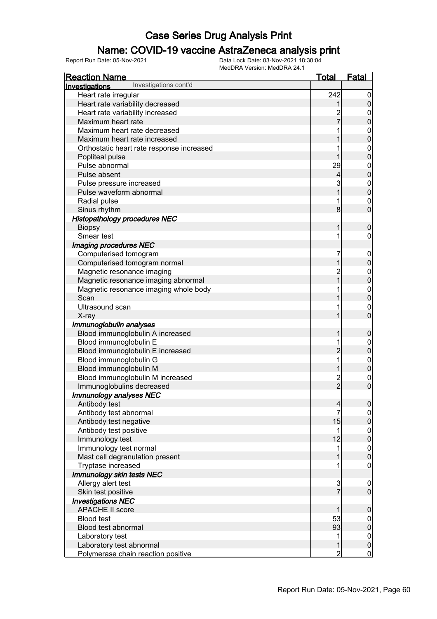### Name: COVID-19 vaccine AstraZeneca analysis print

| <b>Reaction Name</b>                      | <u>Total</u>   | <b>Fatal</b>                     |
|-------------------------------------------|----------------|----------------------------------|
| Investigations cont'd<br>Investigations   |                |                                  |
| Heart rate irregular                      | 242            | $\overline{0}$                   |
| Heart rate variability decreased          |                | $\pmb{0}$                        |
| Heart rate variability increased          |                | $\boldsymbol{0}$                 |
| Maximum heart rate                        |                | $\overline{0}$                   |
| Maximum heart rate decreased              |                |                                  |
| Maximum heart rate increased              |                | 0<br>0                           |
| Orthostatic heart rate response increased |                |                                  |
| Popliteal pulse                           |                | $0\atop 0$                       |
| Pulse abnormal                            | 29             |                                  |
| Pulse absent                              | 4              | $0\atop 0$                       |
| Pulse pressure increased                  | 3              |                                  |
| Pulse waveform abnormal                   |                | $0\atop 0$                       |
| Radial pulse                              |                | $\mathbf{0}$                     |
| Sinus rhythm                              | 8              | $\overline{0}$                   |
| <b>Histopathology procedures NEC</b>      |                |                                  |
| <b>Biopsy</b>                             | 1              | $\boldsymbol{0}$                 |
| Smear test                                | 1              | $\boldsymbol{0}$                 |
| Imaging procedures NEC                    |                |                                  |
| Computerised tomogram                     | 7              | $\mathbf 0$                      |
| Computerised tomogram normal              | 1              | $\mathbf 0$                      |
| Magnetic resonance imaging                | $\overline{c}$ |                                  |
| Magnetic resonance imaging abnormal       | $\overline{1}$ | $0\atop 0$                       |
| Magnetic resonance imaging whole body     |                |                                  |
| Scan                                      |                | $\begin{matrix}0\\0\end{matrix}$ |
| Ultrasound scan                           |                | $\mathbf{0}$                     |
| X-ray                                     | 1              | $\overline{0}$                   |
| Immunoglobulin analyses                   |                |                                  |
| Blood immunoglobulin A increased          | 1              | $\boldsymbol{0}$                 |
| Blood immunoglobulin E                    |                | $\boldsymbol{0}$                 |
| Blood immunoglobulin E increased          | $\overline{c}$ | $\mathbf 0$                      |
| Blood immunoglobulin G                    | 1              |                                  |
| Blood immunoglobulin M                    | 1              | $0\atop 0$                       |
| Blood immunoglobulin M increased          |                | $\mathbf{0}$                     |
| Immunoglobulins decreased                 | $\frac{2}{2}$  | $\overline{0}$                   |
| Immunology analyses NEC                   |                |                                  |
| Antibody test                             | $\overline{a}$ | 0                                |
| Antibody test abnormal                    | $\overline{7}$ | $\overline{0}$                   |
| Antibody test negative                    | 15             | $\overline{0}$                   |
| Antibody test positive                    | 1              |                                  |
| Immunology test                           | 12             | $0\atop 0$                       |
| Immunology test normal                    | 1              |                                  |
| Mast cell degranulation present           | 1              | $0$<br>0                         |
| Tryptase increased                        | 1              | $\mathbf 0$                      |
| Immunology skin tests NEC                 |                |                                  |
| Allergy alert test                        |                | $\mathbf 0$                      |
| Skin test positive                        | $\frac{3}{7}$  | $\boldsymbol{0}$                 |
| <b>Investigations NEC</b>                 |                |                                  |
| <b>APACHE II score</b>                    | 1              | $\boldsymbol{0}$                 |
| <b>Blood test</b>                         | 53             | $\boldsymbol{0}$                 |
| Blood test abnormal                       | 93             | $\mathbf 0$                      |
| Laboratory test                           | 1              | $\boldsymbol{0}$                 |
| Laboratory test abnormal                  | 1              | $\pmb{0}$                        |
| Polymerase chain reaction positive        | $\overline{2}$ | $\overline{0}$                   |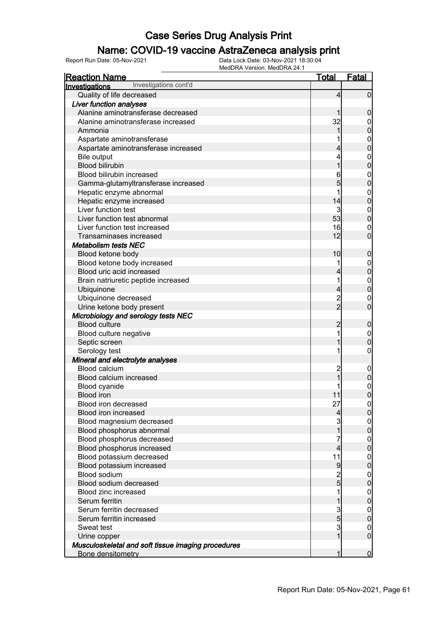### Name: COVID-19 vaccine AstraZeneca analysis print

| <b>Reaction Name</b>                                        | <u>Total</u>   | <b>Fatal</b>                   |
|-------------------------------------------------------------|----------------|--------------------------------|
| Investigations cont'd<br>Investigations                     |                |                                |
| Quality of life decreased                                   | 4              | $\mathbf 0$                    |
| <b>Liver function analyses</b>                              |                |                                |
| Alanine aminotransferase decreased                          | 1              | $\mathbf 0$                    |
| Alanine aminotransferase increased                          | 32             | $\mathbf{0}$                   |
| Ammonia                                                     | 1              | $\mathbf 0$                    |
| Aspartate aminotransferase                                  |                | $\mathbf{0}$                   |
| Aspartate aminotransferase increased                        | 4              | $\overline{0}$                 |
| <b>Bile output</b>                                          | 4              | $\mathbf{0}$                   |
| <b>Blood bilirubin</b>                                      | 1              | $\overline{0}$                 |
| Blood bilirubin increased                                   | 6              | $\mathbf{0}$                   |
| Gamma-glutamyltransferase increased                         | 5              | $\overline{0}$                 |
| Hepatic enzyme abnormal                                     | 1              | $\mathbf{0}$                   |
| Hepatic enzyme increased                                    | 14             | $\overline{0}$                 |
| Liver function test                                         | 3              | $\mathbf{0}$                   |
| Liver function test abnormal                                | 53             | $\overline{0}$                 |
| Liver function test increased                               | 16             | $\mathbf{0}$                   |
| Transaminases increased                                     | 12             | $\overline{0}$                 |
| <b>Metabolism tests NEC</b>                                 |                |                                |
| Blood ketone body                                           | 10             | $\boldsymbol{0}$               |
| Blood ketone body increased                                 | 1              | $\overline{0}$                 |
| Blood uric acid increased                                   | 4              | $\overline{0}$                 |
| Brain natriuretic peptide increased                         | 1              |                                |
| Ubiquinone                                                  | 4              | $0\atop 0$                     |
| Ubiquinone decreased                                        |                |                                |
| Urine ketone body present                                   | $\frac{2}{2}$  | $\mathbf{0}$<br>$\overline{0}$ |
|                                                             |                |                                |
| Microbiology and serology tests NEC<br><b>Blood culture</b> | $\overline{c}$ |                                |
|                                                             | 1              | $\boldsymbol{0}$               |
| Blood culture negative                                      | 1              | $\mathbf{0}$                   |
| Septic screen                                               |                | $\overline{0}$                 |
| Serology test                                               | 1              | $\boldsymbol{0}$               |
| Mineral and electrolyte analyses                            |                |                                |
| Blood calcium                                               | $\overline{c}$ | $\boldsymbol{0}$               |
| Blood calcium increased                                     |                | $\mathbf 0$                    |
| Blood cyanide                                               |                | $\mathbf{0}$                   |
| <b>Blood iron</b>                                           | 11             | $\overline{0}$                 |
| Blood iron decreased                                        | 27             | 이                              |
| Blood iron increased                                        | $\overline{4}$ | $\overline{0}$                 |
| Blood magnesium decreased                                   | 3              | $\boldsymbol{0}$               |
| Blood phosphorus abnormal                                   | 1              | $\mathbf 0$                    |
| Blood phosphorus decreased                                  | 7              | $\boldsymbol{0}$               |
| Blood phosphorus increased                                  | 4              | $\overline{0}$                 |
| Blood potassium decreased                                   | 11             | $\mathbf{0}$                   |
| Blood potassium increased                                   | 9              | $\mathbf 0$                    |
| Blood sodium                                                | $\overline{2}$ | $\boldsymbol{0}$               |
| Blood sodium decreased                                      | $\overline{5}$ | $\mathbf 0$                    |
| Blood zinc increased                                        | 1              | $\boldsymbol{0}$               |
| Serum ferritin                                              | 1              | $\mathbf 0$                    |
| Serum ferritin decreased                                    | $\frac{3}{5}$  | $\boldsymbol{0}$               |
| Serum ferritin increased                                    |                | $\mathbf 0$                    |
| Sweat test                                                  | $\mathbf{3}$   | $\mathbf{0}$                   |
| Urine copper                                                | $\overline{1}$ | $\overline{0}$                 |
| Musculoskeletal and soft tissue imaging procedures          |                |                                |
| Bone densitometry                                           | 1              | $\overline{0}$                 |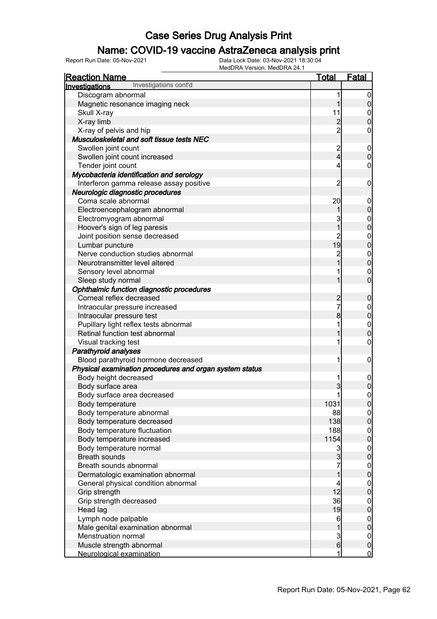### Name: COVID-19 vaccine AstraZeneca analysis print

| <b>Reaction Name</b>                                    | <u>Total</u>   | <b>Fatal</b>                         |
|---------------------------------------------------------|----------------|--------------------------------------|
| Investigations cont'd<br><b>Investigations</b>          |                |                                      |
| Discogram abnormal                                      | 1              | $\overline{0}$                       |
| Magnetic resonance imaging neck                         | 1              | $\pmb{0}$                            |
| Skull X-ray                                             | 11             | $\mathbf{0}$                         |
| X-ray limb                                              | $\overline{c}$ | $\overline{0}$                       |
| X-ray of pelvis and hip                                 | $\overline{2}$ | 0                                    |
| Musculoskeletal and soft tissue tests NEC               |                |                                      |
| Swollen joint count                                     | $\overline{c}$ | $\mathbf 0$                          |
| Swollen joint count increased                           | $\overline{4}$ | $\mathbf 0$                          |
| Tender joint count                                      | 4              | $\boldsymbol{0}$                     |
| Mycobacteria identification and serology                |                |                                      |
| Interferon gamma release assay positive                 | $\overline{2}$ | $\boldsymbol{0}$                     |
| Neurologic diagnostic procedures                        |                |                                      |
| Coma scale abnormal                                     | 20             | $\boldsymbol{0}$                     |
| Electroencephalogram abnormal                           | 1              | $\mathbf 0$                          |
| Electromyogram abnormal                                 | 3              | $\mathbf{0}$                         |
| Hoover's sign of leg paresis                            | $\overline{1}$ | $\mathbf{0}$                         |
| Joint position sense decreased                          | $\overline{c}$ | $\mathbf{0}$                         |
| Lumbar puncture                                         | 19             | $\mathbf{0}$                         |
| Nerve conduction studies abnormal                       | $\overline{c}$ | $\mathbf{0}$                         |
| Neurotransmitter level altered                          |                | $\mathbf{0}$                         |
| Sensory level abnormal                                  |                | $\mathbf 0$                          |
| Sleep study normal                                      | 1              | $\overline{0}$                       |
| Ophthalmic function diagnostic procedures               |                |                                      |
| Corneal reflex decreased                                | 2<br>7         | $\boldsymbol{0}$                     |
| Intraocular pressure increased                          |                | $\mathbf{0}$                         |
| Intraocular pressure test                               | 8              | $\mathbf{0}$                         |
| Pupillary light reflex tests abnormal                   | 1              | $\mathbf{0}$                         |
| Retinal function test abnormal                          |                | $\overline{0}$                       |
| Visual tracking test                                    |                | $\mathbf 0$                          |
| <b>Parathyroid analyses</b>                             |                |                                      |
| Blood parathyroid hormone decreased                     | 1              | $\mathbf 0$                          |
| Physical examination procedures and organ system status |                |                                      |
| Body height decreased                                   | 1              | $\mathbf 0$                          |
| Body surface area                                       | 3              | $\overline{0}$                       |
| Body surface area decreased                             | 1              | $\mathbf 0$                          |
| Body temperature                                        | 1031           | 0                                    |
| Body temperature abnormal                               | 88             | $\overline{0}$                       |
| Body temperature decreased                              | 138            | $\overline{0}$                       |
| Body temperature fluctuation                            | 188            |                                      |
| Body temperature increased                              | 1154           | $\begin{matrix} 0 \\ 0 \end{matrix}$ |
| Body temperature normal                                 | $\mathbf{3}$   | $\boldsymbol{0}$                     |
| <b>Breath sounds</b>                                    | $\mathbf{3}$   | $\mathbf 0$                          |
| Breath sounds abnormal                                  | 7              |                                      |
| Dermatologic examination abnormal                       | $\mathbf 1$    | $0$<br>0                             |
| General physical condition abnormal                     | 4              | $\boldsymbol{0}$                     |
| Grip strength                                           | 12             | $\overline{0}$                       |
| Grip strength decreased                                 | 36             | $\boldsymbol{0}$                     |
| Head lag                                                | 19             | $\overline{0}$                       |
| Lymph node palpable                                     | 6              |                                      |
| Male genital examination abnormal                       | $\overline{1}$ | $\begin{matrix} 0 \\ 0 \end{matrix}$ |
| Menstruation normal                                     | $\mathbf{3}$   | $\overline{0}$                       |
| Muscle strength abnormal                                | $6 \mid$       | $\mathbf 0$                          |
| Neurological examination                                | 1              | $\overline{0}$                       |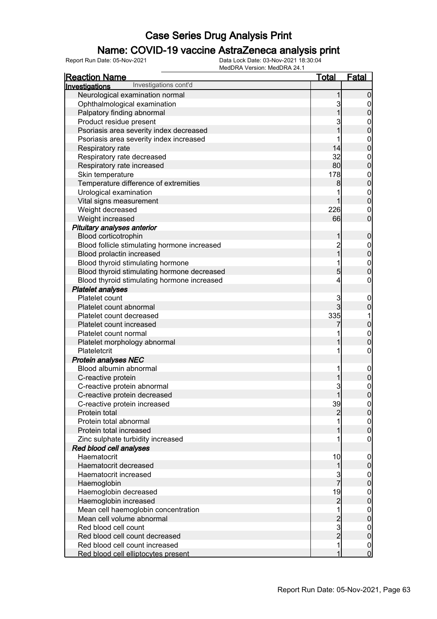### Name: COVID-19 vaccine AstraZeneca analysis print

| <b>Reaction Name</b>                           | <u>Total</u>                               | <b>Fatal</b>                     |
|------------------------------------------------|--------------------------------------------|----------------------------------|
| Investigations cont'd<br><b>Investigations</b> |                                            |                                  |
| Neurological examination normal                | 1                                          | $\mathbf 0$                      |
| Ophthalmological examination                   | 3                                          | $\overline{0}$                   |
| Palpatory finding abnormal                     | 1                                          | $\mathbf 0$                      |
| Product residue present                        | 3                                          | $\mathbf{0}$                     |
| Psoriasis area severity index decreased        | 1                                          | $\mathbf{0}$                     |
| Psoriasis area severity index increased        |                                            |                                  |
| Respiratory rate                               | 14                                         | $0\atop 0$                       |
| Respiratory rate decreased                     | 32                                         | $\mathbf{0}$                     |
| Respiratory rate increased                     | 80                                         | $\overline{0}$                   |
| Skin temperature                               | 178                                        |                                  |
| Temperature difference of extremities          | 8                                          | $0$<br>0                         |
| Urological examination                         | 1                                          |                                  |
| Vital signs measurement                        | 1                                          | $0$<br>0                         |
| Weight decreased                               | 226                                        | $\mathbf 0$                      |
| Weight increased                               | 66                                         | $\overline{0}$                   |
| Pituitary analyses anterior                    |                                            |                                  |
| Blood corticotrophin                           | 1                                          | $\boldsymbol{0}$                 |
| Blood follicle stimulating hormone increased   | $\overline{c}$                             |                                  |
| Blood prolactin increased                      | $\overline{1}$                             | $0\atop 0$                       |
| Blood thyroid stimulating hormone              |                                            |                                  |
| Blood thyroid stimulating hormone decreased    | 5                                          | $0\atop 0$                       |
| Blood thyroid stimulating hormone increased    | 4                                          | $\mathbf 0$                      |
| <b>Platelet analyses</b>                       |                                            |                                  |
| Platelet count                                 | 3                                          | $\mathbf 0$                      |
| Platelet count abnormal                        | $\overline{3}$                             | $\mathbf 0$                      |
| Platelet count decreased                       | 335                                        | 1                                |
| Platelet count increased                       |                                            | $\mathbf 0$                      |
| Platelet count normal                          |                                            | $\mathbf{0}$                     |
| Platelet morphology abnormal                   |                                            | $\overline{0}$                   |
| Plateletcrit                                   | 1                                          | $\mathbf 0$                      |
| <b>Protein analyses NEC</b>                    |                                            |                                  |
| Blood albumin abnormal                         | 1                                          | $\boldsymbol{0}$                 |
| C-reactive protein                             | 1                                          | $\mathbf 0$                      |
| C-reactive protein abnormal                    | 3                                          |                                  |
| C-reactive protein decreased                   | 1                                          | $\begin{matrix}0\\0\end{matrix}$ |
| C-reactive protein increased                   | 39                                         | 0                                |
| Protein total                                  | $\overline{c}$                             | 0                                |
| Protein total abnormal                         |                                            | $\overline{0}$                   |
| Protein total increased                        |                                            | $\overline{0}$                   |
| Zinc sulphate turbidity increased              |                                            | $\mathbf 0$                      |
| Red blood cell analyses                        |                                            |                                  |
| Haematocrit                                    | 10                                         | $\mathbf 0$                      |
| Haematocrit decreased                          | 1                                          | $\pmb{0}$                        |
| Haematocrit increased                          |                                            | $\boldsymbol{0}$                 |
| Haemoglobin                                    | 3<br>7                                     | $\overline{0}$                   |
| Haemoglobin decreased                          | 19                                         | $\boldsymbol{0}$                 |
| Haemoglobin increased                          | $\overline{c}$                             | $\overline{0}$                   |
| Mean cell haemoglobin concentration            |                                            | $\boldsymbol{0}$                 |
| Mean cell volume abnormal                      |                                            | $\overline{0}$                   |
| Red blood cell count                           | $\begin{array}{c} 2 \\ 3 \\ 2 \end{array}$ | $\mathbf 0$                      |
| Red blood cell count decreased                 |                                            | $\mathbf 0$                      |
| Red blood cell count increased                 | 1                                          | $\mathbf 0$                      |
| Red blood cell elliptocytes present            | 1                                          | $\overline{0}$                   |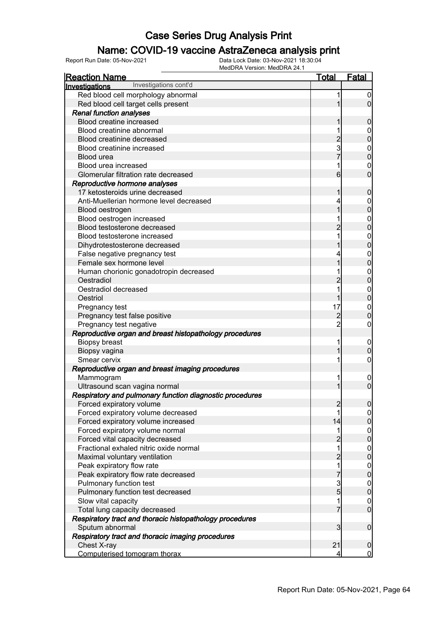### Name: COVID-19 vaccine AstraZeneca analysis print

| <b>Reaction Name</b>                                                  | <u>Total</u>            | <b>Fatal</b>                         |
|-----------------------------------------------------------------------|-------------------------|--------------------------------------|
| Investigations cont'd<br><b>Investigations</b>                        |                         |                                      |
| Red blood cell morphology abnormal                                    | 1                       | $\boldsymbol{0}$                     |
| Red blood cell target cells present                                   | 1                       | $\overline{0}$                       |
| <b>Renal function analyses</b>                                        |                         |                                      |
| Blood creatine increased                                              | 1                       | 0                                    |
| Blood creatinine abnormal                                             | 1                       | $\mathbf 0$                          |
| Blood creatinine decreased                                            | $\overline{2}$          | $\mathbf 0$                          |
| Blood creatinine increased                                            | 3                       | $\mathbf{0}$                         |
| Blood urea                                                            |                         | $\overline{0}$                       |
| Blood urea increased                                                  | 1                       | $\mathbf 0$                          |
| Glomerular filtration rate decreased                                  | 6                       | $\overline{0}$                       |
| Reproductive hormone analyses                                         |                         |                                      |
| 17 ketosteroids urine decreased                                       | 1                       | $\mathbf 0$                          |
| Anti-Muellerian hormone level decreased                               | 4                       | $\mathbf{0}$                         |
| Blood oestrogen                                                       | 1                       | $\mathbf 0$                          |
| Blood oestrogen increased                                             |                         | $\mathbf{0}$                         |
| Blood testosterone decreased                                          | 2                       | $\overline{0}$                       |
| Blood testosterone increased                                          | 1                       | $\mathbf{0}$                         |
| Dihydrotestosterone decreased                                         |                         | $\overline{0}$                       |
| False negative pregnancy test                                         | 4                       | $\mathbf{0}$                         |
| Female sex hormone level                                              | 1                       | $\overline{0}$                       |
| Human chorionic gonadotropin decreased                                |                         | $\mathbf{0}$                         |
| Oestradiol                                                            | $\overline{2}$          | $\overline{0}$                       |
| Oestradiol decreased                                                  | 1                       | $\mathbf{0}$                         |
| Oestriol                                                              | 1                       | $\overline{0}$                       |
| Pregnancy test                                                        | 17                      | $\mathbf{0}$                         |
| Pregnancy test false positive                                         | $\overline{c}$          | $\overline{0}$                       |
| Pregnancy test negative                                               | $\overline{2}$          | 0                                    |
| Reproductive organ and breast histopathology procedures               |                         |                                      |
| Biopsy breast                                                         | 1                       | $\mathbf{0}$                         |
| Biopsy vagina                                                         | 1                       | $\mathbf 0$                          |
| Smear cervix                                                          | 1                       | 0                                    |
| Reproductive organ and breast imaging procedures                      |                         |                                      |
| Mammogram                                                             | 1                       | $\mathbf 0$                          |
| Ultrasound scan vagina normal                                         | 1                       | $\overline{0}$                       |
| Respiratory and pulmonary function diagnostic procedures              |                         |                                      |
| Forced expiratory volume                                              | $\overline{2}$<br>1     | 0                                    |
| Forced expiratory volume decreased                                    | 14                      | $\overline{0}$                       |
| Forced expiratory volume increased<br>Forced expiratory volume normal | 1                       | $\mathsf{O}\xspace$                  |
| Forced vital capacity decreased                                       | $\overline{c}$          | $0$<br>0                             |
| Fractional exhaled nitric oxide normal                                | $\overline{1}$          |                                      |
| Maximal voluntary ventilation                                         | $\overline{c}$          | $0$<br>0                             |
| Peak expiratory flow rate                                             | $\overline{\mathbf{1}}$ |                                      |
| Peak expiratory flow rate decreased                                   | 7                       | $0\atop 0$                           |
| Pulmonary function test                                               |                         |                                      |
| Pulmonary function test decreased                                     | $\frac{3}{5}$           | $0\atop 0$                           |
| Slow vital capacity                                                   | 1                       |                                      |
| Total lung capacity decreased                                         | $\overline{7}$          | $\begin{matrix} 0 \\ 0 \end{matrix}$ |
| Respiratory tract and thoracic histopathology procedures              |                         |                                      |
| Sputum abnormal                                                       | 3                       | $\boldsymbol{0}$                     |
| Respiratory tract and thoracic imaging procedures                     |                         |                                      |
| Chest X-ray                                                           | 21                      | $\mathbf 0$                          |
| Computerised tomogram thorax                                          | 4                       | $\overline{0}$                       |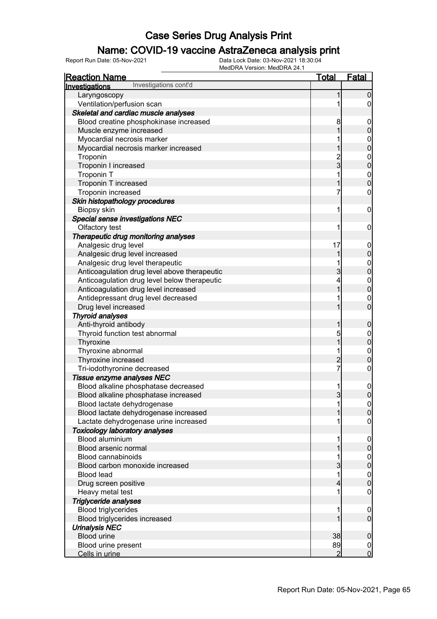### Name: COVID-19 vaccine AstraZeneca analysis print

| <u>Reaction Name</u>                         | <b>Total</b>   | <b>Fatal</b>                         |
|----------------------------------------------|----------------|--------------------------------------|
| Investigations cont'd<br>Investigations      |                |                                      |
| Laryngoscopy                                 | 1              | $\boldsymbol{0}$                     |
| Ventilation/perfusion scan                   |                | $\overline{0}$                       |
| Skeletal and cardiac muscle analyses         |                |                                      |
| Blood creatine phosphokinase increased       | 8              | $\mathbf 0$                          |
| Muscle enzyme increased                      | 1              | $\pmb{0}$                            |
| Myocardial necrosis marker                   |                |                                      |
| Myocardial necrosis marker increased         | 1              | $0\atop 0$                           |
| Troponin                                     |                |                                      |
| Troponin I increased                         | $\frac{2}{3}$  | $0\atop 0$                           |
| <b>Troponin T</b>                            | 1              |                                      |
| Troponin T increased                         | 1              | $0\atop 0$                           |
| Troponin increased                           | 7              | $\boldsymbol{0}$                     |
| Skin histopathology procedures               |                |                                      |
| Biopsy skin                                  | 1              | $\mathbf 0$                          |
| <b>Special sense investigations NEC</b>      |                |                                      |
| Olfactory test                               | 1              | $\mathbf 0$                          |
| Therapeutic drug monitoring analyses         |                |                                      |
| Analgesic drug level                         | 17             | $\mathbf 0$                          |
| Analgesic drug level increased               | 1              | $\pmb{0}$                            |
| Analgesic drug level therapeutic             |                |                                      |
| Anticoagulation drug level above therapeutic | 3              | $0\atop 0$                           |
| Anticoagulation drug level below therapeutic | 4              |                                      |
| Anticoagulation drug level increased         | 1              | $0\atop 0$                           |
| Antidepressant drug level decreased          |                | $\mathbf 0$                          |
| Drug level increased                         | 1              | $\overline{0}$                       |
| <b>Thyroid analyses</b>                      |                |                                      |
| Anti-thyroid antibody                        | 1              | $\mathbf 0$                          |
| Thyroid function test abnormal               | 5              | $\boldsymbol{0}$                     |
| Thyroxine                                    | 1              | $\overline{0}$                       |
| Thyroxine abnormal                           | 1              | $\boldsymbol{0}$                     |
| Thyroxine increased                          | $\overline{c}$ | $\overline{0}$                       |
| Tri-iodothyronine decreased                  | $\overline{7}$ | $\boldsymbol{0}$                     |
| Tissue enzyme analyses NEC                   |                |                                      |
| Blood alkaline phosphatase decreased         | 1              | $\boldsymbol{0}$                     |
| Blood alkaline phosphatase increased         | $\overline{3}$ | $\boldsymbol{0}$                     |
| Blood lactate dehydrogenase                  | 1              | 0                                    |
| Blood lactate dehydrogenase increased        |                | $\mathbf 0$                          |
| Lactate dehydrogenase urine increased        |                | 0                                    |
| <b>Toxicology laboratory analyses</b>        |                |                                      |
| Blood aluminium                              | 1              | $\mathbf 0$                          |
| Blood arsenic normal                         |                | $\pmb{0}$                            |
| <b>Blood cannabinoids</b>                    |                |                                      |
| Blood carbon monoxide increased              | 3              | $0\atop 0$                           |
| <b>Blood lead</b>                            | 1              | $\begin{matrix} 0 \\ 0 \end{matrix}$ |
| Drug screen positive                         | 4              |                                      |
| Heavy metal test                             |                | 0                                    |
| Triglyceride analyses                        |                |                                      |
| <b>Blood triglycerides</b>                   | 1              | $\mathbf 0$                          |
| Blood triglycerides increased                |                | $\overline{0}$                       |
| <b>Urinalysis NEC</b>                        |                |                                      |
| <b>Blood urine</b>                           | 38             | $\mathbf 0$                          |
| Blood urine present                          | 89             | $\overline{0}$                       |
| Cells in urine                               | 2              | $\overline{0}$                       |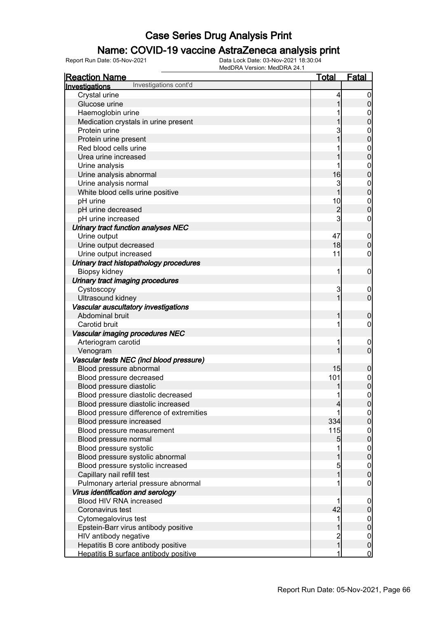### Name: COVID-19 vaccine AstraZeneca analysis print

| <u>Reaction Name</u>                                                                                                                                                                     | <u>Total</u>                        | <b>Fatal</b>                         |
|------------------------------------------------------------------------------------------------------------------------------------------------------------------------------------------|-------------------------------------|--------------------------------------|
| Investigations cont'd<br>Investigations                                                                                                                                                  |                                     |                                      |
| Crystal urine                                                                                                                                                                            | 4                                   | 0                                    |
| Glucose urine                                                                                                                                                                            |                                     |                                      |
| Haemoglobin urine                                                                                                                                                                        |                                     | $\mathbf 0$                          |
| Medication crystals in urine present                                                                                                                                                     |                                     | 0                                    |
| Protein urine                                                                                                                                                                            | 3                                   | $\mathbf 0$                          |
| Protein urine present                                                                                                                                                                    |                                     | 0                                    |
| Red blood cells urine                                                                                                                                                                    |                                     | $\mathbf{0}$                         |
| Urea urine increased                                                                                                                                                                     |                                     | 0                                    |
| Urine analysis                                                                                                                                                                           |                                     | $\mathbf{0}$                         |
| Urine analysis abnormal                                                                                                                                                                  | 16                                  | 0                                    |
| Urine analysis normal                                                                                                                                                                    | 3                                   | $\mathbf{0}$                         |
| White blood cells urine positive                                                                                                                                                         |                                     | 0                                    |
| pH urine                                                                                                                                                                                 | 10                                  | $\mathbf{0}$                         |
| pH urine decreased                                                                                                                                                                       | $\overline{c}$                      | O                                    |
| pH urine increased                                                                                                                                                                       | 3                                   | 0                                    |
| Urinary tract function analyses NEC                                                                                                                                                      |                                     |                                      |
| Urine output                                                                                                                                                                             | 47                                  | $\mathbf 0$                          |
| Urine output decreased                                                                                                                                                                   | 18                                  | 0                                    |
| Urine output increased                                                                                                                                                                   | 11                                  | 0                                    |
| Urinary tract histopathology procedures                                                                                                                                                  |                                     |                                      |
| Biopsy kidney                                                                                                                                                                            | 1                                   | 0                                    |
| Urinary tract imaging procedures                                                                                                                                                         |                                     |                                      |
| Cystoscopy                                                                                                                                                                               | 3                                   | $\mathbf 0$                          |
| Ultrasound kidney                                                                                                                                                                        |                                     | 0                                    |
| Vascular auscultatory investigations                                                                                                                                                     |                                     |                                      |
| Abdominal bruit                                                                                                                                                                          |                                     | 0                                    |
| Carotid bruit                                                                                                                                                                            | 1                                   | 0                                    |
| Vascular imaging procedures NEC                                                                                                                                                          |                                     |                                      |
| Arteriogram carotid                                                                                                                                                                      | 1                                   | $\mathbf 0$                          |
| Venogram                                                                                                                                                                                 |                                     | 0                                    |
| Vascular tests NEC (incl blood pressure)                                                                                                                                                 |                                     |                                      |
| Blood pressure abnormal                                                                                                                                                                  | 15                                  | 0                                    |
| Blood pressure decreased                                                                                                                                                                 | 101                                 |                                      |
| Blood pressure diastolic                                                                                                                                                                 |                                     | $\mathbf 0$<br>$\overline{0}$        |
| Blood pressure diastolic decreased                                                                                                                                                       | 1                                   | $\mathbf{0}$                         |
| Blood pressure diastolic increased                                                                                                                                                       | 4                                   |                                      |
| Blood pressure difference of extremities                                                                                                                                                 |                                     | U<br>0                               |
| Blood pressure increased                                                                                                                                                                 | 334                                 | 0                                    |
| Blood pressure measurement                                                                                                                                                               | 115                                 | $\mathbf 0$                          |
| Blood pressure normal                                                                                                                                                                    | 5                                   | 0                                    |
| Blood pressure systolic                                                                                                                                                                  |                                     | $\mathbf 0$                          |
| Blood pressure systolic abnormal                                                                                                                                                         |                                     | 0                                    |
| Blood pressure systolic increased                                                                                                                                                        | 5                                   |                                      |
| Capillary nail refill test                                                                                                                                                               |                                     | $\mathbf 0$<br>0                     |
|                                                                                                                                                                                          | 1                                   | 0                                    |
| Pulmonary arterial pressure abnormal<br>Virus identification and serology                                                                                                                |                                     |                                      |
|                                                                                                                                                                                          |                                     |                                      |
| Blood HIV RNA increased                                                                                                                                                                  | 1                                   | 0                                    |
|                                                                                                                                                                                          |                                     |                                      |
|                                                                                                                                                                                          |                                     |                                      |
|                                                                                                                                                                                          |                                     |                                      |
|                                                                                                                                                                                          |                                     |                                      |
|                                                                                                                                                                                          |                                     |                                      |
| Coronavirus test<br>Cytomegalovirus test<br>Epstein-Barr virus antibody positive<br>HIV antibody negative<br>Hepatitis B core antibody positive<br>Hepatitis B surface antibody positive | 42<br>1<br>$\overline{c}$<br>1<br>1 | 0<br>0<br>0<br>0<br>0<br>$\mathbf 0$ |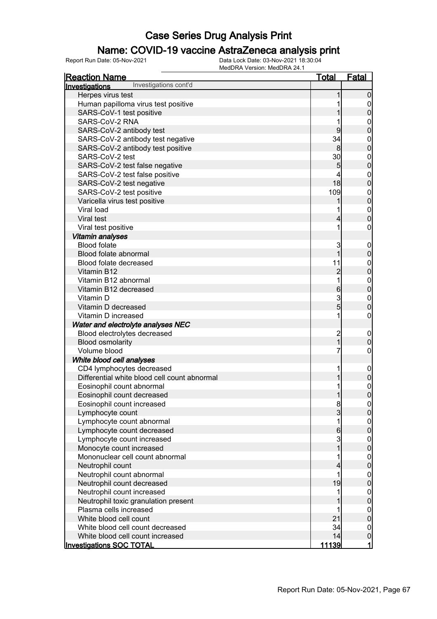### Name: COVID-19 vaccine AstraZeneca analysis print

| <u>Reaction Name</u>                         | Total                   | <u>Fatal</u>                         |
|----------------------------------------------|-------------------------|--------------------------------------|
| Investigations cont'd<br>Investigations      |                         |                                      |
| Herpes virus test                            | 1                       | $\Omega$                             |
| Human papilloma virus test positive          | 1                       | $\overline{0}$                       |
| SARS-CoV-1 test positive                     |                         | $\pmb{0}$                            |
| SARS-CoV-2 RNA                               | 1                       | $\mathbf{0}$                         |
| SARS-CoV-2 antibody test                     | 9                       | $\mathbf 0$                          |
| SARS-CoV-2 antibody test negative            | 34                      |                                      |
| SARS-CoV-2 antibody test positive            | 8                       | $\begin{matrix}0\\0\end{matrix}$     |
| SARS-CoV-2 test                              | 30                      |                                      |
| SARS-CoV-2 test false negative               | 5                       | $0\atop 0$                           |
| SARS-CoV-2 test false positive               | 4                       |                                      |
| SARS-CoV-2 test negative                     | 18 <sup>1</sup>         | $0\atop 0$                           |
| SARS-CoV-2 test positive                     | 109                     |                                      |
| Varicella virus test positive                |                         | $0\atop 0$                           |
| Viral load                                   | 1                       |                                      |
| Viral test                                   | 4                       | $\begin{matrix}0\\0\end{matrix}$     |
| Viral test positive                          | 1                       | $\boldsymbol{0}$                     |
| Vitamin analyses                             |                         |                                      |
| <b>Blood folate</b>                          | 3                       | $\boldsymbol{0}$                     |
| Blood folate abnormal                        | 1                       | $\mathbf 0$                          |
| Blood folate decreased                       | 11                      |                                      |
| Vitamin B12                                  | $\overline{c}$          | 0<br>0                               |
| Vitamin B12 abnormal                         | $\overline{\mathbf{1}}$ |                                      |
| Vitamin B12 decreased                        | $6\overline{6}$         | $0\atop 0$                           |
| Vitamin D                                    |                         |                                      |
| Vitamin D decreased                          | $\frac{3}{5}$           | $\begin{matrix}0\\0\end{matrix}$     |
| Vitamin D increased                          | 1                       | $\pmb{0}$                            |
| Water and electrolyte analyses NEC           |                         |                                      |
| Blood electrolytes decreased                 |                         | $\mathbf 0$                          |
| <b>Blood osmolarity</b>                      | $\frac{2}{1}$           | $\mathbf 0$                          |
| Volume blood                                 | 7                       | $\boldsymbol{0}$                     |
| White blood cell analyses                    |                         |                                      |
| CD4 lymphocytes decreased                    | 1                       | $\boldsymbol{0}$                     |
| Differential white blood cell count abnormal | 1                       | $\pmb{0}$                            |
| Eosinophil count abnormal                    | 1                       |                                      |
| Eosinophil count decreased                   | 1                       | $\begin{matrix}0\\0\end{matrix}$     |
| Eosinophil count increased                   | 8                       | 0                                    |
| Lymphocyte count                             | $\overline{3}$          | $\overline{0}$                       |
| Lymphocyte count abnormal                    | 1                       | $\boldsymbol{0}$                     |
| Lymphocyte count decreased                   | $6 \overline{6}$        | $\overline{0}$                       |
| Lymphocyte count increased                   | $\mathbf{3}$            |                                      |
| Monocyte count increased                     | $\overline{1}$          | $\begin{matrix} 0 \\ 0 \end{matrix}$ |
| Mononuclear cell count abnormal              | 1                       | $\boldsymbol{0}$                     |
| Neutrophil count                             | 4                       | $\overline{0}$                       |
| Neutrophil count abnormal                    | 1                       | $\mathbf{0}$                         |
| Neutrophil count decreased                   | 19                      | $\overline{0}$                       |
| Neutrophil count increased                   | 1                       | $\boldsymbol{0}$                     |
| Neutrophil toxic granulation present         |                         | $\overline{0}$                       |
| Plasma cells increased                       | 1                       | $\mathbf 0$                          |
| White blood cell count                       | 21                      | $\overline{0}$                       |
| White blood cell count decreased             | 34                      | $\mathbf 0$                          |
| White blood cell count increased             | 14                      | $\pmb{0}$                            |
| <b>Investigations SOC TOTAL</b>              | <u> 11139 </u>          | 1                                    |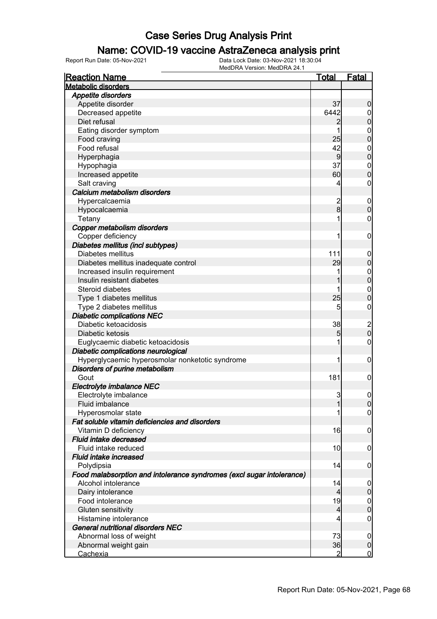### Name: COVID-19 vaccine AstraZeneca analysis print

| <b>Reaction Name</b>                                                  | <b>Total</b>            | <b>Fatal</b>                          |
|-----------------------------------------------------------------------|-------------------------|---------------------------------------|
| <b>Metabolic disorders</b>                                            |                         |                                       |
| Appetite disorders                                                    |                         |                                       |
| Appetite disorder                                                     | 37                      | $\boldsymbol{0}$                      |
| Decreased appetite                                                    | 6442                    | 0                                     |
| Diet refusal                                                          | $\overline{c}$          | $\boldsymbol{0}$                      |
| Eating disorder symptom                                               | 1                       | $\mathbf 0$                           |
| Food craving                                                          | 25                      | $\overline{0}$                        |
| Food refusal                                                          | 42                      | $\mathbf 0$                           |
| Hyperphagia                                                           | $\overline{9}$          | $\overline{0}$                        |
| Hypophagia                                                            | 37                      | $\mathbf 0$                           |
| Increased appetite                                                    | 60                      | $\overline{0}$                        |
| Salt craving                                                          | 4                       | 0                                     |
| Calcium metabolism disorders                                          |                         |                                       |
| Hypercalcaemia                                                        | $\overline{\mathbf{c}}$ | $\boldsymbol{0}$                      |
| Hypocalcaemia                                                         | $\bf{8}$                | $\mathbf 0$                           |
| Tetany                                                                |                         | 0                                     |
| Copper metabolism disorders                                           |                         |                                       |
| Copper deficiency                                                     |                         | $\boldsymbol{0}$                      |
| Diabetes mellitus (incl subtypes)                                     |                         |                                       |
| Diabetes mellitus                                                     | 111                     | $\boldsymbol{0}$                      |
| Diabetes mellitus inadequate control                                  | 29                      | $\boldsymbol{0}$                      |
| Increased insulin requirement                                         |                         | $\boldsymbol{0}$                      |
| Insulin resistant diabetes                                            |                         | $\overline{0}$                        |
| Steroid diabetes                                                      |                         | $\mathbf 0$                           |
| Type 1 diabetes mellitus                                              | 25                      | $\overline{0}$                        |
| Type 2 diabetes mellitus                                              | 5                       | 0                                     |
| <b>Diabetic complications NEC</b>                                     |                         |                                       |
| Diabetic ketoacidosis                                                 | 38                      |                                       |
| Diabetic ketosis                                                      | 5                       | $\begin{array}{c} 2 \\ 0 \end{array}$ |
| Euglycaemic diabetic ketoacidosis                                     |                         | 0                                     |
| Diabetic complications neurological                                   |                         |                                       |
| Hyperglycaemic hyperosmolar nonketotic syndrome                       | 1                       | $\boldsymbol{0}$                      |
| Disorders of purine metabolism                                        |                         |                                       |
| Gout                                                                  | 181                     | $\mathbf 0$                           |
| Electrolyte imbalance NEC                                             |                         |                                       |
| Electrolyte imbalance                                                 | 3                       | $\overline{0}$                        |
| Fluid imbalance                                                       |                         | 0                                     |
| Hyperosmolar state                                                    |                         | $\overline{0}$                        |
| Fat soluble vitamin deficiencies and disorders                        |                         |                                       |
| Vitamin D deficiency                                                  | 16                      | $\boldsymbol{0}$                      |
| Fluid intake decreased                                                |                         |                                       |
| Fluid intake reduced                                                  | 10                      | $\boldsymbol{0}$                      |
| Fluid intake increased                                                |                         |                                       |
| Polydipsia                                                            | 14                      | $\mathbf 0$                           |
| Food malabsorption and intolerance syndromes (excl sugar intolerance) |                         |                                       |
| Alcohol intolerance                                                   | 14                      | $\overline{0}$                        |
| Dairy intolerance                                                     | 4                       | $\mathbf 0$                           |
| Food intolerance                                                      | 19                      | $\overline{0}$                        |
| Gluten sensitivity                                                    | 4                       | $\mathbf 0$                           |
| Histamine intolerance                                                 | 4                       | $\mathbf 0$                           |
| <b>General nutritional disorders NEC</b>                              |                         |                                       |
| Abnormal loss of weight                                               | 73                      | $\overline{0}$                        |
| Abnormal weight gain                                                  | 36                      | $\boldsymbol{0}$                      |
| <b>Cachexia</b>                                                       | $\overline{2}$          | $\overline{0}$                        |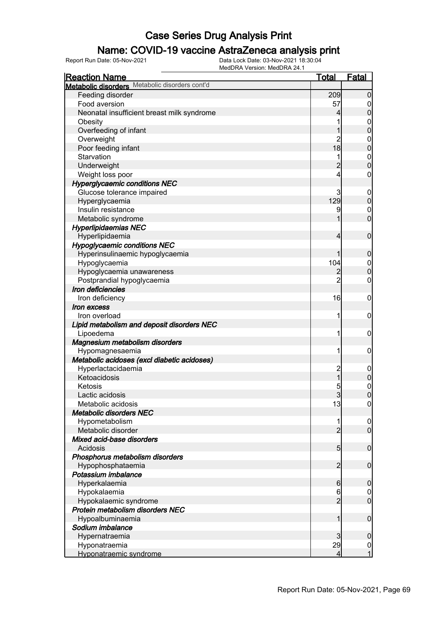### Name: COVID-19 vaccine AstraZeneca analysis print

| <b>Reaction Name</b>                           | <u>Total</u>    | Fatal                            |
|------------------------------------------------|-----------------|----------------------------------|
| Metabolic disorders Metabolic disorders cont'd |                 |                                  |
| Feeding disorder                               | 209             | $\overline{0}$                   |
| Food aversion                                  | 57              | 0                                |
| Neonatal insufficient breast milk syndrome     | 4               | $\boldsymbol{0}$                 |
| Obesity                                        |                 | $\mathbf 0$                      |
| Overfeeding of infant                          |                 | $\overline{0}$                   |
| Overweight                                     | $\overline{c}$  | $\mathbf 0$                      |
| Poor feeding infant                            | 18              | $\overline{0}$                   |
| Starvation                                     |                 | $\boldsymbol{0}$                 |
| Underweight                                    | $\overline{2}$  | $\overline{0}$                   |
| Weight loss poor                               | 4               | $\mathbf 0$                      |
|                                                |                 |                                  |
| <b>Hyperglycaemic conditions NEC</b>           |                 |                                  |
| Glucose tolerance impaired                     | 3               | $\mathbf 0$                      |
| Hyperglycaemia                                 | 129             | $\mathbf 0$                      |
| Insulin resistance                             | 9               | $\mathbf 0$                      |
| Metabolic syndrome                             |                 | $\mathbf 0$                      |
| <b>Hyperlipidaemias NEC</b>                    |                 |                                  |
| Hyperlipidaemia                                | 4               | $\mathbf 0$                      |
| <b>Hypoglycaemic conditions NEC</b>            |                 |                                  |
| Hyperinsulinaemic hypoglycaemia                | 1               | $\boldsymbol{0}$                 |
| Hypoglycaemia                                  | 104             | $\mathbf 0$                      |
| Hypoglycaemia unawareness                      | $\overline{c}$  | $\overline{0}$                   |
| Postprandial hypoglycaemia                     | $\overline{2}$  | $\boldsymbol{0}$                 |
| Iron deficiencies                              |                 |                                  |
| Iron deficiency                                | 16              | $\mathbf 0$                      |
| <i><b>Iron excess</b></i>                      |                 |                                  |
| Iron overload                                  | 1               | $\mathbf 0$                      |
| Lipid metabolism and deposit disorders NEC     |                 |                                  |
| Lipoedema                                      | 1               | $\mathbf 0$                      |
| Magnesium metabolism disorders                 |                 |                                  |
| Hypomagnesaemia                                | 1               | $\mathbf 0$                      |
| Metabolic acidoses (excl diabetic acidoses)    |                 |                                  |
| Hyperlactacidaemia                             | $\overline{c}$  | $\mathbf 0$                      |
| Ketoacidosis                                   | $\overline{1}$  | $\pmb{0}$                        |
| Ketosis                                        | 5               | $\mathbf 0$                      |
| Lactic acidosis                                | $\overline{3}$  | $\overline{0}$                   |
| Metabolic acidosis                             | 13              | $\overline{0}$                   |
| <b>Metabolic disorders NEC</b>                 |                 |                                  |
| Hypometabolism                                 |                 | $\overline{0}$                   |
| Metabolic disorder                             | $\overline{2}$  | $\overline{0}$                   |
| Mixed acid-base disorders                      |                 |                                  |
| Acidosis                                       | 5 <sub>5</sub>  | $\mathbf 0$                      |
| Phosphorus metabolism disorders                |                 |                                  |
| Hypophosphataemia                              | $\overline{2}$  | $\mathbf 0$                      |
| Potassium imbalance                            |                 |                                  |
| Hyperkalaemia                                  | $6 \overline{}$ | $\mathbf 0$                      |
| Hypokalaemia                                   | 6               | $\overline{0}$                   |
| Hypokalaemic syndrome                          | $\overline{2}$  | $\overline{0}$                   |
| Protein metabolism disorders NEC               |                 |                                  |
|                                                | 1               | $\mathbf 0$                      |
| Hypoalbuminaemia                               |                 |                                  |
| Sodium imbalance                               |                 |                                  |
| Hypernatraemia                                 | 3               | $\mathbf 0$                      |
| Hyponatraemia                                  | 29              | $\overline{0}$<br>$\overline{1}$ |
| Hyponatraemic syndrome                         | 4               |                                  |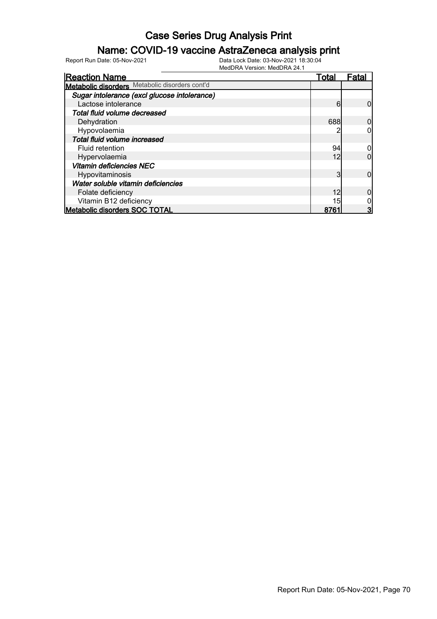### Name: COVID-19 vaccine AstraZeneca analysis print

| <b>Reaction Name</b>                           | Total | <b>Fatal</b> |
|------------------------------------------------|-------|--------------|
| Metabolic disorders Metabolic disorders cont'd |       |              |
| Sugar intolerance (excl glucose intolerance)   |       |              |
| Lactose intolerance                            | 6     |              |
| Total fluid volume decreased                   |       |              |
| Dehydration                                    | 688   |              |
| Hypovolaemia                                   |       |              |
| Total fluid volume increased                   |       |              |
| Fluid retention                                | 94    |              |
| Hypervolaemia                                  | 12    |              |
| <b>Vitamin deficiencies NEC</b>                |       |              |
| Hypovitaminosis                                | 3     |              |
| Water soluble vitamin deficiencies             |       |              |
| Folate deficiency                              | 12    |              |
| Vitamin B12 deficiency                         | 15    |              |
| <b>Metabolic disorders SOC TOTAL</b>           | 8761  |              |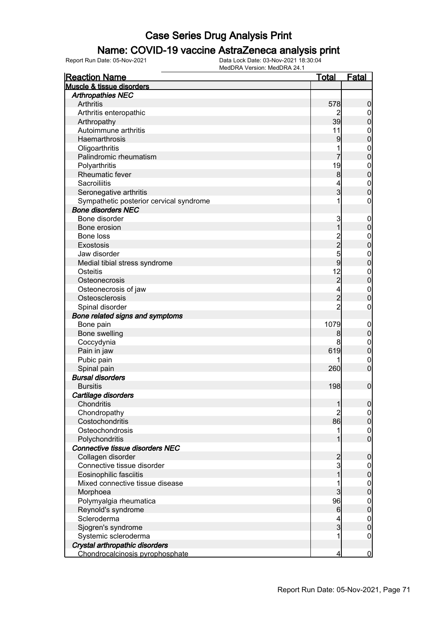#### Name: COVID-19 vaccine AstraZeneca analysis print

| <b>Reaction Name</b>                    | <u>Total</u>        | <b>Fatal</b>                       |
|-----------------------------------------|---------------------|------------------------------------|
| Muscle & tissue disorders               |                     |                                    |
| <b>Arthropathies NEC</b>                |                     |                                    |
| Arthritis                               | 578                 | $\boldsymbol{0}$                   |
| Arthritis enteropathic                  |                     | $\overline{0}$                     |
| Arthropathy                             | 39                  | $\mathbf 0$                        |
| Autoimmune arthritis                    | 11                  | $\mathbf{0}$                       |
| Haemarthrosis                           | 9                   | $\overline{0}$                     |
| Oligoarthritis                          | 1                   | $\mathbf{0}$                       |
| Palindromic rheumatism                  |                     | $\overline{0}$                     |
| Polyarthritis                           | 19                  |                                    |
| Rheumatic fever                         | $\bf{8}$            | $\begin{matrix}0\\0\end{matrix}$   |
| Sacroiliitis                            | 4                   |                                    |
| Seronegative arthritis                  | $\overline{3}$      | $\begin{matrix}0\\0\end{matrix}$   |
| Sympathetic posterior cervical syndrome | 1                   | $\mathbf 0$                        |
| <b>Bone disorders NEC</b>               |                     |                                    |
| Bone disorder                           | 3                   | $\boldsymbol{0}$                   |
| Bone erosion                            | $\overline{1}$      | $\mathbf 0$                        |
| Bone loss                               |                     | $\mathbf{0}$                       |
| <b>Exostosis</b>                        | 2259                | $\overline{0}$                     |
| Jaw disorder                            |                     | $\mathbf{0}$                       |
| Medial tibial stress syndrome           |                     | $\overline{0}$                     |
| Osteitis                                | 12                  |                                    |
| Osteonecrosis                           | $\overline{2}$      | $0\atop 0$                         |
| Osteonecrosis of jaw                    | 4                   | $\mathbf{0}$                       |
| Osteosclerosis                          | $\overline{2}$      | $\overline{0}$                     |
| Spinal disorder                         | $\overline{2}$      | $\mathbf 0$                        |
| Bone related signs and symptoms         |                     |                                    |
| Bone pain                               | 1079                | $\boldsymbol{0}$                   |
| Bone swelling                           | 8                   | $\pmb{0}$                          |
| Coccydynia                              | 8                   |                                    |
| Pain in jaw                             | 619                 | $\mathbf{0}$<br>$\mathbf 0$        |
| Pubic pain                              |                     |                                    |
|                                         | 260                 | $\mathbf 0$<br>$\overline{0}$      |
| Spinal pain<br><b>Bursal disorders</b>  |                     |                                    |
| <b>Bursitis</b>                         | 198                 | $\mathbf 0$                        |
|                                         |                     |                                    |
| Cartilage disorders                     |                     |                                    |
| Chondritis                              | 1<br>$\overline{2}$ | 0                                  |
| Chondropathy                            |                     | $\overline{0}$                     |
| Costochondritis                         | 86                  | $\mathbf 0$                        |
| Osteochondrosis                         | 1                   | $\boldsymbol{0}$<br>$\overline{0}$ |
| Polychondritis                          | 1                   |                                    |
| <b>Connective tissue disorders NEC</b>  |                     |                                    |
| Collagen disorder                       | 2<br>3              | $\mathbf 0$                        |
| Connective tissue disorder              |                     | $\overline{0}$                     |
| Eosinophilic fasciitis                  | $\overline{1}$      | $\mathbf 0$                        |
| Mixed connective tissue disease         | 1                   | $\boldsymbol{0}$                   |
| Morphoea                                | $\overline{3}$      | $\mathbf 0$                        |
| Polymyalgia rheumatica                  | 96                  | $\boldsymbol{0}$                   |
| Reynold's syndrome                      | $6 \,$              | $\mathbf 0$                        |
| Scleroderma                             |                     | $\mathbf{0}$                       |
| Sjogren's syndrome                      | $\overline{3}$      | $\mathbf 0$                        |
| Systemic scleroderma                    | 1                   | $\mathbf 0$                        |
| Crystal arthropathic disorders          |                     |                                    |
| Chondrocalcinosis pyrophosphate         | 4                   | $\bf{0}$                           |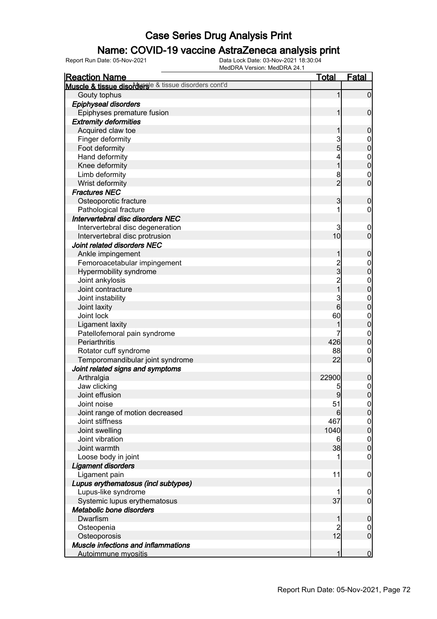### Name: COVID-19 vaccine AstraZeneca analysis print

| <b>Reaction Name</b>                                                  | <u>Total</u>   | <b>Fatal</b>                   |
|-----------------------------------------------------------------------|----------------|--------------------------------|
| Muscle & tissue disorders <sup>le &amp; tissue disorders cont'd</sup> |                |                                |
| Gouty tophus                                                          | 1              | $\mathbf 0$                    |
| <b>Epiphyseal disorders</b>                                           |                |                                |
| Epiphyses premature fusion                                            |                | $\mathbf 0$                    |
| <b>Extremity deformities</b>                                          |                |                                |
| Acquired claw toe                                                     |                | $\mathbf 0$                    |
| Finger deformity                                                      | 3              | $\overline{0}$                 |
| Foot deformity                                                        | 5              | $\overline{0}$                 |
| Hand deformity                                                        | 4              | $\mathbf 0$                    |
| Knee deformity                                                        | 1              | $\overline{0}$                 |
| Limb deformity                                                        | 8              | $\mathbf 0$                    |
| Wrist deformity                                                       | $\overline{2}$ | $\overline{0}$                 |
| <b>Fractures NEC</b>                                                  |                |                                |
| Osteoporotic fracture                                                 | 3              | $\mathbf 0$                    |
| Pathological fracture                                                 |                | 0                              |
| Intervertebral disc disorders NEC                                     |                |                                |
| Intervertebral disc degeneration                                      | 3              | $\mathbf 0$                    |
| Intervertebral disc protrusion                                        | 10             | $\overline{0}$                 |
| Joint related disorders NEC                                           |                |                                |
| Ankle impingement                                                     | 1              | $\mathbf 0$                    |
| Femoroacetabular impingement                                          |                | $\mathbf 0$                    |
| Hypermobility syndrome                                                | $\frac{2}{3}$  | $\overline{0}$                 |
| Joint ankylosis                                                       |                |                                |
| Joint contracture                                                     | $\frac{2}{1}$  | $\mathbf{0}$<br>$\overline{0}$ |
|                                                                       |                |                                |
| Joint instability                                                     | 3<br>6         | $\mathbf{0}$<br>$\overline{0}$ |
| Joint laxity                                                          |                |                                |
| Joint lock                                                            | 60             | $\mathbf{0}$<br>$\overline{0}$ |
| <b>Ligament laxity</b>                                                |                |                                |
| Patellofemoral pain syndrome                                          |                | $\overline{0}$                 |
| Periarthritis                                                         | 426            | $\overline{0}$                 |
| Rotator cuff syndrome                                                 | 88             | $\mathbf 0$                    |
| Temporomandibular joint syndrome                                      | 22             | $\mathbf 0$                    |
| Joint related signs and symptoms                                      |                |                                |
| Arthralgia                                                            | 22900          | $\mathbf 0$                    |
| Jaw clicking                                                          | 5              | $\mathbf 0$                    |
| Joint effusion                                                        | 9              | $\mathbf 0$                    |
| Joint noise                                                           | 51             | 0                              |
| Joint range of motion decreased                                       | 6              | $\overline{0}$                 |
| Joint stiffness                                                       | 467            | $\boldsymbol{0}$               |
| Joint swelling                                                        | 1040           | $\overline{0}$                 |
| Joint vibration                                                       | 6              | $\mathbf{0}$                   |
| Joint warmth                                                          | 38             | $\overline{0}$                 |
| Loose body in joint                                                   |                | 0                              |
| <b>Ligament disorders</b>                                             |                |                                |
| Ligament pain                                                         | 11             | $\mathbf 0$                    |
| Lupus erythematosus (incl subtypes)                                   |                |                                |
| Lupus-like syndrome                                                   |                | $\boldsymbol{0}$               |
| Systemic lupus erythematosus                                          | 37             | $\mathbf 0$                    |
| Metabolic bone disorders                                              |                |                                |
| Dwarfism                                                              |                | $\mathbf 0$                    |
| Osteopenia                                                            |                | $\mathbf 0$                    |
| Osteoporosis                                                          | 12             | $\overline{0}$                 |
| Muscle infections and inflammations                                   |                |                                |
| <b>Autoimmune myositis</b>                                            |                | $\mathbf 0$                    |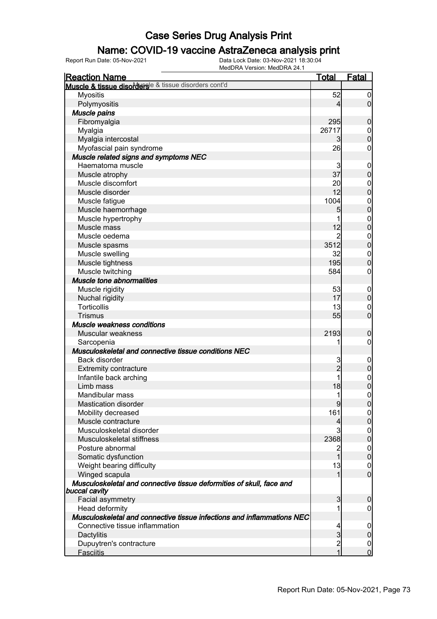### Name: COVID-19 vaccine AstraZeneca analysis print

| <b>Reaction Name</b>                                                                  | <b>Total</b>                          | <b>Fatal</b>                     |
|---------------------------------------------------------------------------------------|---------------------------------------|----------------------------------|
| Muscle & tissue disordersle & tissue disorders cont'd                                 |                                       |                                  |
| <b>Myositis</b>                                                                       | 52                                    | $\boldsymbol{0}$                 |
| Polymyositis                                                                          | $\overline{4}$                        | $\overline{0}$                   |
| Muscle pains                                                                          |                                       |                                  |
| Fibromyalgia                                                                          | 295                                   | $\boldsymbol{0}$                 |
| Myalgia                                                                               | 26717                                 |                                  |
| Myalgia intercostal                                                                   | $\overline{3}$                        | $\begin{matrix}0\\0\end{matrix}$ |
| Myofascial pain syndrome                                                              | 26                                    | $\mathbf 0$                      |
| Muscle related signs and symptoms NEC                                                 |                                       |                                  |
| Haematoma muscle                                                                      | 3                                     | $\mathbf{0}$                     |
| Muscle atrophy                                                                        | 37                                    | $\overline{0}$                   |
| Muscle discomfort                                                                     | 20                                    |                                  |
| Muscle disorder                                                                       | 12                                    | $0\atop 0$                       |
| Muscle fatigue                                                                        | 1004                                  |                                  |
| Muscle haemorrhage                                                                    | 5                                     | $\begin{matrix}0\\0\end{matrix}$ |
| Muscle hypertrophy                                                                    | 1                                     |                                  |
| Muscle mass                                                                           | 12                                    | $\begin{matrix}0\\0\end{matrix}$ |
| Muscle oedema                                                                         | $\overline{2}$                        |                                  |
| Muscle spasms                                                                         | 3512                                  | $\begin{matrix}0\\0\end{matrix}$ |
| Muscle swelling                                                                       | 32                                    | $\begin{matrix}0\\0\end{matrix}$ |
| Muscle tightness                                                                      | 195                                   |                                  |
| Muscle twitching                                                                      | 584                                   | $\mathbf 0$                      |
| <b>Muscle tone abnormalities</b>                                                      |                                       |                                  |
| Muscle rigidity                                                                       | 53                                    |                                  |
| Nuchal rigidity                                                                       | 17                                    | $0\atop 0$                       |
| <b>Torticollis</b>                                                                    | 13                                    | $\begin{matrix}0\\0\end{matrix}$ |
| <b>Trismus</b>                                                                        | 55                                    |                                  |
| Muscle weakness conditions                                                            |                                       |                                  |
| Muscular weakness                                                                     | 2193                                  | $\mathbf 0$                      |
| Sarcopenia                                                                            | 1                                     | $\pmb{0}$                        |
| Musculoskeletal and connective tissue conditions NEC                                  |                                       |                                  |
| Back disorder                                                                         | 3                                     | $0\atop 0$                       |
| <b>Extremity contracture</b>                                                          | $\overline{2}$                        |                                  |
| Infantile back arching                                                                | 1                                     | $\begin{matrix}0\\0\end{matrix}$ |
| Limb mass                                                                             | 18                                    |                                  |
| Mandibular mass                                                                       | 1                                     | $\overline{0}$                   |
| <b>Mastication disorder</b>                                                           | 9                                     | <sup>o</sup>                     |
| Mobility decreased                                                                    | 161                                   | $\overline{0}$                   |
| Muscle contracture                                                                    | $\overline{4}$                        | $\overline{0}$                   |
| Musculoskeletal disorder                                                              | $\overline{3}$                        | $\mathbf 0$                      |
| Musculoskeletal stiffness                                                             | 2368                                  | $\overline{0}$                   |
| Posture abnormal                                                                      | $\overline{2}$                        | $\mathbf 0$                      |
| Somatic dysfunction                                                                   | 1                                     | $\mathbf 0$                      |
| Weight bearing difficulty                                                             | 13                                    | $\boldsymbol{0}$                 |
| Winged scapula                                                                        | 1                                     | $\overline{0}$                   |
| Musculoskeletal and connective tissue deformities of skull, face and<br>buccal cavity |                                       |                                  |
| Facial asymmetry                                                                      | $\mathbf{3}$                          | 0                                |
| Head deformity                                                                        | 1                                     | 0                                |
| Musculoskeletal and connective tissue infections and inflammations NEC                |                                       |                                  |
| Connective tissue inflammation                                                        | $\overline{4}$                        | $\mathbf 0$                      |
| Dactylitis                                                                            | $\overline{3}$                        | $\boldsymbol{0}$                 |
| Dupuytren's contracture                                                               | $\begin{array}{c} 2 \\ 1 \end{array}$ | $\overline{0}$                   |
| <b>Fasciitis</b>                                                                      |                                       | $\overline{0}$                   |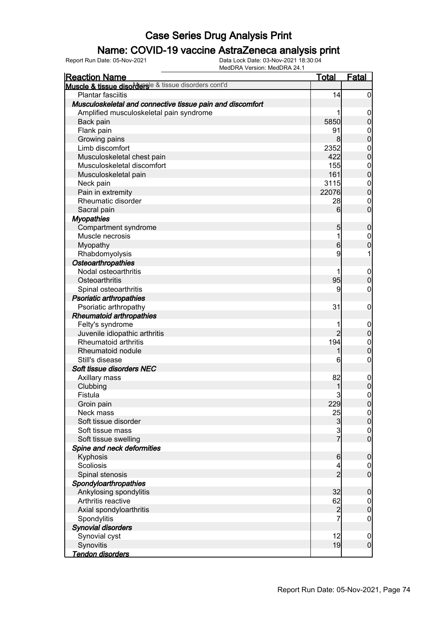### Name: COVID-19 vaccine AstraZeneca analysis print

| <b>Reaction Name</b>                                      | <u>Total</u>    | <b>Fatal</b>     |
|-----------------------------------------------------------|-----------------|------------------|
| Muscle & tissue disorderse & tissue disorders cont'd      |                 |                  |
| <b>Plantar fasciitis</b>                                  | 14              | $\overline{0}$   |
| Musculoskeletal and connective tissue pain and discomfort |                 |                  |
| Amplified musculoskeletal pain syndrome                   |                 | $\boldsymbol{0}$ |
| Back pain                                                 | 5850            | $\overline{0}$   |
| Flank pain                                                | 91              | $\boldsymbol{0}$ |
| Growing pains                                             | 8 <sup>1</sup>  | $\overline{0}$   |
| Limb discomfort                                           | 2352            | $\mathbf{0}$     |
| Musculoskeletal chest pain                                | 422             | $\overline{0}$   |
| Musculoskeletal discomfort                                | 155             | $\mathbf{0}$     |
| Musculoskeletal pain                                      | 161             | $\overline{0}$   |
| Neck pain                                                 | 3115            | $\mathbf{0}$     |
| Pain in extremity                                         | 22076           | $\overline{0}$   |
| Rheumatic disorder                                        | 28              | $\mathbf 0$      |
| Sacral pain                                               | $6 \overline{}$ | $\mathbf 0$      |
| <b>Myopathies</b>                                         |                 |                  |
| Compartment syndrome                                      | 5 <sub>5</sub>  | $\boldsymbol{0}$ |
| Muscle necrosis                                           | 1               | $\mathbf 0$      |
| Myopathy                                                  | $6 \mid$        | $\overline{0}$   |
| Rhabdomyolysis                                            | 9               |                  |
| Osteoarthropathies                                        |                 |                  |
| Nodal osteoarthritis                                      |                 | $\mathbf 0$      |
| Osteoarthritis                                            | 95              | $\overline{0}$   |
| Spinal osteoarthritis                                     | 9               | 0                |
| <b>Psoriatic arthropathies</b>                            |                 |                  |
| Psoriatic arthropathy                                     | 31              | $\boldsymbol{0}$ |
| <b>Rheumatoid arthropathies</b>                           |                 |                  |
| Felty's syndrome                                          |                 | $\mathbf 0$      |
| Juvenile idiopathic arthritis                             | $\overline{2}$  | $\mathbf 0$      |
| Rheumatoid arthritis                                      | 194             | $\boldsymbol{0}$ |
| Rheumatoid nodule                                         | 1               | $\overline{0}$   |
| Still's disease                                           | 6               | $\boldsymbol{0}$ |
| Soft tissue disorders NEC                                 |                 |                  |
| Axillary mass                                             | 82              | $\mathbf 0$      |
| Clubbing                                                  |                 | $\overline{0}$   |
| Fistula                                                   | 3               | $\overline{0}$   |
| Groin pain                                                | 229             | 0                |
| Neck mass                                                 | 25              | $\overline{0}$   |
| Soft tissue disorder                                      | $\mathbf{3}$    | $\overline{0}$   |
| Soft tissue mass                                          | $\overline{3}$  | $\mathbf 0$      |
| Soft tissue swelling                                      | $\overline{7}$  | $\overline{0}$   |
| Spine and neck deformities                                |                 |                  |
| Kyphosis                                                  | $6\phantom{.0}$ | $\boldsymbol{0}$ |
| Scoliosis                                                 | 4               | $\overline{0}$   |
| Spinal stenosis                                           | $\overline{2}$  | $\overline{0}$   |
| Spondyloarthropathies                                     |                 |                  |
| Ankylosing spondylitis                                    | 32              | $\boldsymbol{0}$ |
| Arthritis reactive                                        | 62              | $\overline{0}$   |
| Axial spondyloarthritis                                   | $\overline{c}$  | $\mathbf 0$      |
| Spondylitis                                               | 7               | $\boldsymbol{0}$ |
| <b>Synovial disorders</b>                                 |                 |                  |
| Synovial cyst                                             | 12              | $\mathbf 0$      |
| Synovitis                                                 | 19              | $\boldsymbol{0}$ |
| <u>Tendon disorders</u>                                   |                 |                  |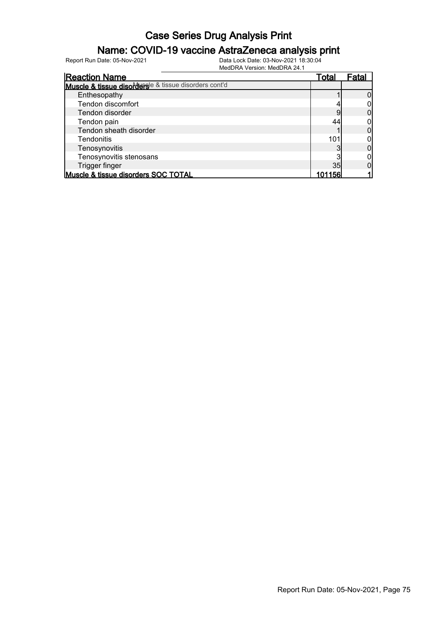### Name: COVID-19 vaccine AstraZeneca analysis print

| <b>Reaction Name</b>                                  | Total | ⊦ata |
|-------------------------------------------------------|-------|------|
| Muscle & tissue disordersle & tissue disorders cont'd |       |      |
| Enthesopathy                                          |       |      |
| Tendon discomfort                                     |       |      |
| Tendon disorder                                       |       |      |
| Tendon pain                                           | 44    |      |
| Tendon sheath disorder                                |       |      |
| <b>Tendonitis</b>                                     | 101   |      |
| Tenosynovitis                                         |       |      |
| Tenosynovitis stenosans                               |       |      |
| Trigger finger                                        | 35    |      |
| Muscle & tissue disorders SOC TOTAL                   | 156   |      |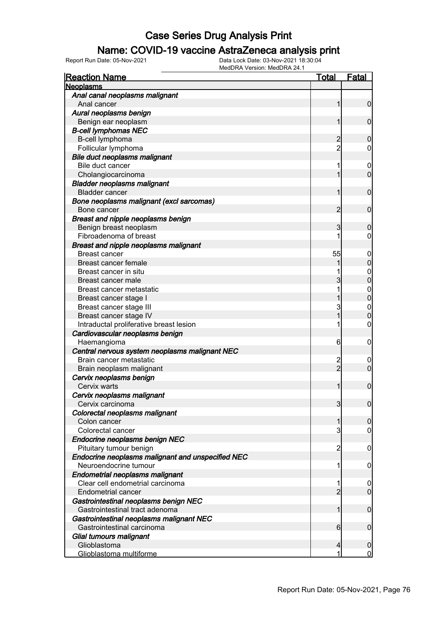#### Name: COVID-19 vaccine AstraZeneca analysis print

| <b>Reaction Name</b>                              | <u>Total</u>   | <b>Fatal</b>     |
|---------------------------------------------------|----------------|------------------|
| <b>Neoplasms</b>                                  |                |                  |
| Anal canal neoplasms malignant                    |                |                  |
| Anal cancer                                       | 1              | $\mathbf 0$      |
| Aural neoplasms benign                            |                |                  |
| Benign ear neoplasm                               |                | $\mathbf 0$      |
| <b>B-cell lymphomas NEC</b>                       |                |                  |
| B-cell lymphoma                                   |                | 0                |
| Follicular lymphoma                               | $\overline{2}$ | 0                |
| Bile duct neoplasms malignant                     |                |                  |
| Bile duct cancer                                  | 1              | $\overline{0}$   |
| Cholangiocarcinoma                                |                | $\mathbf 0$      |
| <b>Bladder neoplasms malignant</b>                |                |                  |
| <b>Bladder cancer</b>                             |                | $\mathbf 0$      |
| Bone neoplasms malignant (excl sarcomas)          |                |                  |
| Bone cancer                                       | 2              | $\mathbf 0$      |
| Breast and nipple neoplasms benign                |                |                  |
| Benign breast neoplasm                            | 3              | 0                |
| Fibroadenoma of breast                            |                | 0                |
| Breast and nipple neoplasms malignant             |                |                  |
| Breast cancer                                     | 55             | $\overline{0}$   |
| Breast cancer female                              |                | 0                |
| Breast cancer in situ                             |                | $\mathbf 0$      |
| Breast cancer male                                | 3              | 0                |
| Breast cancer metastatic                          |                | $\mathbf 0$      |
| Breast cancer stage I                             |                | 0                |
| Breast cancer stage III                           | 3              | $\mathbf{0}$     |
| Breast cancer stage IV                            |                | 0                |
| Intraductal proliferative breast lesion           |                | 0                |
| Cardiovascular neoplasms benign                   |                |                  |
| Haemangioma                                       | 6              | 0                |
| Central nervous system neoplasms malignant NEC    |                |                  |
| Brain cancer metastatic                           | 2              | 0                |
| Brain neoplasm malignant                          | $\overline{2}$ | $\overline{0}$   |
| Cervix neoplasms benign                           |                |                  |
| Cervix warts                                      |                | $\mathbf 0$      |
| Cervix neoplasms malignant                        |                |                  |
| Cervix carcinoma                                  | 3              | 0                |
| Colorectal neoplasms malignant                    |                |                  |
| Colon cancer                                      |                | $\mathbf 0$      |
| Colorectal cancer                                 | 3              | 0                |
| Endocrine neoplasms benign NEC                    |                |                  |
| Pituitary tumour benign                           | $\overline{2}$ | 0                |
| Endocrine neoplasms malignant and unspecified NEC |                |                  |
| Neuroendocrine tumour                             | 1              | 0                |
| Endometrial neoplasms malignant                   |                |                  |
| Clear cell endometrial carcinoma                  |                | $\boldsymbol{0}$ |
| Endometrial cancer                                | $\overline{2}$ | $\mathbf 0$      |
| Gastrointestinal neoplasms benign NEC             |                |                  |
| Gastrointestinal tract adenoma                    | 1              | $\mathbf 0$      |
| Gastrointestinal neoplasms malignant NEC          |                |                  |
| Gastrointestinal carcinoma                        | 6              | $\mathbf 0$      |
| Glial tumours malignant                           |                |                  |
| Glioblastoma                                      | 4              | $\boldsymbol{0}$ |
| Glioblastoma multiforme                           | 1              | $\overline{0}$   |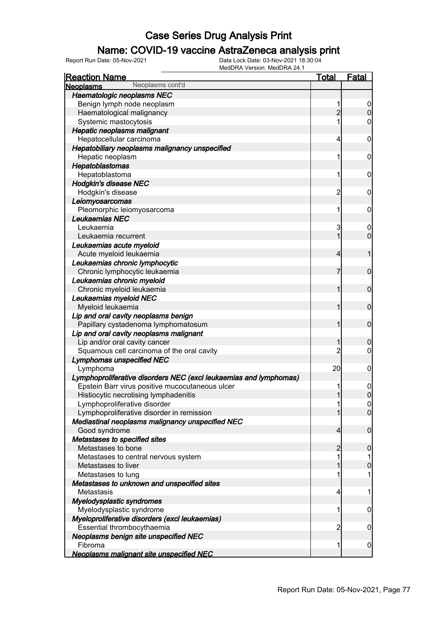### Name: COVID-19 vaccine AstraZeneca analysis print

| <b>Reaction Name</b>                                                         | <b>Total</b>   | <b>Fatal</b>     |
|------------------------------------------------------------------------------|----------------|------------------|
| Neoplasms cont'd<br><b>Neoplasms</b>                                         |                |                  |
| Haematologic neoplasms NEC                                                   |                |                  |
| Benign lymph node neoplasm                                                   | 1              | $\overline{0}$   |
| Haematological malignancy                                                    | $\overline{2}$ | $\overline{0}$   |
| Systemic mastocytosis                                                        | 1              | $\overline{0}$   |
| <b>Hepatic neoplasms malignant</b>                                           |                |                  |
| Hepatocellular carcinoma                                                     | $\overline{4}$ | $\boldsymbol{0}$ |
| Hepatobiliary neoplasms malignancy unspecified                               |                |                  |
| Hepatic neoplasm                                                             | 1              | $\mathbf 0$      |
| Hepatoblastomas                                                              |                |                  |
| Hepatoblastoma                                                               | 1              | $\mathbf 0$      |
| <b>Hodgkin's disease NEC</b>                                                 |                |                  |
| Hodgkin's disease                                                            | $\overline{c}$ | $\mathbf 0$      |
| Leiomyosarcomas                                                              |                |                  |
| Pleomorphic leiomyosarcoma                                                   | 1              | $\mathbf 0$      |
| Leukaemias NEC                                                               |                |                  |
| Leukaemia                                                                    | 3              | $\boldsymbol{0}$ |
| Leukaemia recurrent                                                          | 1              | $\mathbf 0$      |
| Leukaemias acute myeloid                                                     |                |                  |
| Acute myeloid leukaemia                                                      | $\overline{4}$ | 1                |
| Leukaemias chronic lymphocytic                                               |                |                  |
| Chronic lymphocytic leukaemia                                                | 7              | $\mathbf 0$      |
| Leukaemias chronic myeloid                                                   |                |                  |
| Chronic myeloid leukaemia                                                    | 1              | $\mathbf 0$      |
| Leukaemias myeloid NEC                                                       |                |                  |
| Myeloid leukaemia                                                            | 1              | $\mathbf 0$      |
| Lip and oral cavity neoplasms benign                                         |                |                  |
| Papillary cystadenoma lymphomatosum                                          | 1              | $\mathbf 0$      |
| Lip and oral cavity neoplasms malignant                                      |                |                  |
| Lip and/or oral cavity cancer                                                | 1              | $\mathbf 0$      |
| Squamous cell carcinoma of the oral cavity                                   | $\overline{2}$ | $\mathbf 0$      |
| <b>Lymphomas unspecified NEC</b>                                             |                |                  |
| Lymphoma                                                                     | 20             | $\mathbf 0$      |
| Lymphoproliferative disorders NEC (excl leukaemias and lymphomas)            |                |                  |
| Epstein Barr virus positive mucocutaneous ulcer                              | 1              | $\boldsymbol{0}$ |
| Histiocytic necrotising lymphadenitis                                        | $\mathbf{1}$   | $\overline{0}$   |
| Lymphoproliferative disorder                                                 | 1              | $\overline{0}$   |
| Lymphoproliferative disorder in remission                                    | 1              | $\overline{0}$   |
| Mediastinal neoplasms malignancy unspecified NEC                             |                |                  |
| Good syndrome                                                                | $\overline{4}$ | $\boldsymbol{0}$ |
| Metastases to specified sites                                                |                |                  |
| Metastases to bone                                                           | $\overline{c}$ | $\mathbf 0$      |
| Metastases to central nervous system                                         | 1              | 1                |
| Metastases to liver                                                          | 1              | $\mathbf 0$      |
| Metastases to lung                                                           | 1              | 1                |
| Metastases to unknown and unspecified sites                                  |                |                  |
| Metastasis                                                                   | 4              | 1                |
| Myelodysplastic syndromes                                                    |                |                  |
| Myelodysplastic syndrome                                                     | 1              | $\mathbf 0$      |
| Myeloproliferative disorders (excl leukaemias)<br>Essential thrombocythaemia | $\overline{c}$ |                  |
|                                                                              |                | $\mathbf 0$      |
| Neoplasms benign site unspecified NEC<br>Fibroma                             | 1              | $\mathbf 0$      |
| <b>Neoplasms malignant site unspecified NEC</b>                              |                |                  |
|                                                                              |                |                  |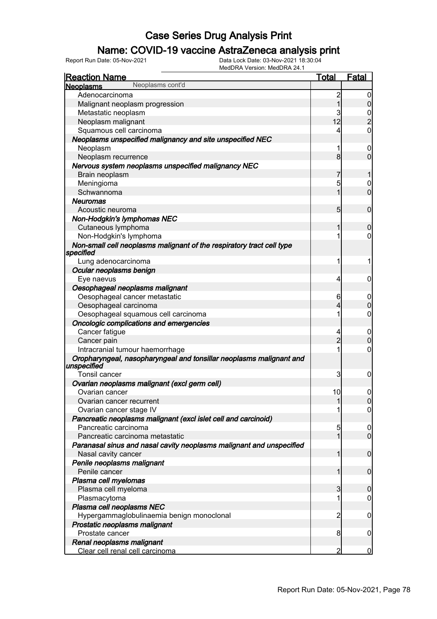### Name: COVID-19 vaccine AstraZeneca analysis print

| <u>Reaction Name</u>                                                  | <b>Total</b>    | Fatal          |
|-----------------------------------------------------------------------|-----------------|----------------|
| Neoplasms cont'd<br><b>Neoplasms</b>                                  |                 |                |
| Adenocarcinoma                                                        | $\overline{c}$  | 0              |
| Malignant neoplasm progression                                        | $\overline{1}$  | $\overline{0}$ |
| Metastatic neoplasm                                                   | 3               |                |
| Neoplasm malignant                                                    | 12              | $\overline{2}$ |
| Squamous cell carcinoma                                               | 4               | $\mathbf 0$    |
| Neoplasms unspecified malignancy and site unspecified NEC             |                 |                |
| Neoplasm                                                              | 1               | 0              |
| Neoplasm recurrence                                                   | 8               | $\overline{0}$ |
| Nervous system neoplasms unspecified malignancy NEC                   |                 |                |
| Brain neoplasm                                                        | 7               |                |
| Meningioma                                                            | 5               | 0              |
| Schwannoma                                                            | 1               | $\overline{0}$ |
| Neuromas                                                              |                 |                |
| Acoustic neuroma                                                      | $5\overline{)}$ | $\mathbf 0$    |
| Non-Hodgkin's lymphomas NEC                                           |                 |                |
| Cutaneous lymphoma                                                    | 1               | $\mathbf 0$    |
| Non-Hodgkin's lymphoma                                                |                 | 0              |
| Non-small cell neoplasms malignant of the respiratory tract cell type |                 |                |
| specified                                                             |                 |                |
| Lung adenocarcinoma                                                   | 1               | 1              |
| Ocular neoplasms benign                                               |                 |                |
| Eye naevus                                                            | 4               | 0              |
| Oesophageal neoplasms malignant                                       |                 |                |
| Oesophageal cancer metastatic                                         | 6               | 0              |
| Oesophageal carcinoma                                                 | 4               | $\mathbf 0$    |
| Oesophageal squamous cell carcinoma                                   | 1               | 0              |
| Oncologic complications and emergencies                               |                 |                |
| Cancer fatigue                                                        | 4               | 0              |
| Cancer pain                                                           | $\overline{2}$  | $\mathbf 0$    |
| Intracranial tumour haemorrhage                                       | 1               | 0              |
| Oropharyngeal, nasopharyngeal and tonsillar neoplasms malignant and   |                 |                |
| unspecified                                                           |                 |                |
| <b>Tonsil cancer</b>                                                  | 3               | 0              |
| Ovarian neoplasms malignant (excl germ cell)                          |                 |                |
| Ovarian cancer                                                        | 10              | 0              |
| Ovarian cancer recurrent                                              |                 | υ              |
| Ovarian cancer stage IV                                               |                 | 0              |
| Pancreatic neoplasms malignant (excl islet cell and carcinoid)        |                 |                |
| Pancreatic carcinoma                                                  | 5               | 0              |
| Pancreatic carcinoma metastatic                                       |                 | $\mathbf 0$    |
| Paranasal sinus and nasal cavity neoplasms malignant and unspecified  |                 |                |
| Nasal cavity cancer                                                   | 1               | 0              |
| Penile neoplasms malignant                                            |                 |                |
| Penile cancer                                                         |                 | 0              |
| Plasma cell myelomas                                                  |                 |                |
| Plasma cell myeloma                                                   | 3               | 0              |
| Plasmacytoma                                                          | 1               | 0              |
| Plasma cell neoplasms NEC                                             |                 |                |
| Hypergammaglobulinaemia benign monoclonal                             | 2               | 0              |
| Prostatic neoplasms malignant                                         |                 |                |
| Prostate cancer                                                       | 8               | $\mathbf 0$    |
| Renal neoplasms malignant                                             |                 |                |
| Clear cell renal cell carcinoma                                       | 2               | 0              |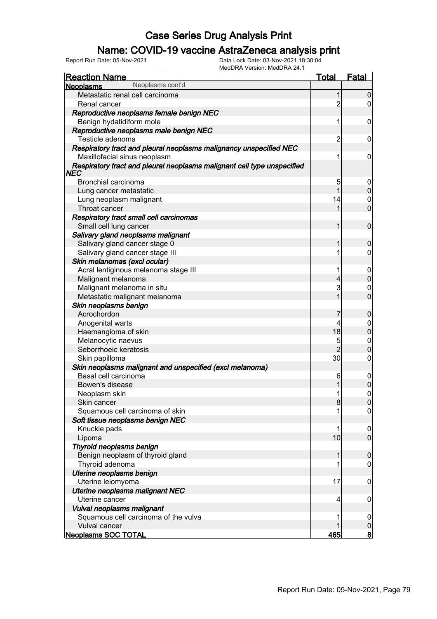### Name: COVID-19 vaccine AstraZeneca analysis print

| Neoplasms cont'd<br><b>Neoplasms</b><br>Metastatic renal cell carcinoma<br>1<br>$\overline{2}$<br>Renal cancer<br>Reproductive neoplasms female benign NEC<br>Benign hydatidiform mole<br>1<br>Reproductive neoplasms male benign NEC<br>Testicle adenoma<br>2<br>Respiratory tract and pleural neoplasms malignancy unspecified NEC<br>Maxillofacial sinus neoplasm<br>Respiratory tract and pleural neoplasms malignant cell type unspecified<br>NEC |
|--------------------------------------------------------------------------------------------------------------------------------------------------------------------------------------------------------------------------------------------------------------------------------------------------------------------------------------------------------------------------------------------------------------------------------------------------------|
|                                                                                                                                                                                                                                                                                                                                                                                                                                                        |
|                                                                                                                                                                                                                                                                                                                                                                                                                                                        |
|                                                                                                                                                                                                                                                                                                                                                                                                                                                        |
|                                                                                                                                                                                                                                                                                                                                                                                                                                                        |
|                                                                                                                                                                                                                                                                                                                                                                                                                                                        |
|                                                                                                                                                                                                                                                                                                                                                                                                                                                        |
|                                                                                                                                                                                                                                                                                                                                                                                                                                                        |
|                                                                                                                                                                                                                                                                                                                                                                                                                                                        |
|                                                                                                                                                                                                                                                                                                                                                                                                                                                        |
|                                                                                                                                                                                                                                                                                                                                                                                                                                                        |
| Bronchial carcinoma<br>5                                                                                                                                                                                                                                                                                                                                                                                                                               |
| 1<br>Lung cancer metastatic                                                                                                                                                                                                                                                                                                                                                                                                                            |
| Lung neoplasm malignant<br>14                                                                                                                                                                                                                                                                                                                                                                                                                          |
| Throat cancer<br>1                                                                                                                                                                                                                                                                                                                                                                                                                                     |
| Respiratory tract small cell carcinomas                                                                                                                                                                                                                                                                                                                                                                                                                |
| Small cell lung cancer<br>1                                                                                                                                                                                                                                                                                                                                                                                                                            |
| Salivary gland neoplasms malignant                                                                                                                                                                                                                                                                                                                                                                                                                     |
| Salivary gland cancer stage 0<br>1                                                                                                                                                                                                                                                                                                                                                                                                                     |
| Salivary gland cancer stage III<br>1                                                                                                                                                                                                                                                                                                                                                                                                                   |
| Skin melanomas (excl ocular)                                                                                                                                                                                                                                                                                                                                                                                                                           |
| Acral lentiginous melanoma stage III<br>1                                                                                                                                                                                                                                                                                                                                                                                                              |
| Malignant melanoma<br>4                                                                                                                                                                                                                                                                                                                                                                                                                                |
| 3<br>Malignant melanoma in situ                                                                                                                                                                                                                                                                                                                                                                                                                        |
| 1<br>Metastatic malignant melanoma                                                                                                                                                                                                                                                                                                                                                                                                                     |
| Skin neoplasms benign                                                                                                                                                                                                                                                                                                                                                                                                                                  |
| Acrochordon<br>7                                                                                                                                                                                                                                                                                                                                                                                                                                       |
| Anogenital warts<br>4                                                                                                                                                                                                                                                                                                                                                                                                                                  |
| 18<br>Haemangioma of skin                                                                                                                                                                                                                                                                                                                                                                                                                              |
| Melanocytic naevus<br>5                                                                                                                                                                                                                                                                                                                                                                                                                                |
| $\overline{2}$<br>Seborrhoeic keratosis                                                                                                                                                                                                                                                                                                                                                                                                                |
| 30 <sub>l</sub><br>Skin papilloma                                                                                                                                                                                                                                                                                                                                                                                                                      |
| Skin neoplasms malignant and unspecified (excl melanoma)                                                                                                                                                                                                                                                                                                                                                                                               |
| Basal cell carcinoma<br>6                                                                                                                                                                                                                                                                                                                                                                                                                              |
| Bowen's disease<br>1                                                                                                                                                                                                                                                                                                                                                                                                                                   |
| 1<br>Neoplasm skin                                                                                                                                                                                                                                                                                                                                                                                                                                     |
| Skin cancer<br>8                                                                                                                                                                                                                                                                                                                                                                                                                                       |
| Squamous cell carcinoma of skin<br>1                                                                                                                                                                                                                                                                                                                                                                                                                   |
| Soft tissue neoplasms benign NEC                                                                                                                                                                                                                                                                                                                                                                                                                       |
| Knuckle pads<br>1                                                                                                                                                                                                                                                                                                                                                                                                                                      |
| 10<br>Lipoma                                                                                                                                                                                                                                                                                                                                                                                                                                           |
| Thyroid neoplasms benign                                                                                                                                                                                                                                                                                                                                                                                                                               |
| Benign neoplasm of thyroid gland<br>1                                                                                                                                                                                                                                                                                                                                                                                                                  |
| Thyroid adenoma<br>1                                                                                                                                                                                                                                                                                                                                                                                                                                   |
| Uterine neoplasms benign                                                                                                                                                                                                                                                                                                                                                                                                                               |
| Uterine leiomyoma<br>17                                                                                                                                                                                                                                                                                                                                                                                                                                |
| Uterine neoplasms malignant NEC                                                                                                                                                                                                                                                                                                                                                                                                                        |
| Uterine cancer                                                                                                                                                                                                                                                                                                                                                                                                                                         |
| 4                                                                                                                                                                                                                                                                                                                                                                                                                                                      |
| Vulval neoplasms malignant<br>Squamous cell carcinoma of the vulva<br>1                                                                                                                                                                                                                                                                                                                                                                                |
| Vulval cancer                                                                                                                                                                                                                                                                                                                                                                                                                                          |
| 465<br><b>Neoplasms SOC TOTAL</b>                                                                                                                                                                                                                                                                                                                                                                                                                      |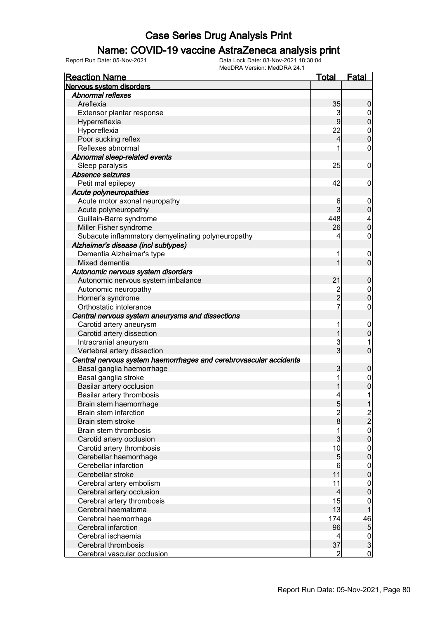#### Name: COVID-19 vaccine AstraZeneca analysis print

| <b>Reaction Name</b>                                              | Total                   | <u>Fatal</u>                       |
|-------------------------------------------------------------------|-------------------------|------------------------------------|
| Nervous system disorders                                          |                         |                                    |
| <b>Abnormal reflexes</b>                                          |                         |                                    |
| Areflexia                                                         | 35                      | 0                                  |
| Extensor plantar response                                         | 3                       | $\overline{0}$                     |
| Hyperreflexia                                                     | 9                       | $\overline{0}$                     |
| Hyporeflexia                                                      | 22                      |                                    |
| Poor sucking reflex                                               | 4                       | $\begin{matrix}0\\0\end{matrix}$   |
| Reflexes abnormal                                                 | 1                       | $\mathbf 0$                        |
| Abnormal sleep-related events                                     |                         |                                    |
| Sleep paralysis                                                   | 25                      | 0                                  |
| Absence seizures                                                  |                         |                                    |
| Petit mal epilepsy                                                | 42                      | 0                                  |
| Acute polyneuropathies                                            |                         |                                    |
| Acute motor axonal neuropathy                                     | 6                       | $\boldsymbol{0}$                   |
| Acute polyneuropathy                                              | 3                       | $\mathbf 0$                        |
| Guillain-Barre syndrome                                           | 448                     | 4                                  |
| Miller Fisher syndrome                                            | 26                      | $\overline{0}$                     |
| Subacute inflammatory demyelinating polyneuropathy                | 4                       | $\mathbf 0$                        |
| Alzheimer's disease (incl subtypes)                               |                         |                                    |
| Dementia Alzheimer's type                                         | 1                       | $\overline{0}$                     |
| Mixed dementia                                                    | 1                       | $\overline{0}$                     |
| Autonomic nervous system disorders                                |                         |                                    |
| Autonomic nervous system imbalance                                | 21                      | $\boldsymbol{0}$                   |
| Autonomic neuropathy                                              |                         | $\boldsymbol{0}$                   |
| Horner's syndrome                                                 | $\frac{2}{2}$           | $\overline{0}$                     |
| Orthostatic intolerance                                           | $\overline{7}$          | $\mathbf 0$                        |
| Central nervous system aneurysms and dissections                  |                         |                                    |
| Carotid artery aneurysm                                           | 1                       | $\overline{0}$                     |
| Carotid artery dissection                                         | 1                       | $\mathbf 0$                        |
| Intracranial aneurysm                                             | 3                       | 1                                  |
| Vertebral artery dissection                                       | $\overline{3}$          | $\overline{0}$                     |
| Central nervous system haemorrhages and cerebrovascular accidents |                         |                                    |
| Basal ganglia haemorrhage                                         | 3                       | $\mathbf 0$                        |
| Basal ganglia stroke                                              | 1                       | $\mathbf 0$                        |
| Basilar artery occlusion                                          |                         | 0                                  |
| Basilar artery thrombosis                                         | 4                       | 1                                  |
| Brain stem haemorrhage                                            |                         | 1                                  |
| Brain stem infarction                                             | 5                       |                                    |
| Brain stem stroke                                                 | $\frac{2}{8}$           | $\frac{2}{2}$                      |
| Brain stem thrombosis                                             | 1                       |                                    |
| Carotid artery occlusion                                          | $\overline{3}$          | $\begin{matrix}0\\0\end{matrix}$   |
| Carotid artery thrombosis                                         | 10                      |                                    |
| Cerebellar haemorrhage                                            | $\overline{5}$          | $\boldsymbol{0}$<br>$\overline{0}$ |
| Cerebellar infarction                                             | 6                       |                                    |
| Cerebellar stroke                                                 | 11                      | $\mathbf{0}$<br>$\mathbf 0$        |
|                                                                   | 11                      |                                    |
| Cerebral artery embolism                                          | $\overline{\mathbf{4}}$ | $\mathbf{0}$<br>$\mathbf 0$        |
| Cerebral artery occlusion                                         | 15                      |                                    |
| Cerebral artery thrombosis<br>Cerebral haematoma                  | 13                      | $\mathbf 0$                        |
|                                                                   |                         |                                    |
| Cerebral haemorrhage                                              | 174                     | 46                                 |
| Cerebral infarction                                               | 96                      | $\overline{5}$                     |
| Cerebral ischaemia                                                | 4                       | $\frac{0}{3}$                      |
| Cerebral thrombosis                                               | 37                      |                                    |
| Cerebral vascular occlusion                                       | $\overline{c}$          | $\overline{0}$                     |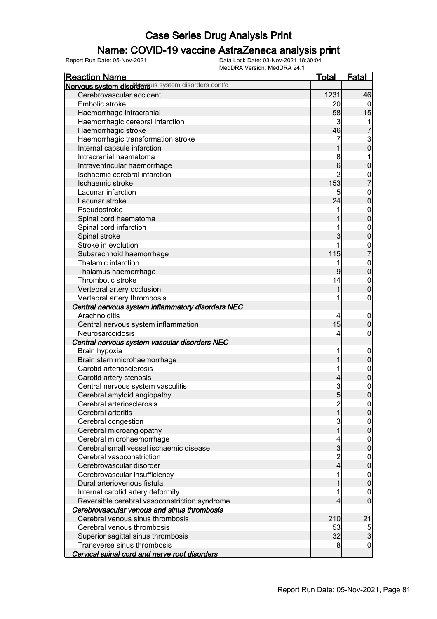### Name: COVID-19 vaccine AstraZeneca analysis print

| <b>Reaction Name</b>                               | <u>Total</u>    | <b>Fatal</b>     |
|----------------------------------------------------|-----------------|------------------|
| Nervous system disordersus system disorders cont'd |                 |                  |
| Cerebrovascular accident                           | 1231            | 46               |
| Embolic stroke                                     | 20              | $\Omega$         |
| Haemorrhage intracranial                           | 58              | 15               |
| Haemorrhagic cerebral infarction                   | $\overline{3}$  | 1                |
| Haemorrhagic stroke                                | 46              | 7                |
| Haemorrhagic transformation stroke                 | 7               |                  |
| Internal capsule infarction                        |                 | 3<br>0           |
| Intracranial haematoma                             | 8               | 1                |
| Intraventricular haemorrhage                       | $6\phantom{1}6$ | $\mathbf 0$      |
| Ischaemic cerebral infarction                      | $\overline{2}$  |                  |
| Ischaemic stroke                                   | 153             | $\frac{0}{7}$    |
| Lacunar infarction                                 | 5               | $\boldsymbol{0}$ |
| Lacunar stroke                                     | 24              | $\overline{0}$   |
| Pseudostroke                                       | 1               | $\boldsymbol{0}$ |
| Spinal cord haematoma                              |                 | $\overline{0}$   |
| Spinal cord infarction                             | 1               | $\mathbf{0}$     |
| Spinal stroke                                      | 3               | $\overline{0}$   |
| Stroke in evolution                                | 1               |                  |
| Subarachnoid haemorrhage                           | 115             | $\frac{0}{7}$    |
| Thalamic infarction                                | 1               | $\mathbf{0}$     |
| Thalamus haemorrhage                               | 9               | $\overline{0}$   |
| Thrombotic stroke                                  | 14              | $\boldsymbol{0}$ |
| Vertebral artery occlusion                         | 1               | $\overline{0}$   |
| Vertebral artery thrombosis                        | 1               | $\boldsymbol{0}$ |
| Central nervous system inflammatory disorders NEC  |                 |                  |
| Arachnoiditis                                      | 4               | $\mathbf 0$      |
| Central nervous system inflammation                | 15              | 0                |
| Neurosarcoidosis                                   | 4               | 0                |
| Central nervous system vascular disorders NEC      |                 |                  |
| Brain hypoxia                                      | 1               | $\mathbf 0$      |
| Brain stem microhaemorrhage                        |                 | $\pmb{0}$        |
| Carotid arteriosclerosis                           | 1               | $\mathbf{0}$     |
| Carotid artery stenosis                            | 4               | $\overline{0}$   |
| Central nervous system vasculitis                  | 3               |                  |
| Cerebral amyloid angiopathy                        | $5\overline{)}$ | $0\atop 0$       |
| Cerebral arteriosclerosis                          | $\overline{c}$  | ΟJ               |
| Cerebral arteritis                                 | 1               | $\overline{0}$   |
| Cerebral congestion                                | 3               | 0                |
| Cerebral microangiopathy                           | 1               | 0                |
| Cerebral microhaemorrhage                          | 4               | $\mathbf 0$      |
| Cerebral small vessel ischaemic disease            | $\overline{3}$  | 0                |
| Cerebral vasoconstriction                          | $\overline{c}$  | $\boldsymbol{0}$ |
| Cerebrovascular disorder                           | 4               | 0                |
| Cerebrovascular insufficiency                      | 1               | $\boldsymbol{0}$ |
| Dural arteriovenous fistula                        |                 | 0                |
| Internal carotid artery deformity                  | 1               | $\mathbf 0$      |
| Reversible cerebral vasoconstriction syndrome      | 4               | $\mathbf 0$      |
| Cerebrovascular venous and sinus thrombosis        |                 |                  |
| Cerebral venous sinus thrombosis                   | 210             | 21               |
| Cerebral venous thrombosis                         | 53              |                  |
| Superior sagittal sinus thrombosis                 | 32              | $\frac{5}{3}$    |
| Transverse sinus thrombosis                        | 8               | 0                |
| Cervical spinal cord and nerve root disorders      |                 |                  |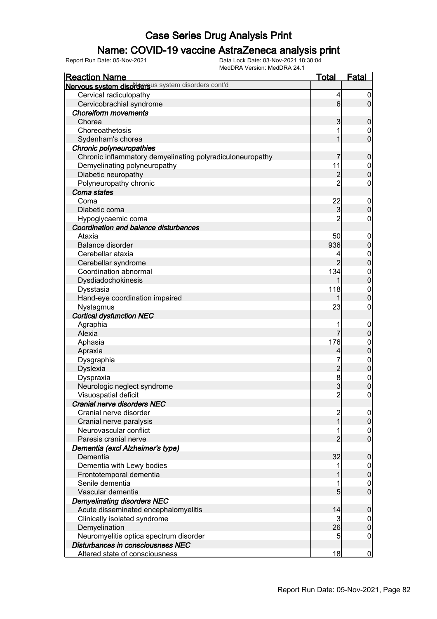### Name: COVID-19 vaccine AstraZeneca analysis print

| <b>Reaction Name</b>                                      | <b>Total</b>            | <b>Fatal</b>     |
|-----------------------------------------------------------|-------------------------|------------------|
| Nervous system disordersus system disorders cont'd        |                         |                  |
| Cervical radiculopathy                                    | 4                       | $\boldsymbol{0}$ |
| Cervicobrachial syndrome                                  | $6 \overline{}$         | $\overline{0}$   |
| <b>Choreiform movements</b>                               |                         |                  |
| Chorea                                                    | 3                       | $\mathbf 0$      |
| Choreoathetosis                                           |                         | 0                |
| Sydenham's chorea                                         |                         | $\overline{0}$   |
| Chronic polyneuropathies                                  |                         |                  |
| Chronic inflammatory demyelinating polyradiculoneuropathy | 7                       | $\mathbf 0$      |
| Demyelinating polyneuropathy                              | 11                      | $\mathbf 0$      |
| Diabetic neuropathy                                       | $\overline{c}$          | $\mathbf 0$      |
| Polyneuropathy chronic                                    | $\overline{2}$          | $\mathbf 0$      |
| Coma states                                               |                         |                  |
| Coma                                                      | 22                      | $\mathbf 0$      |
| Diabetic coma                                             | 3                       | $\boldsymbol{0}$ |
| Hypoglycaemic coma                                        | $\overline{2}$          | $\mathbf 0$      |
| Coordination and balance disturbances                     |                         |                  |
| Ataxia                                                    | 50                      | $\boldsymbol{0}$ |
| Balance disorder                                          | 936                     | $\pmb{0}$        |
| Cerebellar ataxia                                         | 4                       | $\mathbf 0$      |
| Cerebellar syndrome                                       | $\overline{2}$          | $\pmb{0}$        |
| Coordination abnormal                                     | 134                     | $\boldsymbol{0}$ |
| Dysdiadochokinesis                                        |                         | $\mathbf 0$      |
| Dysstasia                                                 | 118                     | $\mathbf 0$      |
| Hand-eye coordination impaired                            |                         | $\boldsymbol{0}$ |
| Nystagmus                                                 | 23                      | $\mathbf 0$      |
| <b>Cortical dysfunction NEC</b>                           |                         |                  |
| Agraphia                                                  |                         | $\boldsymbol{0}$ |
| Alexia                                                    | 7                       | $\mathbf 0$      |
| Aphasia                                                   | 176                     | $\mathbf 0$      |
| Apraxia                                                   | 4                       | $\mathbf 0$      |
| Dysgraphia                                                | 7                       | $\boldsymbol{0}$ |
| <b>Dyslexia</b>                                           | $\overline{c}$          | $\mathbf 0$      |
| Dyspraxia                                                 | $\bf{8}$                | $\boldsymbol{0}$ |
| Neurologic neglect syndrome                               | 3                       | $\overline{0}$   |
| Visuospatial deficit                                      | $\overline{2}$          | $\pmb{0}$        |
| Cranial nerve disorders NEC                               |                         |                  |
| Cranial nerve disorder                                    | $\overline{\mathbf{c}}$ | $\overline{0}$   |
| Cranial nerve paralysis                                   | $\overline{1}$          | $\overline{0}$   |
| Neurovascular conflict                                    |                         | $\overline{0}$   |
| Paresis cranial nerve                                     | $\overline{2}$          | $\overline{0}$   |
| Dementia (excl Alzheimer's type)                          |                         |                  |
| Dementia                                                  | 32                      | $\boldsymbol{0}$ |
| Dementia with Lewy bodies                                 |                         | $\mathbf 0$      |
| Frontotemporal dementia                                   |                         | $\pmb{0}$        |
| Senile dementia                                           |                         | $\mathbf 0$      |
| Vascular dementia                                         | $5\overline{)}$         | $\overline{0}$   |
| <b>Demyelinating disorders NEC</b>                        |                         |                  |
| Acute disseminated encephalomyelitis                      | 14                      | $\mathbf 0$      |
| Clinically isolated syndrome                              | 3                       | $\overline{0}$   |
| Demyelination                                             | 26                      | $\pmb{0}$        |
| Neuromyelitis optica spectrum disorder                    | 5                       | $\boldsymbol{0}$ |
| Disturbances in consciousness NEC                         |                         |                  |
| Altered state of consciousness                            | 18                      | $\overline{0}$   |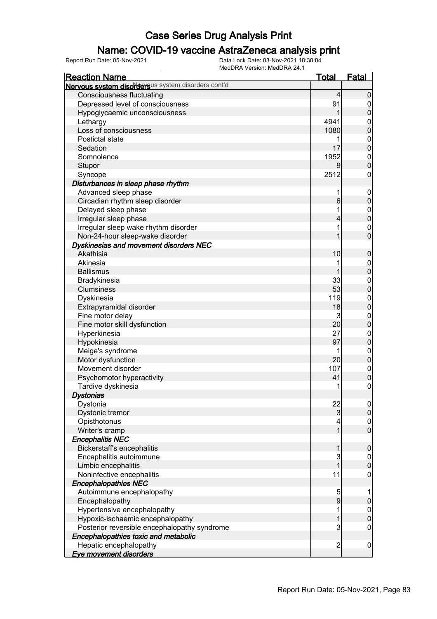### Name: COVID-19 vaccine AstraZeneca analysis print

| <b>Reaction Name</b>                                                                                                                                                                                                                                                                                                                                                                                                                                                                                                                                                                                                                                          | <u>Total</u>                                                                                                   | Fatal            |
|---------------------------------------------------------------------------------------------------------------------------------------------------------------------------------------------------------------------------------------------------------------------------------------------------------------------------------------------------------------------------------------------------------------------------------------------------------------------------------------------------------------------------------------------------------------------------------------------------------------------------------------------------------------|----------------------------------------------------------------------------------------------------------------|------------------|
| Nervous system disordersus system disorders cont'd                                                                                                                                                                                                                                                                                                                                                                                                                                                                                                                                                                                                            |                                                                                                                |                  |
| <b>Consciousness fluctuating</b>                                                                                                                                                                                                                                                                                                                                                                                                                                                                                                                                                                                                                              | 4                                                                                                              | $\boldsymbol{0}$ |
| Depressed level of consciousness                                                                                                                                                                                                                                                                                                                                                                                                                                                                                                                                                                                                                              | 91                                                                                                             | $\mathbf 0$      |
| Hypoglycaemic unconsciousness                                                                                                                                                                                                                                                                                                                                                                                                                                                                                                                                                                                                                                 |                                                                                                                | $\boldsymbol{0}$ |
| Lethargy                                                                                                                                                                                                                                                                                                                                                                                                                                                                                                                                                                                                                                                      | 4941                                                                                                           | $\boldsymbol{0}$ |
| Loss of consciousness                                                                                                                                                                                                                                                                                                                                                                                                                                                                                                                                                                                                                                         | 1080                                                                                                           | $\overline{0}$   |
| Postictal state                                                                                                                                                                                                                                                                                                                                                                                                                                                                                                                                                                                                                                               | 1                                                                                                              | $\boldsymbol{0}$ |
| Sedation                                                                                                                                                                                                                                                                                                                                                                                                                                                                                                                                                                                                                                                      | 17                                                                                                             | $\overline{0}$   |
| Somnolence                                                                                                                                                                                                                                                                                                                                                                                                                                                                                                                                                                                                                                                    | 1952                                                                                                           | $\boldsymbol{0}$ |
| Stupor                                                                                                                                                                                                                                                                                                                                                                                                                                                                                                                                                                                                                                                        | 9                                                                                                              | $\overline{0}$   |
| Syncope                                                                                                                                                                                                                                                                                                                                                                                                                                                                                                                                                                                                                                                       | 2512                                                                                                           | 0                |
| Disturbances in sleep phase rhythm                                                                                                                                                                                                                                                                                                                                                                                                                                                                                                                                                                                                                            |                                                                                                                |                  |
| Advanced sleep phase                                                                                                                                                                                                                                                                                                                                                                                                                                                                                                                                                                                                                                          | 1                                                                                                              | $\mathbf 0$      |
| Circadian rhythm sleep disorder                                                                                                                                                                                                                                                                                                                                                                                                                                                                                                                                                                                                                               | 6                                                                                                              | $\mathbf 0$      |
| Delayed sleep phase                                                                                                                                                                                                                                                                                                                                                                                                                                                                                                                                                                                                                                           |                                                                                                                | $\boldsymbol{0}$ |
| Irregular sleep phase                                                                                                                                                                                                                                                                                                                                                                                                                                                                                                                                                                                                                                         | 4                                                                                                              | $\overline{0}$   |
| Irregular sleep wake rhythm disorder                                                                                                                                                                                                                                                                                                                                                                                                                                                                                                                                                                                                                          |                                                                                                                | $\mathbf 0$      |
| Non-24-hour sleep-wake disorder                                                                                                                                                                                                                                                                                                                                                                                                                                                                                                                                                                                                                               |                                                                                                                | $\overline{0}$   |
| Dyskinesias and movement disorders NEC                                                                                                                                                                                                                                                                                                                                                                                                                                                                                                                                                                                                                        |                                                                                                                |                  |
| Akathisia                                                                                                                                                                                                                                                                                                                                                                                                                                                                                                                                                                                                                                                     | 10                                                                                                             | $\boldsymbol{0}$ |
| Akinesia                                                                                                                                                                                                                                                                                                                                                                                                                                                                                                                                                                                                                                                      |                                                                                                                | $\boldsymbol{0}$ |
| <b>Ballismus</b>                                                                                                                                                                                                                                                                                                                                                                                                                                                                                                                                                                                                                                              |                                                                                                                | $\overline{0}$   |
| Bradykinesia                                                                                                                                                                                                                                                                                                                                                                                                                                                                                                                                                                                                                                                  | 33                                                                                                             | $\boldsymbol{0}$ |
| <b>Clumsiness</b>                                                                                                                                                                                                                                                                                                                                                                                                                                                                                                                                                                                                                                             | 53                                                                                                             | $\overline{0}$   |
| Dyskinesia                                                                                                                                                                                                                                                                                                                                                                                                                                                                                                                                                                                                                                                    | 119                                                                                                            | $\boldsymbol{0}$ |
| Extrapyramidal disorder                                                                                                                                                                                                                                                                                                                                                                                                                                                                                                                                                                                                                                       | 18                                                                                                             | $\overline{0}$   |
| Fine motor delay                                                                                                                                                                                                                                                                                                                                                                                                                                                                                                                                                                                                                                              | 3                                                                                                              | $\boldsymbol{0}$ |
| Fine motor skill dysfunction                                                                                                                                                                                                                                                                                                                                                                                                                                                                                                                                                                                                                                  | 20                                                                                                             | $\mathbf 0$      |
| Hyperkinesia                                                                                                                                                                                                                                                                                                                                                                                                                                                                                                                                                                                                                                                  | 27                                                                                                             | $\boldsymbol{0}$ |
|                                                                                                                                                                                                                                                                                                                                                                                                                                                                                                                                                                                                                                                               |                                                                                                                | $\overline{0}$   |
|                                                                                                                                                                                                                                                                                                                                                                                                                                                                                                                                                                                                                                                               |                                                                                                                | $\boldsymbol{0}$ |
|                                                                                                                                                                                                                                                                                                                                                                                                                                                                                                                                                                                                                                                               |                                                                                                                | $\mathbf 0$      |
|                                                                                                                                                                                                                                                                                                                                                                                                                                                                                                                                                                                                                                                               |                                                                                                                | $\boldsymbol{0}$ |
|                                                                                                                                                                                                                                                                                                                                                                                                                                                                                                                                                                                                                                                               |                                                                                                                | $\mathbf 0$      |
|                                                                                                                                                                                                                                                                                                                                                                                                                                                                                                                                                                                                                                                               |                                                                                                                | $\boldsymbol{0}$ |
|                                                                                                                                                                                                                                                                                                                                                                                                                                                                                                                                                                                                                                                               |                                                                                                                |                  |
|                                                                                                                                                                                                                                                                                                                                                                                                                                                                                                                                                                                                                                                               |                                                                                                                | 0                |
|                                                                                                                                                                                                                                                                                                                                                                                                                                                                                                                                                                                                                                                               |                                                                                                                | $\overline{0}$   |
|                                                                                                                                                                                                                                                                                                                                                                                                                                                                                                                                                                                                                                                               |                                                                                                                | $\boldsymbol{0}$ |
|                                                                                                                                                                                                                                                                                                                                                                                                                                                                                                                                                                                                                                                               |                                                                                                                | $\overline{0}$   |
|                                                                                                                                                                                                                                                                                                                                                                                                                                                                                                                                                                                                                                                               |                                                                                                                |                  |
|                                                                                                                                                                                                                                                                                                                                                                                                                                                                                                                                                                                                                                                               |                                                                                                                | $\boldsymbol{0}$ |
|                                                                                                                                                                                                                                                                                                                                                                                                                                                                                                                                                                                                                                                               |                                                                                                                | $\overline{0}$   |
|                                                                                                                                                                                                                                                                                                                                                                                                                                                                                                                                                                                                                                                               |                                                                                                                | $\boldsymbol{0}$ |
|                                                                                                                                                                                                                                                                                                                                                                                                                                                                                                                                                                                                                                                               |                                                                                                                | $\boldsymbol{0}$ |
|                                                                                                                                                                                                                                                                                                                                                                                                                                                                                                                                                                                                                                                               |                                                                                                                |                  |
|                                                                                                                                                                                                                                                                                                                                                                                                                                                                                                                                                                                                                                                               |                                                                                                                |                  |
|                                                                                                                                                                                                                                                                                                                                                                                                                                                                                                                                                                                                                                                               |                                                                                                                | $\pmb{0}$        |
|                                                                                                                                                                                                                                                                                                                                                                                                                                                                                                                                                                                                                                                               |                                                                                                                | $\boldsymbol{0}$ |
|                                                                                                                                                                                                                                                                                                                                                                                                                                                                                                                                                                                                                                                               |                                                                                                                | $\mathbf 0$      |
|                                                                                                                                                                                                                                                                                                                                                                                                                                                                                                                                                                                                                                                               |                                                                                                                | $\mathbf 0$      |
|                                                                                                                                                                                                                                                                                                                                                                                                                                                                                                                                                                                                                                                               |                                                                                                                |                  |
|                                                                                                                                                                                                                                                                                                                                                                                                                                                                                                                                                                                                                                                               |                                                                                                                | $\overline{0}$   |
|                                                                                                                                                                                                                                                                                                                                                                                                                                                                                                                                                                                                                                                               |                                                                                                                |                  |
| Hypokinesia<br>Meige's syndrome<br>Motor dysfunction<br>Movement disorder<br>Psychomotor hyperactivity<br>Tardive dyskinesia<br><b>Dystonias</b><br>Dystonia<br>Dystonic tremor<br>Opisthotonus<br>Writer's cramp<br><b>Encephalitis NEC</b><br><b>Bickerstaff's encephalitis</b><br>Encephalitis autoimmune<br>Limbic encephalitis<br>Noninfective encephalitis<br><b>Encephalopathies NEC</b><br>Autoimmune encephalopathy<br>Encephalopathy<br>Hypertensive encephalopathy<br>Hypoxic-ischaemic encephalopathy<br>Posterior reversible encephalopathy syndrome<br>Encephalopathies toxic and metabolic<br>Hepatic encephalopathy<br>Eye movement disorders | 97<br>1<br>20<br>107<br>41<br>22<br>3<br>1<br>1<br>3<br>1<br>11<br>5<br>9<br>1<br>3<br>$\overline{\mathbf{c}}$ |                  |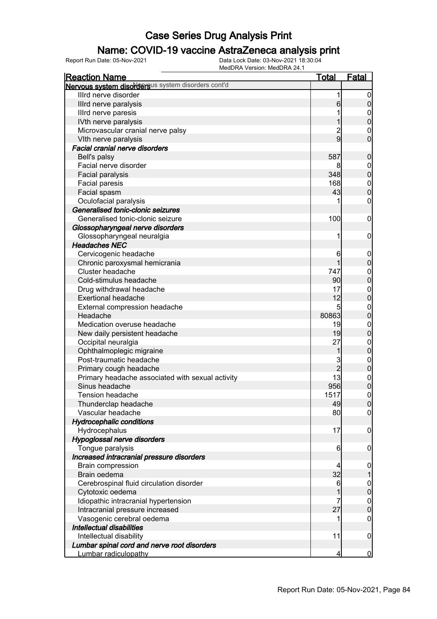### Name: COVID-19 vaccine AstraZeneca analysis print

| <b>Reaction Name</b>                               | <b>Total</b>    | Fatal            |
|----------------------------------------------------|-----------------|------------------|
| Nervous system disordersus system disorders cont'd |                 |                  |
| Illrd nerve disorder                               | 1               | $\boldsymbol{0}$ |
| Illrd nerve paralysis                              | $6 \,$          | $\pmb{0}$        |
| Illrd nerve paresis                                |                 | $\boldsymbol{0}$ |
| IVth nerve paralysis                               |                 | $\overline{0}$   |
| Microvascular cranial nerve palsy                  | $\overline{c}$  | $\mathbf 0$      |
| VIth nerve paralysis                               | $\overline{9}$  | $\overline{0}$   |
| <b>Facial cranial nerve disorders</b>              |                 |                  |
| Bell's palsy                                       | 587             | $\boldsymbol{0}$ |
| Facial nerve disorder                              | 8               | $\boldsymbol{0}$ |
| Facial paralysis                                   | 348             | $\mathbf 0$      |
| Facial paresis                                     | 168             | $\mathbf{0}$     |
| Facial spasm                                       | 43              | $\overline{0}$   |
| Oculofacial paralysis                              |                 | 0                |
| Generalised tonic-clonic seizures                  |                 |                  |
| Generalised tonic-clonic seizure                   | 100             | $\mathbf 0$      |
| Glossopharyngeal nerve disorders                   |                 |                  |
|                                                    |                 |                  |
| Glossopharyngeal neuralgia<br><b>Headaches NEC</b> | 1               | $\mathbf 0$      |
|                                                    |                 |                  |
| Cervicogenic headache                              | 6               | $\mathbf 0$      |
| Chronic paroxysmal hemicrania<br>Cluster headache  |                 | $\pmb{0}$        |
|                                                    | 747             | $\mathbf{0}$     |
| Cold-stimulus headache                             | 90 <sub>l</sub> | $\overline{0}$   |
| Drug withdrawal headache                           | 17              | $0\atop 0$       |
| <b>Exertional headache</b>                         | 12              |                  |
| External compression headache                      | 5               | $\boldsymbol{0}$ |
| Headache                                           | 80863           | $\mathbf 0$      |
| Medication overuse headache                        | 19              | $\boldsymbol{0}$ |
| New daily persistent headache                      | 19              | $\mathbf 0$      |
| Occipital neuralgia                                | 27              | $\mathbf{0}$     |
| Ophthalmoplegic migraine                           | 1               | $\mathbf 0$      |
| Post-traumatic headache                            | 3               | $0$ 0            |
| Primary cough headache                             | $\overline{2}$  |                  |
| Primary headache associated with sexual activity   | 13              | $0\atop 0$       |
| Sinus headache                                     | 956             |                  |
| <b>Tension headache</b>                            | 1517            | $\mathbf 0$      |
| Thunderclap headache                               | 49              | 0                |
| Vascular headache                                  | 80              | $\overline{0}$   |
| <b>Hydrocephalic conditions</b>                    |                 |                  |
| Hydrocephalus                                      | 17              | $\mathbf 0$      |
| Hypoglossal nerve disorders                        |                 |                  |
| Tongue paralysis                                   | $6 \,$          | $\mathbf 0$      |
| Increased intracranial pressure disorders          |                 |                  |
| <b>Brain compression</b>                           | 4               | $\mathbf 0$      |
| Brain oedema                                       | 32              | $\mathbf{1}$     |
| Cerebrospinal fluid circulation disorder           | 6               | $0\atop 0$       |
| Cytotoxic oedema                                   |                 |                  |
| Idiopathic intracranial hypertension               | 7               | $\overline{0}$   |
| Intracranial pressure increased                    | 27              | $\mathbf 0$      |
| Vasogenic cerebral oedema                          |                 | $\mathbf 0$      |
| Intellectual disabilities                          |                 |                  |
| Intellectual disability                            | 11              | $\mathbf 0$      |
| Lumbar spinal cord and nerve root disorders        |                 |                  |
| Lumbar radiculopathy                               | 4               | $\overline{0}$   |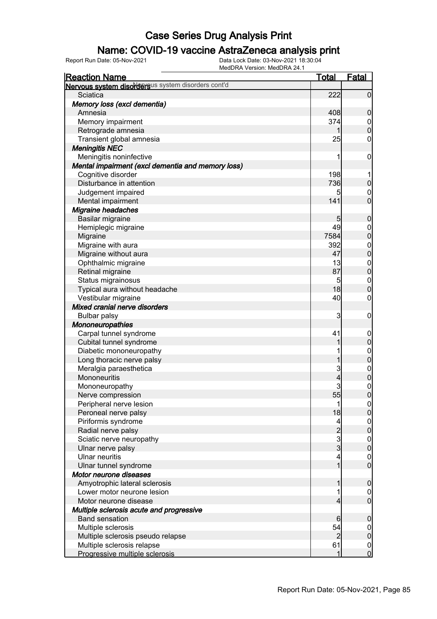### Name: COVID-19 vaccine AstraZeneca analysis print

| <b>Reaction Name</b>                               | <b>Total</b>                            | <b>Fatal</b>                         |
|----------------------------------------------------|-----------------------------------------|--------------------------------------|
| Nervous system disordersus system disorders cont'd |                                         |                                      |
| Sciatica                                           | 222                                     | $\overline{0}$                       |
| Memory loss (excl dementia)                        |                                         |                                      |
| Amnesia                                            | 408                                     | $\mathbf 0$                          |
| Memory impairment                                  | 374                                     | $\overline{0}$                       |
| Retrograde amnesia                                 |                                         | $\mathbf 0$                          |
| Transient global amnesia                           | 25                                      | $\boldsymbol{0}$                     |
| <b>Meningitis NEC</b>                              |                                         |                                      |
| Meningitis noninfective                            | 1                                       | $\mathbf 0$                          |
| Mental impairment (excl dementia and memory loss)  |                                         |                                      |
| Cognitive disorder                                 | 198                                     | 1                                    |
| Disturbance in attention                           | 736                                     | $\boldsymbol{0}$                     |
| Judgement impaired                                 |                                         | $\mathbf 0$                          |
| Mental impairment                                  | 141                                     | $\mathbf 0$                          |
| Migraine headaches                                 |                                         |                                      |
| Basilar migraine                                   | 5                                       | $\boldsymbol{0}$                     |
| Hemiplegic migraine                                | 49                                      | $\boldsymbol{0}$                     |
| Migraine                                           | 7584                                    | $\mathbf 0$                          |
| Migraine with aura                                 | 392                                     | $\boldsymbol{0}$                     |
| Migraine without aura                              | 47                                      | $\mathbf 0$                          |
| Ophthalmic migraine                                | 13                                      | $\mathbf{0}$                         |
| Retinal migraine                                   | 87                                      | $\mathbf 0$                          |
| Status migrainosus                                 | 5                                       | $\mathbf{0}$                         |
| Typical aura without headache                      | 18                                      | $\mathbf 0$                          |
| Vestibular migraine                                | 40                                      | $\boldsymbol{0}$                     |
| Mixed cranial nerve disorders                      |                                         |                                      |
| <b>Bulbar palsy</b>                                | 3                                       | $\mathbf 0$                          |
| <b>Mononeuropathies</b>                            |                                         |                                      |
| Carpal tunnel syndrome                             | 41                                      | $\mathbf 0$                          |
| Cubital tunnel syndrome                            |                                         | $\pmb{0}$                            |
| Diabetic mononeuropathy                            |                                         |                                      |
| Long thoracic nerve palsy                          | 1                                       | 0                                    |
| Meralgia paraesthetica                             | 3                                       |                                      |
| Mononeuritis                                       | 4                                       | $0$<br>0                             |
| Mononeuropathy                                     | 3                                       | $\boldsymbol{0}$                     |
| Nerve compression                                  | 55                                      | $\overline{0}$                       |
| Peripheral nerve lesion                            | 1                                       | 0                                    |
| Peroneal nerve palsy                               | 18                                      | $\overline{0}$                       |
| Piriformis syndrome                                | 4                                       |                                      |
| Radial nerve palsy                                 |                                         | $0\atop 0$                           |
| Sciatic nerve neuropathy                           | $\begin{array}{c}\n2 \\ 3\n\end{array}$ |                                      |
| Ulnar nerve palsy                                  |                                         | $\begin{matrix} 0 \\ 0 \end{matrix}$ |
| <b>Ulnar neuritis</b>                              | 4                                       | $\boldsymbol{0}$                     |
| Ulnar tunnel syndrome                              | 1                                       | $\overline{0}$                       |
| Motor neurone diseases                             |                                         |                                      |
| Amyotrophic lateral sclerosis                      |                                         | $\boldsymbol{0}$                     |
| Lower motor neurone lesion                         |                                         | $\overline{0}$                       |
| Motor neurone disease                              | 4                                       | $\overline{0}$                       |
| Multiple sclerosis acute and progressive           |                                         |                                      |
| <b>Band sensation</b>                              | 6                                       | $\mathbf 0$                          |
| Multiple sclerosis                                 | 54                                      | $\overline{0}$                       |
| Multiple sclerosis pseudo relapse                  | $\overline{c}$                          | $\pmb{0}$                            |
| Multiple sclerosis relapse                         | 61                                      | $\mathbf 0$                          |
| Progressive multiple sclerosis                     | 1                                       | $\overline{0}$                       |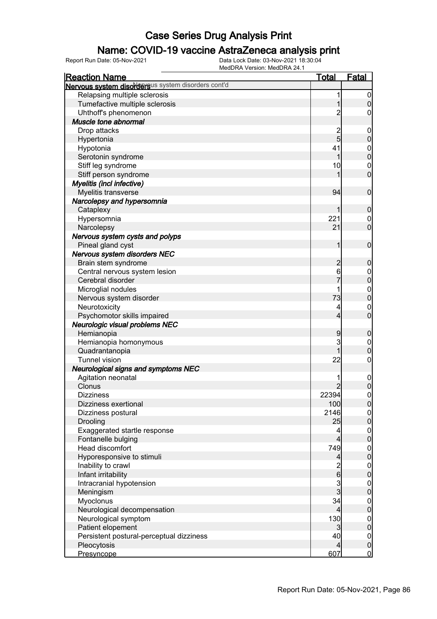### Name: COVID-19 vaccine AstraZeneca analysis print

| <b>Reaction Name</b>                               | <b>Total</b>            | <b>Fatal</b>                           |
|----------------------------------------------------|-------------------------|----------------------------------------|
| Nervous system disordersus system disorders cont'd |                         |                                        |
| Relapsing multiple sclerosis                       | 1                       | $\mathbf 0$                            |
| Tumefactive multiple sclerosis                     | 1                       | $\overline{0}$                         |
| Uhthoff's phenomenon                               | $\overline{c}$          | 0                                      |
| Muscle tone abnormal                               |                         |                                        |
| Drop attacks                                       | $\overline{c}$          | $\mathbf 0$                            |
| Hypertonia                                         | 5                       | $\mathbf 0$                            |
| Hypotonia                                          | 41                      |                                        |
| Serotonin syndrome                                 | 1                       | $0\atop 0$                             |
| Stiff leg syndrome                                 | 10                      | $\mathbf 0$                            |
| Stiff person syndrome                              |                         | $\mathbf 0$                            |
|                                                    |                         |                                        |
| Myelitis (incl infective)                          | 94                      | $\mathbf 0$                            |
| Myelitis transverse                                |                         |                                        |
| Narcolepsy and hypersomnia                         |                         |                                        |
| Cataplexy                                          | 1                       | $\boldsymbol{0}$                       |
| Hypersomnia                                        | 221                     | $\mathbf 0$                            |
| Narcolepsy                                         | 21                      | $\overline{0}$                         |
| Nervous system cysts and polyps                    |                         |                                        |
| Pineal gland cyst                                  | 1                       | $\mathbf 0$                            |
| Nervous system disorders NEC                       |                         |                                        |
| Brain stem syndrome                                | $\overline{c}$          | $\boldsymbol{0}$                       |
| Central nervous system lesion                      | 6                       | $0\atop 0$                             |
| Cerebral disorder                                  |                         |                                        |
| Microglial nodules                                 |                         | $0\atop 0$                             |
| Nervous system disorder                            | 73                      |                                        |
| Neurotoxicity                                      | 4                       | $\mathbf 0$                            |
| Psychomotor skills impaired                        | 4                       | $\overline{0}$                         |
| Neurologic visual problems NEC                     |                         |                                        |
| Hemianopia                                         | 9                       | $\boldsymbol{0}$                       |
| Hemianopia homonymous                              | 3                       | $\boldsymbol{0}$                       |
| Quadrantanopia                                     | 1                       | $\overline{0}$                         |
| <b>Tunnel vision</b>                               | 22                      | $\mathbf 0$                            |
| <b>Neurological signs and symptoms NEC</b>         |                         |                                        |
| Agitation neonatal                                 |                         | $\boldsymbol{0}$                       |
| Clonus                                             | $\overline{2}$          | $\overline{0}$                         |
| <b>Dizziness</b>                                   | 22394                   | $\mathbf 0$                            |
| Dizziness exertional                               | 100                     | 0                                      |
| Dizziness postural                                 | 2146                    |                                        |
| Drooling                                           | 25                      | $\begin{bmatrix} 0 \\ 0 \end{bmatrix}$ |
| Exaggerated startle response                       | 4                       |                                        |
| Fontanelle bulging                                 | $\overline{\mathbf{4}}$ | $\begin{matrix} 0 \\ 0 \end{matrix}$   |
| <b>Head discomfort</b>                             | 749                     |                                        |
| Hyporesponsive to stimuli                          | $\overline{4}$          | $0\atop 0$                             |
| Inability to crawl                                 |                         |                                        |
| Infant irritability                                | $\frac{2}{6}$           | $0\atop 0$                             |
| Intracranial hypotension                           |                         |                                        |
| Meningism                                          | $\frac{3}{3}$           | $0\atop 0$                             |
|                                                    | 34                      |                                        |
| Myoclonus                                          |                         | $0$<br>0                               |
| Neurological decompensation                        | 4                       |                                        |
| Neurological symptom                               | 130                     | $0\atop 0$                             |
| Patient elopement                                  | 3                       |                                        |
| Persistent postural-perceptual dizziness           | 40                      | $\boldsymbol{0}$                       |
| Pleocytosis                                        | $\overline{4}$          | $\pmb{0}$                              |
| Presyncope                                         | 607                     | $\overline{0}$                         |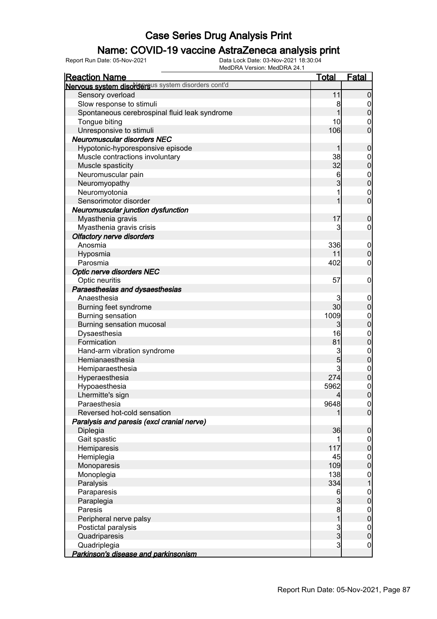### Name: COVID-19 vaccine AstraZeneca analysis print

| <b>Reaction Name</b>                               | <u>Total</u>   | <u>Fatal</u>     |
|----------------------------------------------------|----------------|------------------|
| Nervous system disordersus system disorders cont'd |                |                  |
| Sensory overload                                   | 11             | $\overline{0}$   |
| Slow response to stimuli                           | 8              | 0                |
| Spontaneous cerebrospinal fluid leak syndrome      |                | $\overline{0}$   |
| Tongue biting                                      | 10             | $\mathbf 0$      |
| Unresponsive to stimuli                            | 106            | $\overline{0}$   |
| <b>Neuromuscular disorders NEC</b>                 |                |                  |
| Hypotonic-hyporesponsive episode                   | 1              | $\boldsymbol{0}$ |
| Muscle contractions involuntary                    | 38             | $\mathbf 0$      |
| Muscle spasticity                                  | 32             | $\overline{0}$   |
| Neuromuscular pain                                 | 6              | $\mathbf{0}$     |
| Neuromyopathy                                      | $\overline{3}$ | $\overline{0}$   |
| Neuromyotonia                                      | 1              | $\mathbf 0$      |
| Sensorimotor disorder                              | 1              | $\overline{0}$   |
| Neuromuscular junction dysfunction                 |                |                  |
| Myasthenia gravis                                  | 17             | $\mathbf 0$      |
| Myasthenia gravis crisis                           | 3              | 0                |
| <b>Olfactory nerve disorders</b>                   |                |                  |
| Anosmia                                            | 336            | $\mathbf 0$      |
| Hyposmia                                           | 11             | $\overline{0}$   |
| Parosmia                                           | 402            | 0                |
| <b>Optic nerve disorders NEC</b>                   |                |                  |
| Optic neuritis                                     | 57             | $\mathbf 0$      |
| Paraesthesias and dysaesthesias                    |                |                  |
| Anaesthesia                                        | 3              | $\mathbf 0$      |
| Burning feet syndrome                              | 30             | $\overline{0}$   |
| <b>Burning sensation</b>                           | 1009           | $\mathbf{0}$     |
| Burning sensation mucosal                          | $\mathbf{3}$   | $\overline{0}$   |
| Dysaesthesia                                       | 16             | $\mathbf{0}$     |
| Formication                                        | 81             | $\overline{0}$   |
| Hand-arm vibration syndrome                        | 3              | $\mathbf{0}$     |
| Hemianaesthesia                                    | 5              | $\overline{0}$   |
| Hemiparaesthesia                                   | 3              |                  |
| Hyperaesthesia                                     | 274            | $0\atop 0$       |
| Hypoaesthesia                                      | 5962           | $\mathbf 0$      |
| Lhermitte's sign                                   | $\overline{4}$ | $\overline{0}$   |
| Paraesthesia                                       | 9648           | 0                |
| Reversed hot-cold sensation                        |                | $\overline{0}$   |
| Paralysis and paresis (excl cranial nerve)         |                |                  |
| Diplegia                                           | 36             | $\mathbf 0$      |
| Gait spastic                                       | 1              | $\overline{0}$   |
| Hemiparesis                                        | 117            | $\overline{0}$   |
| Hemiplegia                                         | 45             | $\boldsymbol{0}$ |
| Monoparesis                                        | 109            | $\overline{0}$   |
| Monoplegia                                         | 138            | $\mathbf{0}$     |
| Paralysis                                          | 334            |                  |
| Paraparesis                                        | 6              | $\boldsymbol{0}$ |
| Paraplegia                                         | $\mathbf{3}$   | $\overline{0}$   |
| Paresis                                            | 8              | $\boldsymbol{0}$ |
| Peripheral nerve palsy                             | $\overline{1}$ | $\overline{0}$   |
| Postictal paralysis                                |                | $\mathbf{0}$     |
| Quadriparesis                                      | $\frac{3}{3}$  | $\overline{0}$   |
| Quadriplegia                                       | $\mathbf{3}$   | $\boldsymbol{0}$ |
| Parkinson's disease and parkinsonism               |                |                  |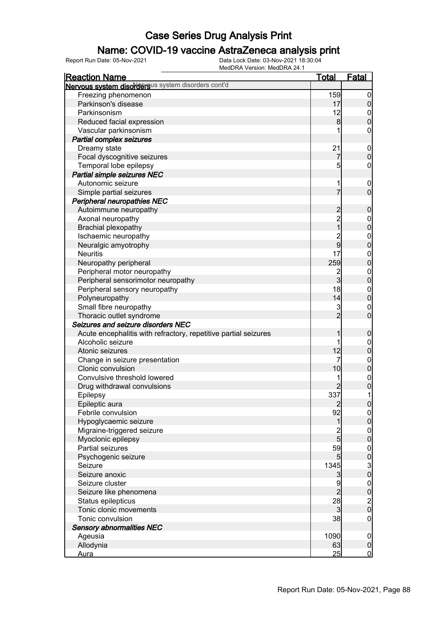#### Name: COVID-19 vaccine AstraZeneca analysis print

| <u>Reaction Name</u>                                            | <u>Total</u>    | <b>Fatal</b>                                   |
|-----------------------------------------------------------------|-----------------|------------------------------------------------|
| Nervous system disordersus system disorders cont'd              |                 |                                                |
| Freezing phenomenon                                             | 159             | $\overline{0}$                                 |
| Parkinson's disease                                             | 17              | $\mathbf 0$                                    |
| Parkinsonism                                                    | 12              |                                                |
| Reduced facial expression                                       | 8               | $0\atop 0$                                     |
| Vascular parkinsonism                                           | 1               | $\boldsymbol{0}$                               |
| Partial complex seizures                                        |                 |                                                |
| Dreamy state                                                    | 21              | $\boldsymbol{0}$                               |
| Focal dyscognitive seizures                                     | $\overline{7}$  | $\mathbf 0$                                    |
| Temporal lobe epilepsy                                          | 5               | $\mathbf 0$                                    |
| Partial simple seizures NEC                                     |                 |                                                |
| Autonomic seizure                                               | 1               | $\boldsymbol{0}$                               |
| Simple partial seizures                                         | $\overline{7}$  | $\overline{0}$                                 |
| <b>Peripheral neuropathies NEC</b>                              |                 |                                                |
| Autoimmune neuropathy                                           |                 | $\boldsymbol{0}$                               |
| Axonal neuropathy                                               | 2<br>2<br>1     |                                                |
| <b>Brachial plexopathy</b>                                      |                 | $0$ 0                                          |
| Ischaemic neuropathy                                            |                 |                                                |
| Neuralgic amyotrophy                                            | $\frac{2}{9}$   | $0$<br>0                                       |
| <b>Neuritis</b>                                                 | 17              |                                                |
| Neuropathy peripheral                                           | 259             | $0$<br>0                                       |
| Peripheral motor neuropathy                                     |                 |                                                |
| Peripheral sensorimotor neuropathy                              | $\frac{2}{3}$   | $0$<br>0                                       |
| Peripheral sensory neuropathy                                   | 18              |                                                |
| Polyneuropathy                                                  | 14              | $0\atop 0$                                     |
| Small fibre neuropathy                                          |                 |                                                |
| Thoracic outlet syndrome                                        | $\frac{3}{2}$   | $\begin{matrix} 0 \\ 0 \end{matrix}$           |
| Seizures and seizure disorders NEC                              |                 |                                                |
| Acute encephalitis with refractory, repetitive partial seizures | 1               | $\boldsymbol{0}$                               |
| Alcoholic seizure                                               | 1               |                                                |
| Atonic seizures                                                 | 12              | $0$ 0                                          |
| Change in seizure presentation                                  | 7               |                                                |
| Clonic convulsion                                               | 10              | $\begin{matrix}0\\0\end{matrix}$               |
| Convulsive threshold lowered                                    | 1               |                                                |
| Drug withdrawal convulsions                                     |                 | $\begin{matrix}0\\0\end{matrix}$               |
| Epilepsy                                                        | 337             | 1                                              |
| Epileptic aura                                                  | $\overline{2}$  | 0                                              |
| Febrile convulsion                                              | 92              | 이                                              |
| Hypoglycaemic seizure                                           | $\mathbf 1$     | $\overline{0}$                                 |
| Migraine-triggered seizure                                      |                 | $\boldsymbol{0}$                               |
| Myoclonic epilepsy                                              | $\frac{2}{5}$   | $\mathbf 0$                                    |
| Partial seizures                                                | 59              | $\boldsymbol{0}$                               |
| Psychogenic seizure                                             | $5\overline{)}$ | $\overline{0}$                                 |
| Seizure                                                         | 1345            |                                                |
| Seizure anoxic                                                  | $\mathbf{3}$    | $\begin{smallmatrix} 3 \\ 0 \end{smallmatrix}$ |
| Seizure cluster                                                 | 9               |                                                |
| Seizure like phenomena                                          | $\overline{c}$  | $\begin{array}{c}\n0 \\ 0 \\ 0\n\end{array}$   |
| Status epilepticus                                              | 28              |                                                |
| Tonic clonic movements                                          | $\mathbf{3}$    |                                                |
| Tonic convulsion                                                | 38              | $\mathbf 0$                                    |
| <b>Sensory abnormalities NEC</b>                                |                 |                                                |
| Ageusia                                                         | 1090            | $\boldsymbol{0}$                               |
| Allodynia                                                       | 63              | $\mathbf 0$                                    |
| Aura                                                            | 25              | $\overline{0}$                                 |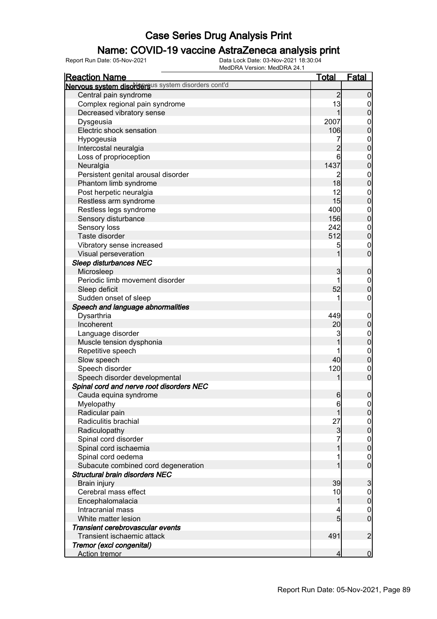### Name: COVID-19 vaccine AstraZeneca analysis print

| <b>Reaction Name</b>                               | <u>Total</u>             | <b>Fatal</b>                    |
|----------------------------------------------------|--------------------------|---------------------------------|
| Nervous system disordersus system disorders cont'd |                          |                                 |
| Central pain syndrome                              | $\overline{c}$           | $\mathbf 0$                     |
| Complex regional pain syndrome                     | 13                       | $\overline{0}$                  |
| Decreased vibratory sense                          | 1                        | $\mathbf 0$                     |
| Dysgeusia                                          | 2007                     | $\mathbf 0$                     |
| Electric shock sensation                           | 106                      | $\mathbf 0$                     |
| Hypogeusia                                         | 7                        |                                 |
| Intercostal neuralgia                              | $\overline{c}$           | $0$<br>0                        |
| Loss of proprioception                             | 6                        | $\boldsymbol{0}$                |
| Neuralgia                                          | 1437                     | $\mathbf 0$                     |
| Persistent genital arousal disorder                | 2                        | $\boldsymbol{0}$                |
| Phantom limb syndrome                              | 18                       | $\mathbf 0$                     |
| Post herpetic neuralgia                            | 12                       | $\boldsymbol{0}$                |
| Restless arm syndrome                              | 15                       | $\mathbf 0$                     |
| Restless legs syndrome                             | 400                      | $\boldsymbol{0}$                |
| Sensory disturbance                                | 156                      | $\mathbf 0$                     |
| Sensory loss                                       | 242                      |                                 |
| Taste disorder                                     | 512                      | $\boldsymbol{0}$<br>$\mathbf 0$ |
|                                                    |                          |                                 |
| Vibratory sense increased<br>Visual perseveration  | 5<br>1                   | $\overline{0}$<br>$\mathbf 0$   |
|                                                    |                          |                                 |
| <b>Sleep disturbances NEC</b>                      |                          |                                 |
| Microsleep                                         | 3                        | $\boldsymbol{0}$                |
| Periodic limb movement disorder                    | 1                        | $\mathbf 0$                     |
| Sleep deficit                                      | 52                       | $\mathbf 0$                     |
| Sudden onset of sleep                              | 1                        | $\mathbf 0$                     |
| Speech and language abnormalities                  |                          |                                 |
| Dysarthria                                         | 449                      | $\mathbf 0$                     |
| Incoherent                                         | 20                       | $\pmb{0}$                       |
| Language disorder                                  | 3                        | $\boldsymbol{0}$                |
| Muscle tension dysphonia                           | 1                        | $\mathbf 0$                     |
| Repetitive speech                                  |                          | $\boldsymbol{0}$                |
| Slow speech                                        | 40                       | $\mathbf 0$                     |
| Speech disorder                                    | 120                      | $\boldsymbol{0}$                |
| Speech disorder developmental                      | 1                        | $\mathbf 0$                     |
| Spinal cord and nerve root disorders NEC           |                          |                                 |
| Cauda equina syndrome                              | $6 \mid$                 | $\pmb{0}$                       |
| Myelopathy                                         | 6                        | $\overline{0}$                  |
| Radicular pain                                     | 1                        | $\overline{0}$                  |
| Radiculitis brachial                               | 27                       | $\boldsymbol{0}$                |
| Radiculopathy                                      | $\mathbf{3}$             | $\mathbf 0$                     |
| Spinal cord disorder                               |                          | $\boldsymbol{0}$                |
| Spinal cord ischaemia                              |                          | $\overline{0}$                  |
| Spinal cord oedema                                 |                          | $\mathbf{0}$                    |
| Subacute combined cord degeneration                |                          | $\overline{0}$                  |
| <b>Structural brain disorders NEC</b>              |                          |                                 |
| Brain injury                                       | 39                       | 3                               |
| Cerebral mass effect                               | 10                       | $\boldsymbol{0}$                |
| Encephalomalacia                                   | 1                        | $\mathbf 0$                     |
| Intracranial mass                                  | 4                        | $\mathbf 0$                     |
| White matter lesion                                | $5\overline{)}$          | $\overline{0}$                  |
| Transient cerebrovascular events                   |                          |                                 |
| Transient ischaemic attack                         | 491                      | $\overline{2}$                  |
| Tremor (excl congenital)                           |                          |                                 |
| <b>Action tremor</b>                               | $\overline{\mathcal{L}}$ | $\mathbf 0$                     |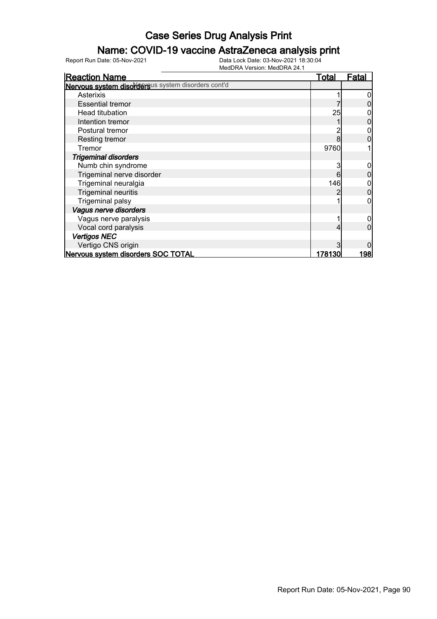### Name: COVID-19 vaccine AstraZeneca analysis print

| <b>Reaction Name</b>                               | <u>Total</u> | <b>Fatal</b> |
|----------------------------------------------------|--------------|--------------|
| Nervous system disordersus system disorders cont'd |              |              |
| Asterixis                                          |              |              |
| <b>Essential tremor</b>                            |              |              |
| Head titubation                                    | 25           |              |
| Intention tremor                                   |              |              |
| Postural tremor                                    |              |              |
| Resting tremor                                     |              |              |
| Tremor                                             | 9760         |              |
| <b>Trigeminal disorders</b>                        |              |              |
| Numb chin syndrome                                 | 3            |              |
| Trigeminal nerve disorder                          | 6            |              |
| Trigeminal neuralgia                               | 146          |              |
| <b>Trigeminal neuritis</b>                         |              |              |
| <b>Trigeminal palsy</b>                            |              |              |
| Vagus nerve disorders                              |              |              |
| Vagus nerve paralysis                              |              |              |
| Vocal cord paralysis                               |              |              |
| <b>Vertigos NEC</b>                                |              |              |
| Vertigo CNS origin                                 |              |              |
| Nervous system disorders SOC TOTAL                 | 178130       | <u> 1981</u> |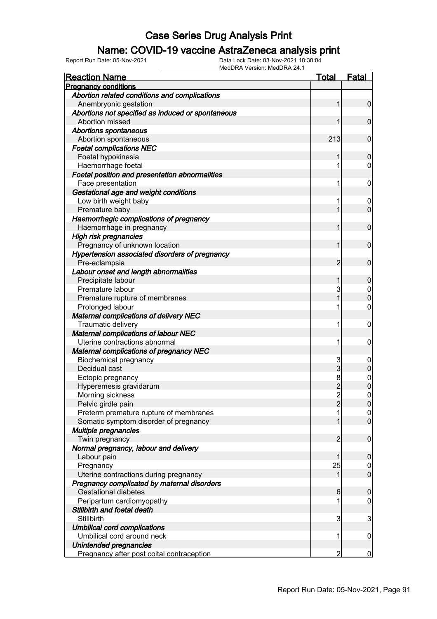### Name: COVID-19 vaccine AstraZeneca analysis print

| <b>Reaction Name</b>                              | Total          | <u>Fatal</u>     |
|---------------------------------------------------|----------------|------------------|
| <b>Pregnancy conditions</b>                       |                |                  |
| Abortion related conditions and complications     |                |                  |
| Anembryonic gestation                             | 1              | $\overline{0}$   |
| Abortions not specified as induced or spontaneous |                |                  |
| Abortion missed                                   |                | $\mathbf 0$      |
| <b>Abortions spontaneous</b>                      |                |                  |
| Abortion spontaneous                              | 213            | $\mathbf 0$      |
| <b>Foetal complications NEC</b>                   |                |                  |
| Foetal hypokinesia                                | 1              | $\mathbf 0$      |
| Haemorrhage foetal                                | 1              | 0                |
| Foetal position and presentation abnormalities    |                |                  |
| Face presentation                                 | 1              | 0                |
| Gestational age and weight conditions             |                |                  |
| Low birth weight baby                             | 1              | 0                |
| Premature baby                                    | 1              | $\mathbf 0$      |
| Haemorrhagic complications of pregnancy           |                |                  |
| Haemorrhage in pregnancy                          | 1              | $\mathbf 0$      |
| High risk pregnancies                             |                |                  |
| Pregnancy of unknown location                     | 1              | $\mathbf 0$      |
| Hypertension associated disorders of pregnancy    |                |                  |
| Pre-eclampsia                                     | 2              | $\mathbf 0$      |
| Labour onset and length abnormalities             |                |                  |
| Precipitate labour                                | 1              | 0                |
| Premature labour                                  | 3              | $\mathbf 0$      |
| Premature rupture of membranes                    | 1              | $\overline{0}$   |
| Prolonged labour                                  | 1              | $\mathbf 0$      |
| <b>Maternal complications of delivery NEC</b>     |                |                  |
| Traumatic delivery                                | 1              | $\mathbf 0$      |
| <b>Maternal complications of labour NEC</b>       |                |                  |
| Uterine contractions abnormal                     | 1              | 0                |
| <b>Maternal complications of pregnancy NEC</b>    |                |                  |
| <b>Biochemical pregnancy</b>                      | 3              | $\boldsymbol{0}$ |
| Decidual cast                                     | 3              | $\mathbf 0$      |
| Ectopic pregnancy                                 | 8              | $\mathbf{0}$     |
| Hyperemesis gravidarum                            | $\overline{c}$ | $\overline{0}$   |
| Morning sickness                                  | $\overline{2}$ | $\mathbf 0$      |
| Pelvic girdle pain                                | $\overline{2}$ | 0                |
| Preterm premature rupture of membranes            | 1              | $\overline{0}$   |
| Somatic symptom disorder of pregnancy             | 1              | $\overline{0}$   |
| <b>Multiple pregnancies</b>                       |                |                  |
| Twin pregnancy                                    | $\overline{2}$ | $\mathbf 0$      |
| Normal pregnancy, labour and delivery             |                |                  |
| Labour pain                                       | 1              | $\boldsymbol{0}$ |
| Pregnancy                                         | 25             | $\mathbf 0$      |
| Uterine contractions during pregnancy             | 1              | $\overline{0}$   |
| Pregnancy complicated by maternal disorders       |                |                  |
| <b>Gestational diabetes</b>                       | 6              | 0                |
| Peripartum cardiomyopathy                         | 1              | 0                |
| Stillbirth and foetal death                       |                |                  |
| Stillbirth                                        | 3              | 3                |
| <b>Umbilical cord complications</b>               |                |                  |
| Umbilical cord around neck                        | 1              | $\mathbf 0$      |
| Unintended pregnancies                            |                |                  |
| Pregnancy after post coital contraception         | 2              | $\overline{0}$   |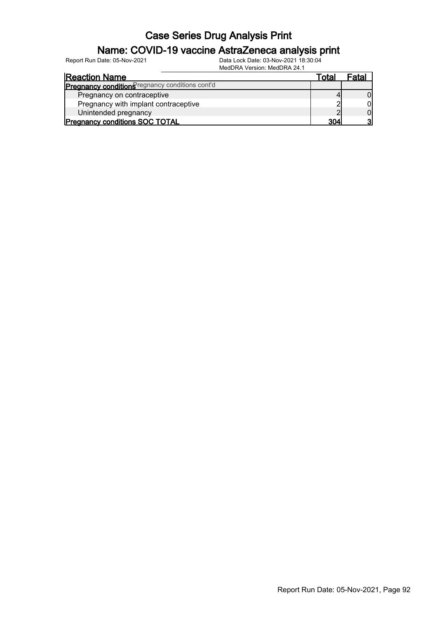### Name: COVID-19 vaccine AstraZeneca analysis print

Report Run Date: 05-Nov-2021 Data Lock Date: 03-Nov-2021 18:30:04

MedDRA Version: MedDRA 24.1

| <b>Reaction Name</b>                            | Total | Fatal |
|-------------------------------------------------|-------|-------|
| Pregnancy conditions regnancy conditions cont'd |       |       |
| Pregnancy on contraceptive                      |       |       |
| Pregnancy with implant contraceptive            |       |       |
| Unintended pregnancy                            |       |       |
| <b>Pregnancy conditions SOC TOTAL</b>           | ?∩⊿   |       |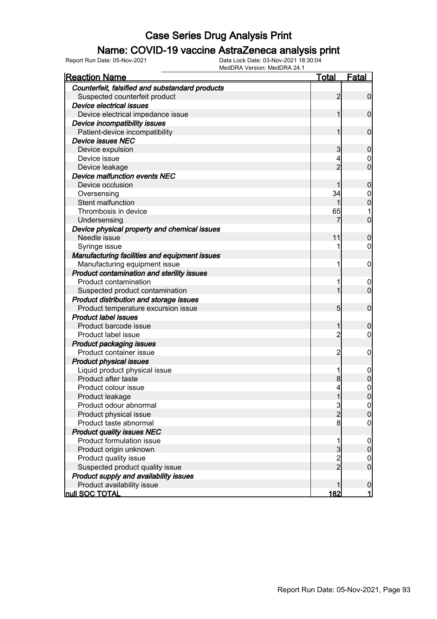### Name: COVID-19 vaccine AstraZeneca analysis print

| <u>Reaction Name</u>                            | Total          | <u>Fatal</u>     |
|-------------------------------------------------|----------------|------------------|
| Counterfeit, falsified and substandard products |                |                  |
| Suspected counterfeit product                   | 2              | $\mathbf 0$      |
| Device electrical issues                        |                |                  |
| Device electrical impedance issue               | 1              | 0                |
| Device incompatibility issues                   |                |                  |
| Patient-device incompatibility                  | 1              | 0                |
| <b>Device issues NEC</b>                        |                |                  |
| Device expulsion                                | 3              | 0                |
| Device issue                                    | 4              | 0                |
| Device leakage                                  | $\overline{2}$ | 0                |
| <b>Device malfunction events NEC</b>            |                |                  |
| Device occlusion                                |                | 0                |
| Oversensing                                     | 34             | 0                |
| Stent malfunction                               |                | 0                |
| Thrombosis in device                            | 65             |                  |
| Undersensing                                    |                | 0                |
| Device physical property and chemical issues    |                |                  |
| Needle issue                                    | 11             | 0                |
| Syringe issue                                   | 1              | 0                |
| Manufacturing facilities and equipment issues   |                |                  |
| Manufacturing equipment issue                   | 1              | 0                |
| Product contamination and sterility issues      |                |                  |
| Product contamination                           | 1              | 0                |
| Suspected product contamination                 |                | 0                |
| Product distribution and storage issues         |                |                  |
| Product temperature excursion issue             | 5              | 0                |
| <b>Product label issues</b>                     |                |                  |
| Product barcode issue                           | 1              | 0                |
| Product label issue                             | 2              | 0                |
| <b>Product packaging issues</b>                 |                |                  |
| Product container issue                         | 2              | 0                |
| <b>Product physical issues</b>                  |                |                  |
| Liquid product physical issue                   | 1              | 0                |
| Product after taste                             | 8              | 0                |
| Product colour issue                            | 4              | 0                |
| Product leakage                                 | $\mathbf 1$    | 0                |
| Product odour abnormal                          |                | $\overline{0}$   |
| Product physical issue                          | $\frac{3}{2}$  | 0                |
| Product taste abnormal                          | 8              | 0                |
| <b>Product quality issues NEC</b>               |                |                  |
| Product formulation issue                       | 1              | $\boldsymbol{0}$ |
| Product origin unknown                          | 3              | 0                |
| Product quality issue                           | $\overline{2}$ | 0                |
| Suspected product quality issue                 | $\overline{2}$ | $\mathbf 0$      |
| Product supply and availability issues          |                |                  |
| Product availability issue                      |                | $\boldsymbol{0}$ |
| <b>null SOC TOTAL</b>                           | 182            | $\mathbf{1}$     |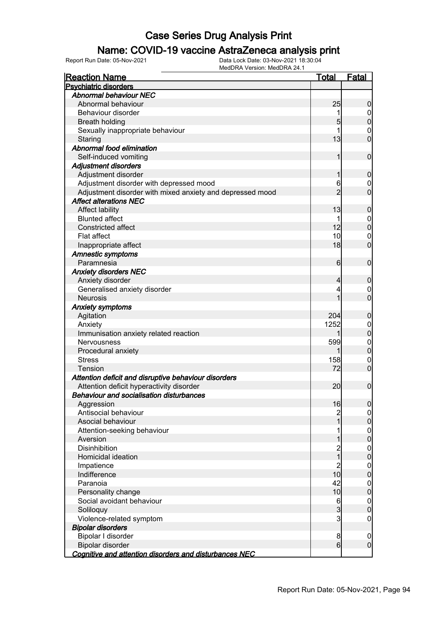### Name: COVID-19 vaccine AstraZeneca analysis print

| <b>Reaction Name</b>                                      | <b>Total</b>     | <b>Fatal</b>                       |
|-----------------------------------------------------------|------------------|------------------------------------|
| <b>Psychiatric disorders</b>                              |                  |                                    |
| <b>Abnormal behaviour NEC</b>                             |                  |                                    |
| Abnormal behaviour                                        | 25               | $\boldsymbol{0}$                   |
| Behaviour disorder                                        | 1                | $\overline{0}$                     |
| <b>Breath holding</b>                                     | 5                | $\mathbf 0$                        |
| Sexually inappropriate behaviour                          | 1                | $\mathbf 0$                        |
| Staring                                                   | 13               | $\overline{0}$                     |
| Abnormal food elimination                                 |                  |                                    |
| Self-induced vomiting                                     | 1                | $\mathbf 0$                        |
| Adjustment disorders                                      |                  |                                    |
| Adjustment disorder                                       | 1                | $\mathbf 0$                        |
| Adjustment disorder with depressed mood                   | 6                | $\overline{0}$                     |
| Adjustment disorder with mixed anxiety and depressed mood | $\overline{2}$   | $\overline{0}$                     |
| <b>Affect alterations NEC</b>                             |                  |                                    |
| Affect lability                                           | 13               | $\boldsymbol{0}$                   |
| <b>Blunted affect</b>                                     | 1                |                                    |
| <b>Constricted affect</b>                                 | 12               | $\boldsymbol{0}$<br>$\overline{0}$ |
| <b>Flat affect</b>                                        | 10               |                                    |
|                                                           | 18               | $\mathbf 0$<br>$\overline{0}$      |
| Inappropriate affect                                      |                  |                                    |
| Amnestic symptoms                                         |                  |                                    |
| Paramnesia                                                | 6                | $\mathbf 0$                        |
| <b>Anxiety disorders NEC</b>                              |                  |                                    |
| Anxiety disorder                                          | $\overline{4}$   | $\mathbf 0$                        |
| Generalised anxiety disorder                              | 4                | $\overline{0}$                     |
| <b>Neurosis</b>                                           | 1                | $\overline{0}$                     |
| <b>Anxiety symptoms</b>                                   |                  |                                    |
| Agitation                                                 | 204              | $\mathbf 0$                        |
| Anxiety                                                   | 1252             | $\mathbf 0$                        |
| Immunisation anxiety related reaction                     | 1                | $\mathbf 0$                        |
| <b>Nervousness</b>                                        | 599              | $\mathbf{0}$                       |
| Procedural anxiety                                        | 1                | $\overline{0}$                     |
| <b>Stress</b>                                             | 158              | $\mathbf 0$                        |
| Tension                                                   | 72               | $\overline{0}$                     |
| Attention deficit and disruptive behaviour disorders      |                  |                                    |
| Attention deficit hyperactivity disorder                  | 20               | $\mathbf 0$                        |
| <b>Behaviour and socialisation disturbances</b>           |                  |                                    |
| Aggression                                                | 16               | 0                                  |
| Antisocial behaviour                                      | $\overline{c}$   | $\overline{0}$                     |
| Asocial behaviour                                         | $\overline{1}$   | $\pmb{0}$                          |
| Attention-seeking behaviour                               | 1                | $\boldsymbol{0}$                   |
| Aversion                                                  | 1                | $\overline{0}$                     |
| <b>Disinhibition</b>                                      | 2<br>1           | $\boldsymbol{0}$                   |
| Homicidal ideation                                        |                  | $\mathbf 0$                        |
| Impatience                                                | $\overline{c}$   | $\boldsymbol{0}$                   |
| Indifference                                              | 10               | $\pmb{0}$                          |
| Paranoia                                                  | 42               | $\boldsymbol{0}$                   |
| Personality change                                        | 10               | $\mathbf 0$                        |
| Social avoidant behaviour                                 | 6                | $\boldsymbol{0}$                   |
| Soliloquy                                                 | $\mathbf{3}$     | $\pmb{0}$                          |
| Violence-related symptom                                  | $\overline{3}$   | $\mathbf 0$                        |
| <b>Bipolar disorders</b>                                  |                  |                                    |
| Bipolar I disorder                                        | 8                | $\mathbf 0$                        |
| Bipolar disorder                                          | $6 \overline{6}$ | $\mathbf 0$                        |
| Cognitive and attention disorders and disturbances NEC    |                  |                                    |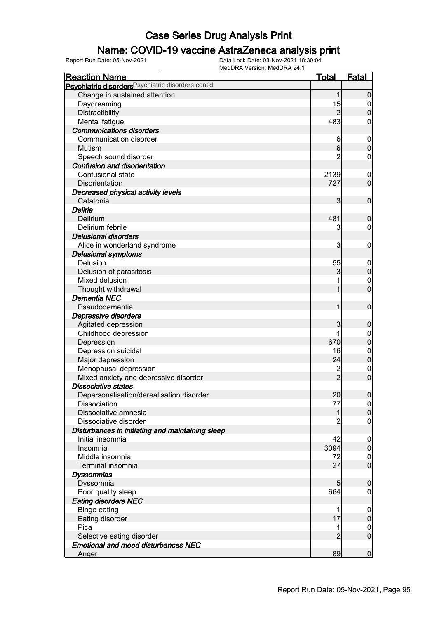### Name: COVID-19 vaccine AstraZeneca analysis print

| <b>Reaction Name</b>                                          | <b>Total</b>            | <b>Fatal</b>     |
|---------------------------------------------------------------|-------------------------|------------------|
| Psychiatric disorders <sup>Psychiatric disorders cont'd</sup> |                         |                  |
| Change in sustained attention                                 | 1                       | $\overline{0}$   |
| Daydreaming                                                   | 15                      | $\overline{0}$   |
| Distractibility                                               | $\overline{2}$          | $\overline{0}$   |
| Mental fatigue                                                | 483                     | 0                |
| <b>Communications disorders</b>                               |                         |                  |
| Communication disorder                                        | 6                       | $\mathbf 0$      |
| Mutism                                                        | $6 \mid$                | $\overline{0}$   |
| Speech sound disorder                                         | 2                       | 0                |
| <b>Confusion and disorientation</b>                           |                         |                  |
| Confusional state                                             | 2139                    | $\mathbf 0$      |
| Disorientation                                                | 727                     | $\overline{0}$   |
| Decreased physical activity levels                            |                         |                  |
| Catatonia                                                     | $\overline{\mathbf{3}}$ | $\mathbf 0$      |
| Deliria                                                       |                         |                  |
| Delirium                                                      | 481                     | $\boldsymbol{0}$ |
| Delirium febrile                                              | 3                       | 0                |
| <b>Delusional disorders</b>                                   |                         |                  |
| Alice in wonderland syndrome                                  | 3                       | $\boldsymbol{0}$ |
| <b>Delusional symptoms</b>                                    |                         |                  |
| Delusion                                                      | 55                      | $\mathbf 0$      |
| Delusion of parasitosis                                       | 3                       | $\mathbf 0$      |
| Mixed delusion                                                |                         | $\mathbf 0$      |
| Thought withdrawal                                            |                         | $\mathbf 0$      |
| <b>Dementia NEC</b>                                           |                         |                  |
| Pseudodementia                                                | 1                       | $\boldsymbol{0}$ |
| Depressive disorders                                          |                         |                  |
| Agitated depression                                           | 3                       | $\mathbf 0$      |
| Childhood depression                                          |                         | $\boldsymbol{0}$ |
| Depression                                                    | 670                     | $\mathbf 0$      |
| Depression suicidal                                           | 16                      | $\boldsymbol{0}$ |
| Major depression                                              | 24                      | $\overline{0}$   |
| Menopausal depression                                         | $\overline{\mathbf{c}}$ | $\mathbf 0$      |
| Mixed anxiety and depressive disorder                         | $\overline{2}$          | $\overline{0}$   |
| <b>Dissociative states</b>                                    |                         |                  |
| Depersonalisation/derealisation disorder                      | 20                      | $\overline{0}$   |
| Dissociation                                                  | 77                      | 0                |
| Dissociative amnesia                                          | 1                       | $\overline{0}$   |
| Dissociative disorder                                         |                         | 0                |
| Disturbances in initiating and maintaining sleep              |                         |                  |
| Initial insomnia                                              | 42                      | $\overline{0}$   |
| Insomnia                                                      | 3094                    | $\boldsymbol{0}$ |
| Middle insomnia                                               | 72                      | $\overline{0}$   |
| Terminal insomnia                                             | 27                      | $\overline{0}$   |
| <b>Dyssomnias</b>                                             |                         |                  |
| Dyssomnia                                                     | $5\overline{)}$         | $\mathbf 0$      |
| Poor quality sleep                                            | 664                     | 0                |
| <b>Eating disorders NEC</b>                                   |                         |                  |
| <b>Binge eating</b>                                           |                         | $\overline{0}$   |
| Eating disorder                                               | 17                      | $\pmb{0}$        |
| Pica                                                          |                         | $\overline{0}$   |
| Selective eating disorder                                     | $\overline{2}$          | $\overline{0}$   |
| <b>Emotional and mood disturbances NEC</b>                    |                         |                  |
| Anger                                                         | 89                      | $\overline{0}$   |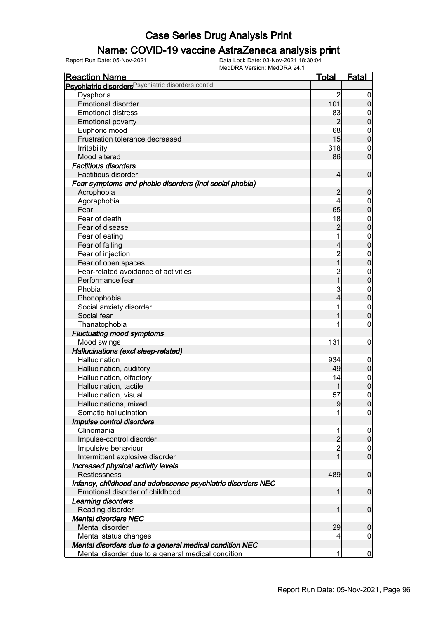### Name: COVID-19 vaccine AstraZeneca analysis print

| <b>Reaction Name</b>                                          | <u>Total</u>   | <b>Fatal</b>     |
|---------------------------------------------------------------|----------------|------------------|
| Psychiatric disorders <sup>Psychiatric disorders cont'd</sup> |                |                  |
| Dysphoria                                                     | $\overline{2}$ | 0                |
| <b>Emotional disorder</b>                                     | 101            | $\boldsymbol{0}$ |
| <b>Emotional distress</b>                                     | 83             | 0                |
| <b>Emotional poverty</b>                                      | $\overline{2}$ | $\mathbf 0$      |
| Euphoric mood                                                 | 68             | $\mathbf 0$      |
| Frustration tolerance decreased                               | 15             | $\boldsymbol{0}$ |
| Irritability                                                  | 318            | 0                |
| Mood altered                                                  | 86             | $\overline{0}$   |
| <b>Factitious disorders</b>                                   |                |                  |
| Factitious disorder                                           | $\overline{4}$ | $\mathbf 0$      |
| Fear symptoms and phobic disorders (incl social phobia)       |                |                  |
| Acrophobia                                                    | $\overline{c}$ | $\mathbf 0$      |
| Agoraphobia                                                   | 4              | $\mathbf 0$      |
| Fear                                                          | 65             | $\mathbf 0$      |
| Fear of death                                                 | 18             | $\mathbf 0$      |
| Fear of disease                                               | $\overline{2}$ | $\mathbf 0$      |
| Fear of eating                                                |                | $\boldsymbol{0}$ |
| Fear of falling                                               | $\overline{4}$ | $\mathbf 0$      |
| Fear of injection                                             | $\overline{c}$ | $\mathbf 0$      |
| Fear of open spaces                                           | $\overline{1}$ | $\mathbf 0$      |
| Fear-related avoidance of activities                          | $\overline{c}$ | $\mathbf{0}$     |
| Performance fear                                              | _<br>1         | $\mathbf 0$      |
| Phobia                                                        | 3              | $\mathbf{0}$     |
| Phonophobia                                                   | 4              | $\pmb{0}$        |
| Social anxiety disorder                                       |                | $\boldsymbol{0}$ |
| Social fear                                                   |                | $\mathbf 0$      |
| Thanatophobia                                                 |                | 0                |
| <b>Fluctuating mood symptoms</b>                              |                |                  |
| Mood swings                                                   | 131            | $\mathbf 0$      |
| Hallucinations (excl sleep-related)                           |                |                  |
| Hallucination                                                 | 934            | $\mathbf 0$      |
| Hallucination, auditory                                       | 49             | $\mathbf 0$      |
| Hallucination, olfactory                                      | 14             | $\boldsymbol{0}$ |
| Hallucination, tactile                                        |                | $\overline{0}$   |
| Hallucination, visual                                         | 57             | $\overline{0}$   |
| Hallucinations, mixed                                         | $\overline{9}$ | 0                |
| Somatic hallucination                                         |                | 0                |
| Impulse control disorders                                     |                |                  |
| Clinomania                                                    |                | $\overline{0}$   |
| Impulse-control disorder                                      | $\overline{2}$ | $\boldsymbol{0}$ |
| Impulsive behaviour                                           | $\overline{2}$ | $\overline{0}$   |
| Intermittent explosive disorder                               | $\overline{1}$ | $\overline{0}$   |
| Increased physical activity levels                            |                |                  |
| <b>Restlessness</b>                                           | 489            | $\mathbf 0$      |
| Infancy, childhood and adolescence psychiatric disorders NEC  |                |                  |
| Emotional disorder of childhood                               | 1              | $\mathbf 0$      |
| Learning disorders                                            |                |                  |
| Reading disorder                                              | 1              | $\mathbf 0$      |
| <b>Mental disorders NEC</b>                                   |                |                  |
| Mental disorder                                               | 29             | $\mathbf 0$      |
| Mental status changes                                         | 4              | $\boldsymbol{0}$ |
| Mental disorders due to a general medical condition NEC       |                |                  |
| Mental disorder due to a general medical condition            | 1              | $\mathbf 0$      |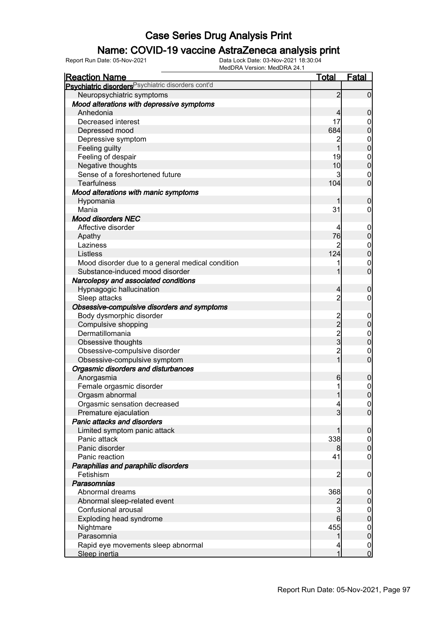### Name: COVID-19 vaccine AstraZeneca analysis print

| <u>Reaction Name</u>                                          | <b>Total</b>                                     | <b>Fatal</b>     |
|---------------------------------------------------------------|--------------------------------------------------|------------------|
| Psychiatric disorders <sup>Psychiatric disorders cont'd</sup> |                                                  |                  |
| Neuropsychiatric symptoms                                     | $\overline{2}$                                   | $\overline{0}$   |
| Mood alterations with depressive symptoms                     |                                                  |                  |
| Anhedonia                                                     | $\overline{4}$                                   | $\mathbf 0$      |
| Decreased interest                                            | 17                                               | 0                |
| Depressed mood                                                | 684                                              | $\mathbf 0$      |
| Depressive symptom                                            | $\overline{c}$                                   | $\mathbf{0}$     |
| Feeling guilty                                                | 1                                                | $\overline{0}$   |
| Feeling of despair                                            | 19                                               | $\boldsymbol{0}$ |
| Negative thoughts                                             | 10                                               | $\overline{0}$   |
| Sense of a foreshortened future                               | 3                                                | $\boldsymbol{0}$ |
| <b>Tearfulness</b>                                            | 104                                              | $\mathbf 0$      |
| Mood alterations with manic symptoms                          |                                                  |                  |
| Hypomania                                                     | 1                                                | $\mathbf 0$      |
| Mania                                                         | 31                                               | 0                |
| Mood disorders NEC                                            |                                                  |                  |
| Affective disorder                                            | 4                                                | $\mathbf 0$      |
| Apathy                                                        | 76                                               | $\pmb{0}$        |
| Laziness                                                      | 2                                                | $\mathbf{0}$     |
| Listless                                                      | 124                                              | $\overline{0}$   |
| Mood disorder due to a general medical condition              |                                                  | $\mathbf 0$      |
| Substance-induced mood disorder                               | 1                                                | $\overline{0}$   |
| Narcolepsy and associated conditions                          |                                                  |                  |
| Hypnagogic hallucination                                      | $\overline{4}$                                   | $\mathbf 0$      |
| Sleep attacks                                                 | $\overline{2}$                                   | $\mathbf 0$      |
| Obsessive-compulsive disorders and symptoms                   |                                                  |                  |
| Body dysmorphic disorder                                      |                                                  | $\mathbf 0$      |
| Compulsive shopping                                           | $\begin{array}{c}\n 2 \\  2 \\  3\n \end{array}$ | $\pmb{0}$        |
| Dermatillomania                                               |                                                  | $\boldsymbol{0}$ |
| Obsessive thoughts                                            |                                                  | $\overline{0}$   |
| Obsessive-compulsive disorder                                 | 2<br>1                                           | $\mathbf 0$      |
| Obsessive-compulsive symptom                                  |                                                  | $\mathbf 0$      |
| Orgasmic disorders and disturbances                           |                                                  |                  |
| Anorgasmia                                                    | 6                                                | $\mathbf 0$      |
| Female orgasmic disorder                                      |                                                  | $\mathbf{0}$     |
| Orgasm abnormal                                               | 1                                                | $\overline{0}$   |
| Orgasmic sensation decreased                                  | $\overline{4}$                                   | 0                |
| Premature ejaculation                                         | $\overline{3}$                                   | $\overline{0}$   |
| Panic attacks and disorders                                   |                                                  |                  |
| Limited symptom panic attack                                  | 1                                                | $\boldsymbol{0}$ |
| Panic attack                                                  | 338                                              | $\overline{0}$   |
| Panic disorder                                                | 8                                                | $\pmb{0}$        |
| Panic reaction                                                | 41                                               | $\boldsymbol{0}$ |
| Paraphilias and paraphilic disorders                          |                                                  |                  |
| Fetishism                                                     | $\overline{2}$                                   | $\mathbf 0$      |
| Parasomnias                                                   |                                                  |                  |
| Abnormal dreams                                               | 368                                              | $\mathbf 0$      |
| Abnormal sleep-related event                                  | $\overline{2}$                                   | $\pmb{0}$        |
| Confusional arousal                                           | 3                                                | $\overline{0}$   |
| Exploding head syndrome                                       | 6                                                | $\pmb{0}$        |
| Nightmare                                                     | 455                                              | $\mathbf 0$      |
| Parasomnia                                                    | 1                                                | $\pmb{0}$        |
| Rapid eye movements sleep abnormal                            | 4                                                | $\overline{0}$   |
| Sleep inertia                                                 | 1                                                | $\overline{0}$   |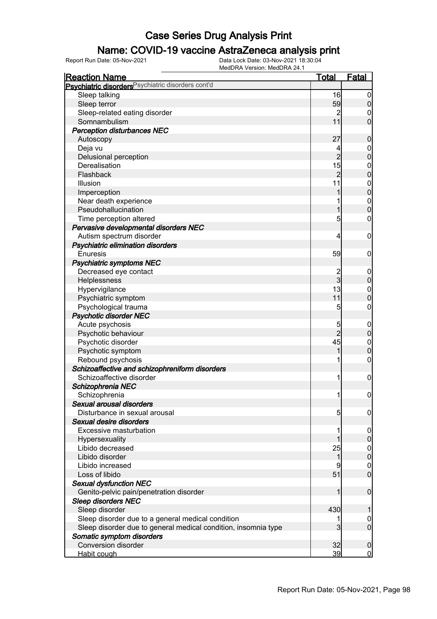### Name: COVID-19 vaccine AstraZeneca analysis print

| <b>Reaction Name</b>                                           | <b>Total</b>   | <b>Fatal</b>     |
|----------------------------------------------------------------|----------------|------------------|
| Psychiatric disorders Psychiatric disorders cont'd             |                |                  |
| Sleep talking                                                  | 16             | $\boldsymbol{0}$ |
| Sleep terror                                                   | 59             | $\overline{0}$   |
| Sleep-related eating disorder                                  | $\overline{2}$ | 0                |
| Somnambulism                                                   | 11             | $\overline{0}$   |
| <b>Perception disturbances NEC</b>                             |                |                  |
| Autoscopy                                                      | 27             | $\boldsymbol{0}$ |
| Deja vu                                                        | 4              | $\mathbf 0$      |
| Delusional perception                                          | $\overline{2}$ | $\overline{0}$   |
| Derealisation                                                  | 15             | $\boldsymbol{0}$ |
| Flashback                                                      | $\overline{2}$ | $\overline{0}$   |
| Illusion                                                       | 11             | $\boldsymbol{0}$ |
| Imperception                                                   |                | $\overline{0}$   |
| Near death experience                                          |                | $\mathbf{0}$     |
| Pseudohallucination                                            | 1              | $\overline{0}$   |
| Time perception altered                                        | 5              | 0                |
| Pervasive developmental disorders NEC                          |                |                  |
| Autism spectrum disorder                                       | 4              | $\boldsymbol{0}$ |
|                                                                |                |                  |
| Psychiatric elimination disorders                              |                |                  |
| <b>Enuresis</b>                                                | 59             | $\mathbf 0$      |
| <b>Psychiatric symptoms NEC</b>                                |                |                  |
| Decreased eye contact                                          | $\overline{3}$ | $\mathbf 0$      |
| Helplessness                                                   |                | $\mathbf 0$      |
| Hypervigilance                                                 | 13             | $\mathbf 0$      |
| Psychiatric symptom                                            | 11             | $\overline{0}$   |
| Psychological trauma                                           | 5              | 0                |
| <b>Psychotic disorder NEC</b>                                  |                |                  |
| Acute psychosis                                                | 5              | $\mathbf 0$      |
| Psychotic behaviour                                            | $\overline{2}$ | $\mathbf 0$      |
| Psychotic disorder                                             | 45             | $\mathbf 0$      |
| Psychotic symptom                                              | 1              | $\overline{0}$   |
| Rebound psychosis                                              |                | $\mathbf 0$      |
| Schizoaffective and schizophreniform disorders                 |                |                  |
| Schizoaffective disorder                                       | 1              | $\boldsymbol{0}$ |
| Schizophrenia NEC                                              |                |                  |
| Schizophrenia                                                  | 1              | $\mathbf 0$      |
| Sexual arousal disorders                                       |                |                  |
| Disturbance in sexual arousal                                  | 5              | $\overline{0}$   |
| Sexual desire disorders                                        |                |                  |
| <b>Excessive masturbation</b>                                  |                | $\overline{0}$   |
| Hypersexuality                                                 |                | $\mathbf 0$      |
| Libido decreased                                               | 25             | $\overline{0}$   |
| Libido disorder                                                | 1              | $\overline{0}$   |
| Libido increased                                               |                | $\overline{0}$   |
| Loss of libido                                                 | 51             | $\overline{0}$   |
| <b>Sexual dysfunction NEC</b>                                  |                |                  |
| Genito-pelvic pain/penetration disorder                        |                | $\mathbf 0$      |
| <b>Sleep disorders NEC</b>                                     |                |                  |
| Sleep disorder                                                 | 430            |                  |
| Sleep disorder due to a general medical condition              |                | 0                |
| Sleep disorder due to general medical condition, insomnia type | 3              | $\overline{0}$   |
| Somatic symptom disorders                                      |                |                  |
| <b>Conversion disorder</b>                                     | 32             | $\mathbf 0$      |
| Habit cough                                                    | 39             | $\mathbf 0$      |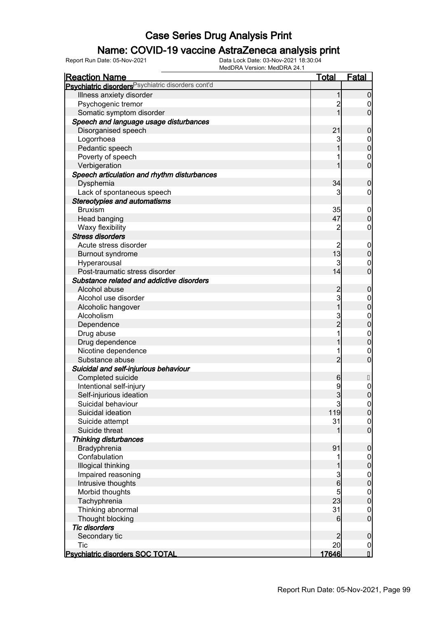### Name: COVID-19 vaccine AstraZeneca analysis print

| <b>Reaction Name</b>                               | <u>Total</u>    | <u>Fatal</u>                         |
|----------------------------------------------------|-----------------|--------------------------------------|
| Psychiatric disorders Psychiatric disorders cont'd |                 |                                      |
| Illness anxiety disorder                           | 1               | $\mathbf 0$                          |
| Psychogenic tremor                                 | $\overline{c}$  | 0                                    |
| Somatic symptom disorder                           | $\overline{1}$  | $\mathbf 0$                          |
| Speech and language usage disturbances             |                 |                                      |
| Disorganised speech                                | 21              | $\boldsymbol{0}$                     |
| Logorrhoea                                         | 3               | $\mathbf{0}$                         |
| Pedantic speech                                    |                 | $\mathbf{0}$                         |
| Poverty of speech                                  |                 | $\mathbf{0}$                         |
| Verbigeration                                      |                 | $\overline{0}$                       |
| Speech articulation and rhythm disturbances        |                 |                                      |
| Dysphemia                                          | 34              | $\boldsymbol{0}$                     |
| Lack of spontaneous speech                         | 3               | 0                                    |
| <b>Stereotypies and automatisms</b>                |                 |                                      |
| <b>Bruxism</b>                                     | 35              | $\mathbf 0$                          |
| Head banging                                       | 47              | $\mathbf 0$                          |
| Waxy flexibility                                   | $\overline{c}$  | $\boldsymbol{0}$                     |
| <b>Stress disorders</b>                            |                 |                                      |
| Acute stress disorder                              | $\overline{c}$  | $\mathbf 0$                          |
| <b>Burnout syndrome</b>                            | 13              | $\mathbf 0$                          |
| Hyperarousal                                       | 3               | $\boldsymbol{0}$                     |
| Post-traumatic stress disorder                     | 14              | $\overline{0}$                       |
| Substance related and addictive disorders          |                 |                                      |
| Alcohol abuse                                      | $\overline{c}$  | $\boldsymbol{0}$                     |
| Alcohol use disorder                               | 3               |                                      |
| Alcoholic hangover                                 | $\overline{1}$  | $\mathbf{0}$<br>$\overline{0}$       |
| Alcoholism                                         |                 |                                      |
|                                                    | 3<br>2          | $\mathbf{0}$<br>$\overline{0}$       |
| Dependence                                         | 1               |                                      |
| Drug abuse                                         |                 | $\mathbf{0}$<br>$\overline{0}$       |
| Drug dependence                                    | 1               |                                      |
| Nicotine dependence<br>Substance abuse             | $\overline{2}$  | $\boldsymbol{0}$<br>$\overline{0}$   |
|                                                    |                 |                                      |
| Suicidal and self-injurious behaviour              |                 |                                      |
| Completed suicide                                  | 6               |                                      |
| Intentional self-injury                            | 9               | $\mathbf{0}$                         |
| Self-injurious ideation                            | $\overline{3}$  | $\mathbf 0$                          |
| Suicidal behaviour                                 | $\mathbf{3}$    | $\Omega$                             |
| Suicidal ideation                                  | 119             | 0                                    |
| Suicide attempt                                    | 31              | $\begin{matrix} 0 \\ 0 \end{matrix}$ |
| Suicide threat                                     | 1               |                                      |
| <b>Thinking disturbances</b>                       |                 |                                      |
| Bradyphrenia                                       | 91              | $\boldsymbol{0}$                     |
| Confabulation                                      | 1               | $\boldsymbol{0}$                     |
| Illogical thinking                                 | 1               | $\mathbf 0$                          |
| Impaired reasoning                                 | $\frac{3}{6}$   | $\boldsymbol{0}$                     |
| Intrusive thoughts                                 |                 | $\mathbf 0$                          |
| Morbid thoughts                                    | $\overline{5}$  | $\boldsymbol{0}$                     |
| Tachyphrenia                                       | 23              | $\mathbf 0$                          |
| Thinking abnormal                                  | 31              | $\boldsymbol{0}$                     |
| Thought blocking                                   | 6               | $\overline{0}$                       |
| <b>Tic disorders</b>                               |                 |                                      |
| Secondary tic                                      | $\overline{2}$  | $\pmb{0}$                            |
| <b>Tic</b>                                         | 20 <sub>l</sub> | $\frac{0}{\mathsf{i}}$               |
| Psychiatric disorders SOC TOTAL                    | <u>17646</u>    |                                      |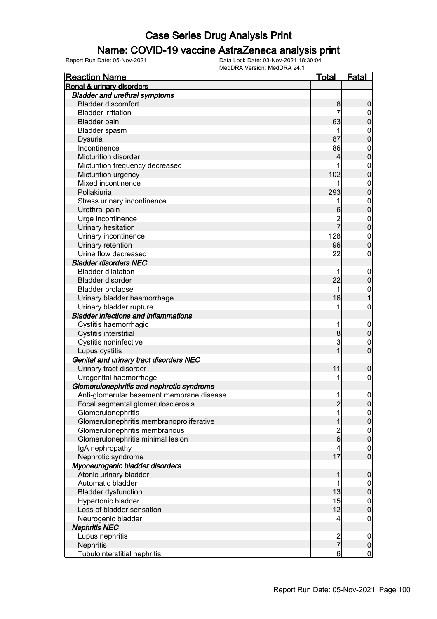#### Name: COVID-19 vaccine AstraZeneca analysis print

| <b>Reaction Name</b>                        | <u>Total</u>                   | <u>Fatal</u>                    |
|---------------------------------------------|--------------------------------|---------------------------------|
| Renal & urinary disorders                   |                                |                                 |
| <b>Bladder and urethral symptoms</b>        |                                |                                 |
| <b>Bladder discomfort</b>                   | 8                              | $\boldsymbol{0}$                |
| <b>Bladder irritation</b>                   | 7                              | $\overline{0}$                  |
| <b>Bladder pain</b>                         | 63                             | $\mathbf 0$                     |
| Bladder spasm                               | 1                              | $\mathbf{0}$                    |
| Dysuria                                     | 87                             | $\overline{0}$                  |
| Incontinence                                | 86                             | $\mathbf{0}$                    |
| Micturition disorder                        | 4                              | $\overline{0}$                  |
| Micturition frequency decreased             | 1                              | $\mathbf{0}$                    |
| Micturition urgency                         | 102                            | $\overline{0}$                  |
| Mixed incontinence                          |                                | $\mathbf{0}$                    |
| Pollakiuria                                 | 293                            | $\overline{0}$                  |
| Stress urinary incontinence                 | 1                              | $\mathbf{0}$                    |
| Urethral pain                               | 6                              | $\overline{0}$                  |
| Urge incontinence                           |                                |                                 |
| Urinary hesitation                          | $\frac{2}{7}$                  | $0\atop 0$                      |
| Urinary incontinence                        | 128                            | $\mathbf{0}$                    |
| Urinary retention                           | 96                             | $\overline{0}$                  |
| Urine flow decreased                        | 22                             | $\mathbf 0$                     |
| <b>Bladder disorders NEC</b>                |                                |                                 |
| <b>Bladder dilatation</b>                   | 1                              | $\mathbf 0$                     |
| Bladder disorder                            | 22                             | $\mathbf 0$                     |
| <b>Bladder prolapse</b>                     | 1                              | $\mathbf 0$                     |
| Urinary bladder haemorrhage                 | 16                             |                                 |
| Urinary bladder rupture                     | 1                              | $\boldsymbol{0}$                |
| <b>Bladder infections and inflammations</b> |                                |                                 |
|                                             | 1                              |                                 |
| Cystitis haemorrhagic                       | 8                              | $\mathbf 0$<br>$\boldsymbol{0}$ |
| Cystitis interstitial                       | 3                              |                                 |
| Cystitis noninfective                       | 1                              | $\mathbf 0$<br>$\overline{0}$   |
| Lupus cystitis                              |                                |                                 |
| Genital and urinary tract disorders NEC     | 11                             |                                 |
| Urinary tract disorder                      | 1                              | $\mathbf 0$                     |
| Urogenital haemorrhage                      |                                | $\boldsymbol{0}$                |
| Glomerulonephritis and nephrotic syndrome   |                                |                                 |
| Anti-glomerular basement membrane disease   | 1                              | $\boldsymbol{0}$                |
| Focal segmental glomerulosclerosis          | $\overline{2}$<br>$\mathbf{1}$ | 0                               |
| Glomerulonephritis                          |                                | $\overline{0}$                  |
| Glomerulonephritis membranoproliferative    | 1                              | $\overline{0}$                  |
| Glomerulonephritis membranous               | $\frac{2}{6}$                  | $\boldsymbol{0}$                |
| Glomerulonephritis minimal lesion           |                                | $\overline{0}$                  |
| IgA nephropathy                             | 4                              | $\mathbf 0$                     |
| Nephrotic syndrome                          | 17                             | $\mathbf{0}$                    |
| Myoneurogenic bladder disorders             |                                |                                 |
| Atonic urinary bladder                      | 1                              | $\mathbf 0$                     |
| Automatic bladder                           | 1                              | $\overline{0}$                  |
| <b>Bladder dysfunction</b>                  | 13                             | $\mathbf 0$                     |
| Hypertonic bladder                          | 15                             | $\mathbf{0}$                    |
| Loss of bladder sensation                   | 12                             | $\overline{0}$                  |
| Neurogenic bladder                          | 4                              | $\boldsymbol{0}$                |
| <b>Nephritis NEC</b>                        |                                |                                 |
| Lupus nephritis                             | $\frac{2}{7}$                  | $\mathbf 0$                     |
| Nephritis                                   |                                | $\pmb{0}$                       |
| Tubulointerstitial nephritis                | $6 \overline{}$                | $\overline{0}$                  |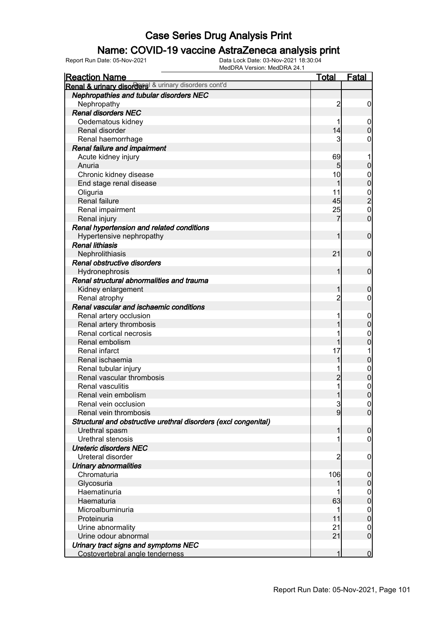### Name: COVID-19 vaccine AstraZeneca analysis print

| <b>Reaction Name</b>                                            | <b>Total</b>   | <b>Fatal</b>     |
|-----------------------------------------------------------------|----------------|------------------|
| Renal & urinary disorders & urinary disorders cont'd            |                |                  |
| <b>Nephropathies and tubular disorders NEC</b>                  |                |                  |
| Nephropathy                                                     | $\overline{c}$ | $\mathbf 0$      |
| <b>Renal disorders NEC</b>                                      |                |                  |
| Oedematous kidney                                               |                | $\mathbf 0$      |
| Renal disorder                                                  | 14             | $\mathbf 0$      |
| Renal haemorrhage                                               | 3              | 0                |
| Renal failure and impairment                                    |                |                  |
| Acute kidney injury                                             | 69             |                  |
| Anuria                                                          | 5              | $\boldsymbol{0}$ |
| Chronic kidney disease                                          | 10             | $\mathbf 0$      |
| End stage renal disease                                         |                | $\mathbf 0$      |
| Oliguria                                                        | 11             |                  |
| Renal failure                                                   | 45             | $\frac{0}{2}$    |
| Renal impairment                                                | 25             | $\mathbf 0$      |
| Renal injury                                                    |                | $\mathbf 0$      |
| Renal hypertension and related conditions                       |                |                  |
| Hypertensive nephropathy                                        |                | $\mathbf 0$      |
| <b>Renal lithiasis</b>                                          |                |                  |
| Nephrolithiasis                                                 | 21             | $\mathbf 0$      |
| Renal obstructive disorders                                     |                |                  |
| Hydronephrosis                                                  |                | $\mathbf 0$      |
| Renal structural abnormalities and trauma                       |                |                  |
| Kidney enlargement                                              |                | $\boldsymbol{0}$ |
| Renal atrophy                                                   | $\overline{c}$ | 0                |
| Renal vascular and ischaemic conditions                         |                |                  |
| Renal artery occlusion                                          |                | $\mathbf 0$      |
| Renal artery thrombosis                                         |                | $\boldsymbol{0}$ |
| Renal cortical necrosis                                         |                | $\mathbf 0$      |
| Renal embolism                                                  |                | $\mathbf 0$      |
| Renal infarct                                                   | 17             |                  |
| Renal ischaemia                                                 |                | $\mathbf 0$      |
| Renal tubular injury                                            |                | $\boldsymbol{0}$ |
| Renal vascular thrombosis                                       | $\overline{2}$ | $\mathbf 0$      |
| Renal vasculitis                                                |                | $\mathbf{0}$     |
| Renal vein embolism                                             | 1              | $\mathbf 0$      |
| Renal vein occlusion                                            | $\mathbf{3}$   | 0                |
| Renal vein thrombosis                                           | 9              | $\overline{0}$   |
| Structural and obstructive urethral disorders (excl congenital) |                |                  |
| Urethral spasm                                                  |                | $\mathbf 0$      |
| Urethral stenosis                                               |                | 0                |
| <b>Ureteric disorders NEC</b>                                   |                |                  |
| Ureteral disorder                                               | $\overline{c}$ | $\mathbf 0$      |
| Urinary abnormalities                                           |                |                  |
| Chromaturia                                                     | 106            | $\mathbf 0$      |
| Glycosuria                                                      |                | $\mathbf 0$      |
| Haematinuria                                                    |                | $\overline{0}$   |
| Haematuria                                                      | 63             | $\pmb{0}$        |
| Microalbuminuria                                                |                | $\overline{0}$   |
| Proteinuria                                                     | 11             | $\boldsymbol{0}$ |
| Urine abnormality                                               | 21             | $\mathbf 0$      |
| Urine odour abnormal                                            | 21             | $\mathbf 0$      |
| Urinary tract signs and symptoms NEC                            |                |                  |
| Costovertebral angle tenderness                                 |                | $\mathbf 0$      |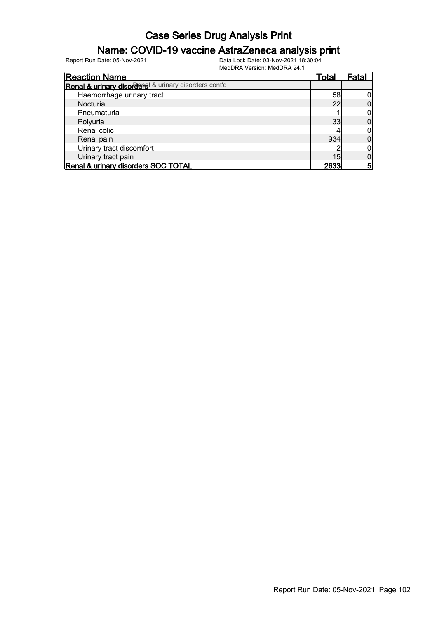### Name: COVID-19 vaccine AstraZeneca analysis print

| <b>Reaction Name</b>                                 | Total | Fatal |
|------------------------------------------------------|-------|-------|
| Renal & urinary disorders & urinary disorders cont'd |       |       |
| Haemorrhage urinary tract                            | 58    |       |
| Nocturia                                             | 22    |       |
| Pneumaturia                                          |       |       |
| Polyuria                                             | 33    |       |
| Renal colic                                          |       |       |
| Renal pain                                           | 934   |       |
| Urinary tract discomfort                             |       |       |
| Urinary tract pain                                   | 15    |       |
| Renal & urinary disorders SOC TOTAL                  | 2633  |       |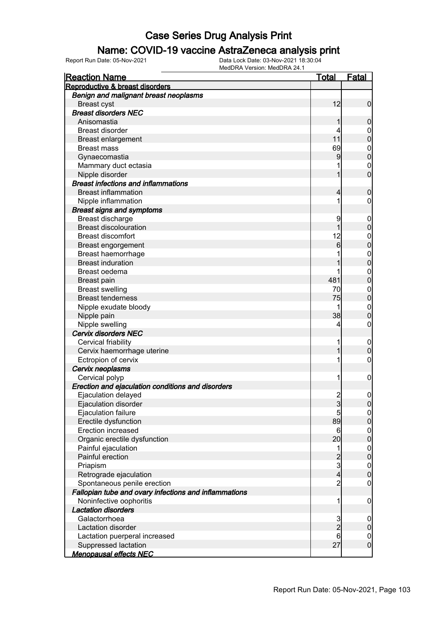#### Name: COVID-19 vaccine AstraZeneca analysis print

| <b>Reaction Name</b>                                  | Total                   | <b>Fatal</b>                         |
|-------------------------------------------------------|-------------------------|--------------------------------------|
| Reproductive & breast disorders                       |                         |                                      |
| Benign and malignant breast neoplasms                 |                         |                                      |
| <b>Breast cyst</b>                                    | 12                      | $\mathbf 0$                          |
| <b>Breast disorders NEC</b>                           |                         |                                      |
| Anisomastia                                           |                         | $\mathbf 0$                          |
| <b>Breast disorder</b>                                |                         | 0                                    |
| <b>Breast enlargement</b>                             | 11                      | $\boldsymbol{0}$                     |
| <b>Breast mass</b>                                    | 69                      | $\mathbf 0$                          |
| Gynaecomastia                                         | 9                       | $\mathbf 0$                          |
| Mammary duct ectasia                                  |                         | $\mathbf 0$                          |
| Nipple disorder                                       |                         | $\overline{0}$                       |
| <b>Breast infections and inflammations</b>            |                         |                                      |
| <b>Breast inflammation</b>                            | 4                       | $\boldsymbol{0}$                     |
| Nipple inflammation                                   |                         | 0                                    |
| <b>Breast signs and symptoms</b>                      |                         |                                      |
| Breast discharge                                      | 9                       | $\overline{0}$                       |
| <b>Breast discolouration</b>                          |                         | $\boldsymbol{0}$                     |
| <b>Breast discomfort</b>                              | 12                      | 0                                    |
| Breast engorgement                                    | 6                       | $\mathbf 0$                          |
| Breast haemorrhage                                    |                         | $\mathbf{0}$                         |
| <b>Breast induration</b>                              |                         | $\mathbf 0$                          |
| Breast oedema                                         |                         | $\mathbf 0$                          |
| Breast pain                                           | 481                     | $\boldsymbol{0}$                     |
| <b>Breast swelling</b>                                | 70                      | $\mathbf 0$                          |
| <b>Breast tenderness</b>                              | 75                      | $\mathbf 0$                          |
| Nipple exudate bloody                                 |                         | $\mathbf 0$                          |
| Nipple pain                                           | 38                      | $\boldsymbol{0}$                     |
| Nipple swelling                                       | 4                       | 0                                    |
| <b>Cervix disorders NEC</b>                           |                         |                                      |
| Cervical friability                                   |                         | $\overline{0}$                       |
| Cervix haemorrhage uterine                            |                         | $\boldsymbol{0}$                     |
| Ectropion of cervix                                   | 1                       | 0                                    |
| Cervix neoplasms                                      |                         |                                      |
| Cervical polyp                                        | 1                       | $\mathbf 0$                          |
| Erection and ejaculation conditions and disorders     |                         |                                      |
| Ejaculation delayed                                   | $\overline{2}$          | $\overline{0}$                       |
| Ejaculation disorder                                  | $\mathbf{3}$            | $\overline{0}$                       |
| Ejaculation failure                                   | 5                       | $\overline{0}$                       |
| Erectile dysfunction                                  | 89                      | $\pmb{0}$                            |
| <b>Erection increased</b>                             | $6\phantom{.}6$         |                                      |
| Organic erectile dysfunction                          | 20                      | $0$<br>0                             |
| Painful ejaculation                                   | 1                       |                                      |
| Painful erection                                      | $\overline{\mathbf{c}}$ | $\begin{matrix} 0 \\ 0 \end{matrix}$ |
| Priapism                                              | 3                       |                                      |
| Retrograde ejaculation                                | $\overline{4}$          | $\boldsymbol{0}$<br>$\overline{0}$   |
| Spontaneous penile erection                           | $\overline{2}$          | $\boldsymbol{0}$                     |
| Fallopian tube and ovary infections and inflammations |                         |                                      |
| Noninfective oophoritis                               | 1                       |                                      |
| <b>Lactation disorders</b>                            |                         | $\mathbf 0$                          |
| Galactorrhoea                                         |                         |                                      |
| Lactation disorder                                    | $\frac{3}{2}$           | $\mathbf 0$<br>$\pmb{0}$             |
|                                                       | 6                       |                                      |
| Lactation puerperal increased<br>Suppressed lactation | 27                      | $\mathbf 0$<br>$\overline{0}$        |
| <u>Menopausal effects NEC</u>                         |                         |                                      |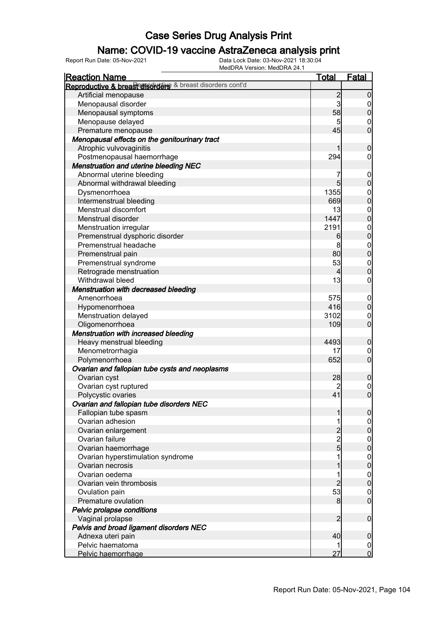### Name: COVID-19 vaccine AstraZeneca analysis print

| <b>Reaction Name</b>                                        | <b>Total</b>                               | <u>Fatal</u>                         |
|-------------------------------------------------------------|--------------------------------------------|--------------------------------------|
| Reproductive & breas conservative & breast disorders cont'd |                                            |                                      |
| Artificial menopause                                        | $\overline{c}$                             | $\mathbf 0$                          |
| Menopausal disorder                                         | $\mathbf{3}$                               | $\overline{0}$                       |
| Menopausal symptoms                                         | 58                                         | $\mathbf 0$                          |
| Menopause delayed                                           | 5                                          | $\mathbf 0$                          |
| Premature menopause                                         | 45                                         | $\overline{0}$                       |
| Menopausal effects on the genitourinary tract               |                                            |                                      |
| Atrophic vulvovaginitis                                     | 1                                          | $\boldsymbol{0}$                     |
| Postmenopausal haemorrhage                                  | 294                                        | $\boldsymbol{0}$                     |
| <b>Menstruation and uterine bleeding NEC</b>                |                                            |                                      |
| Abnormal uterine bleeding                                   | 7                                          | $\boldsymbol{0}$                     |
| Abnormal withdrawal bleeding                                | $5\overline{)}$                            | $\mathbf 0$                          |
| Dysmenorrhoea                                               | 1355                                       |                                      |
| Intermenstrual bleeding                                     | 669                                        | $0$ 0                                |
| Menstrual discomfort                                        | 13                                         |                                      |
| Menstrual disorder                                          | 1447                                       | $0$<br>0                             |
| Menstruation irregular                                      | 2191                                       |                                      |
| Premenstrual dysphoric disorder                             | 6                                          | $0$<br>0                             |
| Premenstrual headache                                       | 8                                          |                                      |
| Premenstrual pain                                           | 80                                         | $0$<br>0                             |
| Premenstrual syndrome                                       | 53                                         |                                      |
| Retrograde menstruation                                     | $\overline{4}$                             | $0\atop 0$                           |
| Withdrawal bleed                                            | 13                                         | $\boldsymbol{0}$                     |
| Menstruation with decreased bleeding                        |                                            |                                      |
| Amenorrhoea                                                 | 575                                        | $\boldsymbol{0}$                     |
| Hypomenorrhoea                                              | 416                                        | $\mathbf 0$                          |
| Menstruation delayed                                        | 3102                                       | $\mathbf 0$                          |
| Oligomenorrhoea                                             | 109                                        | $\overline{0}$                       |
| Menstruation with increased bleeding                        |                                            |                                      |
| Heavy menstrual bleeding                                    | 4493                                       | $\boldsymbol{0}$                     |
| Menometrorrhagia                                            | 17                                         | $\mathbf 0$                          |
| Polymenorrhoea                                              | 652                                        | $\overline{0}$                       |
| Ovarian and fallopian tube cysts and neoplasms              |                                            |                                      |
| Ovarian cyst                                                | 28                                         | $\mathbf 0$                          |
| Ovarian cyst ruptured                                       | $\overline{c}$                             |                                      |
| Polycystic ovaries                                          | 41                                         | $\begin{matrix} 0 \\ 0 \end{matrix}$ |
| Ovarian and fallopian tube disorders NEC                    |                                            |                                      |
| Fallopian tube spasm                                        | 1                                          | $\overline{0}$                       |
| Ovarian adhesion                                            | 1                                          | $\overline{0}$                       |
| Ovarian enlargement                                         |                                            | $\pmb{0}$                            |
| Ovarian failure                                             | $\begin{array}{c} 2 \\ 2 \\ 5 \end{array}$ | $\boldsymbol{0}$                     |
| Ovarian haemorrhage                                         |                                            | $\mathbf 0$                          |
| Ovarian hyperstimulation syndrome                           | 1                                          | $\boldsymbol{0}$                     |
| Ovarian necrosis                                            | 1                                          | $\mathbf 0$                          |
| Ovarian oedema                                              | 1                                          | $\boldsymbol{0}$                     |
| Ovarian vein thrombosis                                     | $\overline{c}$                             | $\mathbf 0$                          |
| Ovulation pain                                              | 53                                         | $\mathbf 0$                          |
| Premature ovulation                                         | 8                                          | $\overline{0}$                       |
| Pelvic prolapse conditions                                  |                                            |                                      |
| Vaginal prolapse                                            | $\overline{2}$                             | $\boldsymbol{0}$                     |
| Pelvis and broad ligament disorders NEC                     |                                            |                                      |
| Adnexa uteri pain                                           | 40                                         | $\boldsymbol{0}$                     |
| Pelvic haematoma                                            | 1                                          | $\overline{0}$                       |
| Pelvic haemorrhage                                          | 27                                         | $\overline{0}$                       |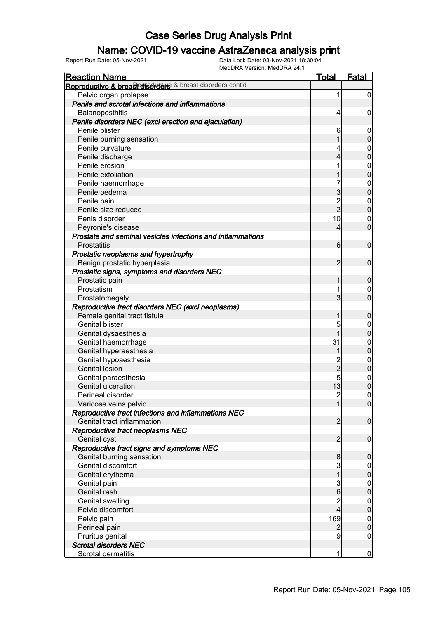### Name: COVID-19 vaccine AstraZeneca analysis print

| <b>Reaction Name</b>                                        | <b>Total</b>            | <b>Fatal</b>     |
|-------------------------------------------------------------|-------------------------|------------------|
| Reproductive & breas conservative & breast disorders cont'd |                         |                  |
| Pelvic organ prolapse                                       | 1                       | $\mathbf 0$      |
| Penile and scrotal infections and inflammations             |                         |                  |
| Balanoposthitis                                             | 4                       | $\mathbf 0$      |
| Penile disorders NEC (excl erection and ejaculation)        |                         |                  |
| Penile blister                                              | 6                       | $\mathbf 0$      |
| Penile burning sensation                                    |                         | $\mathbf 0$      |
| Penile curvature                                            | 4                       | $\boldsymbol{0}$ |
| Penile discharge                                            | 4                       | $\overline{0}$   |
| Penile erosion                                              |                         |                  |
| Penile exfoliation                                          |                         | $0\atop 0$       |
| Penile haemorrhage                                          | 7                       |                  |
| Penile oedema                                               | 3                       | $0\atop 0$       |
| Penile pain                                                 |                         | $\boldsymbol{0}$ |
| Penile size reduced                                         | $\frac{2}{2}$           | $\overline{0}$   |
| Penis disorder                                              | 10                      | $\mathbf 0$      |
| Peyronie's disease                                          | 4                       | $\mathbf 0$      |
| Prostate and seminal vesicles infections and inflammations  |                         |                  |
| <b>Prostatitis</b>                                          | 6                       | $\mathbf 0$      |
| Prostatic neoplasms and hypertrophy                         |                         |                  |
| Benign prostatic hyperplasia                                | $\overline{2}$          | $\mathbf 0$      |
| Prostatic signs, symptoms and disorders NEC                 |                         |                  |
| Prostatic pain                                              | 1                       | $\boldsymbol{0}$ |
| Prostatism                                                  | 1                       | 0                |
| Prostatomegaly                                              | 3                       | $\overline{0}$   |
| Reproductive tract disorders NEC (excl neoplasms)           |                         |                  |
| Female genital tract fistula                                | 1                       | $\boldsymbol{0}$ |
| <b>Genital blister</b>                                      | 5                       | $\mathbf 0$      |
| Genital dysaesthesia                                        | 1                       | $\overline{0}$   |
| Genital haemorrhage                                         | 31                      | $\mathbf{0}$     |
| Genital hyperaesthesia                                      | 1                       | $\overline{0}$   |
| Genital hypoaesthesia                                       |                         |                  |
| <b>Genital lesion</b>                                       | $\frac{2}{2}$           | $0\atop 0$       |
| Genital paraesthesia                                        | 5                       |                  |
| Genital ulceration                                          | 13                      | $0\atop 0$       |
| Perineal disorder                                           | $\overline{2}$          | $\overline{0}$   |
| Varicose veins pelvic                                       | 1                       | $\overline{0}$   |
| Reproductive tract infections and inflammations NEC         |                         |                  |
| Genital tract inflammation                                  | $\overline{2}$          | $\overline{0}$   |
| Reproductive tract neoplasms NEC                            |                         |                  |
| Genital cyst                                                | $\overline{2}$          | $\mathbf 0$      |
| Reproductive tract signs and symptoms NEC                   |                         |                  |
| Genital burning sensation                                   | 8                       | $\boldsymbol{0}$ |
| Genital discomfort                                          | 3                       | $\overline{0}$   |
| Genital erythema                                            | $\mathbf 1$             | $\mathbf 0$      |
| Genital pain                                                | 3                       |                  |
| Genital rash                                                | $6\phantom{a}$          | $0\atop 0$       |
| <b>Genital swelling</b>                                     | $\overline{\mathbf{c}}$ | $\boldsymbol{0}$ |
| Pelvic discomfort                                           | $\overline{4}$          | $\mathbf 0$      |
| Pelvic pain                                                 | 169                     | $\overline{0}$   |
| Perineal pain                                               | $\overline{2}$          | $\pmb{0}$        |
| Pruritus genital                                            | 9                       | $\boldsymbol{0}$ |
| <b>Scrotal disorders NEC</b>                                |                         |                  |
| Scrotal dermatitis                                          | 1                       | $\overline{0}$   |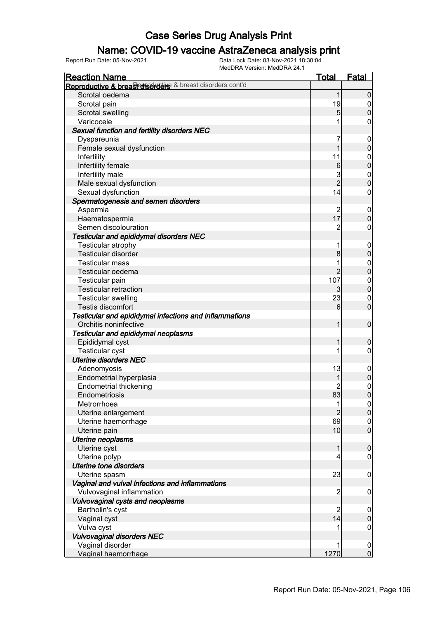### Name: COVID-19 vaccine AstraZeneca analysis print

| <b>Reaction Name</b>                                      | <b>Total</b>        | <b>Fatal</b>                   |
|-----------------------------------------------------------|---------------------|--------------------------------|
| Reproductive & breast disorders & breast disorders cont'd |                     |                                |
| Scrotal oedema                                            | 1                   | $\boldsymbol{0}$               |
| Scrotal pain                                              | 19                  | $\boldsymbol{0}$               |
| Scrotal swelling                                          | $\overline{5}$      | $\mathbf 0$                    |
| Varicocele                                                |                     | 0                              |
| Sexual function and fertility disorders NEC               |                     |                                |
| Dyspareunia                                               | 7                   | $\mathbf 0$                    |
| Female sexual dysfunction                                 | 1                   | $\mathbf 0$                    |
| Infertility                                               | 11                  | $\boldsymbol{0}$               |
| Infertility female                                        | $6\phantom{.}6$     | $\mathbf 0$                    |
| Infertility male                                          | 3                   | $\boldsymbol{0}$               |
| Male sexual dysfunction                                   | $\overline{2}$      | $\overline{0}$                 |
| Sexual dysfunction                                        | 14                  | $\mathbf 0$                    |
| Spermatogenesis and semen disorders                       |                     |                                |
| Aspermia                                                  | $\overline{2}$      | $\mathbf 0$                    |
| Haematospermia                                            | 17                  | $\mathbf 0$                    |
| Semen discolouration                                      | $\overline{c}$      | $\mathbf 0$                    |
| <b>Testicular and epididymal disorders NEC</b>            |                     |                                |
| Testicular atrophy                                        | 1                   | $\mathbf 0$                    |
| Testicular disorder                                       | 8                   | $\boldsymbol{0}$               |
| <b>Testicular mass</b>                                    |                     | $\boldsymbol{0}$               |
| Testicular oedema                                         | $\overline{2}$      | $\mathbf 0$                    |
| Testicular pain                                           | 107                 | $\boldsymbol{0}$               |
| <b>Testicular retraction</b>                              | 3                   | $\pmb{0}$                      |
| <b>Testicular swelling</b>                                | 23                  | $\mathbf 0$                    |
| Testis discomfort                                         | 6                   | $\overline{0}$                 |
| Testicular and epididymal infections and inflammations    |                     |                                |
| Orchitis noninfective                                     | 1                   | $\mathbf 0$                    |
|                                                           |                     |                                |
| Testicular and epididymal neoplasms                       | 1                   |                                |
| Epididymal cyst                                           |                     | $\mathbf 0$<br>$\mathbf 0$     |
| <b>Testicular cyst</b><br><b>Uterine disorders NEC</b>    |                     |                                |
| Adenomyosis                                               | 13                  |                                |
|                                                           |                     | $\mathbf 0$                    |
| Endometrial hyperplasia                                   |                     | $\mathbf 0$                    |
| <b>Endometrial thickening</b>                             | 83                  | $\mathbf{0}$<br>$\overline{0}$ |
| Endometriosis                                             |                     |                                |
| Metrorrhoea                                               | 1<br>$\overline{2}$ | $\frac{0}{0}$                  |
| Uterine enlargement                                       |                     |                                |
| Uterine haemorrhage                                       | 69                  | $0$<br>0                       |
| Uterine pain                                              | 10                  |                                |
| <b>Uterine neoplasms</b>                                  |                     |                                |
| Uterine cyst                                              | 1                   | $\boldsymbol{0}$               |
| Uterine polyp                                             | 4                   | $\mathbf 0$                    |
| Uterine tone disorders                                    |                     |                                |
| Uterine spasm                                             | 23                  | $\mathbf 0$                    |
| Vaginal and vulval infections and inflammations           |                     |                                |
| Vulvovaginal inflammation                                 | $\overline{2}$      | $\mathbf 0$                    |
| Vulvovaginal cysts and neoplasms                          |                     |                                |
| Bartholin's cyst                                          | $\overline{c}$      | $\mathbf 0$                    |
| Vaginal cyst                                              | 14                  | $\mathbf 0$                    |
| Vulva cyst                                                |                     | $\mathbf 0$                    |
| <b>Vulvovaginal disorders NEC</b>                         |                     |                                |
| Vaginal disorder                                          |                     | $\mathbf 0$                    |
| Vaginal haemorrhage                                       | 1270                | $\overline{0}$                 |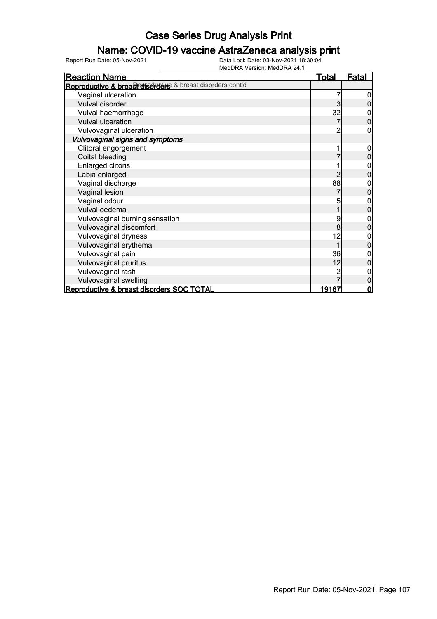### Name: COVID-19 vaccine AstraZeneca analysis print

| <b>Reaction Name</b>                                        | <u>Total</u> | <u>Fatal</u> |
|-------------------------------------------------------------|--------------|--------------|
| Reproductive & breas conservative & breast disorders cont'd |              |              |
| Vaginal ulceration                                          |              |              |
| Vulval disorder                                             | 3            |              |
| Vulval haemorrhage                                          | 32           |              |
| Vulval ulceration                                           |              | 0            |
| Vulvovaginal ulceration                                     |              |              |
| Vulvovaginal signs and symptoms                             |              |              |
| Clitoral engorgement                                        |              |              |
| Coital bleeding                                             |              |              |
| Enlarged clitoris                                           |              |              |
| Labia enlarged                                              | 2            | 0            |
| Vaginal discharge                                           | 88           | 0            |
| Vaginal lesion                                              |              | 0            |
| Vaginal odour                                               | 5            | 0            |
| Vulval oedema                                               |              | 0            |
| Vulvovaginal burning sensation                              | 9            | 0            |
| Vulvovaginal discomfort                                     | 8            | 0            |
| Vulvovaginal dryness                                        | 12           | 0            |
| Vulvovaginal erythema                                       |              | 0            |
| Vulvovaginal pain                                           | 36           | 0            |
| Vulvovaginal pruritus                                       | 12           | 0            |
| Vulvovaginal rash                                           |              |              |
| Vulvovaginal swelling                                       |              | 0            |
| Reproductive & breast disorders SOC TOTAL                   | 19167        | 0            |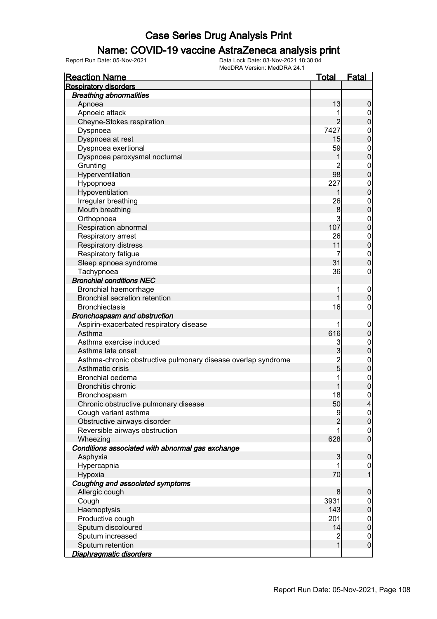### Name: COVID-19 vaccine AstraZeneca analysis print

| <b>Reaction Name</b>                                                                                                                                                                                              | <u>Total</u>                                               | <b>Fatal</b>                                                                                                                                       |
|-------------------------------------------------------------------------------------------------------------------------------------------------------------------------------------------------------------------|------------------------------------------------------------|----------------------------------------------------------------------------------------------------------------------------------------------------|
| <b>Respiratory disorders</b>                                                                                                                                                                                      |                                                            |                                                                                                                                                    |
| <b>Breathing abnormalities</b>                                                                                                                                                                                    |                                                            |                                                                                                                                                    |
| Apnoea                                                                                                                                                                                                            | 13                                                         | 0                                                                                                                                                  |
| Apnoeic attack                                                                                                                                                                                                    |                                                            | $\overline{0}$                                                                                                                                     |
| Cheyne-Stokes respiration                                                                                                                                                                                         | $\overline{2}$                                             | 0                                                                                                                                                  |
| Dyspnoea                                                                                                                                                                                                          | 7427                                                       | $\boldsymbol{0}$                                                                                                                                   |
| Dyspnoea at rest                                                                                                                                                                                                  | 15                                                         | $\mathbf{0}$                                                                                                                                       |
| Dyspnoea exertional                                                                                                                                                                                               | 59                                                         | $\mathbf{0}$                                                                                                                                       |
| Dyspnoea paroxysmal nocturnal                                                                                                                                                                                     |                                                            | $\mathbf 0$                                                                                                                                        |
| Grunting                                                                                                                                                                                                          | $\overline{2}$                                             | $\mathbf{0}$                                                                                                                                       |
| Hyperventilation                                                                                                                                                                                                  | 98                                                         | $\overline{0}$                                                                                                                                     |
| Hypopnoea                                                                                                                                                                                                         | 227                                                        | $\mathbf{0}$                                                                                                                                       |
| Hypoventilation                                                                                                                                                                                                   |                                                            | $\mathbf 0$                                                                                                                                        |
| Irregular breathing                                                                                                                                                                                               | 26                                                         | $\mathbf{0}$                                                                                                                                       |
| Mouth breathing                                                                                                                                                                                                   | 8                                                          | $\overline{0}$                                                                                                                                     |
| Orthopnoea                                                                                                                                                                                                        | $\mathsf{3}$                                               | $\mathbf{0}$                                                                                                                                       |
| Respiration abnormal                                                                                                                                                                                              | 107                                                        | $\overline{0}$                                                                                                                                     |
| Respiratory arrest                                                                                                                                                                                                | 26                                                         | $\boldsymbol{0}$                                                                                                                                   |
| Respiratory distress                                                                                                                                                                                              | 11                                                         | $\overline{0}$                                                                                                                                     |
| Respiratory fatigue                                                                                                                                                                                               | 7                                                          | $\mathbf{0}$                                                                                                                                       |
| Sleep apnoea syndrome                                                                                                                                                                                             | 31                                                         | $\overline{0}$                                                                                                                                     |
| Tachypnoea                                                                                                                                                                                                        | 36                                                         | $\boldsymbol{0}$                                                                                                                                   |
| <b>Bronchial conditions NEC</b>                                                                                                                                                                                   |                                                            |                                                                                                                                                    |
| Bronchial haemorrhage                                                                                                                                                                                             | 1                                                          | $\boldsymbol{0}$                                                                                                                                   |
| <b>Bronchial secretion retention</b>                                                                                                                                                                              | 1                                                          | $\overline{0}$                                                                                                                                     |
| <b>Bronchiectasis</b>                                                                                                                                                                                             | 16                                                         | 0                                                                                                                                                  |
| Bronchospasm and obstruction                                                                                                                                                                                      |                                                            |                                                                                                                                                    |
| Aspirin-exacerbated respiratory disease                                                                                                                                                                           | 1                                                          | $\mathbf 0$                                                                                                                                        |
| Asthma                                                                                                                                                                                                            | 616                                                        | $\pmb{0}$                                                                                                                                          |
| Asthma exercise induced                                                                                                                                                                                           | 3                                                          | $\boldsymbol{0}$                                                                                                                                   |
| Asthma late onset                                                                                                                                                                                                 | $\overline{3}$                                             | $\mathbf 0$                                                                                                                                        |
| Asthma-chronic obstructive pulmonary disease overlap syndrome                                                                                                                                                     |                                                            | $\mathbf{0}$                                                                                                                                       |
| Asthmatic crisis                                                                                                                                                                                                  | $\frac{2}{5}$                                              | $\overline{0}$                                                                                                                                     |
| Bronchial oedema                                                                                                                                                                                                  | 1                                                          | $\boldsymbol{0}$                                                                                                                                   |
| <b>Bronchitis chronic</b>                                                                                                                                                                                         |                                                            | $\overline{0}$                                                                                                                                     |
| Bronchospasm                                                                                                                                                                                                      | 18                                                         | $\overline{0}$                                                                                                                                     |
| Chronic obstructive pulmonary disease                                                                                                                                                                             | 50                                                         | 4                                                                                                                                                  |
| Cough variant asthma                                                                                                                                                                                              | 9                                                          | $\overline{0}$                                                                                                                                     |
| Obstructive airways disorder                                                                                                                                                                                      | $\overline{2}$                                             | $\overline{0}$                                                                                                                                     |
| Reversible airways obstruction                                                                                                                                                                                    |                                                            | $\mathbf 0$                                                                                                                                        |
| Wheezing                                                                                                                                                                                                          | 628                                                        | $\overline{0}$                                                                                                                                     |
| Conditions associated with abnormal gas exchange                                                                                                                                                                  |                                                            |                                                                                                                                                    |
| Asphyxia                                                                                                                                                                                                          | 3                                                          | $\mathbf 0$                                                                                                                                        |
|                                                                                                                                                                                                                   |                                                            |                                                                                                                                                    |
|                                                                                                                                                                                                                   |                                                            |                                                                                                                                                    |
|                                                                                                                                                                                                                   |                                                            |                                                                                                                                                    |
|                                                                                                                                                                                                                   |                                                            |                                                                                                                                                    |
|                                                                                                                                                                                                                   |                                                            |                                                                                                                                                    |
|                                                                                                                                                                                                                   |                                                            |                                                                                                                                                    |
|                                                                                                                                                                                                                   |                                                            |                                                                                                                                                    |
|                                                                                                                                                                                                                   |                                                            |                                                                                                                                                    |
|                                                                                                                                                                                                                   |                                                            |                                                                                                                                                    |
|                                                                                                                                                                                                                   |                                                            |                                                                                                                                                    |
|                                                                                                                                                                                                                   |                                                            |                                                                                                                                                    |
| Hypercapnia<br>Hypoxia<br>Coughing and associated symptoms<br>Allergic cough<br>Cough<br>Haemoptysis<br>Productive cough<br>Sputum discoloured<br>Sputum increased<br>Sputum retention<br>Diaphragmatic disorders | 70<br>8<br>3931<br>143<br>201<br>14<br>$\overline{c}$<br>1 | $\boldsymbol{0}$<br>$\overline{1}$<br>$\mathbf 0$<br>$\mathbf 0$<br>$\overline{0}$<br>$\mathbf{0}$<br>$\overline{0}$<br>$\mathbf 0$<br>$\mathbf 0$ |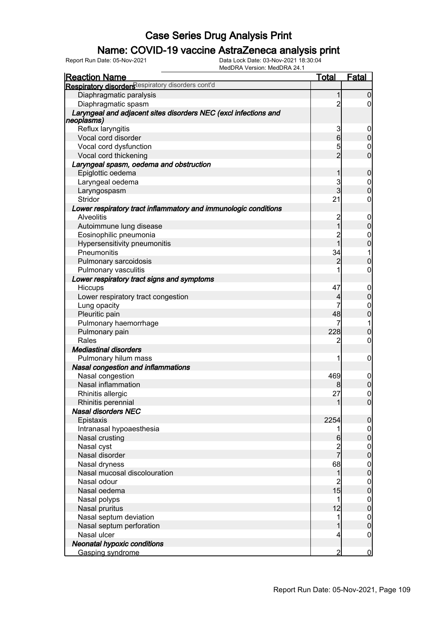### Name: COVID-19 vaccine AstraZeneca analysis print

| <b>Reaction Name</b>                                                                 | <u>Total</u>         | <b>Fatal</b>     |
|--------------------------------------------------------------------------------------|----------------------|------------------|
| Respiratory disorders espiratory disorders cont'd                                    |                      |                  |
| Diaphragmatic paralysis                                                              | 1                    | 0                |
| Diaphragmatic spasm                                                                  | $\overline{2}$       | 0                |
| Laryngeal and adjacent sites disorders NEC (excl infections and                      |                      |                  |
| neoplasms)                                                                           |                      |                  |
| Reflux laryngitis                                                                    | 3                    | 0                |
| Vocal cord disorder                                                                  | 6                    | 0                |
| Vocal cord dysfunction                                                               | 5                    | 0                |
| Vocal cord thickening                                                                | $\overline{2}$       | 0                |
| Laryngeal spasm, oedema and obstruction                                              |                      |                  |
| Epiglottic oedema                                                                    |                      | 0                |
| Laryngeal oedema                                                                     | 3                    | $\boldsymbol{0}$ |
| Laryngospasm                                                                         | 3                    | 0                |
| Stridor                                                                              | 21                   | 0                |
| Lower respiratory tract inflammatory and immunologic conditions<br><b>Alveolitis</b> | $\overline{c}$       | $\mathbf 0$      |
| Autoimmune lung disease                                                              | 1                    | 0                |
| Eosinophilic pneumonia                                                               | $\overline{c}$       | 0                |
| Hypersensitivity pneumonitis                                                         | 1                    | 0                |
| Pneumonitis                                                                          | 34                   | 1                |
|                                                                                      | 2                    | 0                |
| Pulmonary sarcoidosis                                                                | 1                    | 0                |
| Pulmonary vasculitis<br>Lower respiratory tract signs and symptoms                   |                      |                  |
|                                                                                      | 47                   |                  |
| Hiccups                                                                              |                      | $\mathbf 0$<br>0 |
| Lower respiratory tract congestion                                                   | 4<br>7               |                  |
| Lung opacity                                                                         | 48                   | 0                |
| Pleuritic pain                                                                       |                      | 0                |
| Pulmonary haemorrhage                                                                | 7<br>228             | 1                |
| Pulmonary pain                                                                       |                      | 0                |
| Rales<br><b>Mediastinal disorders</b>                                                | 2                    | 0                |
|                                                                                      |                      |                  |
| Pulmonary hilum mass                                                                 | 1                    | 0                |
| Nasal congestion and inflammations                                                   |                      |                  |
| Nasal congestion<br>Nasal inflammation                                               | 469                  | $\mathbf 0$      |
|                                                                                      |                      | $\overline{0}$   |
| Rhinitis allergic                                                                    | 27                   | $\overline{0}$   |
| Rhinitis perennial                                                                   |                      | $\overline{0}$   |
| <b>Nasal disorders NEC</b>                                                           |                      |                  |
| Epistaxis                                                                            | 2254                 | 0                |
| Intranasal hypoaesthesia                                                             | 1                    | 0                |
| Nasal crusting                                                                       | 6                    | $\overline{0}$   |
| Nasal cyst                                                                           | 2<br>7               | $\boldsymbol{0}$ |
| Nasal disorder                                                                       |                      | $\overline{0}$   |
| Nasal dryness<br>Nasal mucosal discolouration                                        | 68                   | $\boldsymbol{0}$ |
|                                                                                      | 1                    | $\overline{0}$   |
| Nasal odour                                                                          | $\overline{c}$<br>15 | $\boldsymbol{0}$ |
| Nasal oedema                                                                         |                      | $\overline{0}$   |
| Nasal polyps                                                                         | 1                    | $\boldsymbol{0}$ |
| Nasal pruritus                                                                       | 12                   | $\overline{0}$   |
| Nasal septum deviation                                                               | 1                    | $\boldsymbol{0}$ |
| Nasal septum perforation                                                             |                      | $\overline{0}$   |
| Nasal ulcer                                                                          | 4                    | $\boldsymbol{0}$ |
| <b>Neonatal hypoxic conditions</b>                                                   |                      |                  |
| Gasping syndrome                                                                     | 2                    | $\overline{0}$   |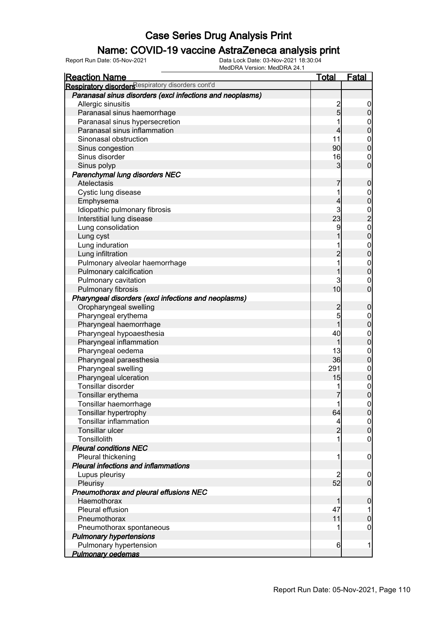### Name: COVID-19 vaccine AstraZeneca analysis print

| <b>Reaction Name</b>                                      | <u>Total</u>   | <b>Fatal</b>                     |
|-----------------------------------------------------------|----------------|----------------------------------|
| Respiratory disorders espiratory disorders cont'd         |                |                                  |
| Paranasal sinus disorders (excl infections and neoplasms) |                |                                  |
| Allergic sinusitis                                        |                | $\mathbf 0$                      |
| Paranasal sinus haemorrhage                               | $\frac{2}{5}$  | $\pmb{0}$                        |
| Paranasal sinus hypersecretion                            |                |                                  |
| Paranasal sinus inflammation                              | 4              | $0\atop 0$                       |
| Sinonasal obstruction                                     | 11             | $\boldsymbol{0}$                 |
| Sinus congestion                                          | 90             | $\overline{0}$                   |
| Sinus disorder                                            | 16             | $\mathbf 0$                      |
| Sinus polyp                                               | 3              | $\overline{0}$                   |
| Parenchymal lung disorders NEC                            |                |                                  |
| Atelectasis                                               | 7              | $\boldsymbol{0}$                 |
| Cystic lung disease                                       |                |                                  |
| Emphysema                                                 | 4              | $0\atop 0$                       |
| Idiopathic pulmonary fibrosis                             | 3              |                                  |
| Interstitial lung disease                                 | 23             | $\frac{0}{2}$                    |
| Lung consolidation                                        | 9              |                                  |
| Lung cyst                                                 |                | $\begin{matrix}0\\0\end{matrix}$ |
| Lung induration                                           |                |                                  |
| Lung infiltration                                         | $\overline{2}$ | $0\atop 0$                       |
| Pulmonary alveolar haemorrhage                            |                |                                  |
| Pulmonary calcification                                   |                | $0\atop 0$                       |
| Pulmonary cavitation                                      | 3              | $\mathbf 0$                      |
| Pulmonary fibrosis                                        | 10             | $\overline{0}$                   |
| Pharyngeal disorders (excl infections and neoplasms)      |                |                                  |
| Oropharyngeal swelling                                    | $\overline{c}$ | $\boldsymbol{0}$                 |
| Pharyngeal erythema                                       | 5              |                                  |
| Pharyngeal haemorrhage                                    | $\mathbf{1}$   | $0\atop 0$                       |
| Pharyngeal hypoaesthesia                                  | 40             |                                  |
| Pharyngeal inflammation                                   | 1              | $0\atop 0$                       |
| Pharyngeal oedema                                         | 13             |                                  |
| Pharyngeal paraesthesia                                   | 36             | $0\atop 0$                       |
| Pharyngeal swelling                                       | 291            |                                  |
| Pharyngeal ulceration                                     | 15             | $0\atop 0$                       |
| Tonsillar disorder                                        |                | $\mathbf{0}$                     |
| Tonsillar erythema                                        | 7              | $\overline{0}$                   |
| Tonsillar haemorrhage                                     | 1              | 0                                |
| Tonsillar hypertrophy                                     | 64             | $\overline{0}$                   |
| <b>Tonsillar inflammation</b>                             | 4              |                                  |
| <b>Tonsillar ulcer</b>                                    | $\overline{2}$ | $0\atop 0$                       |
| Tonsillolith                                              |                | $\boldsymbol{0}$                 |
| <b>Pleural conditions NEC</b>                             |                |                                  |
| Pleural thickening                                        | 1              | $\mathbf 0$                      |
| <b>Pleural infections and inflammations</b>               |                |                                  |
| Lupus pleurisy                                            | 2              | $\boldsymbol{0}$                 |
| Pleurisy                                                  | 52             | $\overline{0}$                   |
| Pneumothorax and pleural effusions NEC                    |                |                                  |
| Haemothorax                                               | 1              | $\boldsymbol{0}$                 |
| Pleural effusion                                          | 47             |                                  |
| Pneumothorax                                              | 11             | $\mathbf 0$                      |
| Pneumothorax spontaneous                                  |                | $\mathbf 0$                      |
| <b>Pulmonary hypertensions</b>                            |                |                                  |
| Pulmonary hypertension                                    | 6              | 1                                |
| <b>Pulmonary oedemas</b>                                  |                |                                  |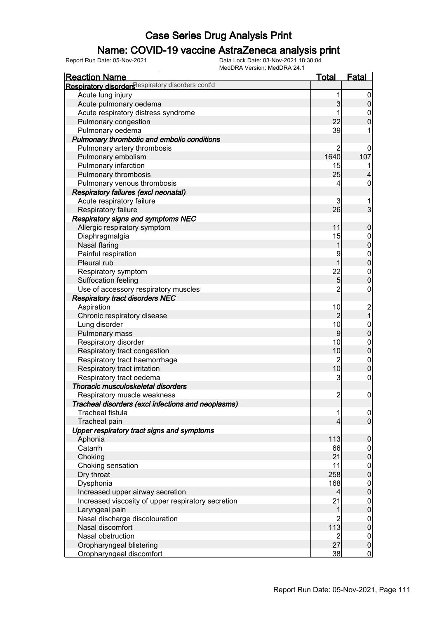### Name: COVID-19 vaccine AstraZeneca analysis print

| <b>Reaction Name</b>                               | <u>Total</u>   | Fatal                                 |
|----------------------------------------------------|----------------|---------------------------------------|
| Respiratory disorders espiratory disorders cont'd  |                |                                       |
| Acute lung injury                                  | 1              | $\overline{0}$                        |
| Acute pulmonary oedema                             | $\mathbf{3}$   | $\boldsymbol{0}$                      |
| Acute respiratory distress syndrome                | 1              | $\boldsymbol{0}$                      |
| Pulmonary congestion                               | 22             | $\overline{0}$                        |
| Pulmonary oedema                                   | 39             |                                       |
| Pulmonary thrombotic and embolic conditions        |                |                                       |
| Pulmonary artery thrombosis                        | $\overline{c}$ | 0                                     |
| Pulmonary embolism                                 | 1640           | 107                                   |
| Pulmonary infarction                               | 15             |                                       |
| Pulmonary thrombosis                               | 25             |                                       |
| Pulmonary venous thrombosis                        | 4              | 0                                     |
| <b>Respiratory failures (excl neonatal)</b>        |                |                                       |
| Acute respiratory failure                          | 3              |                                       |
| Respiratory failure                                | 26             | $\overline{3}$                        |
| <b>Respiratory signs and symptoms NEC</b>          |                |                                       |
| Allergic respiratory symptom                       | 11             | $\boldsymbol{0}$                      |
| Diaphragmalgia                                     | 15             |                                       |
| Nasal flaring                                      | 1              | $0$ 0                                 |
| Painful respiration                                | 9              |                                       |
| Pleural rub                                        | $\overline{1}$ | $0$<br>0                              |
| Respiratory symptom                                | 22             |                                       |
| Suffocation feeling                                | 5              | $\begin{matrix} 0 \\ 0 \end{matrix}$  |
| Use of accessory respiratory muscles               | $\overline{2}$ | $\boldsymbol{0}$                      |
| <b>Respiratory tract disorders NEC</b>             |                |                                       |
| Aspiration                                         | 10             |                                       |
| Chronic respiratory disease                        | $\overline{2}$ | $\begin{array}{c} 2 \\ 1 \end{array}$ |
| Lung disorder                                      | 10             |                                       |
| Pulmonary mass                                     | $\overline{9}$ | $0\atop 0$                            |
| Respiratory disorder                               | 10             |                                       |
| Respiratory tract congestion                       | 10             | $0$<br>0                              |
| Respiratory tract haemorrhage                      | $\overline{c}$ |                                       |
| Respiratory tract irritation                       | 10             | $0\atop 0$                            |
| Respiratory tract oedema                           | 3              | $\mathbf 0$                           |
| Thoracic musculoskeletal disorders                 |                |                                       |
| Respiratory muscle weakness                        | $\overline{2}$ | $\mathbf 0$                           |
| Tracheal disorders (excl infections and neoplasms) |                |                                       |
| <b>Tracheal fistula</b>                            | 1              | 0                                     |
| Tracheal pain                                      | 4              | $\overline{0}$                        |
| Upper respiratory tract signs and symptoms         |                |                                       |
| Aphonia                                            | 113            | $\boldsymbol{0}$                      |
| Catarrh                                            | 66             | $\boldsymbol{0}$                      |
| Choking                                            | 21             | $\overline{0}$                        |
| Choking sensation                                  | 11             |                                       |
| Dry throat                                         | 258            | $0\atop 0$                            |
| Dysphonia                                          | 168            |                                       |
| Increased upper airway secretion                   | $\overline{4}$ | $\begin{matrix} 0 \\ 0 \end{matrix}$  |
| Increased viscosity of upper respiratory secretion | 21             |                                       |
| Laryngeal pain                                     | 1              | $0\atop 0$                            |
| Nasal discharge discolouration                     | $\overline{c}$ | $\boldsymbol{0}$                      |
| Nasal discomfort                                   | 113            | $\overline{0}$                        |
| Nasal obstruction                                  | $\overline{2}$ | $\boldsymbol{0}$                      |
| Oropharyngeal blistering                           | 27             | $\mathbf 0$                           |
| Oropharyngeal discomfort                           | 38             | $\overline{0}$                        |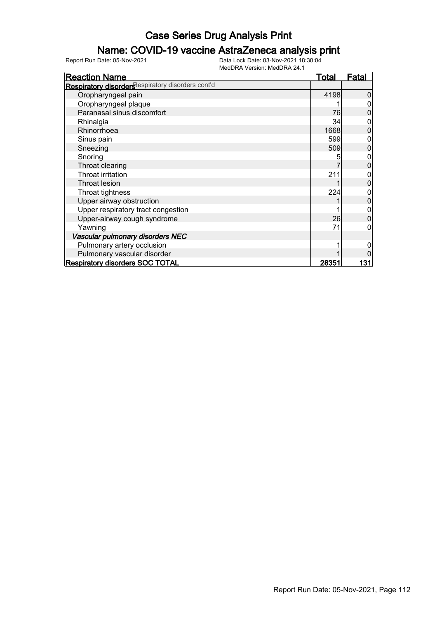### Name: COVID-19 vaccine AstraZeneca analysis print

| <b>Reaction Name</b>                              | <b>Total</b> | <b>Fatal</b> |
|---------------------------------------------------|--------------|--------------|
| Respiratory disorders espiratory disorders cont'd |              |              |
| Oropharyngeal pain                                | 4198         |              |
| Oropharyngeal plaque                              |              |              |
| Paranasal sinus discomfort                        | 76           |              |
| Rhinalgia                                         | 34           |              |
| Rhinorrhoea                                       | 1668         |              |
| Sinus pain                                        | 599          |              |
| Sneezing                                          | 509          | 0            |
| Snoring                                           |              |              |
| Throat clearing                                   |              |              |
| Throat irritation                                 | 21           |              |
| <b>Throat lesion</b>                              |              |              |
| Throat tightness                                  | 224          |              |
| Upper airway obstruction                          |              | 0            |
| Upper respiratory tract congestion                |              |              |
| Upper-airway cough syndrome                       | 26           |              |
| Yawning                                           | 71           |              |
| Vascular pulmonary disorders NEC                  |              |              |
| Pulmonary artery occlusion                        |              |              |
| Pulmonary vascular disorder                       |              |              |
| <b>Respiratory disorders SOC TOTAL</b>            | 28351        | 131          |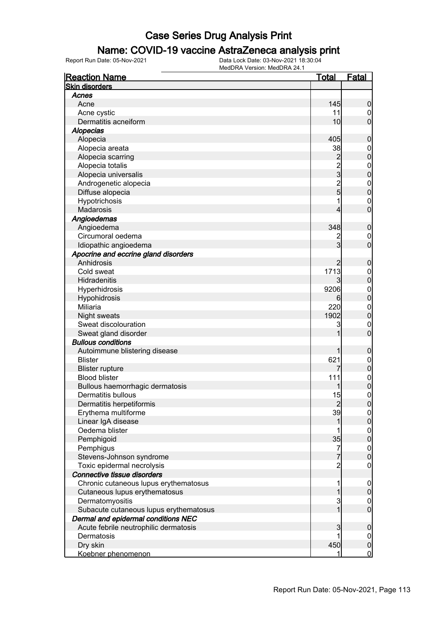#### Name: COVID-19 vaccine AstraZeneca analysis print

| <b>Reaction Name</b>                   | <u>Total</u>   | <b>Fatal</b>     |
|----------------------------------------|----------------|------------------|
| <b>Skin disorders</b>                  |                |                  |
| Acnes                                  |                |                  |
| Acne                                   | 145            | 0                |
| Acne cystic                            | 11             | 0                |
| Dermatitis acneiform                   | 10             | $\overline{0}$   |
| <b>Alopecias</b>                       |                |                  |
| Alopecia                               | 405            | 0                |
| Alopecia areata                        | 38             | $\mathbf 0$      |
| Alopecia scarring                      | 2              | $\mathbf{0}$     |
| Alopecia totalis                       |                | $\boldsymbol{0}$ |
| Alopecia universalis                   | 2<br>3         | 0                |
| Androgenetic alopecia                  | $\overline{c}$ | $\mathbf{0}$     |
| Diffuse alopecia                       | 5              | $\overline{0}$   |
| Hypotrichosis                          |                | $\mathbf{0}$     |
| Madarosis                              |                | 0                |
| Angioedemas                            |                |                  |
| Angioedema                             | 348            | 0                |
| Circumoral oedema                      |                | $\mathbf 0$      |
| Idiopathic angioedema                  | 3              | $\overline{0}$   |
| Apocrine and eccrine gland disorders   |                |                  |
| Anhidrosis                             |                | 0                |
| Cold sweat                             | 1713           | 0                |
| Hidradenitis                           |                | 0                |
| Hyperhidrosis                          | 9206           | $\boldsymbol{0}$ |
| Hypohidrosis                           | 6              | 0                |
| <b>Miliaria</b>                        | 220            | $\mathbf{0}$     |
| Night sweats                           | 1902           | $\overline{0}$   |
| Sweat discolouration                   | 3              | $\mathbf{0}$     |
| Sweat gland disorder                   |                | $\overline{0}$   |
| <b>Bullous conditions</b>              |                |                  |
| Autoimmune blistering disease          |                | 0                |
| <b>Blister</b>                         | 621            | $\mathbf 0$      |
| <b>Blister rupture</b>                 |                | $\overline{0}$   |
| <b>Blood blister</b>                   | 111            | $\mathbf{0}$     |
| Bullous haemorrhagic dermatosis        |                | 0                |
| Dermatitis bullous                     | 15             | 0                |
| Dermatitis herpetiformis               | 2              | U                |
| Erythema multiforme                    | 39             | $\overline{0}$   |
| Linear IgA disease                     |                | 0                |
| Oedema blister                         |                | $\mathbf 0$      |
| Pemphigoid                             | 35             | $\mathbf 0$      |
| Pemphigus                              | 7              | $\mathbf 0$      |
| Stevens-Johnson syndrome               | 7              | 0                |
| Toxic epidermal necrolysis             | $\overline{c}$ | $\mathbf 0$      |
| Connective tissue disorders            |                |                  |
| Chronic cutaneous lupus erythematosus  | 1              | $\mathbf 0$      |
| Cutaneous lupus erythematosus          |                | 0                |
| Dermatomyositis                        | 3              | $\mathbf 0$      |
| Subacute cutaneous lupus erythematosus |                | $\overline{0}$   |
| Dermal and epidermal conditions NEC    |                |                  |
| Acute febrile neutrophilic dermatosis  | 3              | 0                |
| Dermatosis                             |                | $\mathbf 0$      |
| Dry skin                               | 450            | $\pmb{0}$        |
| Koebner phenomenon                     | 1              | $\overline{0}$   |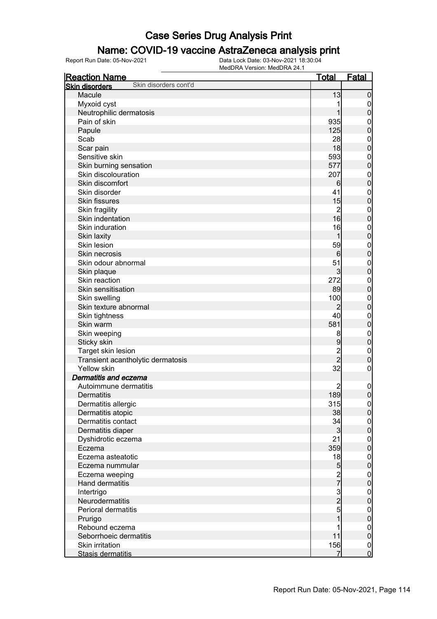#### Name: COVID-19 vaccine AstraZeneca analysis print

| <b>Reaction Name</b>                           | <b>Total</b>                               | <b>Fatal</b>                |
|------------------------------------------------|--------------------------------------------|-----------------------------|
| Skin disorders cont'd<br><b>Skin disorders</b> |                                            |                             |
| Macule                                         | 13                                         | $\mathbf 0$                 |
| Myxoid cyst                                    |                                            | $\mathbf 0$                 |
| Neutrophilic dermatosis                        |                                            | $\mathbf 0$                 |
| Pain of skin                                   | 935                                        | $\boldsymbol{0}$            |
| Papule                                         | 125                                        | $\mathbf 0$                 |
| Scab                                           | 28                                         | $\mathbf 0$                 |
| Scar pain                                      | 18                                         | $\mathbf 0$                 |
| Sensitive skin                                 | 593                                        | $\mathbf{0}$                |
| Skin burning sensation                         | 577                                        | $\mathbf 0$                 |
| Skin discolouration                            | 207                                        | $\mathbf{0}$                |
| Skin discomfort                                | 6                                          | $\mathbf 0$                 |
| Skin disorder                                  | 41                                         | $\mathbf{0}$                |
| <b>Skin fissures</b>                           | 15                                         | $\mathbf 0$                 |
| Skin fragility                                 | $\overline{2}$                             | $\mathbf{0}$                |
| Skin indentation                               | 16                                         | $\mathbf 0$                 |
| Skin induration                                | 16                                         | $\mathbf{0}$                |
| Skin laxity                                    | 1                                          | $\mathbf 0$                 |
| Skin lesion                                    | 59                                         | $\mathbf{0}$                |
| Skin necrosis                                  | 6                                          | $\mathbf 0$                 |
| Skin odour abnormal                            | 51                                         |                             |
|                                                | $\mathbf{3}$                               | $\mathbf{0}$<br>$\mathbf 0$ |
| Skin plaque<br>Skin reaction                   | 272                                        |                             |
| Skin sensitisation                             | 89                                         | $\mathbf{0}$                |
|                                                |                                            | $\mathbf 0$                 |
| Skin swelling                                  | 100                                        | $\mathbf{0}$                |
| Skin texture abnormal                          | $\overline{2}$                             | $\mathbf 0$                 |
| Skin tightness                                 | 40                                         | $\mathbf{0}$                |
| Skin warm                                      | 581                                        | $\pmb{0}$                   |
| Skin weeping                                   | 8                                          | $\mathbf{0}$                |
| Sticky skin                                    | 9                                          | $\pmb{0}$                   |
| Target skin lesion                             | $\frac{2}{2}$                              | $\mathbf{0}$                |
| Transient acantholytic dermatosis              |                                            | $\mathbf 0$                 |
| Yellow skin                                    | 32                                         | $\boldsymbol{0}$            |
| Dermatitis and eczema                          |                                            |                             |
| Autoimmune dermatitis                          | 2                                          | $\mathbf 0$                 |
| <b>Dermatitis</b>                              | 189                                        | $\boldsymbol{0}$            |
| Dermatitis allergic                            | 315                                        | 0                           |
| Dermatitis atopic                              | 38                                         | 0                           |
| Dermatitis contact                             | 34                                         | $\overline{0}$              |
| Dermatitis diaper                              | $\mathbf{3}$                               | $\overline{0}$              |
| Dyshidrotic eczema                             | 21                                         | $\boldsymbol{0}$            |
| Eczema                                         | 359                                        | $\mathbf 0$                 |
| Eczema asteatotic                              | 18                                         | $\boldsymbol{0}$            |
| Eczema nummular                                | 5                                          | $\mathbf 0$                 |
| Eczema weeping                                 | $\frac{2}{7}$                              | $\boldsymbol{0}$            |
| Hand dermatitis                                |                                            | $\overline{0}$              |
| Intertrigo                                     |                                            | $\boldsymbol{0}$            |
| Neurodermatitis                                | $\begin{array}{c} 3 \\ 2 \\ 5 \end{array}$ | $\overline{0}$              |
| Perioral dermatitis                            |                                            | $\boldsymbol{0}$            |
| Prurigo                                        | $\overline{1}$                             | $\mathbf 0$                 |
| Rebound eczema                                 | 1                                          | $\overline{0}$              |
| Seborrhoeic dermatitis                         | 11                                         | $\mathbf 0$                 |
| Skin irritation                                | 156                                        | $\overline{0}$              |
| Stasis dermatitis                              | 7                                          | $\mathbf 0$                 |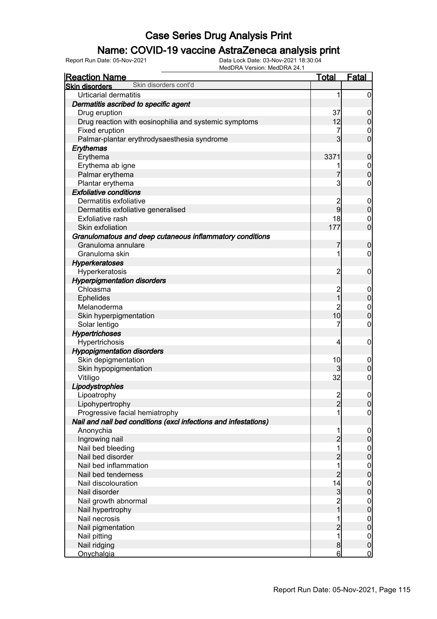### Name: COVID-19 vaccine AstraZeneca analysis print

| <b>Reaction Name</b>                                            | <b>Total</b>   | <u>Fatal</u>     |
|-----------------------------------------------------------------|----------------|------------------|
| Skin disorders cont'd<br><b>Skin disorders</b>                  |                |                  |
| <b>Urticarial dermatitis</b>                                    | 1              | $\overline{0}$   |
| Dermatitis ascribed to specific agent                           |                |                  |
| Drug eruption                                                   | 37             | $\overline{0}$   |
| Drug reaction with eosinophilia and systemic symptoms           | 12             | $\boldsymbol{0}$ |
| Fixed eruption                                                  | 7              | 0                |
| Palmar-plantar erythrodysaesthesia syndrome                     | $\mathbf{3}$   | $\overline{0}$   |
| Erythemas                                                       |                |                  |
| Erythema                                                        | 3371           | $\mathbf 0$      |
| Erythema ab igne                                                | 1              | $\mathbf 0$      |
| Palmar erythema                                                 | 7              | $\overline{0}$   |
| Plantar erythema                                                | 3              | 0                |
| <b>Exfoliative conditions</b>                                   |                |                  |
| Dermatitis exfoliative                                          | $\overline{c}$ | $\mathbf 0$      |
| Dermatitis exfoliative generalised                              | $\overline{9}$ | $\boldsymbol{0}$ |
| <b>Exfoliative rash</b>                                         | 18             | $\mathbf 0$      |
| Skin exfoliation                                                | 177            | $\overline{0}$   |
| Granulomatous and deep cutaneous inflammatory conditions        |                |                  |
| Granuloma annulare                                              | $\overline{7}$ | $\boldsymbol{0}$ |
| Granuloma skin                                                  | 1              | 0                |
| <b>Hyperkeratoses</b>                                           |                |                  |
| Hyperkeratosis                                                  | $\overline{c}$ | $\mathbf 0$      |
| <b>Hyperpigmentation disorders</b>                              |                |                  |
| Chloasma                                                        | $\overline{c}$ | $\mathbf 0$      |
| <b>Ephelides</b>                                                | $\overline{1}$ | $\boldsymbol{0}$ |
| Melanoderma                                                     | $\overline{c}$ | $\boldsymbol{0}$ |
| Skin hyperpigmentation                                          | 10             | $\overline{0}$   |
| Solar lentigo                                                   | 7              | $\boldsymbol{0}$ |
| <b>Hypertrichoses</b>                                           |                |                  |
| Hypertrichosis                                                  | 4              | $\boldsymbol{0}$ |
| <b>Hypopigmentation disorders</b>                               |                |                  |
| Skin depigmentation                                             | 10             | $\mathbf 0$      |
| Skin hypopigmentation                                           | $\overline{3}$ | $\mathbf 0$      |
| Vitiligo                                                        | 32             | $\mathbf 0$      |
| Lipodystrophies                                                 |                |                  |
| Lipoatrophy                                                     | $\overline{2}$ | $\mathbf 0$      |
| Lipohypertrophy                                                 | $\overline{2}$ | 0                |
| Progressive facial hemiatrophy                                  |                | $\overline{0}$   |
| Nail and nail bed conditions (excl infections and infestations) |                |                  |
| Anonychia                                                       | 1              | $\overline{0}$   |
| Ingrowing nail                                                  | $\overline{c}$ | $\pmb{0}$        |
| Nail bed bleeding                                               | 1              | $\mathbf 0$      |
| Nail bed disorder                                               | $\overline{2}$ | $\overline{0}$   |
| Nail bed inflammation                                           | 1              | $\boldsymbol{0}$ |
| Nail bed tenderness                                             | $\overline{2}$ | $\overline{0}$   |
| Nail discolouration                                             | 14             | $\boldsymbol{0}$ |
| Nail disorder                                                   | $\mathbf{3}$   | $\overline{0}$   |
| Nail growth abnormal                                            | $\overline{c}$ | $\boldsymbol{0}$ |
| Nail hypertrophy                                                | $\overline{1}$ | $\overline{0}$   |
| Nail necrosis                                                   |                | $\boldsymbol{0}$ |
| Nail pigmentation                                               | $\overline{2}$ | $\overline{0}$   |
| Nail pitting                                                    | 1              | $\overline{0}$   |
| Nail ridging                                                    | $\bf{8}$       | $\mathbf 0$      |
| Onychalgia                                                      | 6              | $\overline{0}$   |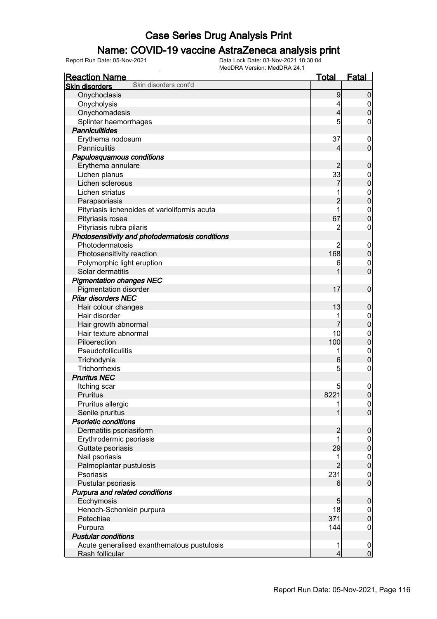### Name: COVID-19 vaccine AstraZeneca analysis print

| <u>Reaction Name</u>                            | <u>Total</u>   | <u>Fatal</u>                         |
|-------------------------------------------------|----------------|--------------------------------------|
| Skin disorders cont'd<br><b>Skin disorders</b>  |                |                                      |
| Onychoclasis                                    | 9              | $\boldsymbol{0}$                     |
| Onycholysis                                     | 4              |                                      |
| Onychomadesis                                   | $\overline{4}$ | $\begin{matrix} 0 \\ 0 \end{matrix}$ |
| Splinter haemorrhages                           | 5              | 0                                    |
| <b>Panniculitides</b>                           |                |                                      |
| Erythema nodosum                                | 37             | $\boldsymbol{0}$                     |
| Panniculitis                                    | 4              | $\overline{0}$                       |
| Papulosquamous conditions                       |                |                                      |
| Erythema annulare                               | 2              | $\mathbf 0$                          |
| Lichen planus                                   | 33             |                                      |
| Lichen sclerosus                                |                | $\begin{matrix}0\\0\end{matrix}$     |
| Lichen striatus                                 | 1              |                                      |
| Parapsoriasis                                   | $\overline{2}$ | $\begin{matrix}0\\0\end{matrix}$     |
| Pityriasis lichenoides et varioliformis acuta   | $\overline{1}$ |                                      |
| Pityriasis rosea                                | 67             | $\begin{matrix}0\\0\end{matrix}$     |
| Pityriasis rubra pilaris                        | $\overline{2}$ | $\mathbf 0$                          |
| Photosensitivity and photodermatosis conditions |                |                                      |
| Photodermatosis                                 | 2              | $\boldsymbol{0}$                     |
| Photosensitivity reaction                       | 168            | $\overline{0}$                       |
| Polymorphic light eruption                      | 6              |                                      |
| Solar dermatitis                                | 1              | $\begin{matrix}0\\0\end{matrix}$     |
| <b>Pigmentation changes NEC</b>                 |                |                                      |
| <b>Pigmentation disorder</b>                    | 17             | $\boldsymbol{0}$                     |
| <b>Pilar disorders NEC</b>                      |                |                                      |
| Hair colour changes                             | 13             | $\mathbf 0$                          |
| Hair disorder                                   | 1              |                                      |
| Hair growth abnormal                            |                | $0\atop 0$                           |
| Hair texture abnormal                           | 10             |                                      |
| Piloerection                                    | 100            | $\begin{matrix}0\\0\end{matrix}$     |
| Pseudofolliculitis                              | 1              |                                      |
| Trichodynia                                     | 6              | $\begin{matrix}0\\0\end{matrix}$     |
| <b>Trichorrhexis</b>                            | 5              | $\pmb{0}$                            |
| <b>Pruritus NEC</b>                             |                |                                      |
| Itching scar                                    | 5              | $\mathbf{0}$                         |
| <b>Pruritus</b>                                 | 8221           | $\overline{0}$                       |
| Pruritus allergic                               | 1              |                                      |
| Senile pruritus                                 | 1              | $\begin{matrix} 0 \\ 0 \end{matrix}$ |
| <b>Psoriatic conditions</b>                     |                |                                      |
| Dermatitis psoriasiform                         | $\overline{c}$ | $\mathbf 0$                          |
| Erythrodermic psoriasis                         | 1              | $\mathbf 0$                          |
| Guttate psoriasis                               | 29             | $\mathbf 0$                          |
| Nail psoriasis                                  | 1              |                                      |
| Palmoplantar pustulosis                         | $\overline{2}$ | $0\atop 0$                           |
| Psoriasis                                       | 231            |                                      |
| Pustular psoriasis                              | $6 \mid$       | $\begin{matrix} 0 \\ 0 \end{matrix}$ |
| Purpura and related conditions                  |                |                                      |
| Ecchymosis                                      | 5              | $\mathbf 0$                          |
| Henoch-Schonlein purpura                        | 18             | $\boldsymbol{0}$                     |
| Petechiae                                       | 371            | $\mathbf 0$                          |
| Purpura                                         | 144            | $\boldsymbol{0}$                     |
| <b>Pustular conditions</b>                      |                |                                      |
| Acute generalised exanthematous pustulosis      | 1              | $\boldsymbol{0}$                     |
| Rash follicular                                 | 4              | $\overline{0}$                       |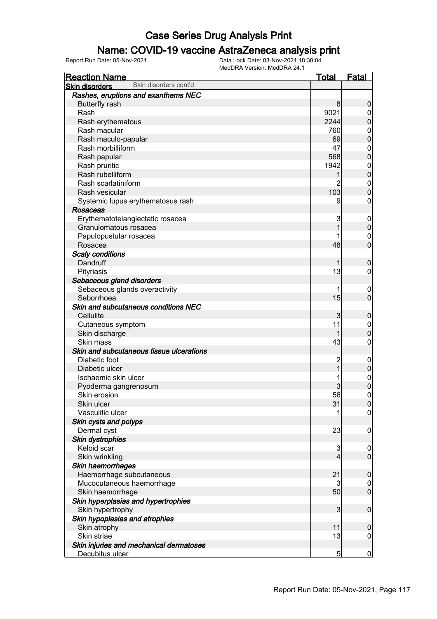### Name: COVID-19 vaccine AstraZeneca analysis print

| Skin disorders cont'd<br><b>Skin disorders</b><br>Rashes, eruptions and exanthems NEC<br><b>Butterfly rash</b><br>8<br>Rash<br>9021<br>Rash erythematous<br>2244<br>Rash macular<br>760<br>Rash maculo-papular<br>69<br>Rash morbilliform<br>47<br>568<br>Rash papular<br>Rash pruritic<br>1942<br>Rash rubelliform<br>Rash scarlatiniform<br>2<br>103<br>Rash vesicular<br>Systemic lupus erythematosus rash<br>9<br>Rosaceas<br>Erythematotelangiectatic rosacea<br>3<br>Granulomatous rosacea<br>Papulopustular rosacea<br>48<br>Rosacea<br><b>Scaly conditions</b><br>Dandruff<br>13<br>Pityriasis<br>Sebaceous gland disorders<br>Sebaceous glands overactivity<br>15<br>Seborrhoea<br>Skin and subcutaneous conditions NEC<br>Cellulite<br>3<br>11<br>Cutaneous symptom<br>Skin discharge<br>43<br>Skin mass |
|--------------------------------------------------------------------------------------------------------------------------------------------------------------------------------------------------------------------------------------------------------------------------------------------------------------------------------------------------------------------------------------------------------------------------------------------------------------------------------------------------------------------------------------------------------------------------------------------------------------------------------------------------------------------------------------------------------------------------------------------------------------------------------------------------------------------|
|                                                                                                                                                                                                                                                                                                                                                                                                                                                                                                                                                                                                                                                                                                                                                                                                                    |
|                                                                                                                                                                                                                                                                                                                                                                                                                                                                                                                                                                                                                                                                                                                                                                                                                    |
|                                                                                                                                                                                                                                                                                                                                                                                                                                                                                                                                                                                                                                                                                                                                                                                                                    |
|                                                                                                                                                                                                                                                                                                                                                                                                                                                                                                                                                                                                                                                                                                                                                                                                                    |
|                                                                                                                                                                                                                                                                                                                                                                                                                                                                                                                                                                                                                                                                                                                                                                                                                    |
|                                                                                                                                                                                                                                                                                                                                                                                                                                                                                                                                                                                                                                                                                                                                                                                                                    |
|                                                                                                                                                                                                                                                                                                                                                                                                                                                                                                                                                                                                                                                                                                                                                                                                                    |
|                                                                                                                                                                                                                                                                                                                                                                                                                                                                                                                                                                                                                                                                                                                                                                                                                    |
|                                                                                                                                                                                                                                                                                                                                                                                                                                                                                                                                                                                                                                                                                                                                                                                                                    |
|                                                                                                                                                                                                                                                                                                                                                                                                                                                                                                                                                                                                                                                                                                                                                                                                                    |
|                                                                                                                                                                                                                                                                                                                                                                                                                                                                                                                                                                                                                                                                                                                                                                                                                    |
|                                                                                                                                                                                                                                                                                                                                                                                                                                                                                                                                                                                                                                                                                                                                                                                                                    |
|                                                                                                                                                                                                                                                                                                                                                                                                                                                                                                                                                                                                                                                                                                                                                                                                                    |
|                                                                                                                                                                                                                                                                                                                                                                                                                                                                                                                                                                                                                                                                                                                                                                                                                    |
|                                                                                                                                                                                                                                                                                                                                                                                                                                                                                                                                                                                                                                                                                                                                                                                                                    |
|                                                                                                                                                                                                                                                                                                                                                                                                                                                                                                                                                                                                                                                                                                                                                                                                                    |
|                                                                                                                                                                                                                                                                                                                                                                                                                                                                                                                                                                                                                                                                                                                                                                                                                    |
|                                                                                                                                                                                                                                                                                                                                                                                                                                                                                                                                                                                                                                                                                                                                                                                                                    |
|                                                                                                                                                                                                                                                                                                                                                                                                                                                                                                                                                                                                                                                                                                                                                                                                                    |
|                                                                                                                                                                                                                                                                                                                                                                                                                                                                                                                                                                                                                                                                                                                                                                                                                    |
|                                                                                                                                                                                                                                                                                                                                                                                                                                                                                                                                                                                                                                                                                                                                                                                                                    |
|                                                                                                                                                                                                                                                                                                                                                                                                                                                                                                                                                                                                                                                                                                                                                                                                                    |
|                                                                                                                                                                                                                                                                                                                                                                                                                                                                                                                                                                                                                                                                                                                                                                                                                    |
|                                                                                                                                                                                                                                                                                                                                                                                                                                                                                                                                                                                                                                                                                                                                                                                                                    |
|                                                                                                                                                                                                                                                                                                                                                                                                                                                                                                                                                                                                                                                                                                                                                                                                                    |
|                                                                                                                                                                                                                                                                                                                                                                                                                                                                                                                                                                                                                                                                                                                                                                                                                    |
|                                                                                                                                                                                                                                                                                                                                                                                                                                                                                                                                                                                                                                                                                                                                                                                                                    |
|                                                                                                                                                                                                                                                                                                                                                                                                                                                                                                                                                                                                                                                                                                                                                                                                                    |
|                                                                                                                                                                                                                                                                                                                                                                                                                                                                                                                                                                                                                                                                                                                                                                                                                    |
|                                                                                                                                                                                                                                                                                                                                                                                                                                                                                                                                                                                                                                                                                                                                                                                                                    |
|                                                                                                                                                                                                                                                                                                                                                                                                                                                                                                                                                                                                                                                                                                                                                                                                                    |
| Skin and subcutaneous tissue ulcerations                                                                                                                                                                                                                                                                                                                                                                                                                                                                                                                                                                                                                                                                                                                                                                           |
| Diabetic foot<br>2                                                                                                                                                                                                                                                                                                                                                                                                                                                                                                                                                                                                                                                                                                                                                                                                 |
| Diabetic ulcer                                                                                                                                                                                                                                                                                                                                                                                                                                                                                                                                                                                                                                                                                                                                                                                                     |
| Ischaemic skin ulcer                                                                                                                                                                                                                                                                                                                                                                                                                                                                                                                                                                                                                                                                                                                                                                                               |
| Pyoderma gangrenosum                                                                                                                                                                                                                                                                                                                                                                                                                                                                                                                                                                                                                                                                                                                                                                                               |
| 56<br>Skin erosion                                                                                                                                                                                                                                                                                                                                                                                                                                                                                                                                                                                                                                                                                                                                                                                                 |
| Skin ulcer<br>31                                                                                                                                                                                                                                                                                                                                                                                                                                                                                                                                                                                                                                                                                                                                                                                                   |
| Vasculitic ulcer<br>1                                                                                                                                                                                                                                                                                                                                                                                                                                                                                                                                                                                                                                                                                                                                                                                              |
| Skin cysts and polyps                                                                                                                                                                                                                                                                                                                                                                                                                                                                                                                                                                                                                                                                                                                                                                                              |
| Dermal cyst<br>23                                                                                                                                                                                                                                                                                                                                                                                                                                                                                                                                                                                                                                                                                                                                                                                                  |
| <b>Skin dystrophies</b>                                                                                                                                                                                                                                                                                                                                                                                                                                                                                                                                                                                                                                                                                                                                                                                            |
| Keloid scar<br>3                                                                                                                                                                                                                                                                                                                                                                                                                                                                                                                                                                                                                                                                                                                                                                                                   |
| Skin wrinkling<br>4                                                                                                                                                                                                                                                                                                                                                                                                                                                                                                                                                                                                                                                                                                                                                                                                |
| Skin haemorrhages                                                                                                                                                                                                                                                                                                                                                                                                                                                                                                                                                                                                                                                                                                                                                                                                  |
| 21<br>Haemorrhage subcutaneous                                                                                                                                                                                                                                                                                                                                                                                                                                                                                                                                                                                                                                                                                                                                                                                     |
| Mucocutaneous haemorrhage<br>3                                                                                                                                                                                                                                                                                                                                                                                                                                                                                                                                                                                                                                                                                                                                                                                     |
| 50<br>Skin haemorrhage                                                                                                                                                                                                                                                                                                                                                                                                                                                                                                                                                                                                                                                                                                                                                                                             |
| Skin hyperplasias and hypertrophies                                                                                                                                                                                                                                                                                                                                                                                                                                                                                                                                                                                                                                                                                                                                                                                |
| Skin hypertrophy<br>$\mathbf{3}$                                                                                                                                                                                                                                                                                                                                                                                                                                                                                                                                                                                                                                                                                                                                                                                   |
| Skin hypoplasias and atrophies                                                                                                                                                                                                                                                                                                                                                                                                                                                                                                                                                                                                                                                                                                                                                                                     |
| Skin atrophy<br>11                                                                                                                                                                                                                                                                                                                                                                                                                                                                                                                                                                                                                                                                                                                                                                                                 |
| Skin striae<br>13                                                                                                                                                                                                                                                                                                                                                                                                                                                                                                                                                                                                                                                                                                                                                                                                  |
| Skin injuries and mechanical dermatoses                                                                                                                                                                                                                                                                                                                                                                                                                                                                                                                                                                                                                                                                                                                                                                            |
| Decubitus ulcer<br>5                                                                                                                                                                                                                                                                                                                                                                                                                                                                                                                                                                                                                                                                                                                                                                                               |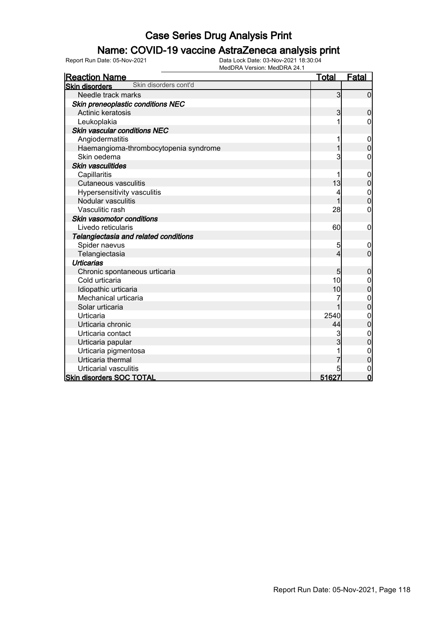### Name: COVID-19 vaccine AstraZeneca analysis print

| <b>Reaction Name</b>                           | <u>Total</u> | <b>Fatal</b>                         |
|------------------------------------------------|--------------|--------------------------------------|
| Skin disorders cont'd<br><b>Skin disorders</b> |              |                                      |
| Needle track marks                             | $\mathbf{3}$ | $\overline{0}$                       |
| Skin preneoplastic conditions NEC              |              |                                      |
| Actinic keratosis                              | 3            | 0                                    |
| Leukoplakia                                    |              | 0                                    |
| Skin vascular conditions NEC                   |              |                                      |
| Angiodermatitis                                | 1            | $\mathbf 0$                          |
| Haemangioma-thrombocytopenia syndrome          | 1            | $\mathbf 0$                          |
| Skin oedema                                    | 3            | 0                                    |
| Skin vasculitides                              |              |                                      |
| Capillaritis                                   |              | $\mathbf 0$                          |
| <b>Cutaneous vasculitis</b>                    | 13           | $\overline{0}$                       |
| Hypersensitivity vasculitis                    | 4            | $\begin{matrix} 0 \\ 0 \end{matrix}$ |
| Nodular vasculitis                             |              |                                      |
| Vasculitic rash                                | 28           | 0                                    |
| Skin vasomotor conditions                      |              |                                      |
| Livedo reticularis                             | 60           | $\mathbf 0$                          |
| Telangiectasia and related conditions          |              |                                      |
| Spider naevus                                  | 5            | 0                                    |
| Telangiectasia                                 | 4            | $\overline{0}$                       |
| <b>Urticarias</b>                              |              |                                      |
| Chronic spontaneous urticaria                  | 5            | $\mathbf 0$                          |
| Cold urticaria                                 | 10           | 0                                    |
| Idiopathic urticaria                           | 10           | 0                                    |
| Mechanical urticaria                           | 7            | $\mathbf 0$                          |
| Solar urticaria                                | 1            | $\overline{0}$                       |
| Urticaria                                      | 2540         | $\mathbf{0}$                         |
| Urticaria chronic                              | 44           | $\overline{0}$                       |
| Urticaria contact                              | 3            | $\mathbf 0$                          |
| Urticaria papular                              | 3            | $\overline{0}$                       |
| Urticaria pigmentosa                           |              | $\mathbf 0$                          |
| Urticaria thermal                              |              | 0                                    |
| Urticarial vasculitis                          | 5            | $\mathbf 0$                          |
| <b>Skin disorders SOC TOTAL</b>                | 51627        | $\overline{0}$                       |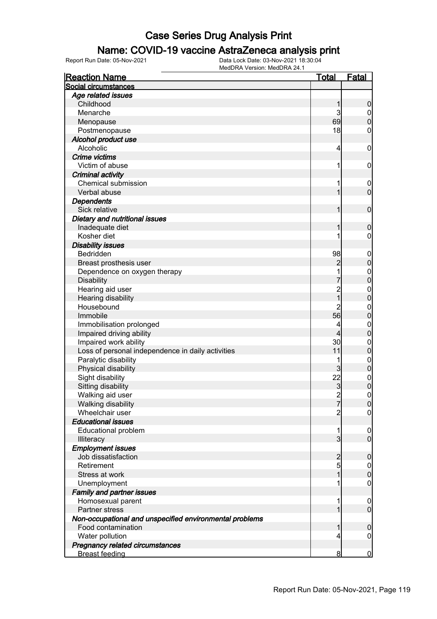### Name: COVID-19 vaccine AstraZeneca analysis print

| <b>Reaction Name</b>                                    | <b>Total</b>   | <b>Fatal</b>     |
|---------------------------------------------------------|----------------|------------------|
| Social circumstances                                    |                |                  |
| Age related issues                                      |                |                  |
| Childhood                                               | 1              | $\boldsymbol{0}$ |
| Menarche                                                | 3              | $\boldsymbol{0}$ |
| Menopause                                               | 69             | $\overline{0}$   |
| Postmenopause                                           | 18             | 0                |
| Alcohol product use                                     |                |                  |
| Alcoholic                                               | 4              | $\boldsymbol{0}$ |
| Crime victims                                           |                |                  |
| Victim of abuse                                         | 1              | $\boldsymbol{0}$ |
| <b>Criminal activity</b>                                |                |                  |
| Chemical submission                                     | 1              | $\mathbf 0$      |
| Verbal abuse                                            | 1              | $\mathbf 0$      |
| <b>Dependents</b>                                       |                |                  |
| Sick relative                                           | 1              | $\boldsymbol{0}$ |
| Dietary and nutritional issues                          |                |                  |
| Inadequate diet                                         | 1              | $\boldsymbol{0}$ |
| Kosher diet                                             |                | $\mathbf 0$      |
| <b>Disability issues</b>                                |                |                  |
| Bedridden                                               | 98             | $\boldsymbol{0}$ |
| Breast prosthesis user                                  | $\overline{c}$ | $\mathbf 0$      |
| Dependence on oxygen therapy                            | 1              | $0\atop 0$       |
| <b>Disability</b>                                       |                |                  |
| Hearing aid user                                        | 2<br>1         | $\mathbf{0}$     |
| Hearing disability                                      |                | $\overline{0}$   |
| Housebound                                              | $\overline{2}$ | $\boldsymbol{0}$ |
| Immobile                                                | 56             | $\overline{0}$   |
| Immobilisation prolonged                                | 4              | $\mathbf{0}$     |
| Impaired driving ability                                | 4              | $\overline{0}$   |
| Impaired work ability                                   | 30             | $\mathbf{0}$     |
| Loss of personal independence in daily activities       | 11             | $\overline{0}$   |
| Paralytic disability                                    | 1              | $0$<br>0         |
| Physical disability                                     | 3              |                  |
| Sight disability                                        | 22             | $\mathbf{0}$     |
| Sitting disability                                      | 3              | $\overline{0}$   |
| Walking aid user                                        | $\overline{2}$ | $\mathbf 0$      |
| Walking disability                                      | 7              | 0                |
| Wheelchair user                                         | $\overline{2}$ | $\overline{0}$   |
| <b>Educational issues</b>                               |                |                  |
| <b>Educational problem</b>                              | 1              | $\mathbf 0$      |
| Illiteracy                                              | $\overline{3}$ | $\overline{0}$   |
| <b>Employment issues</b>                                |                |                  |
| Job dissatisfaction                                     | $\overline{c}$ | $\mathbf 0$      |
| Retirement                                              | 5              | $\overline{0}$   |
| Stress at work                                          | 1              | $\mathbf 0$      |
| Unemployment                                            | 1              | $\mathbf 0$      |
| <b>Family and partner issues</b>                        |                |                  |
| Homosexual parent                                       | 1              | $\mathbf 0$      |
| Partner stress                                          | 1              | $\overline{0}$   |
| Non-occupational and unspecified environmental problems |                |                  |
| Food contamination                                      | 1              | $\mathbf 0$      |
| Water pollution                                         | 4              | $\mathbf 0$      |
| Pregnancy related circumstances                         |                |                  |
| <b>Breast feeding</b>                                   | 8              | $\bf{0}$         |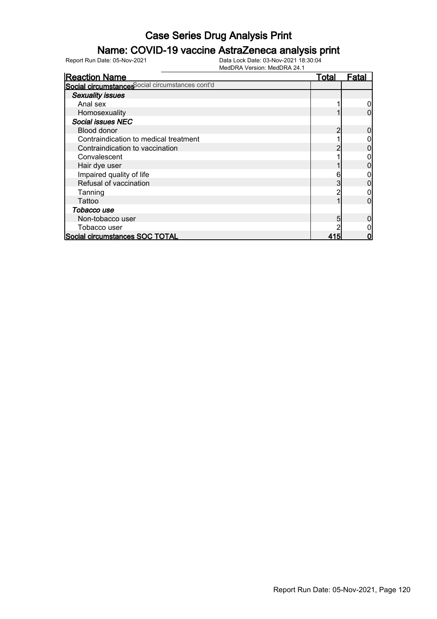### Name: COVID-19 vaccine AstraZeneca analysis print

| <b>Reaction Name</b>                            | Total | Fatal |
|-------------------------------------------------|-------|-------|
| Social circumstances ocial circumstances cont'd |       |       |
| <b>Sexuality issues</b>                         |       |       |
| Anal sex                                        |       |       |
| Homosexuality                                   |       |       |
| Social issues NEC                               |       |       |
| Blood donor                                     |       |       |
| Contraindication to medical treatment           |       |       |
| Contraindication to vaccination                 |       |       |
| Convalescent                                    |       |       |
| Hair dye user                                   |       |       |
| Impaired quality of life                        | 6     |       |
| Refusal of vaccination                          |       |       |
| Tanning                                         |       |       |
| Tattoo                                          |       |       |
| Tobacco use                                     |       |       |
| Non-tobacco user                                | 5     |       |
| Tobacco user                                    |       |       |
| Social circumstances SOC TOTAL                  | 415   |       |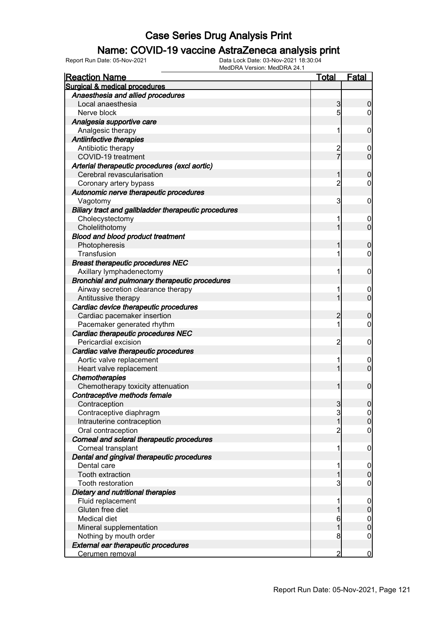#### Name: COVID-19 vaccine AstraZeneca analysis print

| <b>Reaction Name</b>                                 | <u>Total</u>   | <b>Fatal</b>        |
|------------------------------------------------------|----------------|---------------------|
| Surgical & medical procedures                        |                |                     |
| Anaesthesia and allied procedures                    |                |                     |
| Local anaesthesia                                    | 3              | 0                   |
| Nerve block                                          | 5              | $\overline{0}$      |
| Analgesia supportive care                            |                |                     |
| Analgesic therapy                                    | 1              | 0                   |
| Antiinfective therapies                              |                |                     |
| Antibiotic therapy                                   | $\overline{c}$ | 0                   |
| COVID-19 treatment                                   | $\overline{7}$ | $\overline{0}$      |
| Arterial therapeutic procedures (excl aortic)        |                |                     |
| Cerebral revascularisation                           | 1              | $\mathbf 0$         |
| Coronary artery bypass                               | $\overline{2}$ | $\mathbf 0$         |
| Autonomic nerve therapeutic procedures               |                |                     |
| Vagotomy                                             | 3              | 0                   |
| Biliary tract and gallbladder therapeutic procedures |                |                     |
| Cholecystectomy                                      | 1              | 0                   |
| Cholelithotomy                                       | 1              | $\overline{0}$      |
| <b>Blood and blood product treatment</b>             |                |                     |
| Photopheresis                                        | 1              | $\mathbf 0$         |
| Transfusion                                          | 1              | $\mathbf 0$         |
| <b>Breast therapeutic procedures NEC</b>             |                |                     |
| Axillary lymphadenectomy                             | 1              |                     |
|                                                      |                | 0                   |
| Bronchial and pulmonary therapeutic procedures       |                |                     |
| Airway secretion clearance therapy                   | 1              | 0<br>$\overline{0}$ |
| Antitussive therapy                                  | 1              |                     |
| Cardiac device therapeutic procedures                |                |                     |
| Cardiac pacemaker insertion                          | 2              | $\mathbf 0$         |
| Pacemaker generated rhythm                           | 1              | $\mathbf 0$         |
| Cardiac therapeutic procedures NEC                   |                |                     |
| Pericardial excision                                 | $\overline{2}$ | 0                   |
| Cardiac valve therapeutic procedures                 |                |                     |
| Aortic valve replacement                             | 1              | 0                   |
| Heart valve replacement                              | 1              | $\mathbf 0$         |
| <b>Chemotherapies</b>                                |                |                     |
| Chemotherapy toxicity attenuation                    | 1              | $\mathbf 0$         |
| Contraceptive methods female                         |                |                     |
| Contraception                                        | 3              | 0                   |
| Contraceptive diaphragm                              | $\mathbf{3}$   | $\overline{0}$      |
| Intrauterine contraception                           | 1              | $\boldsymbol{0}$    |
| Oral contraception                                   | $\overline{2}$ | $\mathbf 0$         |
| Corneal and scleral therapeutic procedures           |                |                     |
| Corneal transplant                                   | 1              | $\mathbf 0$         |
| Dental and gingival therapeutic procedures           |                |                     |
| Dental care                                          | 1              | $\mathbf 0$         |
| Tooth extraction                                     | 1              | $\mathbf 0$         |
| Tooth restoration                                    | 3              | $\mathbf 0$         |
| Dietary and nutritional therapies                    |                |                     |
| Fluid replacement                                    | 1              | $\mathbf 0$         |
| Gluten free diet                                     | 1              | $\pmb{0}$           |
| Medical diet                                         | 6              | $\boldsymbol{0}$    |
| Mineral supplementation                              | 1              | $\mathbf 0$         |
| Nothing by mouth order                               | 8              | $\overline{0}$      |
| <b>External ear therapeutic procedures</b>           |                |                     |
| Cerumen removal                                      | $\overline{2}$ | $\overline{0}$      |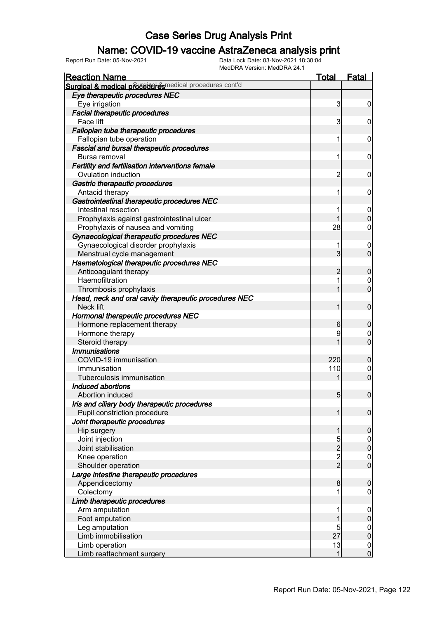### Name: COVID-19 vaccine AstraZeneca analysis print

| <b>Reaction Name</b>                                    | <b>Total</b>   | <b>Fatal</b>                  |
|---------------------------------------------------------|----------------|-------------------------------|
| Surgical & medical proceed exemplical procedures cont'd |                |                               |
| Eye therapeutic procedures NEC                          |                |                               |
| Eye irrigation                                          | 3              | $\boldsymbol{0}$              |
| <b>Facial therapeutic procedures</b>                    |                |                               |
| Face lift                                               | 3              | $\mathbf 0$                   |
| Fallopian tube therapeutic procedures                   |                |                               |
| Fallopian tube operation                                | 1              | $\mathbf 0$                   |
| <b>Fascial and bursal therapeutic procedures</b>        |                |                               |
| Bursa removal                                           | 1              | $\mathbf 0$                   |
| Fertility and fertilisation interventions female        |                |                               |
| Ovulation induction                                     | 2              | $\mathbf 0$                   |
| Gastric therapeutic procedures                          |                |                               |
| Antacid therapy                                         | 1              | $\mathbf 0$                   |
| Gastrointestinal therapeutic procedures NEC             |                |                               |
| Intestinal resection                                    |                | $\overline{0}$                |
| Prophylaxis against gastrointestinal ulcer              |                | $\mathbf 0$                   |
| Prophylaxis of nausea and vomiting                      | 28             | 0                             |
| Gynaecological therapeutic procedures NEC               |                |                               |
| Gynaecological disorder prophylaxis                     |                | 0                             |
| Menstrual cycle management                              | $\overline{3}$ | $\mathbf 0$                   |
| Haematological therapeutic procedures NEC               |                |                               |
| Anticoagulant therapy                                   | 2              | $\boldsymbol{0}$              |
| Haemofiltration                                         |                | $\mathbf 0$                   |
| Thrombosis prophylaxis                                  |                | $\mathbf 0$                   |
| Head, neck and oral cavity therapeutic procedures NEC   |                |                               |
| Neck lift                                               |                | $\mathbf 0$                   |
|                                                         |                |                               |
| Hormonal therapeutic procedures NEC                     | 6              | $\boldsymbol{0}$              |
| Hormone replacement therapy                             |                |                               |
| Hormone therapy                                         | 9              | $\mathbf 0$<br>$\overline{0}$ |
| Steroid therapy                                         |                |                               |
| <b>Immunisations</b>                                    |                |                               |
| COVID-19 immunisation<br>Immunisation                   | 220<br>110     | $\boldsymbol{0}$              |
|                                                         |                | $\mathbf 0$<br>$\overline{0}$ |
| Tuberculosis immunisation<br>Induced abortions          |                |                               |
|                                                         |                |                               |
| Abortion induced                                        | 5 <sub>5</sub> | $\overline{0}$                |
| Iris and ciliary body therapeutic procedures            |                |                               |
| Pupil constriction procedure                            | 1              | $\overline{0}$                |
| Joint therapeutic procedures                            |                |                               |
| Hip surgery                                             | 1              | $\mathbf 0$                   |
| Joint injection                                         | 5              | $\overline{0}$                |
| Joint stabilisation                                     | $\overline{2}$ | $\mathbf 0$                   |
| Knee operation                                          | $\frac{2}{2}$  | $\boldsymbol{0}$              |
| Shoulder operation                                      |                | $\overline{0}$                |
| Large intestine therapeutic procedures                  |                |                               |
| Appendicectomy                                          | 8              | $\boldsymbol{0}$              |
| Colectomy                                               |                | 0                             |
| Limb therapeutic procedures                             |                |                               |
| Arm amputation                                          |                | $\mathbf 0$                   |
| Foot amputation                                         |                | $\pmb{0}$                     |
| Leg amputation                                          | 5              | $\overline{0}$                |
| Limb immobilisation                                     | 27             | $\pmb{0}$                     |
| Limb operation                                          | 13             | $\overline{0}$                |
| Limb reattachment surgery                               | 1              | $\overline{0}$                |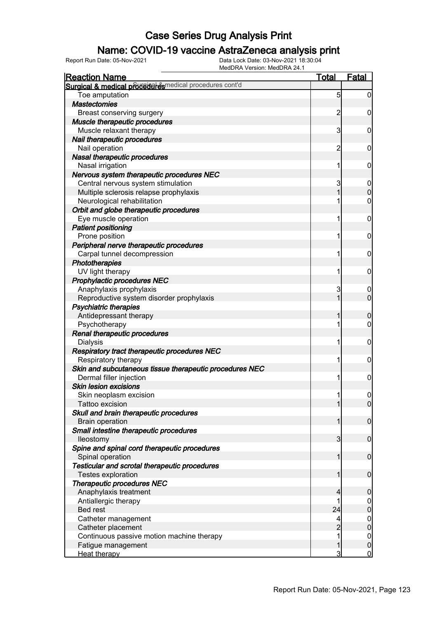### Name: COVID-19 vaccine AstraZeneca analysis print

| <b>Reaction Name</b>                                       | <b>Total</b>            | <b>Fatal</b>                    |
|------------------------------------------------------------|-------------------------|---------------------------------|
| Surgical & medical proceeder esmedical procedures cont'd   |                         |                                 |
| Toe amputation                                             | $\overline{5}$          | $\overline{0}$                  |
| <b>Mastectomies</b>                                        |                         |                                 |
| Breast conserving surgery                                  | $\overline{c}$          | 0                               |
| Muscle therapeutic procedures                              |                         |                                 |
| Muscle relaxant therapy                                    | 3                       | $\mathbf 0$                     |
| Nail therapeutic procedures                                |                         |                                 |
| Nail operation                                             | 2                       | $\mathbf 0$                     |
| Nasal therapeutic procedures                               |                         |                                 |
| Nasal irrigation                                           | 1                       | $\mathbf 0$                     |
| Nervous system therapeutic procedures NEC                  |                         |                                 |
| Central nervous system stimulation                         | 3                       | $\boldsymbol{0}$                |
| Multiple sclerosis relapse prophylaxis                     | 1                       | $\overline{0}$                  |
| Neurological rehabilitation                                |                         | 0                               |
| Orbit and globe therapeutic procedures                     |                         |                                 |
| Eye muscle operation                                       | 1                       | $\boldsymbol{0}$                |
| <b>Patient positioning</b>                                 |                         |                                 |
| Prone position                                             | 1                       | $\mathbf 0$                     |
| Peripheral nerve therapeutic procedures                    |                         |                                 |
| Carpal tunnel decompression                                | 1                       | $\mathbf 0$                     |
| Phototherapies                                             |                         |                                 |
| UV light therapy                                           | 1                       | $\mathbf 0$                     |
| Prophylactic procedures NEC                                |                         |                                 |
| Anaphylaxis prophylaxis                                    | 3                       | $\boldsymbol{0}$                |
| Reproductive system disorder prophylaxis                   | 1                       | $\mathbf 0$                     |
| <b>Psychiatric therapies</b>                               |                         |                                 |
| Antidepressant therapy                                     |                         | $\mathbf 0$                     |
| Psychotherapy                                              |                         | 0                               |
| Renal therapeutic procedures                               |                         |                                 |
| <b>Dialysis</b>                                            |                         | $\mathbf 0$                     |
| Respiratory tract therapeutic procedures NEC               |                         |                                 |
| Respiratory therapy                                        |                         | $\mathbf 0$                     |
| Skin and subcutaneous tissue therapeutic procedures NEC    |                         |                                 |
| Dermal filler injection                                    |                         | $\mathbf 0$                     |
| <b>Skin lesion excisions</b>                               |                         |                                 |
| Skin neoplasm excision                                     | 1                       | $\mathbf 0$                     |
| Tattoo excision                                            |                         | 0                               |
| Skull and brain therapeutic procedures                     |                         |                                 |
| <b>Brain operation</b>                                     |                         | $\mathbf 0$                     |
| Small intestine therapeutic procedures                     |                         |                                 |
| lleostomy                                                  | $\overline{\mathbf{3}}$ | $\mathbf 0$                     |
| Spine and spinal cord therapeutic procedures               |                         |                                 |
| Spinal operation                                           |                         | $\mathbf 0$                     |
| Testicular and scrotal therapeutic procedures              |                         |                                 |
| Testes exploration                                         |                         | $\boldsymbol{0}$                |
| <b>Therapeutic procedures NEC</b><br>Anaphylaxis treatment | 4                       | $\boldsymbol{0}$                |
| Antiallergic therapy                                       |                         |                                 |
| <b>Bed rest</b>                                            | 24                      | $\mathbf 0$<br>$\overline{0}$   |
| Catheter management                                        | 4                       |                                 |
| Catheter placement                                         | $\overline{2}$          | $\boldsymbol{0}$<br>$\mathbf 0$ |
| Continuous passive motion machine therapy                  |                         | $\boldsymbol{0}$                |
| Fatigue management                                         |                         | $\mathbf 0$                     |
| Heat therapy                                               | 3                       | $\mathbf 0$                     |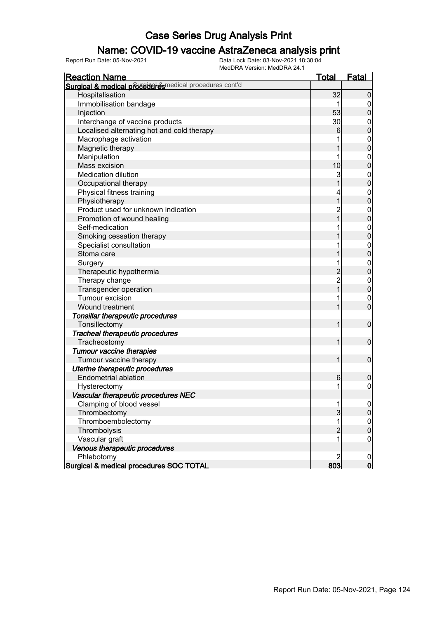### Name: COVID-19 vaccine AstraZeneca analysis print

| <b>Reaction Name</b>                                     | <b>Total</b>                               | <b>Fatal</b>                         |
|----------------------------------------------------------|--------------------------------------------|--------------------------------------|
| Surgical & medical proceduares medical procedures cont'd |                                            |                                      |
| Hospitalisation                                          | 32                                         | $\boldsymbol{0}$                     |
| Immobilisation bandage                                   |                                            | 0                                    |
| Injection                                                | 53                                         | $\overline{0}$                       |
| Interchange of vaccine products                          | 30                                         | $\boldsymbol{0}$                     |
| Localised alternating hot and cold therapy               | 6                                          | $\mathbf 0$                          |
| Macrophage activation                                    |                                            | $\mathbf{0}$                         |
| Magnetic therapy                                         |                                            | $\overline{0}$                       |
| Manipulation                                             | 1                                          | $\boldsymbol{0}$                     |
| Mass excision                                            | 10                                         | $\overline{0}$                       |
| <b>Medication dilution</b>                               | 3                                          | $\boldsymbol{0}$                     |
| Occupational therapy                                     | 1                                          | $\overline{0}$                       |
| Physical fitness training                                | 4                                          |                                      |
| Physiotherapy                                            | $\overline{1}$                             | $0\atop 0$                           |
| Product used for unknown indication                      | $\overline{c}$                             | $\boldsymbol{0}$                     |
| Promotion of wound healing                               | $\overline{1}$                             | $\overline{0}$                       |
| Self-medication                                          |                                            |                                      |
| Smoking cessation therapy                                |                                            | $0\atop 0$                           |
| Specialist consultation                                  |                                            |                                      |
| Stoma care                                               |                                            | $0\atop 0$                           |
| Surgery                                                  | 1                                          | $\boldsymbol{0}$                     |
| Therapeutic hypothermia                                  |                                            | $\overline{0}$                       |
| Therapy change                                           | $\begin{array}{c} 2 \\ 2 \\ 1 \end{array}$ | $\boldsymbol{0}$                     |
| Transgender operation                                    |                                            | $\overline{0}$                       |
| Tumour excision                                          |                                            | $\mathbf 0$                          |
| Wound treatment                                          | 1                                          | $\overline{0}$                       |
| Tonsillar therapeutic procedures                         |                                            |                                      |
| Tonsillectomy                                            | 1                                          | $\mathbf 0$                          |
| Tracheal therapeutic procedures                          |                                            |                                      |
| Tracheostomy                                             | 1                                          | $\mathbf 0$                          |
| <b>Tumour vaccine therapies</b>                          |                                            |                                      |
| Tumour vaccine therapy                                   | 1                                          | $\mathbf 0$                          |
| Uterine therapeutic procedures                           |                                            |                                      |
| <b>Endometrial ablation</b>                              | 6                                          | $\boldsymbol{0}$                     |
| Hysterectomy                                             | 1                                          | $\boldsymbol{0}$                     |
| Vascular therapeutic procedures NEC                      |                                            |                                      |
| Clamping of blood vessel                                 | 1                                          | 0                                    |
| Thrombectomy                                             | $\mathbf{3}$                               | $\overline{0}$                       |
| Thromboembolectomy                                       | 1                                          |                                      |
| Thrombolysis                                             | $\overline{2}$                             | $\begin{matrix} 0 \\ 0 \end{matrix}$ |
| Vascular graft                                           | 1                                          | $\mathbf 0$                          |
| Venous therapeutic procedures                            |                                            |                                      |
| Phlebotomy                                               | $\overline{2}$                             | $\mathbf 0$                          |
| Surgical & medical procedures SOC TOTAL                  | 803                                        | $\overline{0}$                       |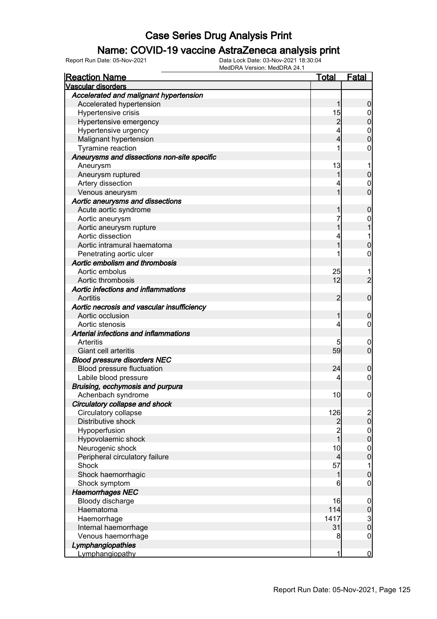### Name: COVID-19 vaccine AstraZeneca analysis print

| <b>Reaction Name</b>                        | <u>Total</u>                  | <b>Fatal</b>                         |
|---------------------------------------------|-------------------------------|--------------------------------------|
| <b>Vascular disorders</b>                   |                               |                                      |
| Accelerated and malignant hypertension      |                               |                                      |
| Accelerated hypertension                    | 1                             | $\boldsymbol{0}$                     |
| Hypertensive crisis                         | 15                            | $\mathbf 0$                          |
| Hypertensive emergency                      | $\overline{2}$                | $\overline{0}$                       |
| Hypertensive urgency                        | 4                             |                                      |
| Malignant hypertension                      | 4                             | $\begin{matrix}0\\0\end{matrix}$     |
| Tyramine reaction                           | 1                             | 0                                    |
| Aneurysms and dissections non-site specific |                               |                                      |
| Aneurysm                                    | 13                            | 1                                    |
| Aneurysm ruptured                           | 1                             | $\pmb{0}$                            |
| Artery dissection                           | 4                             | $\mathbf 0$                          |
| Venous aneurysm                             | 1                             | $\overline{0}$                       |
| Aortic aneurysms and dissections            |                               |                                      |
| Acute aortic syndrome                       | 1                             | $\mathbf 0$                          |
| Aortic aneurysm                             | 7                             | 0                                    |
| Aortic aneurysm rupture                     | 1                             | 1                                    |
| Aortic dissection                           | 4                             | 1                                    |
| Aortic intramural haematoma                 | 1                             | $\mathbf 0$                          |
| Penetrating aortic ulcer                    | 1                             | $\mathbf 0$                          |
| Aortic embolism and thrombosis              |                               |                                      |
| Aortic embolus                              | 25                            | 1                                    |
| Aortic thrombosis                           | 12                            | $\overline{2}$                       |
| Aortic infections and inflammations         |                               |                                      |
| Aortitis                                    | 2                             | $\mathbf 0$                          |
| Aortic necrosis and vascular insufficiency  |                               |                                      |
| Aortic occlusion                            | 1                             | $\mathbf 0$                          |
| Aortic stenosis                             | 4                             | $\mathbf 0$                          |
| Arterial infections and inflammations       |                               |                                      |
| Arteritis                                   | 5                             | $\overline{0}$                       |
| Giant cell arteritis                        | 59                            | $\mathbf 0$                          |
| <b>Blood pressure disorders NEC</b>         |                               |                                      |
| Blood pressure fluctuation                  | 24                            | $\boldsymbol{0}$                     |
| Labile blood pressure                       | 4                             | $\mathbf 0$                          |
| Bruising, ecchymosis and purpura            |                               |                                      |
| Achenbach syndrome                          | 10                            | $\boldsymbol{0}$                     |
| Circulatory collapse and shock              |                               |                                      |
| Circulatory collapse                        | 126                           | $\begin{matrix} 2 \\ 0 \end{matrix}$ |
| Distributive shock                          | $\frac{2}{2}$                 |                                      |
| Hypoperfusion                               | $\overline{1}$                | $0\atop 0$                           |
| Hypovolaemic shock                          |                               |                                      |
| Neurogenic shock                            | 10                            | $0\atop 0$                           |
| Peripheral circulatory failure<br>Shock     | $\overline{\mathbf{4}}$<br>57 |                                      |
|                                             |                               | $\mathbf 1$                          |
| Shock haemorrhagic                          | 1<br>6                        | $\mathbf 0$<br>$\boldsymbol{0}$      |
| Shock symptom<br><b>Haemorrhages NEC</b>    |                               |                                      |
| Bloody discharge                            | 16                            |                                      |
| Haematoma                                   | 114                           | $\boldsymbol{0}$<br>$\mathbf 0$      |
| Haemorrhage                                 | 1417                          |                                      |
| Internal haemorrhage                        | 31                            | $\frac{3}{0}$                        |
| Venous haemorrhage                          | 8                             | $\boldsymbol{0}$                     |
| Lymphangiopathies                           |                               |                                      |
| Lymphangiopathy                             | 1                             | $\overline{0}$                       |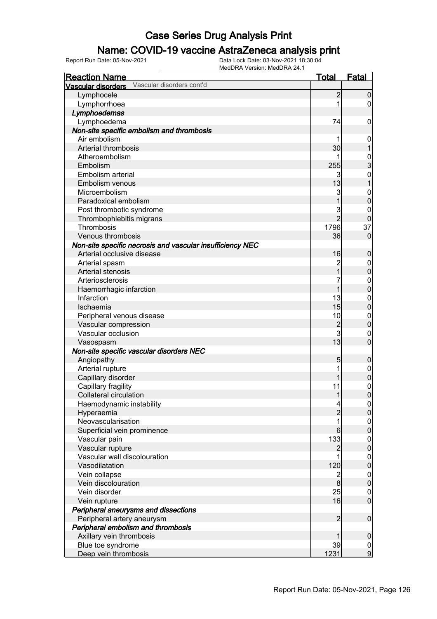### Name: COVID-19 vaccine AstraZeneca analysis print

| <b>Reaction Name</b>                                      | <b>Total</b>   | <b>Fatal</b>     |
|-----------------------------------------------------------|----------------|------------------|
| Vascular disorders cont'd<br>Vascular disorders           |                |                  |
| Lymphocele                                                | $\overline{c}$ | 0                |
| Lymphorrhoea                                              | 1              | 0                |
| Lymphoedemas                                              |                |                  |
| Lymphoedema                                               | 74             | 0                |
| Non-site specific embolism and thrombosis                 |                |                  |
| Air embolism                                              |                | $\mathbf 0$      |
| Arterial thrombosis                                       | 30             |                  |
| Atheroembolism                                            | 1              |                  |
| Embolism                                                  | 255            | $\frac{0}{3}$    |
| Embolism arterial                                         | 3              | $\mathbf 0$      |
| Embolism venous                                           | 13             |                  |
| Microembolism                                             | 3              | $\mathbf{0}$     |
| Paradoxical embolism                                      |                | 0                |
| Post thrombotic syndrome                                  | 3              | 0                |
| Thrombophlebitis migrans                                  | $\overline{2}$ | 0                |
| Thrombosis                                                | 1796           | 37               |
| Venous thrombosis                                         | 36             | $\mathbf 0$      |
| Non-site specific necrosis and vascular insufficiency NEC |                |                  |
| Arterial occlusive disease                                | 16             | 0                |
| Arterial spasm                                            | $\overline{c}$ | $\boldsymbol{0}$ |
| Arterial stenosis                                         | 1              | $\mathbf 0$      |
| Arteriosclerosis                                          | 7              | $\mathbf 0$      |
| Haemorrhagic infarction                                   | 1              | $\overline{0}$   |
| Infarction                                                | 13             | $\mathbf 0$      |
| Ischaemia                                                 | 15             | $\overline{0}$   |
| Peripheral venous disease                                 | 10             | $\mathbf{0}$     |
| Vascular compression                                      | $\overline{c}$ | $\overline{0}$   |
| Vascular occlusion                                        | $\overline{3}$ | $\boldsymbol{0}$ |
| Vasospasm                                                 | 13             | $\overline{0}$   |
| Non-site specific vascular disorders NEC                  |                |                  |
| Angiopathy                                                | 5              | 0                |
| Arterial rupture                                          | 1              | $\boldsymbol{0}$ |
| Capillary disorder                                        |                | $\mathbf 0$      |
| Capillary fragility                                       | 11             | $\mathbf{0}$     |
| <b>Collateral circulation</b>                             | 1              | $\overline{0}$   |
| Haemodynamic instability                                  | $\overline{a}$ | $\Omega$         |
| Hyperaemia                                                | $\overline{2}$ | $\overline{0}$   |
| Neovascularisation                                        | 1              | $\mathbf 0$      |
| Superficial vein prominence                               | 6              | $\overline{0}$   |
| Vascular pain                                             | 133            | $\mathbf{0}$     |
| Vascular rupture                                          | $\overline{2}$ | $\overline{0}$   |
| Vascular wall discolouration                              | 1              | $\mathbf{0}$     |
| Vasodilatation                                            | 120            | $\overline{0}$   |
| Vein collapse                                             | $\overline{c}$ | $\mathbf{0}$     |
| Vein discolouration                                       | 8              | $\overline{0}$   |
| Vein disorder                                             | 25             | $\mathbf 0$      |
| Vein rupture                                              | 16             | $\overline{0}$   |
| Peripheral aneurysms and dissections                      |                |                  |
| Peripheral artery aneurysm                                | $\overline{2}$ | $\boldsymbol{0}$ |
| Peripheral embolism and thrombosis                        |                |                  |
| Axillary vein thrombosis                                  |                | $\mathbf 0$      |
| Blue toe syndrome                                         | 39             | $\frac{0}{9}$    |
| Deep vein thrombosis                                      | 1231           |                  |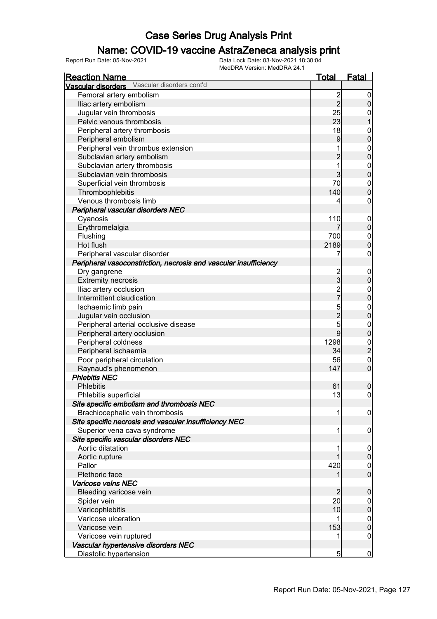### Name: COVID-19 vaccine AstraZeneca analysis print

| <u>Reaction Name</u>                                             | <u>Total</u>   | <b>Fatal</b>                   |
|------------------------------------------------------------------|----------------|--------------------------------|
| Vascular disorders cont'd<br><b>Vascular disorders</b>           |                |                                |
| Femoral artery embolism                                          |                | 0                              |
| Iliac artery embolism                                            | $\frac{2}{2}$  | 0                              |
| Jugular vein thrombosis                                          | 25             | 0                              |
| Pelvic venous thrombosis                                         | 23             |                                |
| Peripheral artery thrombosis                                     | 18             | $\mathbf{0}$                   |
| Peripheral embolism                                              | 9              | 0                              |
| Peripheral vein thrombus extension                               | 1              | $\mathbf{0}$                   |
| Subclavian artery embolism                                       | $\overline{2}$ | 0                              |
| Subclavian artery thrombosis                                     | 1              | $\mathbf{0}$                   |
| Subclavian vein thrombosis                                       | 3              | 0                              |
| Superficial vein thrombosis                                      | 70             | $\mathbf 0$                    |
| Thrombophlebitis                                                 | 140            | $\overline{0}$                 |
| Venous thrombosis limb                                           | 4              | 0                              |
| Peripheral vascular disorders NEC                                |                |                                |
| Cyanosis                                                         | 110            | $\mathbf 0$                    |
| Erythromelalgia                                                  |                | $\overline{0}$                 |
| Flushing                                                         | 700            |                                |
| Hot flush                                                        | 2189           | $\mathbf{0}$<br>$\overline{0}$ |
|                                                                  | 7              |                                |
| Peripheral vascular disorder                                     |                | 0                              |
| Peripheral vasoconstriction, necrosis and vascular insufficiency |                |                                |
| Dry gangrene                                                     | $\frac{2}{3}$  | $\mathbf 0$                    |
| <b>Extremity necrosis</b>                                        |                | 0                              |
| Iliac artery occlusion                                           | 2<br>7         | $\mathbf 0$                    |
| Intermittent claudication                                        |                | 0                              |
| Ischaemic limb pain                                              | 5              | $\mathbf{0}$                   |
| Jugular vein occlusion                                           | $\overline{2}$ | 0                              |
| Peripheral arterial occlusive disease                            | 5              | $\mathbf{0}$                   |
| Peripheral artery occlusion                                      | 9              | 0                              |
| Peripheral coldness                                              | 1298           | $\frac{0}{2}$                  |
| Peripheral ischaemia                                             | 34             |                                |
| Poor peripheral circulation                                      | 56             | $\mathbf{0}$                   |
| Raynaud's phenomenon                                             | 147            | $\overline{0}$                 |
| <b>Phlebitis NEC</b>                                             |                |                                |
| <b>Phlebitis</b>                                                 | 61             | 0                              |
| Phlebitis superficial                                            | 13             | $\overline{0}$                 |
| Site specific embolism and thrombosis NEC                        |                |                                |
| Brachiocephalic vein thrombosis                                  | 1              | $\boldsymbol{0}$               |
| Site specific necrosis and vascular insufficiency NEC            |                |                                |
| Superior vena cava syndrome                                      | 1              | 0                              |
| Site specific vascular disorders NEC                             |                |                                |
| Aortic dilatation                                                |                | 0                              |
| Aortic rupture                                                   |                | 0                              |
| Pallor                                                           | 420            | 0                              |
| Plethoric face                                                   |                | $\overline{0}$                 |
| Varicose veins NEC                                               |                |                                |
| Bleeding varicose vein                                           | 2              | 0                              |
| Spider vein                                                      | 20             | 0                              |
| Varicophlebitis                                                  | 10             | 0                              |
| Varicose ulceration                                              |                | 0                              |
| Varicose vein                                                    | 153            | 0                              |
| Varicose vein ruptured                                           | 1              | 0                              |
| Vascular hypertensive disorders NEC                              |                |                                |
| Diastolic hypertension                                           | 5              | $\bf{0}$                       |